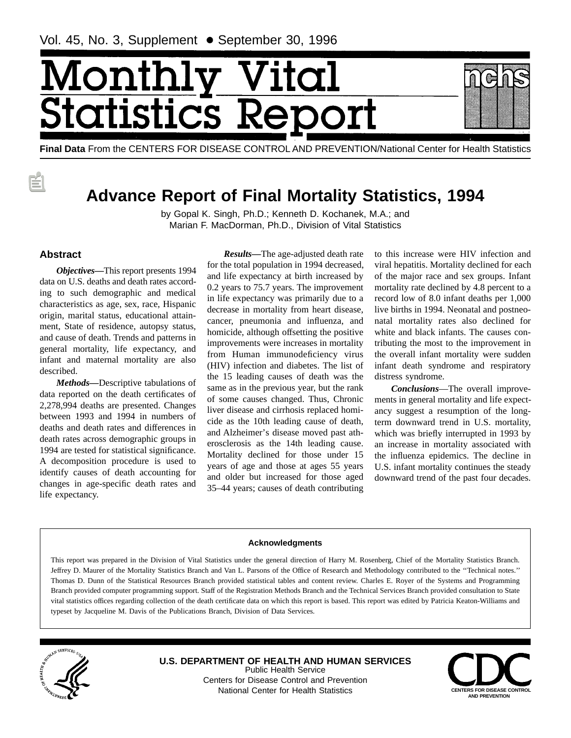# Monthl ital štatistics R

**Final Data** From the CENTERS FOR DISEASE CONTROL AND PREVENTION/National Center for Health Statistics

# **Advance Report of Final Mortality Statistics, 1994**

by Gopal K. Singh, Ph.D.; Kenneth D. Kochanek, M.A.; and Marian F. MacDorman, Ph.D., Division of Vital Statistics

# **Abstract**

*Objectives—*This report presents 1994 data on U.S. deaths and death rates according to such demographic and medical characteristics as age, sex, race, Hispanic origin, marital status, educational attainment, State of residence, autopsy status, and cause of death. Trends and patterns in general mortality, life expectancy, and infant and maternal mortality are also described.

*Methods—*Descriptive tabulations of data reported on the death certificates of 2,278,994 deaths are presented. Changes between 1993 and 1994 in numbers of deaths and death rates and differences in death rates across demographic groups in 1994 are tested for statistical significance. A decomposition procedure is used to identify causes of death accounting for changes in age-specific death rates and life expectancy.

*Results—*The age-adjusted death rate for the total population in 1994 decreased, and life expectancy at birth increased by 0.2 years to 75.7 years. The improvement in life expectancy was primarily due to a decrease in mortality from heart disease, cancer, pneumonia and influenza, and homicide, although offsetting the positive improvements were increases in mortality from Human immunodeficiency virus (HIV) infection and diabetes. The list of the 15 leading causes of death was the same as in the previous year, but the rank of some causes changed. Thus, Chronic liver disease and cirrhosis replaced homicide as the 10th leading cause of death, and Alzheimer's disease moved past atherosclerosis as the 14th leading cause. Mortality declined for those under 15 years of age and those at ages 55 years and older but increased for those aged 35–44 years; causes of death contributing

to this increase were HIV infection and viral hepatitis. Mortality declined for each of the major race and sex groups. Infant mortality rate declined by 4.8 percent to a record low of 8.0 infant deaths per 1,000 live births in 1994. Neonatal and postneonatal mortality rates also declined for white and black infants. The causes contributing the most to the improvement in the overall infant mortality were sudden infant death syndrome and respiratory distress syndrome.

*Conclusions*—The overall improvements in general mortality and life expectancy suggest a resumption of the longterm downward trend in U.S. mortality, which was briefly interrupted in 1993 by an increase in mortality associated with the influenza epidemics. The decline in U.S. infant mortality continues the steady downward trend of the past four decades.

#### **Acknowledgments**

This report was prepared in the Division of Vital Statistics under the general direction of Harry M. Rosenberg, Chief of the Mortality Statistics Branch. Jeffrey D. Maurer of the Mortality Statistics Branch and Van L. Parsons of the Office of Research and Methodology contributed to the ''Technical notes.'' Thomas D. Dunn of the Statistical Resources Branch provided statistical tables and content review. Charles E. Royer of the Systems and Programming Branch provided computer programming support. Staff of the Registration Methods Branch and the Technical Services Branch provided consultation to State vital statistics offices regarding collection of the death certificate data on which this report is based. This report was edited by Patricia Keaton-Williams and typeset by Jacqueline M. Davis of the Publications Branch, Division of Data Services.



**U.S. DEPARTMENT OF HEALTH AND HUMAN SERVICES** Public Health Service Centers for Disease Control and Prevention National Center for Health Statistics **CENTERS FOR DISEASE CONTROL**

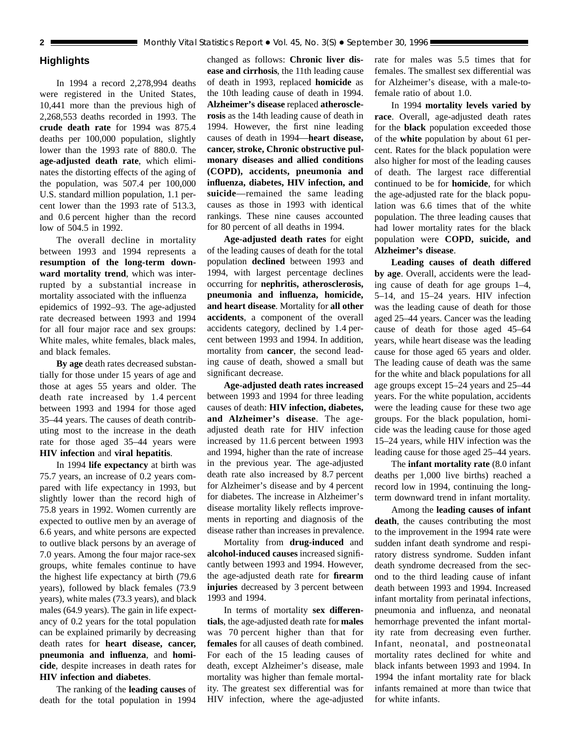# **Highlights**

In 1994 a record 2,278,994 deaths were registered in the United States, 10,441 more than the previous high of 2,268,553 deaths recorded in 1993. The **crude death rate** for 1994 was 875.4 deaths per 100,000 population, slightly lower than the 1993 rate of 880.0. The **age-adjusted death rate**, which eliminates the distorting effects of the aging of the population, was 507.4 per 100,000 U.S. standard million population, 1.1 percent lower than the 1993 rate of 513.3, and 0.6 percent higher than the record low of 504.5 in 1992.

The overall decline in mortality between 1993 and 1994 represents a **resumption of the long-term downward mortality trend**, which was interrupted by a substantial increase in mortality associated with the influenza epidemics of 1992–93. The age-adjusted rate decreased between 1993 and 1994 for all four major race and sex groups: White males, white females, black males, and black females.

**By age** death rates decreased substantially for those under 15 years of age and those at ages 55 years and older. The death rate increased by 1.4 percent between 1993 and 1994 for those aged 35–44 years. The causes of death contributing most to the increase in the death rate for those aged 35–44 years were **HIV infection** and **viral hepatitis**.

In 1994 **life expectancy** at birth was 75.7 years, an increase of 0.2 years compared with life expectancy in 1993, but slightly lower than the record high of 75.8 years in 1992. Women currently are expected to outlive men by an average of 6.6 years, and white persons are expected to outlive black persons by an average of 7.0 years. Among the four major race-sex groups, white females continue to have the highest life expectancy at birth (79.6 years), followed by black females (73.9 years), white males (73.3 years), and black males (64.9 years). The gain in life expectancy of 0.2 years for the total population can be explained primarily by decreasing death rates for **heart disease, cancer, pneumonia and influenza**, and **homicide**, despite increases in death rates for **HIV infection and diabetes**.

The ranking of the **leading causes** of death for the total population in 1994

changed as follows: **Chronic liver disease and cirrhosis**, the 11th leading cause of death in 1993, replaced **homicide** as the 10th leading cause of death in 1994. **Alzheimer's disease** replaced **atherosclerosis** as the 14th leading cause of death in 1994. However, the first nine leading causes of death in 1994—**heart disease, cancer, stroke, Chronic obstructive pulmonary diseases and allied conditions (COPD), accidents, pneumonia and influenza, diabetes, HIV infection, and suicide**—remained the same leading causes as those in 1993 with identical rankings. These nine causes accounted for 80 percent of all deaths in 1994.

**Age-adjusted death rates** for eight of the leading causes of death for the total population **declined** between 1993 and 1994, with largest percentage declines occurring for **nephritis, atherosclerosis, pneumonia and influenza, homicide, and heart disease**. Mortality for **all other accidents**, a component of the overall accidents category, declined by 1.4 percent between 1993 and 1994. In addition, mortality from **cancer**, the second leading cause of death, showed a small but significant decrease.

**Age-adjusted death rates increased** between 1993 and 1994 for three leading causes of death: **HIV infection, diabetes, and Alzheimer's disease**. The ageadjusted death rate for HIV infection increased by 11.6 percent between 1993 and 1994, higher than the rate of increase in the previous year. The age-adjusted death rate also increased by 8.7 percent for Alzheimer's disease and by 4 percent for diabetes. The increase in Alzheimer's disease mortality likely reflects improvements in reporting and diagnosis of the disease rather than increases in prevalence.

Mortality from **drug-induced** and **alcohol-induced causes** increased significantly between 1993 and 1994. However, the age-adjusted death rate for **firearm injuries** decreased by 3 percent between 1993 and 1994.

In terms of mortality **sex differentials**, the age-adjusted death rate for **males** was 70 percent higher than that for **females** for all causes of death combined. For each of the 15 leading causes of death, except Alzheimer's disease, male mortality was higher than female mortality. The greatest sex differential was for HIV infection, where the age-adjusted

rate for males was 5.5 times that for females. The smallest sex differential was for Alzheimer's disease, with a male-tofemale ratio of about 1.0.

In 1994 **mortality levels varied by race**. Overall, age-adjusted death rates for the **black** population exceeded those of the **white** population by about 61 percent. Rates for the black population were also higher for most of the leading causes of death. The largest race differential continued to be for **homicide**, for which the age-adjusted rate for the black population was 6.6 times that of the white population. The three leading causes that had lower mortality rates for the black population were **COPD, suicide, and Alzheimer's disease**.

**Leading causes of death differed by age**. Overall, accidents were the leading cause of death for age groups 1–4, 5–14, and 15–24 years. HIV infection was the leading cause of death for those aged 25–44 years. Cancer was the leading cause of death for those aged 45–64 years, while heart disease was the leading cause for those aged 65 years and older. The leading cause of death was the same for the white and black populations for all age groups except 15–24 years and 25–44 years. For the white population, accidents were the leading cause for these two age groups. For the black population, homicide was the leading cause for those aged 15–24 years, while HIV infection was the leading cause for those aged 25–44 years.

The **infant mortality rate** (8.0 infant deaths per 1,000 live births) reached a record low in 1994, continuing the longterm downward trend in infant mortality.

Among the **leading causes of infant death**, the causes contributing the most to the improvement in the 1994 rate were sudden infant death syndrome and respiratory distress syndrome. Sudden infant death syndrome decreased from the second to the third leading cause of infant death between 1993 and 1994. Increased infant mortality from perinatal infections, pneumonia and influenza, and neonatal hemorrhage prevented the infant mortality rate from decreasing even further. Infant, neonatal, and postneonatal mortality rates declined for white and black infants between 1993 and 1994. In 1994 the infant mortality rate for black infants remained at more than twice that for white infants.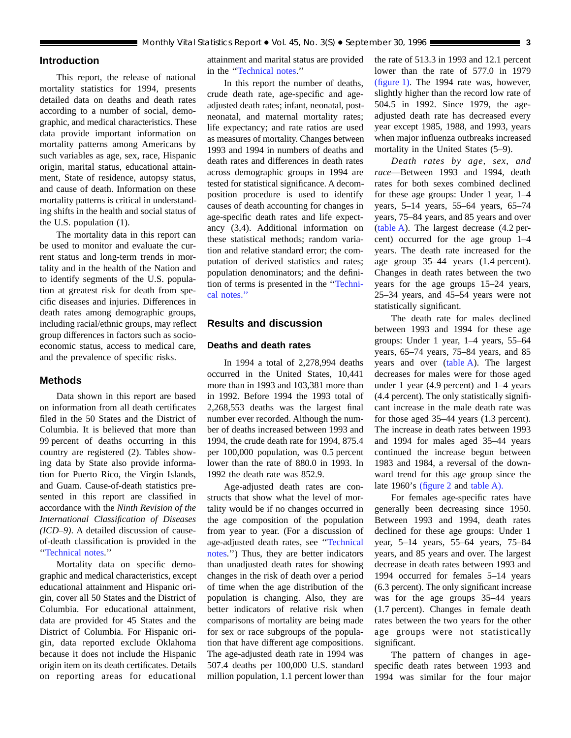# **Introduction**

This report, the release of national mortality statistics for 1994, presents detailed data on deaths and death rates according to a number of social, demographic, and medical characteristics. These data provide important information on mortality patterns among Americans by such variables as age, sex, race, Hispanic origin, marital status, educational attainment, State of residence, autopsy status, and cause of death. Information on these mortality patterns is critical in understanding shifts in the health and social status of the U.S. population (1).

The mortality data in this report can be used to monitor and evaluate the current status and long-term trends in mortality and in the health of the Nation and to identify segments of the U.S. population at greatest risk for death from specific diseases and injuries. Differences in death rates among demographic groups, including racial/ethnic groups, may reflect group differences in factors such as socioeconomic status, access to medical care, and the prevalence of specific risks.

# **Methods**

Data shown in this report are based on information from all death certificates filed in the 50 States and the District of Columbia. It is believed that more than 99 percent of deaths occurring in this country are registered (2). Tables showing data by State also provide information for Puerto Rico, the Virgin Islands, and Guam. Cause-of-death statistics presented in this report are classified in accordance with the *Ninth Revision of the International Classification of Diseases (ICD–9)*. A detailed discussion of causeof-death classification is provided in the '['Technical notes.'](#page-71-0)'

Mortality data on specific demographic and medical characteristics, except educational attainment and Hispanic origin, cover all 50 States and the District of Columbia. For educational attainment, data are provided for 45 States and the District of Columbia. For Hispanic origin, data reported exclude Oklahoma because it does not include the Hispanic origin item on its death certificates. Details on reporting areas for educational

attainment and marital status are provided in the [''Technical notes.](#page-71-0)''

In this report the number of deaths, crude death rate, age-specific and ageadjusted death rates; infant, neonatal, postneonatal, and maternal mortality rates; life expectancy; and rate ratios are used as measures of mortality. Changes between 1993 and 1994 in numbers of deaths and death rates and differences in death rates across demographic groups in 1994 are tested for statistical significance. A decomposition procedure is used to identify causes of death accounting for changes in age-specific death rates and life expectancy (3,4). Additional information on these statistical methods; random variation and relative standard error; the computation of derived statistics and rates; population denominators; and the definition of terms is presented in the '['Techni](#page-71-0)[cal notes.''](#page-71-0)

# **Results and discussion**

## **Deaths and death rates**

In 1994 a total of 2,278,994 deaths occurred in the United States, 10,441 more than in 1993 and 103,381 more than in 1992. Before 1994 the 1993 total of 2,268,553 deaths was the largest final number ever recorded. Although the number of deaths increased between 1993 and 1994, the crude death rate for 1994, 875.4 per 100,000 population, was 0.5 percent lower than the rate of 880.0 in 1993. In 1992 the death rate was 852.9.

Age-adjusted death rates are constructs that show what the level of mortality would be if no changes occurred in the age composition of the population from year to year. (For a discussion of age-adjusted death rates, see [''Technical](#page-71-0) [notes.'](#page-71-0)') Thus, they are better indicators than unadjusted death rates for showing changes in the risk of death over a period of time when the age distribution of the population is changing. Also, they are better indicators of relative risk when comparisons of mortality are being made for sex or race subgroups of the population that have different age compositions. The age-adjusted death rate in 1994 was 507.4 deaths per 100,000 U.S. standard million population, 1.1 percent lower than the rate of 513.3 in 1993 and 12.1 percent lower than the rate of 577.0 in 1979 [\(figure 1\)](#page-3-0). The 1994 rate was, however, slightly higher than the record low rate of 504.5 in 1992. Since 1979, the ageadjusted death rate has decreased every year except 1985, 1988, and 1993, years when major influenza outbreaks increased mortality in the United States (5–9).

*Death rates by age, sex, and race*—Between 1993 and 1994, death rates for both sexes combined declined for these age groups: Under 1 year, 1–4 years, 5–14 years, 55–64 years, 65–74 years, 75–84 years, and 85 years and over [\(table A](#page-3-0)). The largest decrease (4.2 percent) occurred for the age group 1–4 years. The death rate increased for the age group 35–44 years (1.4 percent). Changes in death rates between the two years for the age groups 15–24 years, 25–34 years, and 45–54 years were not statistically significant.

The death rate for males declined between 1993 and 1994 for these age groups: Under 1 year, 1–4 years, 55–64 years, 65–74 years, 75–84 years, and 85 years and over [\(table A\)](#page-3-0). The largest decreases for males were for those aged under 1 year (4.9 percent) and 1–4 years (4.4 percent). The only statistically significant increase in the male death rate was for those aged 35–44 years (1.3 percent). The increase in death rates between 1993 and 1994 for males aged 35–44 years continued the increase begun between 1983 and 1984, a reversal of the downward trend for this age group since the late 1960's [\(figure 2](#page-4-0) and [table A\).](#page-3-0)

For females age-specific rates have generally been decreasing since 1950. Between 1993 and 1994, death rates declined for these age groups: Under 1 year, 5–14 years, 55–64 years, 75–84 years, and 85 years and over. The largest decrease in death rates between 1993 and 1994 occurred for females 5–14 years (6.3 percent). The only significant increase was for the age groups 35–44 years (1.7 percent). Changes in female death rates between the two years for the other age groups were not statistically significant.

The pattern of changes in agespecific death rates between 1993 and 1994 was similar for the four major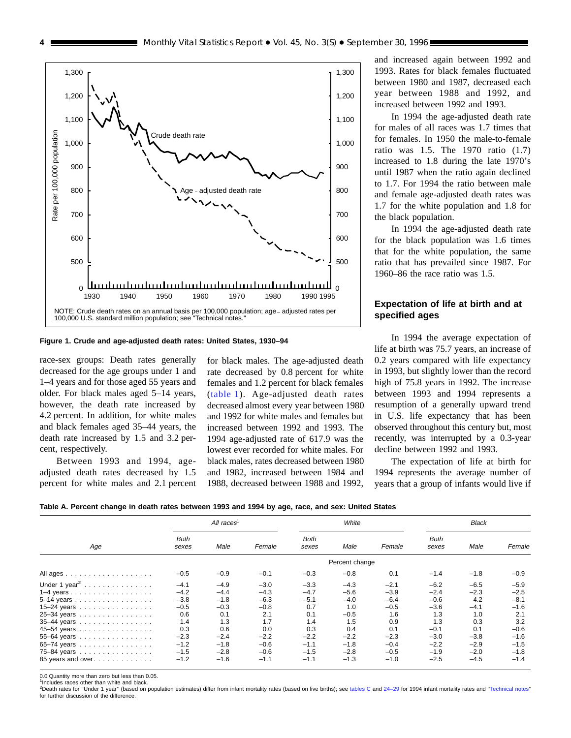**Figure 1. Crude and age-adjusted death rates: United States, 1930–94**

race-sex groups: Death rates generally decreased for the age groups under 1 and 1–4 years and for those aged 55 years and older. For black males aged 5–14 years, however, the death rate increased by 4.2 percent. In addition, for white males and black females aged 35–44 years, the death rate increased by 1.5 and 3.2 percent, respectively.

Between 1993 and 1994, ageadjusted death rates decreased by 1.5 percent for white males and 2.1 percent

for black males. The age-adjusted death rate decreased by 0.8 percent for white females and 1.2 percent for black females [\(table 1\)](#page-14-0). Age-adjusted death rates decreased almost every year between 1980 and 1992 for white males and females but increased between 1992 and 1993. The 1994 age-adjusted rate of 617.9 was the lowest ever recorded for white males. For black males, rates decreased between 1980 and 1982, increased between 1984 and 1988, decreased between 1988 and 1992,

and increased again between 1992 and 1993. Rates for black females fluctuated between 1980 and 1987, decreased each year between 1988 and 1992, and increased between 1992 and 1993.

In 1994 the age-adjusted death rate for males of all races was 1.7 times that for females. In 1950 the male-to-female ratio was 1.5. The 1970 ratio (1.7) increased to 1.8 during the late 1970's until 1987 when the ratio again declined to 1.7. For 1994 the ratio between male and female age-adjusted death rates was 1.7 for the white population and 1.8 for the black population.

In 1994 the age-adjusted death rate for the black population was 1.6 times that for the white population, the same ratio that has prevailed since 1987. For 1960–86 the race ratio was 1.5.

# **Expectation of life at birth and at specified ages**

In 1994 the average expectation of life at birth was 75.7 years, an increase of 0.2 years compared with life expectancy in 1993, but slightly lower than the record high of 75.8 years in 1992. The increase between 1993 and 1994 represents a resumption of a generally upward trend in U.S. life expectancy that has been observed throughout this century but, most recently, was interrupted by a 0.3-year decline between 1992 and 1993.

The expectation of life at birth for 1994 represents the average number of years that a group of infants would live if



|                                           |                      | All races <sup>1</sup> |        |                      | White          |        |                      | <b>Black</b> |        |
|-------------------------------------------|----------------------|------------------------|--------|----------------------|----------------|--------|----------------------|--------------|--------|
| Age                                       | <b>Both</b><br>sexes | Male                   | Female | <b>Both</b><br>sexes | Male           | Female | <b>Both</b><br>sexes | Male         | Female |
|                                           |                      |                        |        |                      | Percent change |        |                      |              |        |
|                                           | $-0.5$               | $-0.9$                 | $-0.1$ | $-0.3$               | $-0.8$         | 0.1    | $-1.4$               | $-1.8$       | $-0.9$ |
| Under 1 year <sup>2</sup>                 | $-4.1$               | $-4.9$                 | $-3.0$ | $-3.3$               | $-4.3$         | $-2.1$ | $-6.2$               | $-6.5$       | $-5.9$ |
|                                           | $-4.2$               | $-4.4$                 | $-4.3$ | $-4.7$               | $-5.6$         | $-3.9$ | $-2.4$               | $-2.3$       | $-2.5$ |
| 5-14 years                                | $-3.8$               | $-1.8$                 | $-6.3$ | $-5.1$               | $-4.0$         | $-6.4$ | $-0.6$               | 4.2          | $-8.1$ |
| 15-24 years $\ldots \ldots \ldots \ldots$ | $-0.5$               | $-0.3$                 | $-0.8$ | 0.7                  | 1.0            | $-0.5$ | $-3.6$               | $-4.1$       | $-1.6$ |
| 25-34 years                               | 0.6                  | 0.1                    | 2.1    | 0.1                  | $-0.5$         | 1.6    | 1.3                  | 1.0          | 2.1    |
| 35-44 years                               | 1.4                  | 1.3                    | 1.7    | 1.4                  | 1.5            | 0.9    | 1.3                  | 0.3          | 3.2    |
| 45-54 years                               | 0.3                  | 0.6                    | 0.0    | 0.3                  | 0.4            | 0.1    | $-0.1$               | 0.1          | $-0.6$ |
| 55-64 years                               | $-2.3$               | $-2.4$                 | $-2.2$ | $-2.2$               | $-2.2$         | $-2.3$ | $-3.0$               | $-3.8$       | $-1.6$ |
| 65-74 years                               | $-1.2$               | $-1.8$                 | $-0.6$ | $-1.1$               | $-1.8$         | $-0.4$ | $-2.2$               | $-2.9$       | $-1.5$ |
| 75-84 years                               | $-1.5$               | $-2.8$                 | $-0.6$ | $-1.5$               | $-2.8$         | $-0.5$ | $-1.9$               | $-2.0$       | $-1.8$ |
| 85 years and over                         | $-1.2$               | $-1.6$                 | $-1.1$ | $-1.1$               | $-1.3$         | $-1.0$ | $-2.5$               | $-4.5$       | $-1.4$ |

0.0 Quantity more than zero but less than 0.05.

<sup>1</sup>Includes races other than white and black

<sup>2</sup>Death rates for "Under 1 year" (based on population estimates) differ from infant mortality rates (based on live births); see [tables C](#page-10-0) and 24-29 for 1994 infant mortality rates and "Technical notes for further discussion of the difference.

<span id="page-3-0"></span>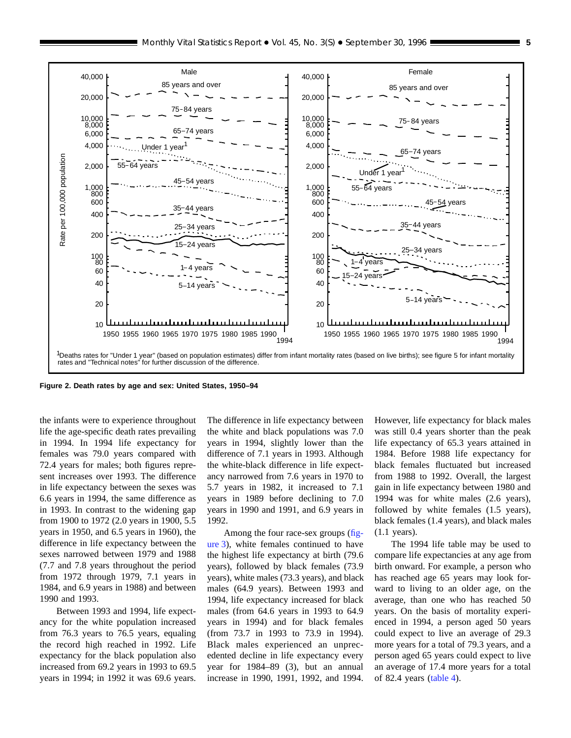<span id="page-4-0"></span>

**Figure 2. Death rates by age and sex: United States, 1950–94**

the infants were to experience throughout life the age-specific death rates prevailing in 1994. In 1994 life expectancy for females was 79.0 years compared with 72.4 years for males; both figures represent increases over 1993. The difference in life expectancy between the sexes was 6.6 years in 1994, the same difference as in 1993. In contrast to the widening gap from 1900 to 1972 (2.0 years in 1900, 5.5 years in 1950, and 6.5 years in 1960), the difference in life expectancy between the sexes narrowed between 1979 and 1988 (7.7 and 7.8 years throughout the period from 1972 through 1979, 7.1 years in 1984, and 6.9 years in 1988) and between 1990 and 1993.

Between 1993 and 1994, life expectancy for the white population increased from 76.3 years to 76.5 years, equaling the record high reached in 1992. Life expectancy for the black population also increased from 69.2 years in 1993 to 69.5 years in 1994; in 1992 it was 69.6 years.

The difference in life expectancy between the white and black populations was 7.0 years in 1994, slightly lower than the difference of 7.1 years in 1993. Although the white-black difference in life expectancy narrowed from 7.6 years in 1970 to 5.7 years in 1982, it increased to 7.1 years in 1989 before declining to 7.0 years in 1990 and 1991, and 6.9 years in 1992.

Among the four race-sex groups [\(fig](#page-5-0)[ure 3](#page-5-0)), white females continued to have the highest life expectancy at birth (79.6 years), followed by black females (73.9 years), white males (73.3 years), and black males (64.9 years). Between 1993 and 1994, life expectancy increased for black males (from 64.6 years in 1993 to 64.9 years in 1994) and for black females (from 73.7 in 1993 to 73.9 in 1994). Black males experienced an unprecedented decline in life expectancy every year for 1984–89 (3), but an annual increase in 1990, 1991, 1992, and 1994.

However, life expectancy for black males was still 0.4 years shorter than the peak life expectancy of 65.3 years attained in 1984. Before 1988 life expectancy for black females fluctuated but increased from 1988 to 1992. Overall, the largest gain in life expectancy between 1980 and 1994 was for white males (2.6 years), followed by white females (1.5 years), black females (1.4 years), and black males (1.1 years).

The 1994 life table may be used to compare life expectancies at any age from birth onward. For example, a person who has reached age 65 years may look forward to living to an older age, on the average, than one who has reached 50 years. On the basis of mortality experienced in 1994, a person aged 50 years could expect to live an average of 29.3 more years for a total of 79.3 years, and a person aged 65 years could expect to live an average of 17.4 more years for a total of 82.4 years [\(table 4\)](#page-17-0).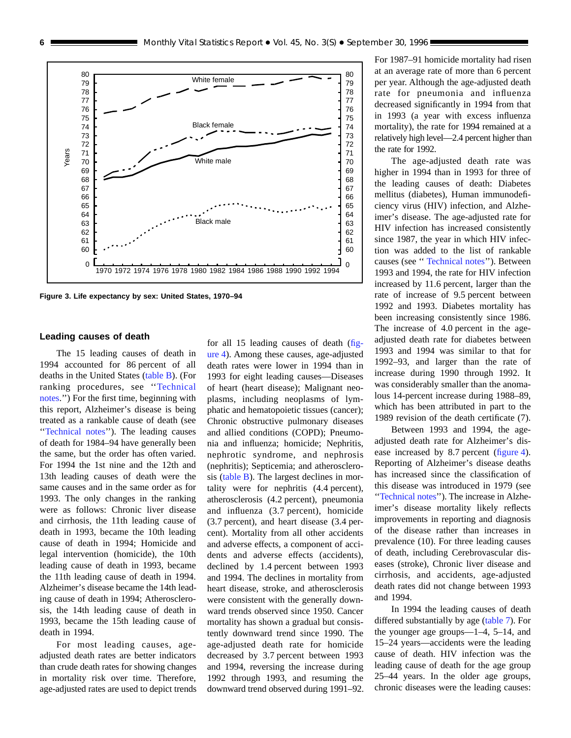<span id="page-5-0"></span>

**Figure 3. Life expectancy by sex: United States, 1970–94**

#### **Leading causes of death**

The 15 leading causes of death in 1994 accounted for 86 percent of all deaths in the United States [\(table B](#page-6-0)). (For ranking procedures, see '['Technical](#page-71-0) [notes.'](#page-71-0)') For the first time, beginning with this report, Alzheimer's disease is being treated as a rankable cause of death (see '['Technical notes](#page-71-0)''). The leading causes of death for 1984–94 have generally been the same, but the order has often varied. For 1994 the 1st nine and the 12th and 13th leading causes of death were the same causes and in the same order as for 1993. The only changes in the ranking were as follows: Chronic liver disease and cirrhosis, the 11th leading cause of death in 1993, became the 10th leading cause of death in 1994; Homicide and legal intervention (homicide), the 10th leading cause of death in 1993, became the 11th leading cause of death in 1994. Alzheimer's disease became the 14th leading cause of death in 1994; Atherosclerosis, the 14th leading cause of death in 1993, became the 15th leading cause of death in 1994.

For most leading causes, ageadjusted death rates are better indicators than crude death rates for showing changes in mortality risk over time. Therefore, age-adjusted rates are used to depict trends for all 15 leading causes of death [\(fig](#page-7-0)[ure 4\)](#page-7-0). Among these causes, age-adjusted death rates were lower in 1994 than in 1993 for eight leading causes—Diseases of heart (heart disease); Malignant neoplasms, including neoplasms of lymphatic and hematopoietic tissues (cancer); Chronic obstructive pulmonary diseases and allied conditions (COPD); Pneumonia and influenza; homicide; Nephritis, nephrotic syndrome, and nephrosis (nephritis); Septicemia; and atherosclerosis [\(table B\)](#page-6-0). The largest declines in mortality were for nephritis (4.4 percent), atherosclerosis (4.2 percent), pneumonia and influenza (3.7 percent), homicide (3.7 percent), and heart disease (3.4 percent). Mortality from all other accidents and adverse effects, a component of accidents and adverse effects (accidents), declined by 1.4 percent between 1993 and 1994. The declines in mortality from heart disease, stroke, and atherosclerosis were consistent with the generally downward trends observed since 1950. Cancer mortality has shown a gradual but consistently downward trend since 1990. The age-adjusted death rate for homicide decreased by 3.7 percent between 1993 and 1994, reversing the increase during 1992 through 1993, and resuming the downward trend observed during 1991–92. For 1987–91 homicide mortality had risen at an average rate of more than 6 percent per year. Although the age-adjusted death rate for pneumonia and influenza decreased significantly in 1994 from that in 1993 (a year with excess influenza mortality), the rate for 1994 remained at a relatively high level—2.4 percent higher than the rate for 1992.

The age-adjusted death rate was higher in 1994 than in 1993 for three of the leading causes of death: Diabetes mellitus (diabetes), Human immunodeficiency virus (HIV) infection, and Alzheimer's disease. The age-adjusted rate for HIV infection has increased consistently since 1987, the year in which HIV infection was added to the list of rankable causes (see '' [Technical notes''](#page-71-0)). Between 1993 and 1994, the rate for HIV infection increased by 11.6 percent, larger than the rate of increase of 9.5 percent between 1992 and 1993. Diabetes mortality has been increasing consistently since 1986. The increase of 4.0 percent in the ageadjusted death rate for diabetes between 1993 and 1994 was similar to that for 1992–93, and larger than the rate of increase during 1990 through 1992. It was considerably smaller than the anomalous 14-percent increase during 1988–89, which has been attributed in part to the 1989 revision of the death certificate (7).

Between 1993 and 1994, the ageadjusted death rate for Alzheimer's dis-ease increased by 8.7 percent [\(figure 4\)](#page-7-0). Reporting of Alzheimer's disease deaths has increased since the classification of this disease was introduced in 1979 (see [''Technical notes''](#page-71-0)). The increase in Alzheimer's disease mortality likely reflects improvements in reporting and diagnosis of the disease rather than increases in prevalence (10). For three leading causes of death, including Cerebrovascular diseases (stroke), Chronic liver disease and cirrhosis, and accidents, age-adjusted death rates did not change between 1993 and 1994.

In 1994 the leading causes of death differed substantially by age [\(table 7](#page-22-0)). For the younger age groups—1–4, 5–14, and 15–24 years—accidents were the leading cause of death. HIV infection was the leading cause of death for the age group 25–44 years. In the older age groups, chronic diseases were the leading causes: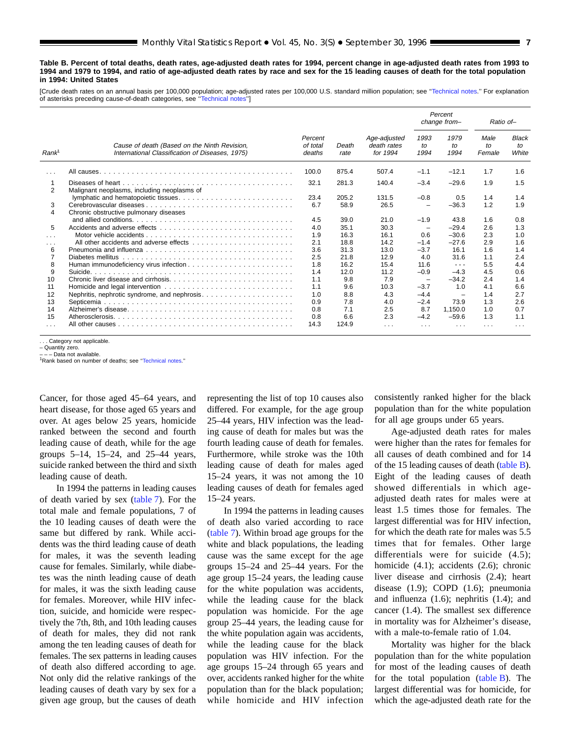<span id="page-6-0"></span>**Table B. Percent of total deaths, death rates, age-adjusted death rates for 1994, percent change in age-adjusted death rates from 1993 to 1994 and 1979 to 1994, and ratio of age-adjusted death rates by race and sex for the 15 leading causes of death for the total population in 1994: United States**

[Crude death rates on an annual basis per 100,000 population; age-adjusted rates per 100,000 U.S. standard million population; see [''Technical notes](#page-71-0).'' For explanation of asterisks preceding cause-of-death categories, see [''Technical notes](#page-71-0)'']

|                      |                                                                                                 |                               |               |                                         |                          | Percent<br>change from-                                                                        | Ratio of-            |                             |
|----------------------|-------------------------------------------------------------------------------------------------|-------------------------------|---------------|-----------------------------------------|--------------------------|------------------------------------------------------------------------------------------------|----------------------|-----------------------------|
| Rank <sup>1</sup>    | Cause of death (Based on the Ninth Revision,<br>International Classification of Diseases, 1975) | Percent<br>of total<br>deaths | Death<br>rate | Age-adjusted<br>death rates<br>for 1994 | 1993<br>to<br>1994       | 1979<br>to<br>1994                                                                             | Male<br>to<br>Female | <b>Black</b><br>to<br>White |
| $\sim$ $\sim$ $\sim$ |                                                                                                 | 100.0                         | 875.4         | 507.4                                   | $-1.1$                   | $-12.1$                                                                                        | 1.7                  | 1.6                         |
|                      |                                                                                                 | 32.1                          | 281.3         | 140.4                                   | $-3.4$                   | $-29.6$                                                                                        | 1.9                  | 1.5                         |
| 2                    | Malignant neoplasms, including neoplasms of                                                     |                               |               |                                         |                          |                                                                                                |                      |                             |
|                      |                                                                                                 | 23.4                          | 205.2         | 131.5                                   | $-0.8$                   | 0.5                                                                                            | 1.4                  | 1.4                         |
| 3                    |                                                                                                 | 6.7                           | 58.9          | 26.5                                    |                          | $-36.3$                                                                                        | 1.2                  | 1.9                         |
| 4                    | Chronic obstructive pulmonary diseases                                                          |                               |               |                                         |                          |                                                                                                |                      |                             |
|                      |                                                                                                 | 4.5                           | 39.0          | 21.0                                    | $-1.9$                   | 43.8                                                                                           | 1.6                  | 0.8                         |
| 5                    |                                                                                                 | 4.0                           | 35.1          | 30.3                                    |                          | $-29.4$                                                                                        | 2.6                  | 1.3                         |
| $\sim$ $\sim$ $\sim$ |                                                                                                 | 1.9                           | 16.3          | 16.1                                    | 0.6                      | $-30.6$                                                                                        | 2.3                  | 1.0                         |
| $\cdots$             |                                                                                                 | 2.1                           | 18.8          | 14.2                                    | $-1.4$                   | $-27.6$                                                                                        | 2.9                  | 1.6                         |
| 6                    |                                                                                                 | 3.6                           | 31.3          | 13.0                                    | $-3.7$                   | 16.1                                                                                           | 1.6                  | 1.4                         |
|                      | Diabetes mellitus                                                                               | 2.5                           | 21.8          | 12.9                                    | 4.0                      | 31.6                                                                                           | 1.1                  | 2.4                         |
| 8                    |                                                                                                 | 1.8                           | 16.2          | 15.4                                    | 11.6                     | $\frac{1}{2} \left( \frac{1}{2} \right) \left( \frac{1}{2} \right) \left( \frac{1}{2} \right)$ | 5.5                  | 4.4                         |
| 9                    |                                                                                                 | 1.4                           | 12.0          | 11.2                                    | $-0.9$                   | $-4.3$                                                                                         | 4.5                  | 0.6                         |
| 10                   |                                                                                                 | 1.1                           | 9.8           | 7.9                                     | $\overline{\phantom{0}}$ | $-34.2$                                                                                        | 2.4                  | 1.4                         |
| 11                   |                                                                                                 | 1.1                           | 9.6           | 10.3                                    | $-3.7$                   | 1.0                                                                                            | 4.1                  | 6.6                         |
| 12                   |                                                                                                 | 1.0                           | 8.8           | 4.3                                     | $-4.4$                   |                                                                                                | 1.4                  | 2.7                         |
| 13                   |                                                                                                 | 0.9                           | 7.8           | 4.0                                     | $-2.4$                   | 73.9                                                                                           | 1.3                  | 2.6                         |
| 14                   |                                                                                                 | 0.8                           | 7.1           | 2.5                                     | 8.7                      | 1.150.0                                                                                        | 1.0                  | 0.7                         |
| 15                   |                                                                                                 | 0.8                           | 6.6           | 2.3                                     | $-4.2$                   | $-59.6$                                                                                        | 1.3                  | 1.1                         |
| $\sim$ $\sim$ $\sim$ |                                                                                                 | 14.3                          | 124.9         | $\cdots$                                | $\sim$ $\sim$ $\sim$     | $\sim$ $\sim$ $\sim$                                                                           | $\cdots$             | $\sim$ $\sim$ $\sim$        |

. Category not applicable.

– Quantity zero. – – – Data not available.

<sup>1</sup>Rank based on number of deaths; see "Technical notes."

Cancer, for those aged 45–64 years, and heart disease, for those aged 65 years and over. At ages below 25 years, homicide ranked between the second and fourth leading cause of death, while for the age groups 5–14, 15–24, and 25–44 years, suicide ranked between the third and sixth leading cause of death.

In 1994 the patterns in leading causes of death varied by sex [\(table 7\)](#page-22-0). For the total male and female populations, 7 of the 10 leading causes of death were the same but differed by rank. While accidents was the third leading cause of death for males, it was the seventh leading cause for females. Similarly, while diabetes was the ninth leading cause of death for males, it was the sixth leading cause for females. Moreover, while HIV infection, suicide, and homicide were respectively the 7th, 8th, and 10th leading causes of death for males, they did not rank among the ten leading causes of death for females. The sex patterns in leading causes of death also differed according to age. Not only did the relative rankings of the leading causes of death vary by sex for a given age group, but the causes of death

representing the list of top 10 causes also differed. For example, for the age group 25–44 years, HIV infection was the leading cause of death for males but was the fourth leading cause of death for females. Furthermore, while stroke was the 10th leading cause of death for males aged 15–24 years, it was not among the 10 leading causes of death for females aged 15–24 years.

In 1994 the patterns in leading causes of death also varied according to race [\(table 7](#page-22-0)). Within broad age groups for the white and black populations, the leading cause was the same except for the age groups 15–24 and 25–44 years. For the age group 15–24 years, the leading cause for the white population was accidents, while the leading cause for the black population was homicide. For the age group 25–44 years, the leading cause for the white population again was accidents, while the leading cause for the black population was HIV infection. For the age groups 15–24 through 65 years and over, accidents ranked higher for the white population than for the black population; while homicide and HIV infection

consistently ranked higher for the black population than for the white population for all age groups under 65 years.

Age-adjusted death rates for males were higher than the rates for females for all causes of death combined and for 14 of the 15 leading causes of death (table B). Eight of the leading causes of death showed differentials in which ageadjusted death rates for males were at least 1.5 times those for females. The largest differential was for HIV infection, for which the death rate for males was 5.5 times that for females. Other large differentials were for suicide (4.5); homicide (4.1); accidents (2.6); chronic liver disease and cirrhosis (2.4); heart disease (1.9); COPD (1.6); pneumonia and influenza (1.6); nephritis (1.4); and cancer (1.4). The smallest sex difference in mortality was for Alzheimer's disease, with a male-to-female ratio of 1.04.

Mortality was higher for the black population than for the white population for most of the leading causes of death for the total population  $(table B)$ . The largest differential was for homicide, for which the age-adjusted death rate for the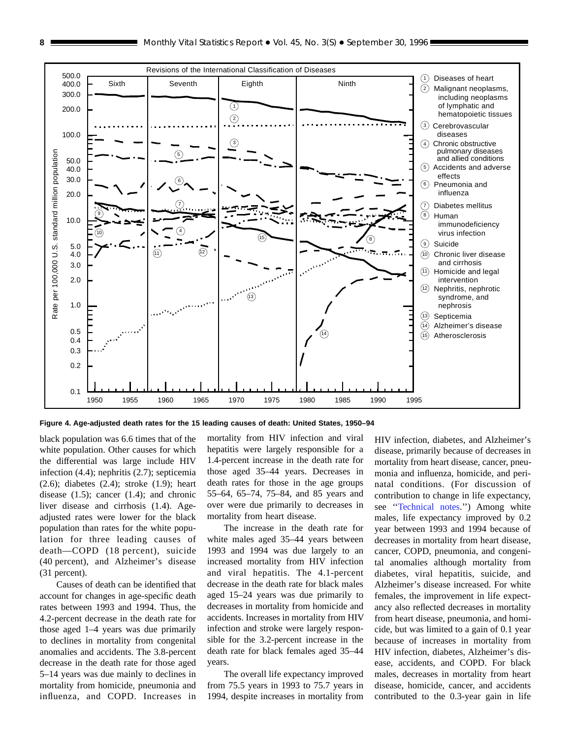<span id="page-7-0"></span>

**Figure 4. Age-adjusted death rates for the 15 leading causes of death: United States, 1950–94**

black population was 6.6 times that of the white population. Other causes for which the differential was large include HIV infection (4.4); nephritis (2.7); septicemia (2.6); diabetes (2.4); stroke (1.9); heart disease (1.5); cancer (1.4); and chronic liver disease and cirrhosis (1.4). Ageadjusted rates were lower for the black population than rates for the white population for three leading causes of death—COPD (18 percent), suicide (40 percent), and Alzheimer's disease (31 percent).

Causes of death can be identified that account for changes in age-specific death rates between 1993 and 1994. Thus, the 4.2-percent decrease in the death rate for those aged 1–4 years was due primarily to declines in mortality from congenital anomalies and accidents. The 3.8-percent decrease in the death rate for those aged 5–14 years was due mainly to declines in mortality from homicide, pneumonia and influenza, and COPD. Increases in

mortality from HIV infection and viral hepatitis were largely responsible for a 1.4-percent increase in the death rate for those aged 35–44 years. Decreases in death rates for those in the age groups 55–64, 65–74, 75–84, and 85 years and over were due primarily to decreases in mortality from heart disease.

The increase in the death rate for white males aged 35–44 years between 1993 and 1994 was due largely to an increased mortality from HIV infection and viral hepatitis. The 4.1-percent decrease in the death rate for black males aged 15–24 years was due primarily to decreases in mortality from homicide and accidents. Increases in mortality from HIV infection and stroke were largely responsible for the 3.2-percent increase in the death rate for black females aged 35–44 years.

The overall life expectancy improved from 75.5 years in 1993 to 75.7 years in 1994, despite increases in mortality from HIV infection, diabetes, and Alzheimer's disease, primarily because of decreases in mortality from heart disease, cancer, pneumonia and influenza, homicide, and perinatal conditions. (For discussion of contribution to change in life expectancy, see [''Technical notes.'](#page-71-0)') Among white males, life expectancy improved by 0.2 year between 1993 and 1994 because of decreases in mortality from heart disease, cancer, COPD, pneumonia, and congenital anomalies although mortality from diabetes, viral hepatitis, suicide, and Alzheimer's disease increased. For white females, the improvement in life expectancy also reflected decreases in mortality from heart disease, pneumonia, and homicide, but was limited to a gain of 0.1 year because of increases in mortality from HIV infection, diabetes, Alzheimer's disease, accidents, and COPD. For black males, decreases in mortality from heart disease, homicide, cancer, and accidents contributed to the 0.3-year gain in life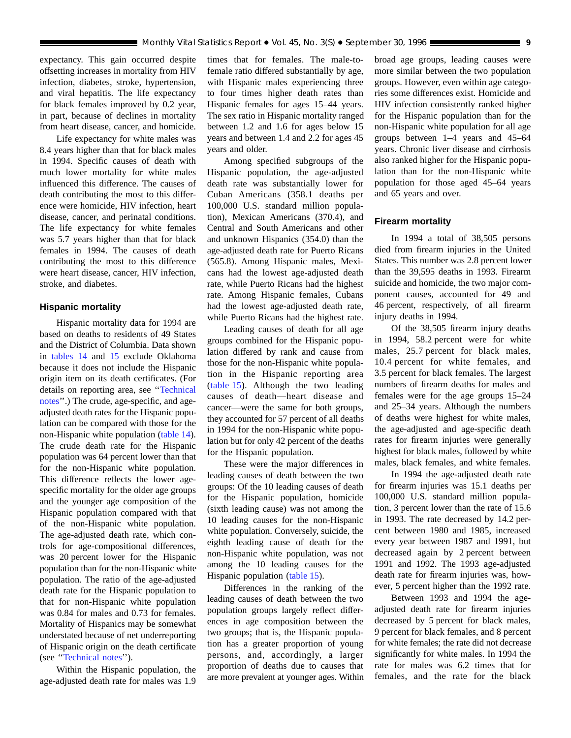expectancy. This gain occurred despite offsetting increases in mortality from HIV infection, diabetes, stroke, hypertension, and viral hepatitis. The life expectancy for black females improved by 0.2 year, in part, because of declines in mortality from heart disease, cancer, and homicide.

Life expectancy for white males was 8.4 years higher than that for black males in 1994. Specific causes of death with much lower mortality for white males influenced this difference. The causes of death contributing the most to this difference were homicide, HIV infection, heart disease, cancer, and perinatal conditions. The life expectancy for white females was 5.7 years higher than that for black females in 1994. The causes of death contributing the most to this difference were heart disease, cancer, HIV infection, stroke, and diabetes.

#### **Hispanic mortality**

Hispanic mortality data for 1994 are based on deaths to residents of 49 States and the District of Columbia. Data shown in [tables 14](#page-49-0) and [15](#page-51-0) exclude Oklahoma because it does not include the Hispanic origin item on its death certificates. (For details on reporting area, see '['Technical](#page-71-0) [notes'](#page-71-0)'.) The crude, age-specific, and ageadjusted death rates for the Hispanic population can be compared with those for the non-Hispanic white population [\(table 14\)](#page-49-0). The crude death rate for the Hispanic population was 64 percent lower than that for the non-Hispanic white population. This difference reflects the lower agespecific mortality for the older age groups and the younger age composition of the Hispanic population compared with that of the non-Hispanic white population. The age-adjusted death rate, which controls for age-compositional differences, was 20 percent lower for the Hispanic population than for the non-Hispanic white population. The ratio of the age-adjusted death rate for the Hispanic population to that for non-Hispanic white population was 0.84 for males and 0.73 for females. Mortality of Hispanics may be somewhat understated because of net underreporting of Hispanic origin on the death certificate (see [''Technical notes'](#page-71-0)').

Within the Hispanic population, the age-adjusted death rate for males was 1.9 times that for females. The male-tofemale ratio differed substantially by age, with Hispanic males experiencing three to four times higher death rates than Hispanic females for ages 15–44 years. The sex ratio in Hispanic mortality ranged between 1.2 and 1.6 for ages below 15 years and between 1.4 and 2.2 for ages 45 years and older.

Among specified subgroups of the Hispanic population, the age-adjusted death rate was substantially lower for Cuban Americans (358.1 deaths per 100,000 U.S. standard million population), Mexican Americans (370.4), and Central and South Americans and other and unknown Hispanics (354.0) than the age-adjusted death rate for Puerto Ricans (565.8). Among Hispanic males, Mexicans had the lowest age-adjusted death rate, while Puerto Ricans had the highest rate. Among Hispanic females, Cubans had the lowest age-adjusted death rate, while Puerto Ricans had the highest rate.

Leading causes of death for all age groups combined for the Hispanic population differed by rank and cause from those for the non-Hispanic white population in the Hispanic reporting area [\(table 15\)](#page-51-0). Although the two leading causes of death—heart disease and cancer—were the same for both groups, they accounted for 57 percent of all deaths in 1994 for the non-Hispanic white population but for only 42 percent of the deaths for the Hispanic population.

These were the major differences in leading causes of death between the two groups: Of the 10 leading causes of death for the Hispanic population, homicide (sixth leading cause) was not among the 10 leading causes for the non-Hispanic white population. Conversely, suicide, the eighth leading cause of death for the non-Hispanic white population, was not among the 10 leading causes for the Hispanic population [\(table 15\)](#page-51-0).

Differences in the ranking of the leading causes of death between the two population groups largely reflect differences in age composition between the two groups; that is, the Hispanic population has a greater proportion of young persons, and, accordingly, a larger proportion of deaths due to causes that are more prevalent at younger ages. Within broad age groups, leading causes were more similar between the two population groups. However, even within age categories some differences exist. Homicide and HIV infection consistently ranked higher for the Hispanic population than for the non-Hispanic white population for all age groups between 1–4 years and 45–64 years. Chronic liver disease and cirrhosis also ranked higher for the Hispanic population than for the non-Hispanic white population for those aged 45–64 years and 65 years and over.

#### **Firearm mortality**

In 1994 a total of 38,505 persons died from firearm injuries in the United States. This number was 2.8 percent lower than the 39,595 deaths in 1993. Firearm suicide and homicide, the two major component causes, accounted for 49 and 46 percent, respectively, of all firearm injury deaths in 1994.

Of the 38,505 firearm injury deaths in 1994, 58.2 percent were for white males, 25.7 percent for black males, 10.4 percent for white females, and 3.5 percent for black females. The largest numbers of firearm deaths for males and females were for the age groups 15–24 and 25–34 years. Although the numbers of deaths were highest for white males, the age-adjusted and age-specific death rates for firearm injuries were generally highest for black males, followed by white males, black females, and white females.

In 1994 the age-adjusted death rate for firearm injuries was 15.1 deaths per 100,000 U.S. standard million population, 3 percent lower than the rate of 15.6 in 1993. The rate decreased by 14.2 percent between 1980 and 1985, increased every year between 1987 and 1991, but decreased again by 2 percent between 1991 and 1992. The 1993 age-adjusted death rate for firearm injuries was, however, 5 percent higher than the 1992 rate.

Between 1993 and 1994 the ageadjusted death rate for firearm injuries decreased by 5 percent for black males, 9 percent for black females, and 8 percent for white females; the rate did not decrease significantly for white males. In 1994 the rate for males was 6.2 times that for females, and the rate for the black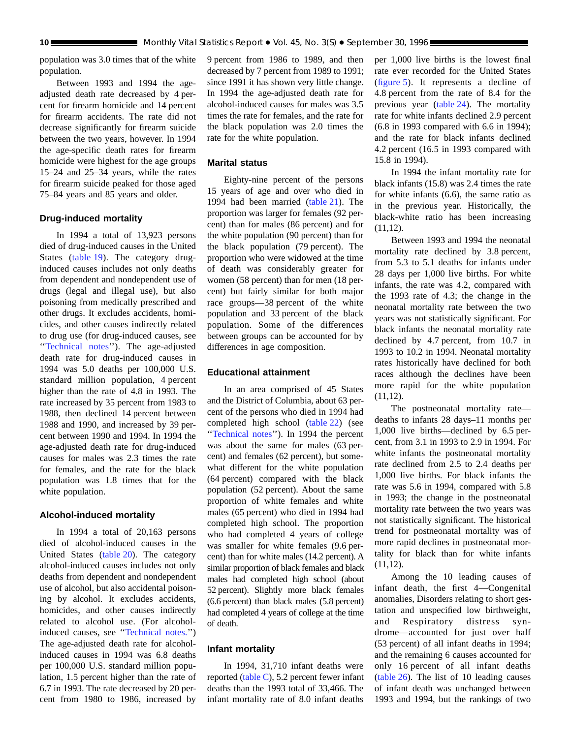population was 3.0 times that of the white population.

Between 1993 and 1994 the ageadjusted death rate decreased by 4 percent for firearm homicide and 14 percent for firearm accidents. The rate did not decrease significantly for firearm suicide between the two years, however. In 1994 the age-specific death rates for firearm homicide were highest for the age groups 15–24 and 25–34 years, while the rates for firearm suicide peaked for those aged 75–84 years and 85 years and older.

### **Drug-induced mortality**

In 1994 a total of 13,923 persons died of drug-induced causes in the United States [\(table 19\)](#page-57-0). The category druginduced causes includes not only deaths from dependent and nondependent use of drugs (legal and illegal use), but also poisoning from medically prescribed and other drugs. It excludes accidents, homicides, and other causes indirectly related to drug use (for drug-induced causes, see '['Technical notes](#page-71-0)''). The age-adjusted death rate for drug-induced causes in 1994 was 5.0 deaths per 100,000 U.S. standard million population, 4 percent higher than the rate of 4.8 in 1993. The rate increased by 35 percent from 1983 to 1988, then declined 14 percent between 1988 and 1990, and increased by 39 percent between 1990 and 1994. In 1994 the age-adjusted death rate for drug-induced causes for males was 2.3 times the rate for females, and the rate for the black population was 1.8 times that for the white population.

#### **Alcohol-induced mortality**

In 1994 a total of 20,163 persons died of alcohol-induced causes in the United States [\(table 20](#page-58-0)). The category alcohol-induced causes includes not only deaths from dependent and nondependent use of alcohol, but also accidental poisoning by alcohol. It excludes accidents, homicides, and other causes indirectly related to alcohol use. (For alcoholinduced causes, see [''Technical notes.](#page-71-0)'') The age-adjusted death rate for alcoholinduced causes in 1994 was 6.8 deaths per 100,000 U.S. standard million population, 1.5 percent higher than the rate of 6.7 in 1993. The rate decreased by 20 percent from 1980 to 1986, increased by

9 percent from 1986 to 1989, and then decreased by 7 percent from 1989 to 1991; since 1991 it has shown very little change. In 1994 the age-adjusted death rate for alcohol-induced causes for males was 3.5 times the rate for females, and the rate for the black population was 2.0 times the rate for the white population.

### **Marital status**

Eighty-nine percent of the persons 15 years of age and over who died in 1994 had been married [\(table 21\)](#page-59-0). The proportion was larger for females (92 percent) than for males (86 percent) and for the white population (90 percent) than for the black population (79 percent). The proportion who were widowed at the time of death was considerably greater for women (58 percent) than for men (18 percent) but fairly similar for both major race groups—38 percent of the white population and 33 percent of the black population. Some of the differences between groups can be accounted for by differences in age composition.

#### **Educational attainment**

In an area comprised of 45 States and the District of Columbia, about 63 percent of the persons who died in 1994 had completed high school [\(table 22\)](#page-60-0) (see '['Technical notes'](#page-71-0)'). In 1994 the percent was about the same for males (63 percent) and females (62 percent), but somewhat different for the white population (64 percent) compared with the black population (52 percent). About the same proportion of white females and white males (65 percent) who died in 1994 had completed high school. The proportion who had completed 4 years of college was smaller for white females (9.6 percent) than for white males (14.2 percent). A similar proportion of black females and black males had completed high school (about 52 percent). Slightly more black females (6.6 percent) than black males (5.8 percent) had completed 4 years of college at the time of death.

#### **Infant mortality**

In 1994, 31,710 infant deaths were reported [\(table C\),](#page-10-0) 5.2 percent fewer infant deaths than the 1993 total of 33,466. The infant mortality rate of 8.0 infant deaths

per 1,000 live births is the lowest final rate ever recorded for the United States [\(figure 5](#page-10-0)). It represents a decline of 4.8 percent from the rate of 8.4 for the previous year [\(table 24](#page-63-0)). The mortality rate for white infants declined 2.9 percent (6.8 in 1993 compared with 6.6 in 1994); and the rate for black infants declined 4.2 percent (16.5 in 1993 compared with 15.8 in 1994).

In 1994 the infant mortality rate for black infants (15.8) was 2.4 times the rate for white infants (6.6), the same ratio as in the previous year. Historically, the black-white ratio has been increasing (11,12).

Between 1993 and 1994 the neonatal mortality rate declined by 3.8 percent, from 5.3 to 5.1 deaths for infants under 28 days per 1,000 live births. For white infants, the rate was 4.2, compared with the 1993 rate of 4.3; the change in the neonatal mortality rate between the two years was not statistically significant. For black infants the neonatal mortality rate declined by 4.7 percent, from 10.7 in 1993 to 10.2 in 1994. Neonatal mortality rates historically have declined for both races although the declines have been more rapid for the white population  $(11,12)$ .

The postneonatal mortality rate deaths to infants 28 days–11 months per 1,000 live births—declined by 6.5 percent, from 3.1 in 1993 to 2.9 in 1994. For white infants the postneonatal mortality rate declined from 2.5 to 2.4 deaths per 1,000 live births. For black infants the rate was 5.6 in 1994, compared with 5.8 in 1993; the change in the postneonatal mortality rate between the two years was not statistically significant. The historical trend for postneonatal mortality was of more rapid declines in postneonatal mortality for black than for white infants  $(11,12)$ .

Among the 10 leading causes of infant death, the first 4—Congenital anomalies, Disorders relating to short gestation and unspecified low birthweight, and Respiratory distress syndrome—accounted for just over half (53 percent) of all infant deaths in 1994; and the remaining 6 causes accounted for only 16 percent of all infant deaths [\(table 26\)](#page-65-0). The list of 10 leading causes of infant death was unchanged between 1993 and 1994, but the rankings of two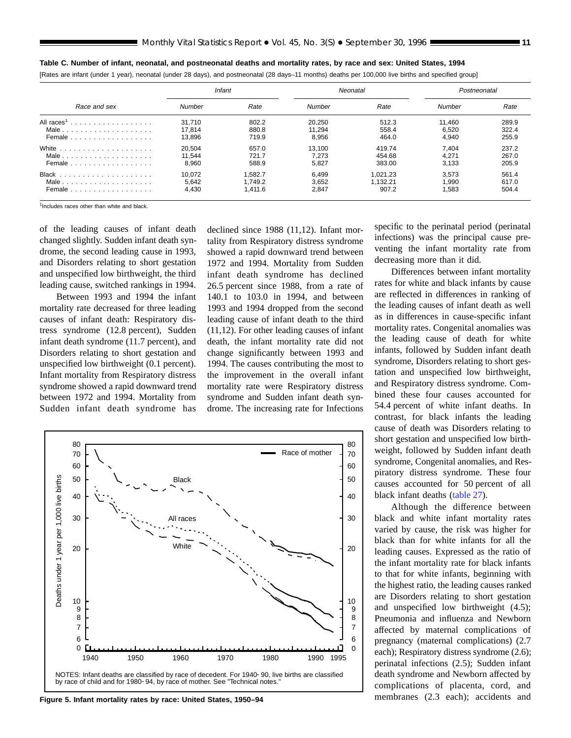|                        | Infant |         |        | Neonatal | Postneonatal |       |
|------------------------|--------|---------|--------|----------|--------------|-------|
| Race and sex           | Number | Rate    | Number | Rate     | Number       | Rate  |
| All races <sup>1</sup> | 31.710 | 802.2   | 20.250 | 512.3    | 11.460       | 289.9 |
| Male                   | 17.814 | 880.8   | 11.294 | 558.4    | 6.520        | 322.4 |
| Female                 | 13.896 | 719.9   | 8,956  | 464.0    | 4.940        | 255.9 |
|                        | 20.504 | 657.0   | 13.100 | 419.74   | 7.404        | 237.2 |
| Male                   | 11.544 | 721.7   | 7.273  | 454.68   | 4.271        | 267.0 |
| Female                 | 8.960  | 588.9   | 5,827  | 383.00   | 3.133        | 205.9 |
|                        | 10.072 | 1.582.7 | 6.499  | 1.021.23 | 3.573        | 561.4 |
| Male                   | 5.642  | 1.749.2 | 3.652  | 1.132.21 | .990         | 617.0 |
| Female                 | 4,430  | 1,411.6 | 2,847  | 907.2    | .583         | 504.4 |

<span id="page-10-0"></span>**Table C. Number of infant, neonatal, and postneonatal deaths and mortality rates, by race and sex: United States, 1994**

[Rates are infant (under 1 year), neonatal (under 28 days), and postneonatal (28 days–11 months) deaths per 100,000 live births and specified group]

1Includes races other than white and black.

of the leading causes of infant death changed slightly. Sudden infant death syndrome, the second leading cause in 1993, and Disorders relating to short gestation and unspecified low birthweight, the third leading cause, switched rankings in 1994.

Between 1993 and 1994 the infant mortality rate decreased for three leading causes of infant death: Respiratory distress syndrome (12.8 percent), Sudden infant death syndrome (11.7 percent), and Disorders relating to short gestation and unspecified low birthweight (0.1 percent). Infant mortality from Respiratory distress syndrome showed a rapid downward trend between 1972 and 1994. Mortality from Sudden infant death syndrome has

declined since 1988 (11,12). Infant mortality from Respiratory distress syndrome showed a rapid downward trend between 1972 and 1994. Mortality from Sudden infant death syndrome has declined 26.5 percent since 1988, from a rate of 140.1 to 103.0 in 1994, and between 1993 and 1994 dropped from the second leading cause of infant death to the third (11,12). For other leading causes of infant death, the infant mortality rate did not change significantly between 1993 and 1994. The causes contributing the most to the improvement in the overall infant mortality rate were Respiratory distress syndrome and Sudden infant death syndrome. The increasing rate for Infections



**Figure 5. Infant mortality rates by race: United States, 1950–94**

specific to the perinatal period (perinatal infections) was the principal cause preventing the infant mortality rate from decreasing more than it did.

Differences between infant mortality rates for white and black infants by cause are reflected in differences in ranking of the leading causes of infant death as well as in differences in cause-specific infant mortality rates. Congenital anomalies was the leading cause of death for white infants, followed by Sudden infant death syndrome, Disorders relating to short gestation and unspecified low birthweight, and Respiratory distress syndrome. Combined these four causes accounted for 54.4 percent of white infant deaths. In contrast, for black infants the leading cause of death was Disorders relating to short gestation and unspecified low birthweight, followed by Sudden infant death syndrome, Congenital anomalies, and Respiratory distress syndrome. These four causes accounted for 50 percent of all black infant deaths [\(table 27](#page-66-0)).

Although the difference between black and white infant mortality rates varied by cause, the risk was higher for black than for white infants for all the leading causes. Expressed as the ratio of the infant mortality rate for black infants to that for white infants, beginning with the highest ratio, the leading causes ranked are Disorders relating to short gestation and unspecified low birthweight (4.5); Pneumonia and influenza and Newborn affected by maternal complications of pregnancy (maternal complications) (2.7 each); Respiratory distress syndrome (2.6); perinatal infections (2.5); Sudden infant death syndrome and Newborn affected by complications of placenta, cord, and membranes (2.3 each); accidents and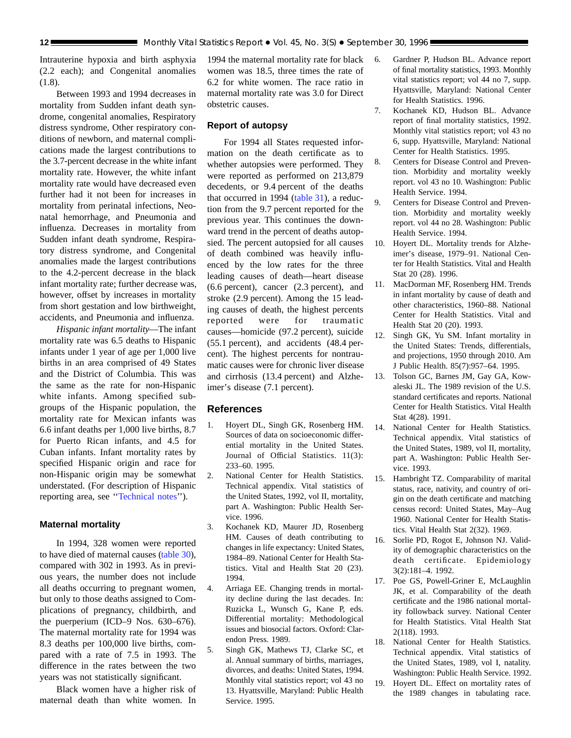Intrauterine hypoxia and birth asphyxia (2.2 each); and Congenital anomalies (1.8).

Between 1993 and 1994 decreases in mortality from Sudden infant death syndrome, congenital anomalies, Respiratory distress syndrome, Other respiratory conditions of newborn, and maternal complications made the largest contributions to the 3.7-percent decrease in the white infant mortality rate. However, the white infant mortality rate would have decreased even further had it not been for increases in mortality from perinatal infections, Neonatal hemorrhage, and Pneumonia and influenza. Decreases in mortality from Sudden infant death syndrome, Respiratory distress syndrome, and Congenital anomalies made the largest contributions to the 4.2-percent decrease in the black infant mortality rate; further decrease was, however, offset by increases in mortality from short gestation and low birthweight, accidents, and Pneumonia and influenza.

*Hispanic infant mortality*—The infant mortality rate was 6.5 deaths to Hispanic infants under 1 year of age per 1,000 live births in an area comprised of 49 States and the District of Columbia. This was the same as the rate for non-Hispanic white infants. Among specified subgroups of the Hispanic population, the mortality rate for Mexican infants was 6.6 infant deaths per 1,000 live births, 8.7 for Puerto Rican infants, and 4.5 for Cuban infants. Infant mortality rates by specified Hispanic origin and race for non-Hispanic origin may be somewhat understated. (For description of Hispanic reporting area, see '['Technical notes'](#page-71-0)').

#### **Maternal mortality**

In 1994, 328 women were reported to have died of maternal causes [\(table 30\)](#page-70-0), compared with 302 in 1993. As in previous years, the number does not include all deaths occurring to pregnant women, but only to those deaths assigned to Complications of pregnancy, childbirth, and the puerperium (ICD–9 Nos. 630–676). The maternal mortality rate for 1994 was 8.3 deaths per 100,000 live births, compared with a rate of 7.5 in 1993. The difference in the rates between the two years was not statistically significant.

Black women have a higher risk of maternal death than white women. In

1994 the maternal mortality rate for black women was 18.5, three times the rate of 6.2 for white women. The race ratio in maternal mortality rate was 3.0 for Direct obstetric causes.

#### **Report of autopsy**

For 1994 all States requested information on the death certificate as to whether autopsies were performed. They were reported as performed on 213,879 decedents, or 9.4 percent of the deaths that occurred in 1994 [\(table 31\)](#page-70-0), a reduction from the 9.7 percent reported for the previous year. This continues the downward trend in the percent of deaths autopsied. The percent autopsied for all causes of death combined was heavily influenced by the low rates for the three leading causes of death—heart disease (6.6 percent), cancer (2.3 percent), and stroke (2.9 percent). Among the 15 leading causes of death, the highest percents reported were for traumatic causes—homicide (97.2 percent), suicide (55.1 percent), and accidents (48.4 percent). The highest percents for nontraumatic causes were for chronic liver disease and cirrhosis (13.4 percent) and Alzheimer's disease (7.1 percent).

## **References**

- 1. Hoyert DL, Singh GK, Rosenberg HM. Sources of data on socioeconomic differential mortality in the United States. Journal of Official Statistics. 11(3): 233–60. 1995.
- 2. National Center for Health Statistics. Technical appendix. Vital statistics of the United States, 1992, vol II, mortality, part A. Washington: Public Health Service. 1996.
- 3. Kochanek KD, Maurer JD, Rosenberg HM. Causes of death contributing to changes in life expectancy: United States, 1984–89. National Center for Health Statistics. Vital and Health Stat 20 (23). 1994.
- 4. Arriaga EE. Changing trends in mortality decline during the last decades. In: Ruzicka L, Wunsch G, Kane P, eds. Differential mortality: Methodological issues and biosocial factors. Oxford: Clarendon Press. 1989.
- 5. Singh GK, Mathews TJ, Clarke SC, et al. Annual summary of births, marriages, divorces, and deaths: United States, 1994. Monthly vital statistics report; vol 43 no 13. Hyattsville, Maryland: Public Health Service. 1995.
- 6. Gardner P, Hudson BL. Advance report of final mortality statistics, 1993. Monthly vital statistics report; vol 44 no 7, supp. Hyattsville, Maryland: National Center for Health Statistics. 1996.
- 7. Kochanek KD, Hudson BL. Advance report of final mortality statistics, 1992. Monthly vital statistics report; vol 43 no 6, supp. Hyattsville, Maryland: National Center for Health Statistics. 1995.
- 8. Centers for Disease Control and Prevention. Morbidity and mortality weekly report. vol 43 no 10. Washington: Public Health Service. 1994.
- 9. Centers for Disease Control and Prevention. Morbidity and mortality weekly report. vol 44 no 28. Washington: Public Health Service. 1994.
- 10. Hoyert DL. Mortality trends for Alzheimer's disease, 1979–91. National Center for Health Statistics. Vital and Health Stat 20 (28). 1996.
- 11. MacDorman MF, Rosenberg HM. Trends in infant mortality by cause of death and other characteristics, 1960–88. National Center for Health Statistics. Vital and Health Stat 20 (20). 1993.
- 12. Singh GK, Yu SM. Infant mortality in the United States: Trends, differentials, and projections, 1950 through 2010. Am J Public Health. 85(7):957–64. 1995.
- 13. Tolson GC, Barnes JM, Gay GA, Kowaleski JL. The 1989 revision of the U.S. standard certificates and reports. National Center for Health Statistics. Vital Health Stat 4(28). 1991.
- 14. National Center for Health Statistics. Technical appendix. Vital statistics of the United States, 1989, vol II, mortality, part A. Washington: Public Health Service. 1993.
- 15. Hambright TZ. Comparability of marital status, race, nativity, and country of origin on the death certificate and matching census record: United States, May–Aug 1960. National Center for Health Statistics. Vital Health Stat 2(32). 1969.
- 16. Sorlie PD, Rogot E, Johnson NJ. Validity of demographic characteristics on the death certificate. Epidemiology 3(2):181–4. 1992.
- 17. Poe GS, Powell-Griner E, McLaughlin JK, et al. Comparability of the death certificate and the 1986 national mortality followback survey. National Center for Health Statistics. Vital Health Stat 2(118). 1993.
- 18. National Center for Health Statistics. Technical appendix. Vital statistics of the United States, 1989, vol I, natality. Washington: Public Health Service. 1992.
- 19. Hoyert DL. Effect on mortality rates of the 1989 changes in tabulating race.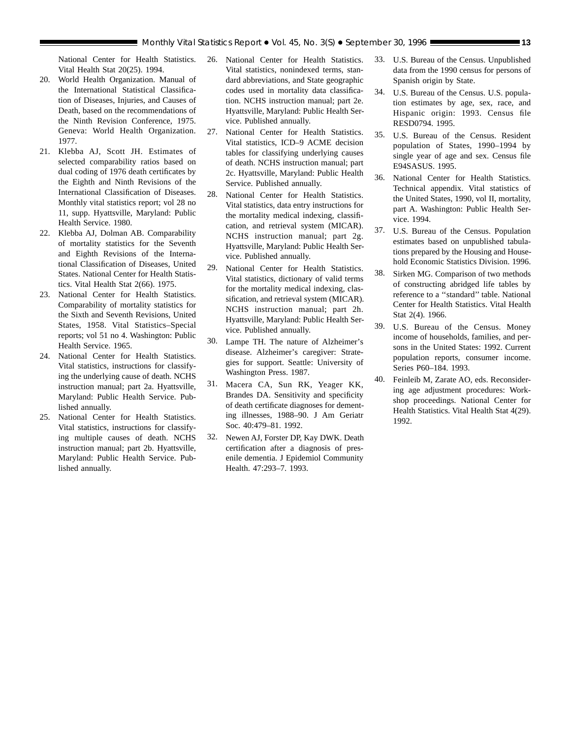National Center for Health Statistics. Vital Health Stat 20(25). 1994.

- 20. World Health Organization. Manual of the International Statistical Classification of Diseases, Injuries, and Causes of Death, based on the recommendations of the Ninth Revision Conference, 1975. Geneva: World Health Organization. 1977.
- 21. Klebba AJ, Scott JH. Estimates of selected comparability ratios based on dual coding of 1976 death certificates by the Eighth and Ninth Revisions of the International Classification of Diseases. Monthly vital statistics report; vol 28 no 11, supp. Hyattsville, Maryland: Public Health Service. 1980.
- 22. Klebba AJ, Dolman AB. Comparability of mortality statistics for the Seventh and Eighth Revisions of the International Classification of Diseases, United States. National Center for Health Statistics. Vital Health Stat 2(66). 1975.
- 23. National Center for Health Statistics. Comparability of mortality statistics for the Sixth and Seventh Revisions, United States, 1958. Vital Statistics–Special reports; vol 51 no 4. Washington: Public Health Service. 1965.
- 24. National Center for Health Statistics. Vital statistics, instructions for classifying the underlying cause of death. NCHS instruction manual; part 2a. Hyattsville, Maryland: Public Health Service. Published annually.
- 25. National Center for Health Statistics. Vital statistics, instructions for classifying multiple causes of death. NCHS instruction manual; part 2b. Hyattsville, Maryland: Public Health Service. Published annually.
- 26. National Center for Health Statistics. Vital statistics, nonindexed terms, standard abbreviations, and State geographic codes used in mortality data classification. NCHS instruction manual; part 2e. Hyattsville, Maryland: Public Health Service. Published annually.
- 27. National Center for Health Statistics. Vital statistics, ICD–9 ACME decision tables for classifying underlying causes of death. NCHS instruction manual; part 2c. Hyattsville, Maryland: Public Health Service. Published annually.
- 28. National Center for Health Statistics. Vital statistics, data entry instructions for the mortality medical indexing, classification, and retrieval system (MICAR). NCHS instruction manual; part 2g. Hyattsville, Maryland: Public Health Service. Published annually.
- 29. National Center for Health Statistics. Vital statistics, dictionary of valid terms for the mortality medical indexing, classification, and retrieval system (MICAR). NCHS instruction manual; part 2h. Hyattsville, Maryland: Public Health Service. Published annually.
- 30. Lampe TH. The nature of Alzheimer's disease. Alzheimer's caregiver: Strategies for support. Seattle: University of Washington Press. 1987.
- 31. Macera CA, Sun RK, Yeager KK, Brandes DA. Sensitivity and specificity of death certificate diagnoses for dementing illnesses, 1988–90. J Am Geriatr Soc. 40:479–81. 1992.
- 32. Newen AJ, Forster DP, Kay DWK. Death certification after a diagnosis of presenile dementia. J Epidemiol Community Health. 47:293–7. 1993.
- 33. U.S. Bureau of the Census. Unpublished data from the 1990 census for persons of Spanish origin by State.
- 34. U.S. Bureau of the Census. U.S. population estimates by age, sex, race, and Hispanic origin: 1993. Census file RESD0794. 1995.
- 35. U.S. Bureau of the Census. Resident population of States, 1990–1994 by single year of age and sex. Census file E94SASUS. 1995.
- 36. National Center for Health Statistics. Technical appendix. Vital statistics of the United States, 1990, vol II, mortality, part A. Washington: Public Health Service. 1994.
- 37. U.S. Bureau of the Census. Population estimates based on unpublished tabulations prepared by the Housing and Household Economic Statistics Division. 1996.
- 38. Sirken MG. Comparison of two methods of constructing abridged life tables by reference to a ''standard'' table. National Center for Health Statistics. Vital Health Stat 2(4). 1966.
- 39. U.S. Bureau of the Census. Money income of households, families, and persons in the United States: 1992. Current population reports, consumer income. Series P60–184. 1993.
- 40. Feinleib M, Zarate AO, eds. Reconsidering age adjustment procedures: Workshop proceedings. National Center for Health Statistics. Vital Health Stat 4(29). 1992.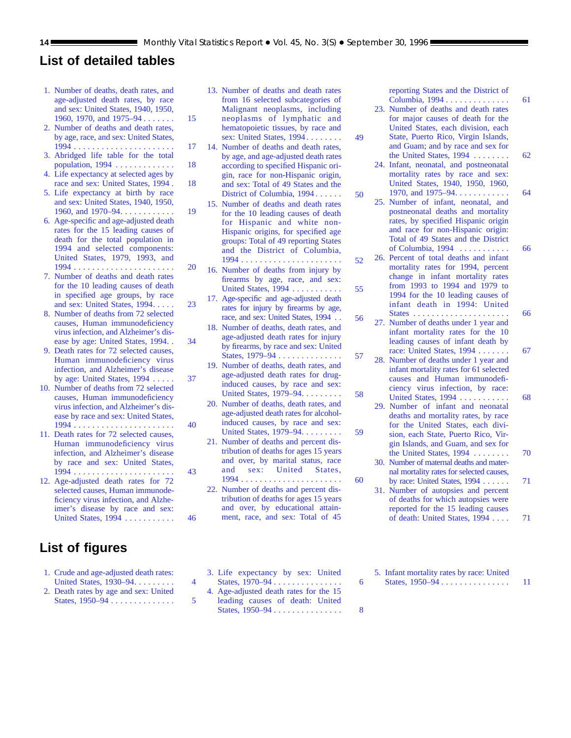# **List of detailed tables**

- [1. Number of deaths, death rates, and](#page-14-0) age-adjusted death rates, by race and sex: United States, 1940, 1950, 1960, 1970, and 1975–94....... 15
- [2. Number of deaths and death rates,](#page-16-0) by age, race, and sex: United States, 1994 . . . . . . . . . . . . . . . . . . . . . . 17
- [3. Abridged life table for the total](#page-17-0) population, 1994 . . . . . . . . . . . . . 18
- [4. Life expectancy at selected ages by](#page-17-0) race and sex: United States, 1994 . 18
- [5. Life expectancy at birth by race](#page-18-0) and sex: United States, 1940, 1950, 1960, and 1970–94. . . . . . . . . . . . . 19
- [6. Age-specific and age-adjusted death](#page-19-0) rates for the 15 leading causes of death for the total population in 1994 and selected components: United States, 1979, 1993, and 1994 . . . . . . . . . . . . . . . . . . . . . . 20
- 7. Number of deaths and death rates for the 10 leading causes of death in specified age groups, by race [and sex: United States, 1994. . . . . 23](#page-22-0)
- [8. Number of deaths from 72 selected](#page-33-0) causes, Human immunodeficiency virus infection, and Alzheimer's disease by age: United States, 1994. . 34
- [9. Death rates for 72 selected causes,](#page-36-0) Human immunodeficiency virus infection, and Alzheimer's disease by age: United States, 1994 . . . . . 37
- [10. Number of deaths from 72 selected](#page-39-0) causes, Human immunodeficiency virus infection, and Alzheimer's disease by race and sex: United States, 1994 . . . . . . . . . . . . . . . . . . . . . . 40
- [11. Death rates for 72 selected causes,](#page-42-0) Human immunodeficiency virus infection, and Alzheimer's disease by race and sex: United States, 1994 . . . . . . . . . . . . . . . . . . . . . . 43
- [12. Age-adjusted death rates for 72](#page-45-0) selected causes, Human immunodeficiency virus infection, and Alzheimer's disease by race and sex: United States, 1994 . . . . . . . . . . . 46

# **List of figures**

- [1. Crude and age-adjusted death rates:](#page-3-0) United States, 1930–94......... 4
- [2. Death rates by age and sex: United](#page-4-0) States, 1950–94 .............. 5
- [13. Number of deaths and death rates](#page-48-0) from 16 selected subcategories of Malignant neoplasms, including neoplasms of lymphatic and hematopoietic tissues, by race and sex: United States, 1994 ........ 49
- [14. Number of deaths and death rates,](#page-49-0) by age, and age-adjusted death rates according to specified Hispanic origin, race for non-Hispanic origin, and sex: Total of 49 States and the District of Columbia, 1994 ...... 50
- [15. Number of deaths and death rates](#page-51-0) for the 10 leading causes of death for Hispanic and white non-Hispanic origins, for specified age groups: Total of 49 reporting States and the District of Columbia, 1994 ...................... 52
- [16. Number of deaths from injury by](#page-54-0) firearms by age, race, and sex: United States, 1994 ........... 55
- [17. Age-specific and age-adjusted death](#page-55-0) rates for injury by firearms by age, race, and sex: United States, 1994 . . 56
- [18. Number of deaths, death rates, and](#page-56-0) age-adjusted death rates for injury by firearms, by race and sex: United States, 1979–94 .............. 57
- [19. Number of deaths, death rates, and](#page-57-0) age-adjusted death rates for druginduced causes, by race and sex: United States, 1979–94. . . . . . . . . . 58
- [20. Number of deaths, death rates, and](#page-58-0) age-adjusted death rates for alcoholinduced causes, by race and sex: United States, 1979–94......... 59
- [21. Number of deaths and percent dis](#page-59-0)tribution of deaths for ages 15 years and over, by marital status, race and sex: United States, 1994 ...................... 60
- [22. Number of deaths and percent dis](#page-60-0)tribution of deaths for ages 15 years and over, by educational attainment, race, and sex: Total of 45
- [3. Life expectancy by sex: United](#page-5-0) States, 1970–94 . . . . . . . . . . . . . . . . . . 6
- [4. Age-adjusted death rates for the 15](#page-7-0) leading causes of death: United States, 1950–94 . . . . . . . . . . . . . . . 8

[reporting States and the District of](#page-60-0)

- Columbia, 1994 . . . . . . . . . . . . . . 61 [23. Number of deaths and death rates](#page-61-0) for major causes of death for the United States, each division, each State, Puerto Rico, Virgin Islands, and Guam; and by race and sex for the United States, 1994 . . . . . . . . 62
- [24. Infant, neonatal, and postneonatal](#page-63-0) mortality rates by race and sex: United States, 1940, 1950, 1960, 1970, and 1975–94. . . . . . . . . . . . . . 64
- [25. Number of infant, neonatal, and](#page-65-0) postneonatal deaths and mortality rates, by specified Hispanic origin and race for non-Hispanic origin: Total of 49 States and the District of Columbia, 1994 . . . . . . . . . . . 66
- [26. Percent of total deaths and infant](#page-65-0) mortality rates for 1994, percent change in infant mortality rates from 1993 to 1994 and 1979 to 1994 for the 10 leading causes of infant death in 1994: United States . . . . . . . . . . . . . . . . . . . . . 66
- [27. Number of deaths under 1 year and](#page-66-0) infant mortality rates for the 10 leading causes of infant death by race: United States, 1994 . . . . . . . . 67
- [28. Number of deaths under 1 year and](#page-67-0) infant mortality rates for 61 selected causes and Human immunodeficiency virus infection, by race: United States, 1994 . . . . . . . . . . . . . 68
- [29. Number of infant and neonatal](#page-69-0) deaths and mortality rates, by race for the United States, each division, each State, Puerto Rico, Virgin Islands, and Guam, and sex for the United States, 1994 . . . . . . . . 70
- [30. Number of maternal deaths and mater](#page-70-0)nal mortality rates for selected causes, by race: United States, 1994 . . . . . . 71
- [31. Number of autopsies and percent](#page-70-0) of deaths for which autopsies were reported for the 15 leading causes of death: United States, 1994 . . . . 71
- [5. Infant mortality rates by race: United](#page-10-0) States, 1950–94 . . . . . . . . . . . . . . . . 11
-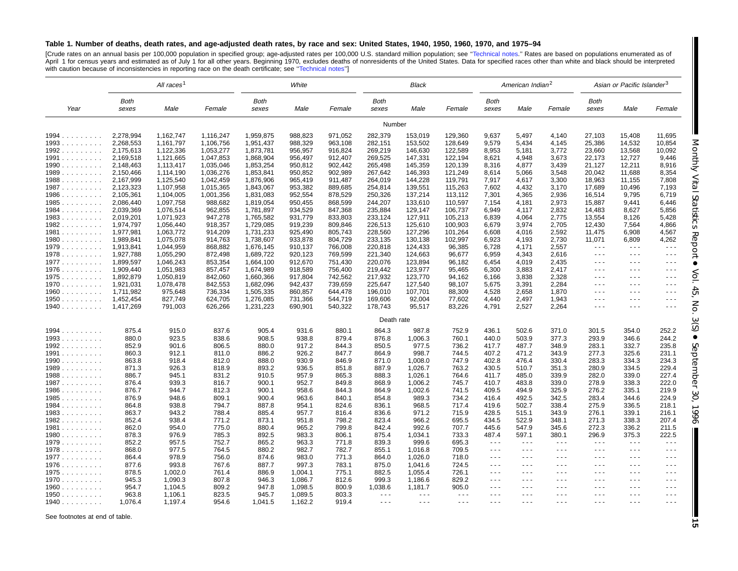#### <span id="page-14-0"></span>Table 1. Number of deaths, death rates, and age-adjusted death rates, by race and sex: United States, 1940, 1950, 1960, 1970, and 1975-94

[Crude rates on an annual basis per 100,000 population in specified group; age-adjusted rates per 100,000 U.S. standard million population; see "Technical notes." Rates are based on populations enumerated as of<br>April 1 for with caution because of inconsistencies in reporting race on the death certificate; see "Technical notes"]

|                |                        | All races <sup>1</sup> | White              |                        |                    |                    | Black                |                      |                      | American Indian <sup>2</sup>                 |                                              |                               | Asian or Pacific Islander <sup>3</sup>                                                                                                                                                                                                                                                                                                                                                       |                                                                                 |                                                                                                |
|----------------|------------------------|------------------------|--------------------|------------------------|--------------------|--------------------|----------------------|----------------------|----------------------|----------------------------------------------|----------------------------------------------|-------------------------------|----------------------------------------------------------------------------------------------------------------------------------------------------------------------------------------------------------------------------------------------------------------------------------------------------------------------------------------------------------------------------------------------|---------------------------------------------------------------------------------|------------------------------------------------------------------------------------------------|
| Year           | Both<br>sexes          | Male                   | Female             | Both<br>sexes          | Male               | Female             | Both<br>sexes        | Male                 | Female               | Both<br>sexes                                | Male                                         | Female                        | Both<br>sexes                                                                                                                                                                                                                                                                                                                                                                                | Male                                                                            | Female                                                                                         |
|                |                        |                        |                    |                        |                    |                    | Number               |                      |                      |                                              |                                              |                               |                                                                                                                                                                                                                                                                                                                                                                                              |                                                                                 |                                                                                                |
| $1994$         | 2,278,994              | 1,162,747              | 1,116,247          | 1,959,875              | 988,823            | 971,052            | 282,379              | 153,019              | 129,360              | 9,637                                        | 5,497                                        | 4,140                         | 27,103                                                                                                                                                                                                                                                                                                                                                                                       | 15,408                                                                          | 11,695                                                                                         |
| 1993           | 2,268,553              | 1,161,797              | 1,106,756          | 1,951,437              | 988,329            | 963,108            | 282,151              | 153,502              | 128,649              | 9,579                                        | 5,434                                        | 4,145                         | 25,386                                                                                                                                                                                                                                                                                                                                                                                       | 14,532                                                                          | 10,854                                                                                         |
| 1992           | 2,175,613              | 1,122,336              | 1,053,277          | 1,873,781              | 956,957            | 916,824            | 269,219              | 146,630              | 122,589              | 8,953                                        | 5,181                                        | 3,772                         | 23,660                                                                                                                                                                                                                                                                                                                                                                                       | 13,568                                                                          | 10,092                                                                                         |
| $1991$         | 2,169,518              | 1,121,665              | 1,047,853          | 1,868,904              | 956,497            | 912,407            | 269,525              | 147,331              | 122,194              | 8,621                                        | 4,948                                        | 3,673                         | 22,173                                                                                                                                                                                                                                                                                                                                                                                       | 12,727                                                                          | 9,446                                                                                          |
| 1990           | 2,148,463              | 1,113,417              | 1,035,046          | 1,853,254              | 950,812            | 902,442            | 265,498              | 145,359              | 120,139              | 8,316                                        | 4,877                                        | 3,439                         | 21,127                                                                                                                                                                                                                                                                                                                                                                                       | 12,211                                                                          | 8,916                                                                                          |
| 1989           | 2,150,466              | 1,114,190              | 1,036,276          | 1,853,841              | 950,852            | 902,989            | 267,642              | 146,393              | 121,249              | 8,614                                        | 5,066                                        | 3,548                         | 20,042                                                                                                                                                                                                                                                                                                                                                                                       | 11,688                                                                          | 8,354                                                                                          |
| 1988           | 2,167,999              | 1,125,540              | 1,042,459          | 1,876,906              | 965,419            | 911,487            | 264,019              | 144,228              | 119,791              | 7,917                                        | 4,617                                        | 3,300                         | 18,963                                                                                                                                                                                                                                                                                                                                                                                       | 11,155                                                                          | 7,808                                                                                          |
| 1987           | 2,123,323              | 1,107,958              | 1,015,365          | 1,843,067              | 953,382            | 889,685            | 254,814              | 139,551              | 115,263              | 7,602                                        | 4,432                                        | 3,170                         | 17,689                                                                                                                                                                                                                                                                                                                                                                                       | 10,496                                                                          | 7,193                                                                                          |
| $1986$         | 2,105,361              | 1,104,005              | 1,001,356          | 1,831,083              | 952,554            | 878,529            | 250,326              | 137,214              | 113,112              | 7,301                                        | 4,365                                        | 2,936                         | 16,514                                                                                                                                                                                                                                                                                                                                                                                       | 9,795                                                                           | 6,719                                                                                          |
| 1985           | 2,086,440              | 1,097,758              | 988,682            | 1,819,054              | 950,455            | 868,599            | 244,207              | 133,610              | 110,597              | 7,154                                        | 4,181                                        | 2,973                         | 15,887                                                                                                                                                                                                                                                                                                                                                                                       | 9,441                                                                           | 6,446                                                                                          |
| $1984$<br>1983 | 2,039,369<br>2,019,201 | 1,076,514<br>1,071,923 | 962,855<br>947,278 | 1,781,897<br>1,765,582 | 934,529<br>931,779 | 847,368<br>833,803 | 235,884<br>233,124   | 129,147<br>127,911   | 106,737<br>105,213   | 6,949<br>6,839                               | 4,117<br>4,064                               | 2,832<br>2,775                | 14,483<br>13,554                                                                                                                                                                                                                                                                                                                                                                             | 8,627<br>8,126                                                                  | 5,856<br>5,428                                                                                 |
| 1982           | 1,974,797              | 1,056,440              | 918,357            | 1,729,085              | 919,239            | 809,846            | 226,513              | 125,610              | 100,903              | 6,679                                        | 3,974                                        | 2,705                         | 12,430                                                                                                                                                                                                                                                                                                                                                                                       | 7,564                                                                           | 4,866                                                                                          |
| $1981$         | 1,977,981              | 1,063,772              | 914,209            | 1,731,233              | 925,490            | 805,743            | 228,560              | 127,296              | 101,264              | 6,608                                        | 4,016                                        | 2,592                         | 11,475                                                                                                                                                                                                                                                                                                                                                                                       | 6,908                                                                           | 4,567                                                                                          |
| 1980           | 1,989,841              | 1,075,078              | 914,763            | 1,738,607              | 933,878            | 804,729            | 233,135              | 130,138              | 102,997              | 6,923                                        | 4,193                                        | 2,730                         | 11,071                                                                                                                                                                                                                                                                                                                                                                                       | 6,809                                                                           | 4,262                                                                                          |
| 1979           | 1,913,841              | 1,044,959              | 868,882            | 1,676,145              | 910,137            | 766,008            | 220,818              | 124,433              | 96,385               | 6,728                                        | 4,171                                        | 2,557                         | $\sim$ $\sim$ $\sim$                                                                                                                                                                                                                                                                                                                                                                         | $\sim$ $\sim$ $\sim$                                                            | $- - -$                                                                                        |
| 1978           | 1,927,788              | 1,055,290              | 872,498            | 1,689,722              | 920,123            | 769,599            | 221,340              | 124,663              | 96,677               | 6,959                                        | 4,343                                        | 2,616                         | $  -$                                                                                                                                                                                                                                                                                                                                                                                        | $\frac{1}{2} \left( \frac{1}{2} \right) \frac{1}{2} \left( \frac{1}{2} \right)$ | $  -$                                                                                          |
| 1977           | 1,899,597              | 1,046,243              | 853,354            | 1,664,100              | 912,670            | 751,430            | 220,076              | 123,894              | 96,182               | 6,454                                        | 4,019                                        | 2,435                         | $\frac{1}{2} \frac{1}{2} \frac{1}{2} \frac{1}{2} \frac{1}{2} \frac{1}{2} \frac{1}{2} \frac{1}{2} \frac{1}{2} \frac{1}{2} \frac{1}{2} \frac{1}{2} \frac{1}{2} \frac{1}{2} \frac{1}{2} \frac{1}{2} \frac{1}{2} \frac{1}{2} \frac{1}{2} \frac{1}{2} \frac{1}{2} \frac{1}{2} \frac{1}{2} \frac{1}{2} \frac{1}{2} \frac{1}{2} \frac{1}{2} \frac{1}{2} \frac{1}{2} \frac{1}{2} \frac{1}{2} \frac{$ | $\sim$ $\sim$ $\sim$                                                            | $- - -$                                                                                        |
| $1976$         | 1,909,440              | 1,051,983              | 857,457            | 1,674,989              | 918,589            | 756,400            | 219,442              | 123,977              | 95,465               | 6,300                                        | 3,883                                        | 2,417                         | .                                                                                                                                                                                                                                                                                                                                                                                            | $\cdots$                                                                        | - - -                                                                                          |
| 1975           | 1,892,879              | 1,050,819              | 842,060            | 1,660,366              | 917,804            | 742,562            | 217,932              | 123,770              | 94,162               | 6,166                                        | 3,838                                        | 2,328                         | $\sim$ $\sim$ $\sim$                                                                                                                                                                                                                                                                                                                                                                         | $\sim$ $\sim$ $\sim$                                                            | $\sim$ $\sim$ $\sim$                                                                           |
| 1970           | 1,921,031              | 1,078,478              | 842,553            | 1,682,096              | 942,437            | 739,659            | 225,647              | 127,540              | 98,107               | 5,675                                        | 3,391                                        | 2,284                         | $  -$                                                                                                                                                                                                                                                                                                                                                                                        | $\sim$ $\sim$ $\sim$                                                            | $\sim$ $\sim$ $\sim$                                                                           |
| 1960           | 1,711,982              | 975,648                | 736,334            | 1,505,335              | 860,857            | 644,478            | 196,010              | 107,701              | 88,309               | 4,528                                        | 2,658                                        | 1,870                         | $\sim$ $\sim$ $\sim$                                                                                                                                                                                                                                                                                                                                                                         | $\sim$ $\sim$ $\sim$                                                            | $\frac{1}{2} \left( \frac{1}{2} \right) \frac{1}{2} \left( \frac{1}{2} \right)$                |
| 1950           | 1,452,454              | 827,749                | 624,705            | 1,276,085              | 731,366            | 544,719            | 169,606              | 92,004               | 77,602               | 4,440                                        | 2,497                                        | 1,943                         | - - -                                                                                                                                                                                                                                                                                                                                                                                        | $\sim$ $\sim$ $\sim$                                                            | $  -$                                                                                          |
| 1940           | 1,417,269              | 791,003                | 626,266            | 1,231,223              | 690,901            | 540,322            | 178,743              | 95,517               | 83,226               | 4,791                                        | 2,527                                        | 2,264                         | $- - -$                                                                                                                                                                                                                                                                                                                                                                                      | $\sim$ $\sim$ $\sim$                                                            | $\sim$ $\sim$ $\sim$                                                                           |
|                |                        |                        |                    |                        |                    |                    | Death rate           |                      |                      |                                              |                                              |                               |                                                                                                                                                                                                                                                                                                                                                                                              |                                                                                 |                                                                                                |
| $1994$         | 875.4                  | 915.0                  | 837.6              | 905.4                  | 931.6              | 880.1              | 864.3                | 987.8                | 752.9                | 436.1                                        | 502.6                                        | 371.0                         | 301.5                                                                                                                                                                                                                                                                                                                                                                                        | 354.0                                                                           | 252.2                                                                                          |
| 1993           | 880.0                  | 923.5                  | 838.6              | 908.5                  | 938.8              | 879.4              | 876.8                | 1,006.3              | 760.1                | 440.0                                        | 503.9                                        | 377.3                         | 293.9                                                                                                                                                                                                                                                                                                                                                                                        | 346.6                                                                           | 244.2                                                                                          |
| 1992           | 852.9                  | 901.6                  | 806.5              | 880.0                  | 917.2              | 844.3              | 850.5                | 977.5                | 736.2                | 417.7                                        | 487.7                                        | 348.9                         | 283.1                                                                                                                                                                                                                                                                                                                                                                                        | 332.7                                                                           | 235.8                                                                                          |
| 1991           | 860.3                  | 912.1                  | 811.0              | 886.2                  | 926.2              | 847.7              | 864.9                | 998.7                | 744.5                | 407.2                                        | 471.2                                        | 343.9                         | 277.3                                                                                                                                                                                                                                                                                                                                                                                        | 325.6                                                                           | 231.1                                                                                          |
| $1990$         | 863.8                  | 918.4                  | 812.0              | 888.0                  | 930.9              | 846.9              | 871.0                | 1,008.0              | 747.9                | 402.8                                        | 476.4                                        | 330.4                         | 283.3                                                                                                                                                                                                                                                                                                                                                                                        | 334.3                                                                           | 234.3                                                                                          |
| 1989           | 871.3                  | 926.3                  | 818.9              | 893.2                  | 936.5              | 851.8              | 887.9                | 1,026.7              | 763.2                | 430.5                                        | 510.7                                        | 351.3                         | 280.9                                                                                                                                                                                                                                                                                                                                                                                        | 334.5                                                                           | 229.4                                                                                          |
| 1988           | 886.7                  | 945.1                  | 831.2              | 910.5                  | 957.9              | 865.3              | 888.3                | 1,026.1              | 764.6                | 411.7                                        | 485.0                                        | 339.9                         | 282.0                                                                                                                                                                                                                                                                                                                                                                                        | 339.0                                                                           | 227.4                                                                                          |
| 1987           | 876.4                  | 939.3                  | 816.7              | 900.1                  | 952.7              | 849.8              | 868.9                | 1,006.2              | 745.7                | 410.7                                        | 483.8                                        | 339.0                         | 278.9                                                                                                                                                                                                                                                                                                                                                                                        | 338.3                                                                           | 222.0                                                                                          |
| 1986           | 876.7                  | 944.7                  | 812.3              | 900.1                  | 958.6              | 844.3              | 864.9                | 1,002.6              | 741.5                | 409.5                                        | 494.9                                        | 325.9                         | 276.2                                                                                                                                                                                                                                                                                                                                                                                        | 335.1                                                                           | 219.9                                                                                          |
| $1985$         | 876.9                  | 948.6                  | 809.1              | 900.4                  | 963.6              | 840.1              | 854.8                | 989.3                | 734.2                | 416.4                                        | 492.5                                        | 342.5                         | 283.4                                                                                                                                                                                                                                                                                                                                                                                        | 344.6                                                                           | 224.9                                                                                          |
| $1984$         | 864.8                  | 938.8                  | 794.7              | 887.8                  | 954.1              | 824.6              | 836.1                | 968.5                | 717.4                | 419.6                                        | 502.7                                        | 338.4                         | 275.9                                                                                                                                                                                                                                                                                                                                                                                        | 336.5                                                                           | 218.1                                                                                          |
| $1983$         | 863.7                  | 943.2                  | 788.4              | 885.4                  | 957.7              | 816.4              | 836.6                | 971.2                | 715.9                | 428.5                                        | 515.1                                        | 343.9                         | 276.1                                                                                                                                                                                                                                                                                                                                                                                        | 339.1                                                                           | 216.1                                                                                          |
| 1982           | 852.4                  | 938.4                  | 771.2              | 873.1                  | 951.8              | 798.2              | 823.4                | 966.2                | 695.5                | 434.5                                        | 522.9                                        | 348.1                         | 271.3                                                                                                                                                                                                                                                                                                                                                                                        | 338.3                                                                           | 207.4                                                                                          |
| 1981           | 862.0                  | 954.0                  | 775.0              | 880.4                  | 965.2              | 799.8              | 842.4                | 992.6                | 707.7                | 445.6                                        | 547.9                                        | 345.6                         | 272.3                                                                                                                                                                                                                                                                                                                                                                                        | 336.2                                                                           | 211.5                                                                                          |
| 1980           | 878.3                  | 976.9                  | 785.3              | 892.5                  | 983.3              | 806.1              | 875.4                | 1,034.1              | 733.3                | 487.4                                        | 597.1                                        | 380.1                         | 296.9                                                                                                                                                                                                                                                                                                                                                                                        | 375.3                                                                           | 222.5                                                                                          |
| 1979           | 852.2                  | 957.5                  | 752.7              | 865.2                  | 963.3              | 771.8              | 839.3                | 999.6                | 695.3                | $\sim$ $\sim$ $\sim$<br>$\sim$ $\sim$ $\sim$ | $\sim$ $\sim$ $\sim$<br>$\sim$ $\sim$ $\sim$ | $  -$<br>$\sim$ $\sim$ $\sim$ | $  -$<br>$\sim$ $\sim$ $\sim$                                                                                                                                                                                                                                                                                                                                                                | $  -$<br>$\sim$ $\sim$ $\sim$                                                   | $  -$<br>$  -$                                                                                 |
| 1978           | 868.0<br>864.4         | 977.5<br>978.9         | 764.5<br>756.0     | 880.2<br>874.6         | 982.7<br>983.0     | 782.7<br>771.3     | 855.1<br>864.0       | 1,016.8<br>1,026.0   | 709.5<br>718.0       | $\sim$ $\sim$ $\sim$                         | $\sim$ $\sim$ $\sim$                         | $  -$                         | $  -$                                                                                                                                                                                                                                                                                                                                                                                        | $\sim$ $\sim$ $\sim$                                                            | $\sim$ $\sim$ $\sim$                                                                           |
| 1977<br>$1976$ | 877.6                  | 993.8                  | 767.6              | 887.7                  | 997.3              | 783.1              | 875.0                | 1,041.6              | 724.5                | $  -$                                        | $\cdots$                                     | $  -$                         | $\sim$ $\sim$ $\sim$                                                                                                                                                                                                                                                                                                                                                                         | $\frac{1}{2} \left( \frac{1}{2} \right) \frac{1}{2} \left( \frac{1}{2} \right)$ | $\frac{1}{2} \left( \frac{1}{2} \right) \frac{1}{2} \left( \frac{1}{2} \right)$                |
| 1975           | 878.5                  | 1,002.0                | 761.4              | 886.9                  | 1,004.1            | 775.1              | 882.5                | 1,055.4              | 726.1                | $\sim$ $\sim$ $\sim$                         | $\sim$ $\sim$ $\sim$                         | $\sim$ $\sim$ $\sim$          | .                                                                                                                                                                                                                                                                                                                                                                                            | $\sim$ $\sim$ $\sim$                                                            | $  -$                                                                                          |
| 1970           | 945.3                  | 1,090.3                | 807.8              | 946.3                  | 1,086.7            | 812.6              | 999.3                | 1,186.6              | 829.2                | $\sim$ $\sim$ $\sim$                         | $\sim$ $\sim$ $\sim$                         | $\sim$ $\sim$ $\sim$          | $\sim$ $\sim$ $\sim$                                                                                                                                                                                                                                                                                                                                                                         | $\sim$ $\sim$ $\sim$                                                            | $\sim$ $\sim$ $\sim$                                                                           |
| $1960$         | 954.7                  | 1,104.5                | 809.2              | 947.8                  | 1,098.5            | 800.9              | 1,038.6              | 1,181.7              | 905.0                | $\sim$ $\sim$ $\sim$                         | $\sim$ $\sim$ $\sim$                         | $\sim$ $\sim$ $\sim$          | $\sim$ $\sim$ $\sim$                                                                                                                                                                                                                                                                                                                                                                         | $\sim$ $\sim$ $\sim$                                                            | $\sim$ $\sim$ $\sim$                                                                           |
| $1950$         | 963.8                  | 1,106.1                | 823.5              | 945.7                  | 1,089.5            | 803.3              | $\sim$ $\sim$ $\sim$ | $\sim$ $\sim$ $\sim$ | $\sim$ $\sim$ $\sim$ | $  -$                                        | $\sim$ $\sim$ $\sim$                         | $  -$                         | $\sim$ $\sim$ $\sim$                                                                                                                                                                                                                                                                                                                                                                         | $\frac{1}{2} \left( \frac{1}{2} \right) \frac{1}{2} \left( \frac{1}{2} \right)$ | $\frac{1}{2} \left( \frac{1}{2} \right) \left( \frac{1}{2} \right) \left( \frac{1}{2} \right)$ |
| 1940           | 1.076.4                | 1,197.4                | 954.6              | 1,041.5                | 1,162.2            | 919.4              | $\sim$ $\sim$ $\sim$ | $\sim$ $\sim$ $\sim$ | $\sim$ $\sim$ $\sim$ | $\sim$ $\sim$ $\sim$                         | $\sim$ $\sim$ $\sim$                         | $\sim$ $\sim$ $\sim$          | .                                                                                                                                                                                                                                                                                                                                                                                            | $\sim$ $\sim$ $\sim$                                                            | $\sim$ $\sim$ $\sim$                                                                           |

See footnotes at end of table.

Monthly Vital

Statistics

Report •

Vol. 45, No. 3(S)

 $\bullet$ 

September

30, 1996

 $\blacksquare$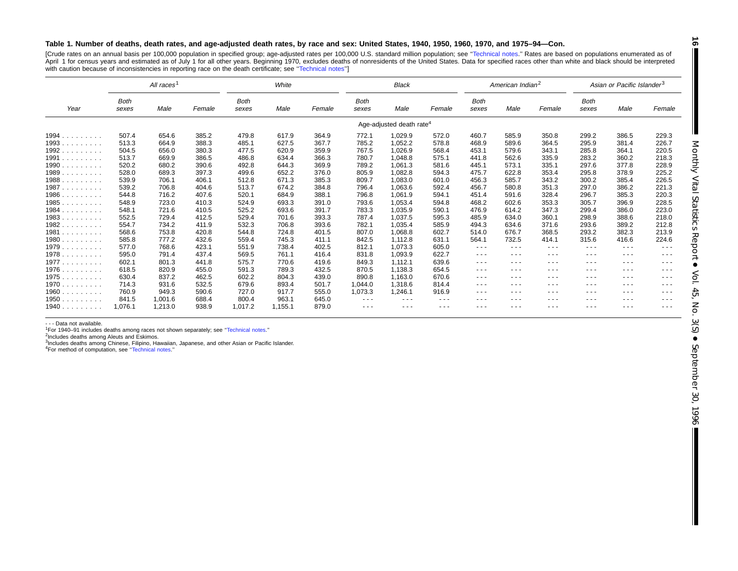#### Table 1. Number of deaths, death rates, and age-adjusted death rates, by race and sex: United States, 1940, 1950, 1960, 1970, and 1975-94-Con.

[Crude rates on an annual basis per 100,000 population in specified group; age-adjusted rates per 100,000 U.S. standard million population; see "Technical notes." Rates are based on populations enumerated as of April 1 for census years and estimated as of July 1 for all other years. Beginning 1970, excludes deaths of nonresidents of the United States. Data for specified races other than white and black should be interpreted with caution because of inconsistencies in reporting race on the death certificate; see "Technical notes"]

|                                                               | All races <sup>1</sup> |         |        | White                |         |        | <b>Black</b>         |                                      |         | American Indian <sup>2</sup> |          |                                                                                                | Asian or Pacific Islander <sup>3</sup> |          |          |
|---------------------------------------------------------------|------------------------|---------|--------|----------------------|---------|--------|----------------------|--------------------------------------|---------|------------------------------|----------|------------------------------------------------------------------------------------------------|----------------------------------------|----------|----------|
| Year                                                          | <b>Both</b><br>sexes   | Male    | Female | <b>Both</b><br>sexes | Male    | Female | <b>Both</b><br>sexes | Male                                 | Female  | <b>Both</b><br>sexes         | Male     | Female                                                                                         | Both<br>sexes                          | Male     | Female   |
|                                                               |                        |         |        |                      |         |        |                      | Age-adjusted death rate <sup>4</sup> |         |                              |          |                                                                                                |                                        |          |          |
| 1994.<br>.                                                    | 507.4                  | 654.6   | 385.2  | 479.8                | 617.9   | 364.9  | 772.1                | 1,029.9                              | 572.0   | 460.7                        | 585.9    | 350.8                                                                                          | 299.2                                  | 386.5    | 229.3    |
| 1993                                                          | 513.3                  | 664.9   | 388.3  | 485.1                | 627.5   | 367.7  | 785.2                | 1,052.2                              | 578.8   | 468.9                        | 589.6    | 364.5                                                                                          | 295.9                                  | 381.4    | 226.7    |
| 1992.<br>$\mathcal{L}$ . The set of the set of $\mathcal{L}$  | 504.5                  | 656.0   | 380.3  | 477.5                | 620.9   | 359.9  | 767.5                | 1,026.9                              | 568.4   | 453.1                        | 579.6    | 343.1                                                                                          | 285.8                                  | 364.1    | 220.5    |
| 1991                                                          | 513.7                  | 669.9   | 386.5  | 486.8                | 634.4   | 366.3  | 780.7                | 1.048.8                              | 575.1   | 441.8                        | 562.6    | 335.9                                                                                          | 283.2                                  | 360.2    | 218.3    |
| 1990                                                          | 520.2                  | 680.2   | 390.6  | 492.8                | 644.3   | 369.9  | 789.2                | 1,061.3                              | 581.6   | 445.1                        | 573.1    | 335.1                                                                                          | 297.6                                  | 377.8    | 228.9    |
| 1989                                                          | 528.0                  | 689.3   | 397.3  | 499.6                | 652.2   | 376.0  | 805.9                | 1,082.8                              | 594.3   | 475.7                        | 622.8    | 353.4                                                                                          | 295.8                                  | 378.9    | 225.2    |
| 1988                                                          | 539.9                  | 706.1   | 406.1  | 512.8                | 671.3   | 385.3  | 809.7                | 1,083.0                              | 601.0   | 456.3                        | 585.7    | 343.2                                                                                          | 300.2                                  | 385.4    | 226.5    |
| 1987.<br>and a state and                                      | 539.2                  | 706.8   | 404.6  | 513.7                | 674.2   | 384.8  | 796.4                | 1,063.6                              | 592.4   | 456.7                        | 580.8    | 351.3                                                                                          | 297.0                                  | 386.2    | 221.3    |
| $1986$                                                        | 544.8                  | 716.2   | 407.6  | 520.1                | 684.9   | 388.1  | 796.8                | 1,061.9                              | 594.1   | 451.4                        | 591.6    | 328.4                                                                                          | 296.7                                  | 385.3    | 220.3    |
| 1985                                                          | 548.9                  | 723.0   | 410.3  | 524.9                | 693.3   | 391.0  | 793.6                | 1,053.4                              | 594.8   | 468.2                        | 602.6    | 353.3                                                                                          | 305.7                                  | 396.9    | 228.5    |
| $1984$                                                        | 548.1                  | 721.6   | 410.5  | 525.2                | 693.6   | 391.7  | 783.3                | 1,035.9                              | 590.1   | 476.9                        | 614.2    | 347.3                                                                                          | 299.4                                  | 386.0    | 223.0    |
| 1983                                                          | 552.5                  | 729.4   | 412.5  | 529.4                | 701.6   | 393.3  | 787.4                | 1,037.5                              | 595.3   | 485.9                        | 634.0    | 360.1                                                                                          | 298.9                                  | 388.6    | 218.0    |
| 1982                                                          | 554.7                  | 734.2   | 411.9  | 532.3                | 706.8   | 393.6  | 782.1                | 1.035.4                              | 585.9   | 494.3                        | 634.6    | 371.6                                                                                          | 293.6                                  | 389.2    | 212.8    |
| 1981.<br>$\alpha$ , $\alpha$ , $\alpha$ , $\alpha$ , $\alpha$ | 568.6                  | 753.8   | 420.8  | 544.8                | 724.8   | 401.5  | 807.0                | 1,068.8                              | 602.7   | 514.0                        | 676.7    | 368.5                                                                                          | 293.2                                  | 382.3    | 213.9    |
| 1980                                                          | 585.8                  | 777.2   | 432.6  | 559.4                | 745.3   | 411.1  | 842.5                | 1.112.8                              | 631.1   | 564.1                        | 732.5    | 414.1                                                                                          | 315.6                                  | 416.6    | 224.6    |
| 1979                                                          | 577.0                  | 768.6   | 423.1  | 551.9                | 738.4   | 402.5  | 812.1                | 1,073.3                              | 605.0   | $\cdots$                     | $\cdots$ | $\frac{1}{2} \left( \frac{1}{2} \right) \left( \frac{1}{2} \right) \left( \frac{1}{2} \right)$ | $\cdots$                               | $\cdots$ | ---      |
| 1978.                                                         | 595.0                  | 791.4   | 437.4  | 569.5                | 761.1   | 416.4  | 831.8                | 1,093.9                              | 622.7   | $\cdots$                     | $\cdots$ | $\frac{1}{2} \left( \frac{1}{2} \right) \left( \frac{1}{2} \right) \left( \frac{1}{2} \right)$ | $\cdots$                               | $- - -$  | $\cdots$ |
| 1977                                                          | 602.1                  | 801.3   | 441.8  | 575.7                | 770.6   | 419.6  | 849.3                | 1.112.1                              | 639.6   | $\cdots$                     | $  -$    | $- - -$                                                                                        | $\cdots$                               | $  -$    | ---      |
| 1976                                                          | 618.5                  | 820.9   | 455.0  | 591.3                | 789.3   | 432.5  | 870.5                | 1,138.3                              | 654.5   | $\cdots$                     | $\cdots$ | $\frac{1}{2} \left( \frac{1}{2} \right) \left( \frac{1}{2} \right) \left( \frac{1}{2} \right)$ | $\frac{1}{2}$                          | $\cdots$ | $- - -$  |
| 1975                                                          | 630.4                  | 837.2   | 462.5  | 602.2                | 804.3   | 439.0  | 890.8                | 1.163.0                              | 670.6   | $\cdots$                     | $\cdots$ | $  -$                                                                                          | $\frac{1}{2}$                          | $- - -$  | ---      |
| 1970                                                          | 714.3                  | 931.6   | 532.5  | 679.6                | 893.4   | 501.7  | 1,044.0              | 1.318.6                              | 814.4   | $\frac{1}{2}$                | $\cdots$ | ---                                                                                            | $\cdots$                               | $\cdots$ | $  -$    |
| 1960                                                          | 760.9                  | 949.3   | 590.6  | 727.0                | 917.7   | 555.0  | 1,073.3              | 1,246.1                              | 916.9   | $- - -$                      | $\cdots$ | $\cdots$                                                                                       | $\cdots$                               | $\cdots$ | ---      |
| 1950                                                          | 841.5                  | 1,001.6 | 688.4  | 800.4                | 963.1   | 645.0  | $\cdots$             | $\cdots$                             | $- - -$ | $\frac{1}{2}$                | $\cdots$ | $\frac{1}{2}$                                                                                  | $\frac{1}{2}$                          | $\cdots$ | $\cdots$ |
| 1940                                                          | 1.076.1                | 1,213.0 | 938.9  | 1.017.2              | 1,155.1 | 879.0  | $\cdots$             | $- - -$                              | ---     | $- - -$                      | $- - -$  | ---                                                                                            | $- - -$                                | $- - -$  | ---      |

- - - Data not available.

1For 1940–91 includes deaths among races not shown separately; see [''Technical](#page-71-0) notes.''

<sup>2</sup>Includes deaths among Aleuts and Eskimos.

<sup>3</sup>Includes deaths among Chinese, Filipino, Hawaiian, Japanese, and other Asian or Pacific Islander.

4For method of computation, see [''Technical](#page-71-0) notes.''

**16**  $\blacksquare$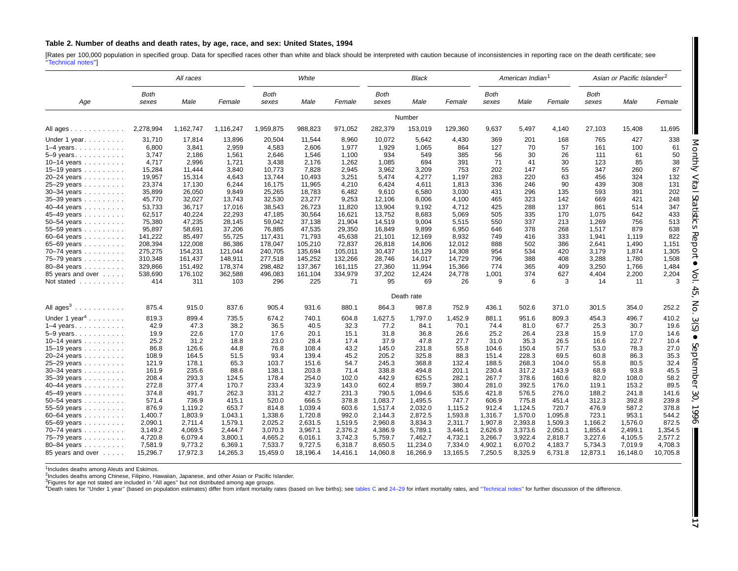#### <span id="page-16-0"></span>Table 2. Number of deaths and death rates, by age, race, and sex: United States, 1994

[Rates per 100,000 population in specified group. Data for specified races other than white and black should be interpreted with caution because of inconsistencies in reporting race on the death certificate; see '['Technical](#page-71-0) notes'']

| All races                 |                      |           | White     |                      |          | Black    |                      |            | American Indian <sup>1</sup> |                      |         | Asian or Pacific Islander <sup>2</sup> |                      |          |          |
|---------------------------|----------------------|-----------|-----------|----------------------|----------|----------|----------------------|------------|------------------------------|----------------------|---------|----------------------------------------|----------------------|----------|----------|
| Age                       | <b>Both</b><br>sexes | Male      | Female    | <b>Both</b><br>sexes | Male     | Female   | <b>Both</b><br>sexes | Male       | Female                       | <b>Both</b><br>sexes | Male    | Female                                 | <b>Both</b><br>sexes | Male     | Female   |
|                           |                      |           |           |                      |          |          |                      | Number     |                              |                      |         |                                        |                      |          |          |
| All ages                  | 2,278,994            | 1,162,747 | 1,116,247 | 1,959,875            | 988,823  | 971,052  | 282,379              | 153,019    | 129,360                      | 9.637                | 5,497   | 4,140                                  | 27,103               | 15,408   | 11,695   |
| Under 1 year              | 31,710               | 17,814    | 13,896    | 20,504               | 11,544   | 8,960    | 10,072               | 5,642      | 4,430                        | 369                  | 201     | 168                                    | 765                  | 427      | 338      |
| $1-4$ years               | 6,800                | 3,841     | 2,959     | 4,583                | 2,606    | 1,977    | 1,929                | 1,065      | 864                          | 127                  | 70      | 57                                     | 161                  | 100      | 61       |
| 5-9 years.                | 3.747                | 2.186     | 1,561     | 2,646                | 1.546    | 1.100    | 934                  | 549        | 385                          | 56                   | 30      | 26                                     | 111                  | 61       | 50       |
| 10-14 years               | 4,717                | 2,996     | 1,721     | 3,438                | 2,176    | 1,262    | 1,085                | 694        | 391                          | 71                   | 41      | 30                                     | 123                  | 85       | 38       |
| 15–19 years $\ldots$      | 15,284               | 11,444    | 3,840     | 10,773               | 7,828    | 2,945    | 3,962                | 3,209      | 753                          | 202                  | 147     | 55                                     | 347                  | 260      | 87       |
| 20-24 years               | 19,957               | 15,314    | 4,643     | 13,744               | 10.493   | 3,251    | 5,474                | 4,277      | 1,197                        | 283                  | 220     | 63                                     | 456                  | 324      | 132      |
| 25-29 years               | 23,374               | 17,130    | 6,244     | 16,175               | 11,965   | 4,210    | 6,424                | 4,611      | 1,813                        | 336                  | 246     | 90                                     | 439                  | 308      | 131      |
| $30 - 34$ years           | 35,899               | 26,050    | 9,849     | 25,265               | 18,783   | 6,482    | 9,610                | 6,580      | 3,030                        | 431                  | 296     | 135                                    | 593                  | 391      | 202      |
| 35-39 years               | 45,770               | 32,027    | 13,743    | 32,530               | 23,277   | 9,253    | 12,106               | 8,006      | 4,100                        | 465                  | 323     | 142                                    | 669                  | 421      | 248      |
| 40-44 years               | 53,733               | 36,717    | 17,016    | 38,543               | 26,723   | 11,820   | 13,904               | 9,192      | 4,712                        | 425                  | 288     | 137                                    | 861                  | 514      | 347      |
| 45-49 years               | 62,517               | 40,224    | 22,293    | 47,185               | 30,564   | 16.621   | 13.752               | 8,683      | 5,069                        | 505                  | 335     | 170                                    | 1.075                | 642      | 433      |
| 50-54 years               | 75,380               | 47,235    | 28,145    | 59,042               | 37,138   | 21,904   | 14,519               | 9,004      | 5,515                        | 550                  | 337     | 213                                    | 1,269                | 756      | 513      |
| 55-59 years               | 95,897               | 58,691    | 37,206    | 76,885               | 47,535   | 29,350   | 16,849               | 9,899      | 6,950                        | 646                  | 378     | 268                                    | 1,517                | 879      | 638      |
| 60-64 years               | 141,222              | 85,497    | 55,725    | 117,431              | 71,793   | 45,638   | 21,101               | 12,169     | 8,932                        | 749                  | 416     | 333                                    | 1,941                | 1,119    | 822      |
| 65-69 years               | 208,394              | 122,008   | 86,386    | 178,047              | 105,210  | 72,837   | 26,818               | 14,806     | 12,012                       | 888                  | 502     | 386                                    | 2.641                | 1,490    | 1,151    |
| 70–74 years               | 275,275              | 154,231   | 121,044   | 240,705              | 135,694  | 105,011  | 30.437               | 16,129     | 14,308                       | 954                  | 534     | 420                                    | 3,179                | 1,874    | 1,305    |
| 75-79 years               | 310,348              | 161,437   | 148,911   | 277,518              | 145,252  | 132,266  | 28,746               | 14,017     | 14,729                       | 796                  | 388     | 408                                    | 3,288                | 1,780    | 1,508    |
| 80-84 years               | 329,866              | 151,492   | 178,374   | 298,482              | 137,367  | 161,115  | 27,360               | 11,994     | 15,366                       | 774                  | 365     | 409                                    | 3,250                | 1,766    | 1,484    |
| 85 years and over         | 538,690              | 176,102   | 362,588   | 496,083              | 161.104  | 334,979  | 37,202               | 12,424     | 24,778                       | 1,001                | 374     | 627                                    | 4,404                | 2,200    | 2,204    |
| Not stated                | 414                  | 311       | 103       | 296                  | 225      | 71       | 95                   | 69         | 26                           | 9                    | 6       | 3                                      | 14                   | 11       | 3        |
|                           |                      |           |           |                      |          |          |                      | Death rate |                              |                      |         |                                        |                      |          |          |
| All $ages^3$              | 875.4                | 915.0     | 837.6     | 905.4                | 931.6    | 880.1    | 864.3                | 987.8      | 752.9                        | 436.1                | 502.6   | 371.0                                  | 301.5                | 354.0    | 252.2    |
| Under 1 year <sup>4</sup> | 819.3                | 899.4     | 735.5     | 674.2                | 740.1    | 604.8    | 1,627.5              | 1,797.0    | 1,452.9                      | 881.1                | 951.6   | 809.3                                  | 454.3                | 496.7    | 410.2    |
| $1-4$ years.              | 42.9                 | 47.3      | 38.2      | 36.5                 | 40.5     | 32.3     | 77.2                 | 84.1       | 70.1                         | 74.4                 | 81.0    | 67.7                                   | 25.3                 | 30.7     | 19.6     |
| $5-9$ years.              | 19.9                 | 22.6      | 17.0      | 17.6                 | 20.1     | 15.1     | 31.8                 | 36.8       | 26.6                         | 25.2                 | 26.4    | 23.8                                   | 15.9                 | 17.0     | 14.6     |
| 10-14 years               | 25.2                 | 31.2      | 18.8      | 23.0                 | 28.4     | 17.4     | 37.9                 | 47.8       | 27.7                         | 31.0                 | 35.3    | 26.5                                   | 16.6                 | 22.7     | 10.4     |
| 15–19 years               | 86.8                 | 126.6     | 44.8      | 76.8                 | 108.4    | 43.2     | 145.0                | 231.8      | 55.8                         | 104.6                | 150.4   | 57.7                                   | 53.0                 | 78.3     | 27.0     |
| 20-24 years               | 108.9                | 164.5     | 51.5      | 93.4                 | 139.4    | 45.2     | 205.2                | 325.8      | 88.3                         | 151.4                | 228.3   | 69.5                                   | 60.8                 | 86.3     | 35.3     |
| 25-29 years               | 121.9                | 178.1     | 65.3      | 103.7                | 151.6    | 54.7     | 245.3                | 368.8      | 132.4                        | 188.5                | 268.3   | 104.0                                  | 55.8                 | 80.5     | 32.4     |
| $30 - 34$ years           | 161.9                | 235.6     | 88.6      | 138.1                | 203.8    | 71.4     | 338.8                | 494.8      | 201.1                        | 230.4                | 317.2   | 143.9                                  | 68.9                 | 93.8     | 45.5     |
| 35-39 years               | 208.4                | 293.3     | 124.5     | 178.4                | 254.0    | 102.0    | 442.9                | 625.5      | 282.1                        | 267.7                | 378.6   | 160.6                                  | 82.0                 | 108.0    | 58.2     |
| 40-44 years               | 272.8                | 377.4     | 170.7     | 233.4                | 323.9    | 143.0    | 602.4                | 859.7      | 380.4                        | 281.0                | 392.5   | 176.0                                  | 119.1                | 153.2    | 89.5     |
| 45-49 years               | 374.8                | 491.7     | 262.3     | 331.2                | 432.7    | 231.3    | 790.5                | 1.094.6    | 535.6                        | 421.8                | 576.5   | 276.0                                  | 188.2                | 241.8    | 141.6    |
| 50–54 years               | 571.4                | 736.9     | 415.1     | 520.0                | 666.5    | 378.8    | 1,083.7              | 1,495.5    | 747.7                        | 606.9                | 775.8   | 451.4                                  | 312.3                | 392.8    | 239.8    |
| 55-59 years               | 876.9                | 1,119.2   | 653.7     | 814.8                | 1,039.4  | 603.6    | 1,517.4              | 2,032.0    | 1,115.2                      | 912.4                | 1,124.5 | 720.7                                  | 476.9                | 587.2    | 378.8    |
| 60-64 years               | 1,400.7              | 1.803.9   | 1.043.1   | 1,338.6              | 1.720.8  | 992.0    | 2.144.3              | 2,872.5    | 1,593.8                      | 1,316.7              | 1,570.0 | 1.095.8                                | 723.1                | 953.1    | 544.2    |
| 65-69 years               | 2,090.1              | 2,711.4   | 1,579.1   | 2,025.2              | 2,631.5  | 1,519.5  | 2,960.8              | 3,834.3    | 2,311.7                      | 1,907.8              | 2,393.8 | 1,509.3                                | 1,166.2              | 1,576.0  | 872.5    |
| 70-74 years               | 3,149.2              | 4,069.5   | 2,444.7   | 3,070.3              | 3,967.1  | 2,376.2  | 4,386.9              | 5,789.1    | 3,446.1                      | 2,626.9              | 3,373.6 | 2,050.1                                | 1,855.4              | 2,499.1  | 1,354.5  |
| 75-79 years               | 4,720.8              | 6,079.4   | 3,800.1   | 4,665.2              | 6.016.1  | 3,742.3  | 5,759.7              | 7,462.7    | 4,732.1                      | 3,266.7              | 3,922.4 | 2,818.7                                | 3,227.6              | 4,105.5  | 2,577.2  |
| 80-84 years               | 7,581.9              | 9,773.2   | 6,369.1   | 7,533.7              | 9,727.5  | 6,318.7  | 8,650.5              | 11,234.0   | 7,334.0                      | 4,902.1              | 6,070.2 | 4,183.7                                | 5,734.3              | 7,019.9  | 4,708.3  |
| 85 years and over         | 15,296.7             | 17,972.3  | 14,265.3  | 15,459.0             | 18,196.4 | 14,416.1 | 14,060.8             | 16,266.9   | 13,165.5                     | 7,250.5              | 8,325.9 | 6,731.8                                | 12,873.1             | 16,148.0 | 10,705.8 |

<sup>1</sup>Includes deaths among Aleuts and Eskimos.

2Includes deaths among Chinese, Filipino, Hawaiian, Japanese, and other Asian or Pacific Islander.

<sup>3</sup>Figures for age not stated are included in "All ages" but not distributed among age groups.<br><sup>4</sup>Death rates for "Under 1 year" (based on population estimates) differ from infant mortality rates (based on live births); se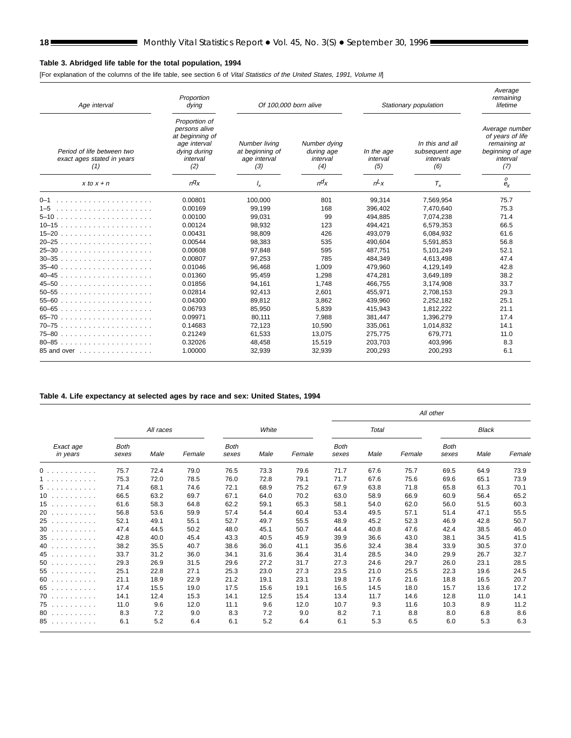# <span id="page-17-0"></span>**Table 3. Abridged life table for the total population, 1994**

[For explanation of the columns of the life table, see section 6 of Vital Statistics of the United States, 1991, Volume II]

| Age interval                                                    | Proportion<br>dying                                                                                  | Of 100,000 born alive                                   |                                               |                               | Stationary population                                 | Average<br>remaining<br>lifetime                                                          |
|-----------------------------------------------------------------|------------------------------------------------------------------------------------------------------|---------------------------------------------------------|-----------------------------------------------|-------------------------------|-------------------------------------------------------|-------------------------------------------------------------------------------------------|
| Period of life between two<br>exact ages stated in years<br>(1) | Proportion of<br>persons alive<br>at beginning of<br>age interval<br>dying during<br>interval<br>(2) | Number living<br>at beginning of<br>age interval<br>(3) | Number dying<br>during age<br>interval<br>(4) | In the age<br>interval<br>(5) | In this and all<br>subsequent age<br>intervals<br>(6) | Average number<br>of years of life<br>remaining at<br>beginning of age<br>interval<br>(7) |
| $x$ to $x + n$                                                  | nq <sub>x</sub>                                                                                      | $\frac{1}{x}$                                           | $n\alpha$                                     | $nL_X$                        | $T_{x}$                                               | 0<br>$e_{x}$                                                                              |
|                                                                 | 0.00801                                                                                              | 100,000                                                 | 801                                           | 99,314                        | 7,569,954                                             | 75.7                                                                                      |
| $1 - 5$                                                         | 0.00169                                                                                              | 99,199                                                  | 168                                           | 396,402                       | 7,470,640                                             | 75.3                                                                                      |
|                                                                 | 0.00100                                                                                              | 99.031                                                  | 99                                            | 494,885                       | 7.074.238                                             | 71.4                                                                                      |
| $10-15$                                                         | 0.00124                                                                                              | 98,932                                                  | 123                                           | 494.421                       | 6,579,353                                             | 66.5                                                                                      |
|                                                                 | 0.00431                                                                                              | 98.809                                                  | 426                                           | 493.079                       | 6.084.932                                             | 61.6                                                                                      |
|                                                                 | 0.00544                                                                                              | 98,383                                                  | 535                                           | 490,604                       | 5,591,853                                             | 56.8                                                                                      |
|                                                                 | 0.00608                                                                                              | 97.848                                                  | 595                                           | 487.751                       | 5.101.249                                             | 52.1                                                                                      |
|                                                                 | 0.00807                                                                                              | 97.253                                                  | 785                                           | 484.349                       | 4.613.498                                             | 47.4                                                                                      |
|                                                                 | 0.01046                                                                                              | 96,468                                                  | 1.009                                         | 479.960                       | 4,129,149                                             | 42.8                                                                                      |
|                                                                 | 0.01360                                                                                              | 95,459                                                  | 1,298                                         | 474,281                       | 3,649,189                                             | 38.2                                                                                      |
|                                                                 | 0.01856                                                                                              | 94,161                                                  | 1,748                                         | 466,755                       | 3,174,908                                             | 33.7                                                                                      |
| $50 - 55$                                                       | 0.02814                                                                                              | 92.413                                                  | 2.601                                         | 455.971                       | 2.708.153                                             | 29.3                                                                                      |
|                                                                 | 0.04300                                                                                              | 89.812                                                  | 3,862                                         | 439.960                       | 2.252.182                                             | 25.1                                                                                      |
| $60 - 65$                                                       | 0.06793                                                                                              | 85.950                                                  | 5,839                                         | 415.943                       | 1,812,222                                             | 21.1                                                                                      |
|                                                                 | 0.09971                                                                                              | 80,111                                                  | 7,988                                         | 381,447                       | 1,396,279                                             | 17.4                                                                                      |
| 70–75                                                           | 0.14683                                                                                              | 72,123                                                  | 10,590                                        | 335,061                       | 1,014,832                                             | 14.1                                                                                      |
|                                                                 | 0.21249                                                                                              | 61,533                                                  | 13,075                                        | 275,775                       | 679,771                                               | 11.0                                                                                      |
| 80-85                                                           | 0.32026                                                                                              | 48.458                                                  | 15,519                                        | 203.703                       | 403.996                                               | 8.3                                                                                       |
| 85 and over                                                     | 1.00000                                                                                              | 32,939                                                  | 32,939                                        | 200.293                       | 200,293                                               | 6.1                                                                                       |

#### **Table 4. Life expectancy at selected ages by race and sex: United States, 1994**

|                       |                      |           |        |                      |       |        |                      |       |        | All other            |              |        |
|-----------------------|----------------------|-----------|--------|----------------------|-------|--------|----------------------|-------|--------|----------------------|--------------|--------|
|                       |                      | All races |        |                      | White |        |                      | Total |        |                      | <b>Black</b> |        |
| Exact age<br>in years | <b>Both</b><br>sexes | Male      | Female | <b>Both</b><br>sexes | Male  | Female | <b>Both</b><br>sexes | Male  | Female | <b>Both</b><br>sexes | Male         | Female |
| 0                     | 75.7                 | 72.4      | 79.0   | 76.5                 | 73.3  | 79.6   | 71.7                 | 67.6  | 75.7   | 69.5                 | 64.9         | 73.9   |
| 1.                    | 75.3                 | 72.0      | 78.5   | 76.0                 | 72.8  | 79.1   | 71.7                 | 67.6  | 75.6   | 69.6                 | 65.1         | 73.9   |
| 5                     | 71.4                 | 68.1      | 74.6   | 72.1                 | 68.9  | 75.2   | 67.9                 | 63.8  | 71.8   | 65.8                 | 61.3         | 70.1   |
| 10                    | 66.5                 | 63.2      | 69.7   | 67.1                 | 64.0  | 70.2   | 63.0                 | 58.9  | 66.9   | 60.9                 | 56.4         | 65.2   |
| 15                    | 61.6                 | 58.3      | 64.8   | 62.2                 | 59.1  | 65.3   | 58.1                 | 54.0  | 62.0   | 56.0                 | 51.5         | 60.3   |
| 20                    | 56.8                 | 53.6      | 59.9   | 57.4                 | 54.4  | 60.4   | 53.4                 | 49.5  | 57.1   | 51.4                 | 47.1         | 55.5   |
| 25                    | 52.1                 | 49.1      | 55.1   | 52.7                 | 49.7  | 55.5   | 48.9                 | 45.2  | 52.3   | 46.9                 | 42.8         | 50.7   |
| 30                    | 47.4                 | 44.5      | 50.2   | 48.0                 | 45.1  | 50.7   | 44.4                 | 40.8  | 47.6   | 42.4                 | 38.5         | 46.0   |
| 35                    | 42.8                 | 40.0      | 45.4   | 43.3                 | 40.5  | 45.9   | 39.9                 | 36.6  | 43.0   | 38.1                 | 34.5         | 41.5   |
| 40                    | 38.2                 | 35.5      | 40.7   | 38.6                 | 36.0  | 41.1   | 35.6                 | 32.4  | 38.4   | 33.9                 | 30.5         | 37.0   |
| 45                    | 33.7                 | 31.2      | 36.0   | 34.1                 | 31.6  | 36.4   | 31.4                 | 28.5  | 34.0   | 29.9                 | 26.7         | 32.7   |
| $50$                  | 29.3                 | 26.9      | 31.5   | 29.6                 | 27.2  | 31.7   | 27.3                 | 24.6  | 29.7   | 26.0                 | 23.1         | 28.5   |
| 55                    | 25.1                 | 22.8      | 27.1   | 25.3                 | 23.0  | 27.3   | 23.5                 | 21.0  | 25.5   | 22.3                 | 19.6         | 24.5   |
| 60                    | 21.1                 | 18.9      | 22.9   | 21.2                 | 19.1  | 23.1   | 19.8                 | 17.6  | 21.6   | 18.8                 | 16.5         | 20.7   |
| 65                    | 17.4                 | 15.5      | 19.0   | 17.5                 | 15.6  | 19.1   | 16.5                 | 14.5  | 18.0   | 15.7                 | 13.6         | 17.2   |
| $70$                  | 14.1                 | 12.4      | 15.3   | 14.1                 | 12.5  | 15.4   | 13.4                 | 11.7  | 14.6   | 12.8                 | 11.0         | 14.1   |
| 75                    | 11.0                 | 9.6       | 12.0   | 11.1                 | 9.6   | 12.0   | 10.7                 | 9.3   | 11.6   | 10.3                 | 8.9          | 11.2   |
| $80$                  | 8.3                  | 7.2       | 9.0    | 8.3                  | 7.2   | 9.0    | 8.2                  | 7.1   | 8.8    | 8.0                  | 6.8          | 8.6    |
| 85                    | 6.1                  | 5.2       | 6.4    | 6.1                  | 5.2   | 6.4    | 6.1                  | 5.3   | 6.5    | 6.0                  | 5.3          | 6.3    |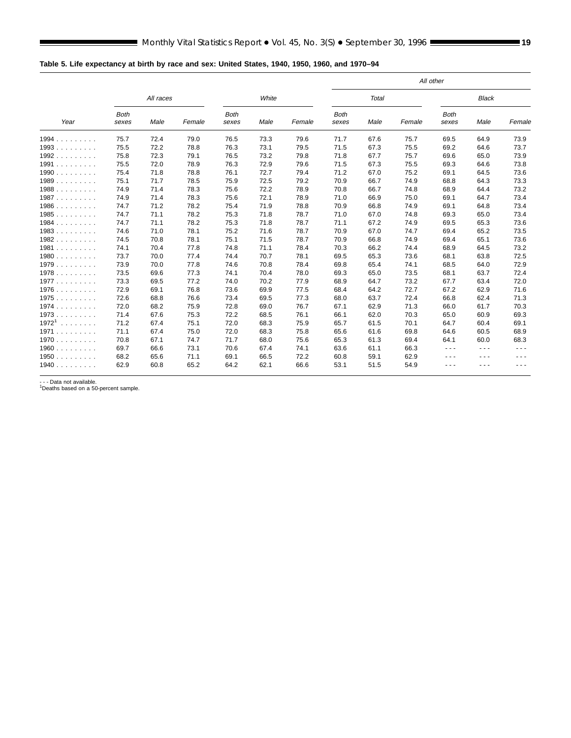<span id="page-18-0"></span>

|          |                      |           |        |                      |       |        |                      |              |        | All other            |              |        |
|----------|----------------------|-----------|--------|----------------------|-------|--------|----------------------|--------------|--------|----------------------|--------------|--------|
|          |                      | All races |        |                      | White |        |                      | <b>Total</b> |        |                      | <b>Black</b> |        |
| Year     | <b>Both</b><br>sexes | Male      | Female | <b>Both</b><br>sexes | Male  | Female | <b>Both</b><br>sexes | Male         | Female | <b>Both</b><br>sexes | Male         | Female |
| 1994     | 75.7                 | 72.4      | 79.0   | 76.5                 | 73.3  | 79.6   | 71.7                 | 67.6         | 75.7   | 69.5                 | 64.9         | 73.9   |
| $1993$   | 75.5                 | 72.2      | 78.8   | 76.3                 | 73.1  | 79.5   | 71.5                 | 67.3         | 75.5   | 69.2                 | 64.6         | 73.7   |
| 1992     | 75.8                 | 72.3      | 79.1   | 76.5                 | 73.2  | 79.8   | 71.8                 | 67.7         | 75.7   | 69.6                 | 65.0         | 73.9   |
| 1991     | 75.5                 | 72.0      | 78.9   | 76.3                 | 72.9  | 79.6   | 71.5                 | 67.3         | 75.5   | 69.3                 | 64.6         | 73.8   |
| 1990     | 75.4                 | 71.8      | 78.8   | 76.1                 | 72.7  | 79.4   | 71.2                 | 67.0         | 75.2   | 69.1                 | 64.5         | 73.6   |
| 1989     | 75.1                 | 71.7      | 78.5   | 75.9                 | 72.5  | 79.2   | 70.9                 | 66.7         | 74.9   | 68.8                 | 64.3         | 73.3   |
| 1988     | 74.9                 | 71.4      | 78.3   | 75.6                 | 72.2  | 78.9   | 70.8                 | 66.7         | 74.8   | 68.9                 | 64.4         | 73.2   |
| 1987     | 74.9                 | 71.4      | 78.3   | 75.6                 | 72.1  | 78.9   | 71.0                 | 66.9         | 75.0   | 69.1                 | 64.7         | 73.4   |
| 1986     | 74.7                 | 71.2      | 78.2   | 75.4                 | 71.9  | 78.8   | 70.9                 | 66.8         | 74.9   | 69.1                 | 64.8         | 73.4   |
| 1985     | 74.7                 | 71.1      | 78.2   | 75.3                 | 71.8  | 78.7   | 71.0                 | 67.0         | 74.8   | 69.3                 | 65.0         | 73.4   |
| 1984     | 74.7                 | 71.1      | 78.2   | 75.3                 | 71.8  | 78.7   | 71.1                 | 67.2         | 74.9   | 69.5                 | 65.3         | 73.6   |
| 1983     | 74.6                 | 71.0      | 78.1   | 75.2                 | 71.6  | 78.7   | 70.9                 | 67.0         | 74.7   | 69.4                 | 65.2         | 73.5   |
| 1982     | 74.5                 | 70.8      | 78.1   | 75.1                 | 71.5  | 78.7   | 70.9                 | 66.8         | 74.9   | 69.4                 | 65.1         | 73.6   |
| 1981     | 74.1                 | 70.4      | 77.8   | 74.8                 | 71.1  | 78.4   | 70.3                 | 66.2         | 74.4   | 68.9                 | 64.5         | 73.2   |
| 1980     | 73.7                 | 70.0      | 77.4   | 74.4                 | 70.7  | 78.1   | 69.5                 | 65.3         | 73.6   | 68.1                 | 63.8         | 72.5   |
| 1979     | 73.9                 | 70.0      | 77.8   | 74.6                 | 70.8  | 78.4   | 69.8                 | 65.4         | 74.1   | 68.5                 | 64.0         | 72.9   |
| 1978     | 73.5                 | 69.6      | 77.3   | 74.1                 | 70.4  | 78.0   | 69.3                 | 65.0         | 73.5   | 68.1                 | 63.7         | 72.4   |
| 1977     | 73.3                 | 69.5      | 77.2   | 74.0                 | 70.2  | 77.9   | 68.9                 | 64.7         | 73.2   | 67.7                 | 63.4         | 72.0   |
| 1976     | 72.9                 | 69.1      | 76.8   | 73.6                 | 69.9  | 77.5   | 68.4                 | 64.2         | 72.7   | 67.2                 | 62.9         | 71.6   |
| 1975     | 72.6                 | 68.8      | 76.6   | 73.4                 | 69.5  | 77.3   | 68.0                 | 63.7         | 72.4   | 66.8                 | 62.4         | 71.3   |
| 1974     | 72.0                 | 68.2      | 75.9   | 72.8                 | 69.0  | 76.7   | 67.1                 | 62.9         | 71.3   | 66.0                 | 61.7         | 70.3   |
| 1973     | 71.4                 | 67.6      | 75.3   | 72.2                 | 68.5  | 76.1   | 66.1                 | 62.0         | 70.3   | 65.0                 | 60.9         | 69.3   |
| $1972^1$ | 71.2                 | 67.4      | 75.1   | 72.0                 | 68.3  | 75.9   | 65.7                 | 61.5         | 70.1   | 64.7                 | 60.4         | 69.1   |
| 1971     | 71.1                 | 67.4      | 75.0   | 72.0                 | 68.3  | 75.8   | 65.6                 | 61.6         | 69.8   | 64.6                 | 60.5         | 68.9   |
| 1970     | 70.8                 | 67.1      | 74.7   | 71.7                 | 68.0  | 75.6   | 65.3                 | 61.3         | 69.4   | 64.1                 | 60.0         | 68.3   |
| 1960     | 69.7                 | 66.6      | 73.1   | 70.6                 | 67.4  | 74.1   | 63.6                 | 61.1         | 66.3   | .                    | $\cdots$     | ---    |
| 1950     | 68.2                 | 65.6      | 71.1   | 69.1                 | 66.5  | 72.2   | 60.8                 | 59.1         | 62.9   | - - -                | $\cdots$     | $  -$  |
| 1940     | 62.9                 | 60.8      | 65.2   | 64.2                 | 62.1  | 66.6   | 53.1                 | 51.5         | 54.9   | - - -                | ---          | $ -$   |

- - - Data not available. 1Deaths based on a 50-percent sample.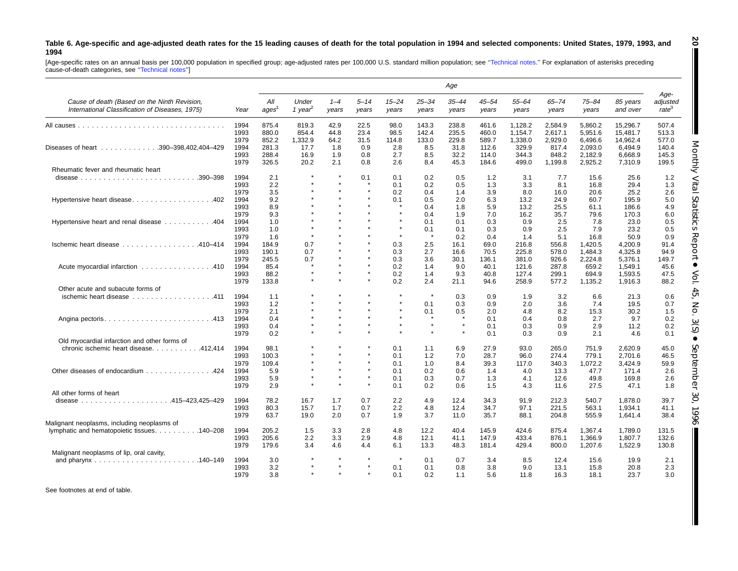#### <span id="page-19-0"></span>Table 6. Age-specific and age-adjusted death rates for the 15 leading causes of death for the total population in 1994 and selected components: United States, 1979, 1993, and **1994**

[Age-specific rates on an annual basis per 100,000 population in specified group; age-adjusted rates per 100,000 U.S. standard million population; see "Technical notes." For explanation of asterisks preceding<br>cause-of-deat

|                                                                                                 |              |                          |                              |                  |                   |                    |                    | Age                |                    |                    |                    |                    |                      |                                       |
|-------------------------------------------------------------------------------------------------|--------------|--------------------------|------------------------------|------------------|-------------------|--------------------|--------------------|--------------------|--------------------|--------------------|--------------------|--------------------|----------------------|---------------------------------------|
| Cause of death (Based on the Ninth Revision,<br>International Classification of Diseases, 1975) | Year         | All<br>ages <sup>1</sup> | Under<br>1 year <sup>2</sup> | $1 - 4$<br>years | $5 - 14$<br>years | $15 - 24$<br>years | $25 - 34$<br>years | $35 - 44$<br>years | $45 - 54$<br>years | $55 - 64$<br>years | $65 - 74$<br>years | $75 - 84$<br>years | 85 years<br>and over | Age-<br>adjusted<br>rate <sup>3</sup> |
|                                                                                                 | 1994         | 875.4                    | 819.3                        | 42.9             | 22.5              | 98.0               | 143.3              | 238.8              | 461.6              | 1,128.2            | 2,584.9            | 5,860.2            | 15,296.7             | 507.4                                 |
|                                                                                                 | 1993         | 880.0                    | 854.4                        | 44.8             | 23.4              | 98.5               | 142.4              | 235.5              | 460.0              | 1,154.7            | 2,617.1            | 5,951.6            | 15,481.7             | 513.3                                 |
|                                                                                                 | 1979         | 852.2                    | 1,332.9                      | 64.2             | 31.5              | 114.8              | 133.0              | 229.8              | 589.7              | 1,338.0            | 2,929.0            | 6,496.6            | 14,962.4             | 577.0                                 |
| Diseases of heart 390-398,402,404-429                                                           | 1994         | 281.3                    | 17.7                         | 1.8              | 0.9               | 2.8                | 8.5                | 31.8               | 112.6              | 329.9              | 817.4              | 2,093.0            | 6,494.9              | 140.4                                 |
|                                                                                                 | 1993<br>1979 | 288.4<br>326.5           | 16.9<br>20.2                 | 1.9<br>2.1       | 0.8<br>0.8        | 2.7<br>2.6         | 8.5<br>8.4         | 32.2<br>45.3       | 114.0<br>184.6     | 344.3<br>499.0     | 848.2<br>1,199.8   | 2,182.9<br>2,925.2 | 6,668.9<br>7,310.9   | 145.3<br>199.5                        |
| Rheumatic fever and rheumatic heart                                                             |              |                          |                              |                  |                   |                    |                    |                    |                    |                    |                    |                    |                      |                                       |
|                                                                                                 | 1994         | 2.1                      |                              | $\star$          | 0.1               | 0.1                | 0.2                | 0.5                | 1.2                | 3.1                | 7.7                | 15.6               | 25.6                 | 1.2                                   |
|                                                                                                 | 1993         | 2.2                      | $\star$                      | $\star$          | $\star$           | 0.1                | 0.2                | 0.5                | 1.3                | 3.3                | 8.1                | 16.8               | 29.4                 | 1.3                                   |
|                                                                                                 | 1979         | 3.5                      |                              |                  | $\star$           | 0.2                | 0.4                | 1.4                | 3.9                | 8.0                | 16.0               | 20.6               | 25.2                 | 2.6                                   |
| Hypertensive heart disease402                                                                   | 1994         | 9.2                      |                              |                  | $\star$           | 0.1                | 0.5                | 2.0                | 6.3                | 13.2               | 24.9               | 60.7               | 195.9                | 5.0                                   |
|                                                                                                 | 1993         | 8.9                      |                              |                  | $\star$           |                    | 0.4                | 1.8                | 5.9                | 13.2               | 25.5               | 61.1               | 186.6                | 4.9                                   |
|                                                                                                 | 1979         | 9.3                      |                              |                  |                   | $\star$            | 0.4                | 1.9                | 7.0                | 16.2               | 35.7               | 79.6               | 170.3                | 6.0                                   |
| Hypertensive heart and renal disease 404                                                        | 1994         | 1.0                      |                              |                  |                   | $\star$            | 0.1                | 0.1                | 0.3                | 0.9                | 2.5                | 7.8                | 23.0                 | 0.5                                   |
|                                                                                                 | 1993         | 1.0                      | $\star$                      |                  |                   |                    | 0.1                | 0.1                | 0.3                | 0.9                | 2.5                | 7.9                | 23.2                 | 0.5                                   |
|                                                                                                 | 1979         | 1.6                      | $\star$                      |                  | $\star$           | $\star$            | $\star$            | 0.2                | 0.4                | 1.4                | 5.1                | 16.8               | 50.9                 | 0.9                                   |
| $Ischemic$ heart disease $\ldots$ , $\ldots$ , $\ldots$ , $\ldots$ , 410-414                    | 1994         | 184.9                    | 0.7                          |                  | $\star$           | 0.3                | 2.5                | 16.1               | 69.0               | 216.8              | 556.8              | 1.420.5            | 4.200.9              | 91.4                                  |
|                                                                                                 | 1993         | 190.1                    | 0.7                          |                  |                   | 0.3                | 2.7                | 16.6               | 70.5               | 225.8              | 578.0              | 1,484.3            | 4,325.8              | 94.9                                  |
|                                                                                                 | 1979         | 245.5                    | 0.7                          |                  | $\star$           | 0.3                | 3.6                | 30.1               | 136.1              | 381.0              | 926.6              | 2,224.8            | 5,376.1              | 149.7                                 |
| Acute myocardial infarction 410                                                                 | 1994         | 85.4                     | $\star$                      |                  | $\star$           | 0.2                | 1.4                | 9.0                | 40.1               | 121.6              | 287.8              | 659.2              | 1,549.1              | 45.6                                  |
|                                                                                                 | 1993         | 88.2                     | $\star$                      | $\star$          | $\star$           | 0.2                | 1.4                | 9.3                | 40.8               | 127.4              | 299.1              | 694.9              | 1.593.5              | 47.5                                  |
|                                                                                                 | 1979         | 133.8                    | $\star$                      |                  | $\star$           | 0.2                | 2.4                | 21.1               | 94.6               | 258.9              | 577.2              | 1,135.2            | 1,916.3              | 88.2                                  |
| Other acute and subacute forms of                                                               |              |                          |                              |                  |                   |                    |                    |                    |                    |                    |                    |                    |                      |                                       |
| ischemic heart disease 411                                                                      | 1994         | 1.1                      | $\star$                      |                  | $\star$           | $\star$            | $\star$            | 0.3                | 0.9                | 1.9                | 3.2                | 6.6                | 21.3                 | 0.6                                   |
|                                                                                                 | 1993         | 1.2                      |                              |                  |                   | $\star$            | 0.1                | 0.3                | 0.9                | 2.0                | 3.6                | 7.4                | 19.5                 | 0.7                                   |
|                                                                                                 | 1979         | 2.1                      |                              |                  | $\star$           | $\star$            | 0.1                | 0.5                | 2.0                | 4.8                | 8.2                | 15.3               | 30.2                 | 1.5                                   |
|                                                                                                 | 1994         | 0.4                      |                              |                  |                   | $\star$            | $\star$            |                    | 0.1                | 0.4                | 0.8                | 2.7                | 9.7                  | 0.2                                   |
|                                                                                                 | 1993         | 0.4                      |                              | $\star$          | $\bullet$         | $\star$            | $\star$            | $\star$            | 0.1                | 0.3                | 0.9                | 2.9                | 11.2                 | 0.2                                   |
|                                                                                                 | 1979         | 0.2                      |                              |                  |                   |                    |                    | $\star$            | 0.1                | 0.3                | 0.9                | 2.1                | 4.6                  | 0.1                                   |
| Old myocardial infarction and other forms of                                                    |              |                          |                              |                  |                   |                    |                    |                    |                    |                    |                    |                    |                      |                                       |
| chronic ischemic heart disease. 412,414                                                         | 1994         | 98.1                     |                              |                  | $\star$           | 0.1                | 1.1                | 6.9                | 27.9               | 93.0               | 265.0              | 751.9              | 2.620.9              | 45.0                                  |
|                                                                                                 | 1993         | 100.3                    |                              |                  | $\star$           | 0.1                | 1.2                | 7.0                | 28.7               | 96.0               | 274.4              | 779.1              | 2,701.6              | 46.5                                  |
|                                                                                                 | 1979         | 109.4                    |                              |                  | $\star$           | 0.1                | 1.0                | 8.4                | 39.3               | 117.0              | 340.3              | 1,072.2            | 3,424.9              | 59.9                                  |
| Other diseases of endocardium 424                                                               | 1994         | 5.9                      | $\star$                      | $\star$          | $\star$           | 0.1                | 0.2                | 0.6                | 1.4                | 4.0                | 13.3               | 47.7               | 171.4                | 2.6                                   |
|                                                                                                 | 1993         | 5.9                      | $\star$                      | $\star$          | $\star$           | 0.1                | 0.3                | 0.7                | 1.3                | 4.1                | 12.6               | 49.8               | 169.8                | 2.6                                   |
|                                                                                                 | 1979         | 2.9                      | $\star$                      | $\star$          | $\star$           | 0.1                | 0.2                | 0.6                | 1.5                | 4.3                | 11.6               | 27.5               | 47.1                 | 1.8                                   |
| All other forms of heart                                                                        |              |                          |                              |                  |                   |                    |                    |                    |                    |                    |                    |                    |                      |                                       |
|                                                                                                 | 1994         | 78.2                     | 16.7                         | 1.7              | 0.7               | 2.2                | 4.9                | 12.4               | 34.3               | 91.9               | 212.3              | 540.7              | 1.878.0              | 39.7                                  |
|                                                                                                 | 1993         | 80.3                     | 15.7                         | 1.7              | 0.7               | 2.2                | 4.8                | 12.4               | 34.7               | 97.1               | 221.5              | 563.1              | 1,934.1              | 41.1                                  |
|                                                                                                 | 1979         | 63.7                     | 19.0                         | 2.0              | 0.7               | 1.9                | 3.7                | 11.0               | 35.7               | 88.1               | 204.8              | 555.9              | 1,641.4              | 38.4                                  |
| Malignant neoplasms, including neoplasms of                                                     |              |                          |                              |                  |                   |                    |                    |                    |                    |                    |                    |                    |                      |                                       |
| lymphatic and hematopoietic tissues. 140–208                                                    | 1994         | 205.2                    | 1.5                          | 3.3              | 2.8               | 4.8                | 12.2               | 40.4               | 145.9              | 424.6              | 875.4              | 1.367.4            | 1,789.0              | 131.5                                 |
|                                                                                                 | 1993         | 205.6                    | 2.2                          | 3.3              | 2.9               | 4.8                | 12.1               | 41.1               | 147.9              | 433.4              | 876.1              | 1,366.9            | 1,807.7              | 132.6                                 |
|                                                                                                 |              | 179.6                    | 3.4                          | 4.6              |                   | 6.1                |                    |                    |                    |                    |                    |                    |                      |                                       |
|                                                                                                 | 1979         |                          |                              |                  | 4.4               |                    | 13.3               | 48.3               | 181.4              | 429.4              | 800.0              | 1,207.6            | 1,522.9              | 130.8                                 |
| Malignant neoplasms of lip, oral cavity,                                                        |              |                          |                              |                  |                   | $\star$            |                    |                    |                    |                    |                    |                    |                      |                                       |
|                                                                                                 | 1994         | 3.0                      | $\star$                      | $\star$          | $\star$           |                    | 0.1                | 0.7                | 3.4                | 8.5                | 12.4               | 15.6               | 19.9                 | 2.1                                   |
|                                                                                                 | 1993         | 3.2                      |                              |                  |                   | 0.1                | 0.1                | 0.8                | 3.8                | 9.0                | 13.1               | 15.8               | 20.8                 | 2.3                                   |
|                                                                                                 | 1979         | 3.8                      | $\star$                      | $\bullet$        | $\star$           | 0.1                | 0.2                | 1.1                | 5.6                | 11.8               | 16.3               | 18.1               | 23.7                 | 3.0                                   |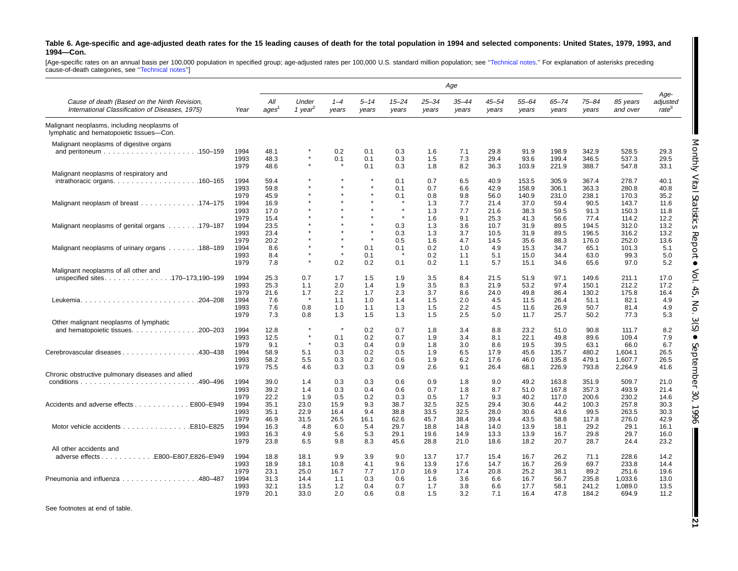#### Table 6. Age-specific and age-adjusted death rates for the 15 leading causes of death for the total population in 1994 and selected components: United States, 1979, 1993, and **1994—Con.**

[Age-specific rates on an annual basis per 100,000 population in specified group; age-adjusted rates per 100,000 U.S. standard million population; see "Technical notes." For explanation of asterisks preceding<br>cause-of-deat

|                                                                                                 |      |                          |                              |                  |                   |                    |                    | Age                |                    |                    |                    |                    |                      |                                       |
|-------------------------------------------------------------------------------------------------|------|--------------------------|------------------------------|------------------|-------------------|--------------------|--------------------|--------------------|--------------------|--------------------|--------------------|--------------------|----------------------|---------------------------------------|
| Cause of death (Based on the Ninth Revision,<br>International Classification of Diseases, 1975) | Year | All<br>ages <sup>1</sup> | Under<br>1 year <sup>2</sup> | $1 - 4$<br>years | $5 - 14$<br>years | $15 - 24$<br>years | $25 - 34$<br>years | $35 - 44$<br>years | $45 - 54$<br>years | $55 - 64$<br>years | $65 - 74$<br>years | $75 - 84$<br>years | 85 years<br>and over | Age-<br>adjusted<br>rate <sup>3</sup> |
| Malignant neoplasms, including neoplasms of<br>lymphatic and hematopoietic tissues-Con.         |      |                          |                              |                  |                   |                    |                    |                    |                    |                    |                    |                    |                      |                                       |
| Malignant neoplasms of digestive organs                                                         |      |                          |                              |                  |                   |                    |                    |                    |                    |                    |                    |                    |                      |                                       |
| .150-159                                                                                        | 1994 | 48.1                     |                              | 0.2              | 0.1               | 0.3                | 1.6                | 7.1                | 29.8               | 91.9               | 198.9              | 342.9              | 528.5                | 29.3                                  |
|                                                                                                 | 1993 | 48.3                     | $\star$                      | 0.1              | 0.1               | 0.3                | 1.5                | 7.3                | 29.4               | 93.6               | 199.4              | 346.5              | 537.3                | 29.5                                  |
|                                                                                                 | 1979 | 48.6                     |                              |                  | 0.1               | 0.3                | 1.8                | 8.2                | 36.3               | 103.9              | 221.9              | 388.7              | 547.8                | 33.1                                  |
| Malignant neoplasms of respiratory and                                                          |      |                          |                              |                  |                   |                    |                    |                    |                    |                    |                    |                    |                      |                                       |
| intrathoracic organs. $\ldots$ 160–165                                                          | 1994 | 59.4                     |                              | $\star$          | $\star$           | 0.1                | 0.7                | 6.5                | 40.9               | 153.5              | 305.9              | 367.4              | 278.7                | 40.1                                  |
|                                                                                                 | 1993 | 59.8                     |                              | $\star$          | $\star$           | 0.1                | 0.7                | 6.6                | 42.9               | 158.9              | 306.1              | 363.3              | 280.8                | 40.8                                  |
|                                                                                                 | 1979 | 45.9                     |                              |                  | $\star$           | 0.1                | 0.8                | 9.8                | 56.0               | 140.9              | 231.0              | 238.1              | 170.3                | 35.2                                  |
| Malignant neoplasm of breast 174–175                                                            | 1994 | 16.9                     |                              | $\star$          | $\star$           | $\star$            | 1.3                | 7.7                | 21.4               | 37.0               | 59.4               | 90.5               | 143.7                | 11.6                                  |
|                                                                                                 | 1993 | 17.0                     |                              |                  |                   |                    | 1.3                | 7.7                | 21.6               | 38.3               | 59.5               | 91.3               | 150.3                | 11.8                                  |
|                                                                                                 | 1979 | 15.4                     |                              |                  |                   |                    | 1.6                | 9.1                | 25.3               | 41.3               | 56.6               | 77.4               | 114.2                | 12.2                                  |
| Malignant neoplasms of genital organs 179–187                                                   | 1994 | 23.5                     |                              |                  | $\star$           | 0.3                | 1.3                | 3.6                | 10.7               | 31.9               | 89.5               | 194.5              | 312.0                | 13.2                                  |
|                                                                                                 | 1993 | 23.4                     |                              |                  | $\star$           | 0.3                | 1.3                | 3.7                | 10.5               | 31.9               | 89.5               | 196.5              | 316.2                | 13.2                                  |
|                                                                                                 | 1979 | 20.2                     |                              | $\star$          | $\star$           | 0.5                | 1.6                | 4.7                | 14.5               | 35.6               | 88.3               | 176.0              | 252.0                | 13.6                                  |
| Malignant neoplasms of urinary organs 188–189                                                   | 1994 | 8.6                      |                              | $\star$          | 0.1               | 0.1                | 0.2                | 1.0                | 4.9                | 15.3               | 34.7               | 65.1               | 101.3                | 5.1                                   |
|                                                                                                 | 1993 | 8.4                      |                              | $\star$          | 0.1               |                    | 0.2                | 1.1                | 5.1                | 15.0               | 34.4               | 63.0               | 99.3                 | 5.0                                   |
|                                                                                                 | 1979 | 7.8                      | $\star$                      | 0.2              | 0.2               | 0.1                | 0.2                | 1.1                | 5.7                | 15.1               | 34.6               | 65.6               | 97.0                 | 5.2                                   |
| Malignant neoplasms of all other and                                                            |      |                          |                              |                  |                   |                    |                    |                    |                    |                    |                    |                    |                      |                                       |
| unspecified sites170-173,190-199                                                                | 1994 | 25.3                     | 0.7                          | 1.7              | 1.5               | 1.9                | 3.5                | 8.4                | 21.5               | 51.9               | 97.1               | 149.6              | 211.1                | 17.0                                  |
|                                                                                                 | 1993 | 25.3                     | 1.1                          | 2.0              |                   |                    |                    | 8.3                | 21.9               | 53.2               | 97.4               |                    |                      | 17.2                                  |
|                                                                                                 |      |                          |                              |                  | 1.4<br>1.7        | 1.9<br>2.3         | 3.5<br>3.7         | 8.6                |                    |                    |                    | 150.1              | 212.2                |                                       |
|                                                                                                 | 1979 | 21.6                     | 1.7<br>-8                    | 2.2              |                   |                    |                    |                    | 24.0               | 49.8               | 86.4               | 130.2              | 175.8                | 16.4                                  |
| $.204 - 208$                                                                                    | 1994 | 7.6                      |                              | 1.1              | 1.0               | 1.4                | 1.5                | 2.0                | 4.5                | 11.5               | 26.4               | 51.1               | 82.1                 | 4.9                                   |
|                                                                                                 | 1993 | 7.6                      | 0.8                          | 1.0              | 1.1               | 1.3                | 1.5                | 2.2                | 4.5                | 11.6               | 26.9               | 50.7               | 81.4                 | 4.9                                   |
|                                                                                                 | 1979 | 7.3                      | 0.8                          | 1.3              | 1.5               | 1.3                | 1.5                | 2.5                | 5.0                | 11.7               | 25.7               | 50.2               | 77.3                 | 5.3                                   |
| Other malignant neoplasms of lymphatic                                                          |      |                          | $\star$                      | $\pmb{\ast}$     |                   |                    |                    |                    |                    |                    |                    |                    |                      |                                       |
| and hematopoietic tissues. 200–203                                                              | 1994 | 12.8                     | $\star$                      |                  | 0.2               | 0.7                | 1.8                | 3.4                | 8.8                | 23.2               | 51.0               | 90.8               | 111.7                | 8.2                                   |
|                                                                                                 | 1993 | 12.5                     | $\star$                      | 0.1              | 0.2               | 0.7                | 1.9                | 3.4                | 8.1                | 22.1               | 49.8               | 89.6               | 109.4                | 7.9                                   |
|                                                                                                 | 1979 | 9.1                      |                              | 0.3              | 0.4               | 0.9                | 1.8                | 3.0                | 8.6                | 19.5               | 39.5               | 63.1               | 66.0                 | 6.7                                   |
| Cerebrovascular diseases 430–438                                                                | 1994 | 58.9                     | 5.1                          | 0.3              | 0.2               | 0.5                | 1.9                | 6.5                | 17.9               | 45.6               | 135.7              | 480.2              | 1.604.1              | 26.5                                  |
|                                                                                                 | 1993 | 58.2                     | 5.5                          | 0.3              | 0.2               | 0.6                | 1.9                | 6.2                | 17.6               | 46.0               | 135.8              | 479.1              | 1,607.7              | 26.5                                  |
|                                                                                                 | 1979 | 75.5                     | 4.6                          | 0.3              | 0.3               | 0.9                | 2.6                | 9.1                | 26.4               | 68.1               | 226.9              | 793.8              | 2,264.9              | 41.6                                  |
| Chronic obstructive pulmonary diseases and allied                                               |      |                          |                              |                  |                   |                    |                    |                    |                    |                    |                    |                    |                      |                                       |
| .490–496<br>$conditions \ldots \ldots \ldots \ldots \ldots$                                     | 1994 | 39.0                     | 1.4                          | 0.3              | 0.3               | 0.6                | 0.9                | 1.8                | 9.0                | 49.2               | 163.8              | 351.9              | 509.7                | 21.0                                  |
|                                                                                                 | 1993 | 39.2                     | 1.4                          | 0.3              | 0.4               | 0.6                | 0.7                | 1.8                | 8.7                | 51.0               | 167.8              | 357.3              | 493.9                | 21.4                                  |
|                                                                                                 | 1979 | 22.2                     | 1.9                          | 0.5              | 0.2               | 0.3                | 0.5                | 1.7                | 9.3                | 40.2               | 117.0              | 200.6              | 230.2                | 14.6                                  |
| Accidents and adverse effects<br>.E800-E949                                                     | 1994 | 35.1                     | 23.0                         | 15.9             | 9.3               | 38.7               | 32.5               | 32.5               | 29.4               | 30.6               | 44.2               | 100.3              | 257.8                | 30.3                                  |
|                                                                                                 | 1993 | 35.1                     | 22.9                         | 16.4             | 9.4               | 38.8               | 33.5               | 32.5               | 28.0               | 30.6               | 43.6               | 99.5               | 263.5                | 30.3                                  |
|                                                                                                 | 1979 | 46.9                     | 31.5                         | 26.5             | 16.1              | 62.6               | 45.7               | 38.4               | 39.4               | 43.5               | 58.8               | 117.8              | 276.0                | 42.9                                  |
| Motor vehicle accidents<br>E810-E825                                                            | 1994 | 16.3                     | 4.8                          | 6.0              | 5.4               | 29.7               | 18.8               | 14.8               | 14.0               | 13.9               | 18.1               | 29.2               | 29.1                 | 16.1                                  |
|                                                                                                 | 1993 | 16.3                     | 4.9                          | 5.6              | 5.3               | 29.1               | 19.6               | 14.9               | 13.3               | 13.9               | 16.7               | 29.8               | 29.7                 | 16.0                                  |
|                                                                                                 | 1979 | 23.8                     | 6.5                          | 9.8              | 8.3               | 45.6               | 28.8               | 21.0               | 18.6               | 18.2               | 20.7               | 28.7               | 24.4                 | 23.2                                  |
| All other accidents and                                                                         |      |                          |                              |                  |                   |                    |                    |                    |                    |                    |                    |                    |                      |                                       |
| adverse effectsE800-E807,E826-E949                                                              | 1994 | 18.8                     | 18.1                         | 9.9              | 3.9               | 9.0                | 13.7               | 17.7               | 15.4               | 16.7               | 26.2               | 71.1               | 228.6                | 14.2                                  |
|                                                                                                 | 1993 | 18.9                     | 18.1                         | 10.8             | 4.1               | 9.6                | 13.9               | 17.6               | 14.7               | 16.7               | 26.9               | 69.7               | 233.8                | 14.4                                  |
|                                                                                                 | 1979 | 23.1                     | 25.0                         | 16.7             | 7.7               | 17.0               | 16.9               | 17.4               | 20.8               | 25.2               | 38.1               | 89.2               | 251.6                | 19.6                                  |
| Pneumonia and influenza 480-487                                                                 | 1994 | 31.3                     | 14.4                         | 1.1              | 0.3               | 0.6                | 1.6                | 3.6                | 6.6                | 16.7               | 56.7               | 235.8              | 1,033.6              | 13.0                                  |
|                                                                                                 | 1993 | 32.1                     | 13.5                         | 1.2              | 0.4               | 0.7                | 1.7                | 3.8                | 6.6                | 17.7               | 58.1               | 241.2              | 1.089.0              | 13.5                                  |
|                                                                                                 | 1979 | 20.1                     | 33.0                         | 2.0              | 0.6               | 0.8                | 1.5                | 3.2                | 7.1                | 16.4               | 47.8               | 184.2              | 694.9                | 11.2                                  |

See footnotes at end of table.

**21**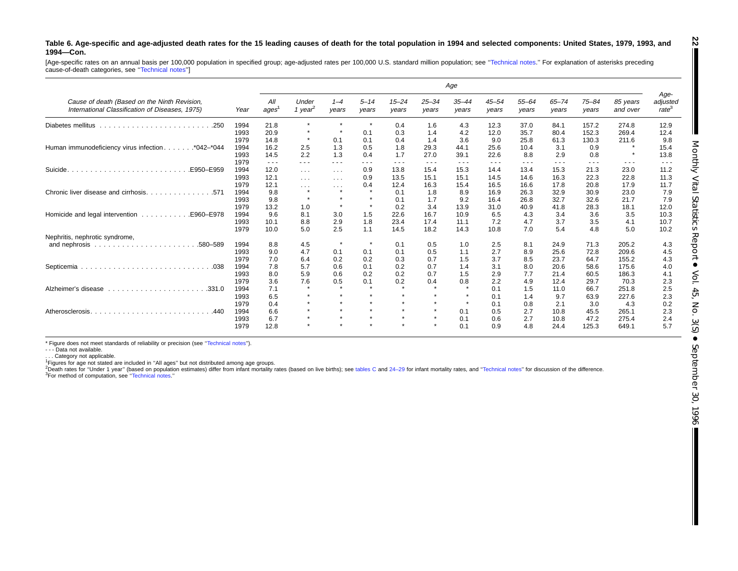#### Table 6. Age-specific and age-adjusted death rates for the 15 leading causes of death for the total population in 1994 and selected components: United States, 1979, 1993, and **1994—Con.**

[Age-specific rates on an annual basis per 100,000 population in specified group; age-adjusted rates per 100,000 U.S. standard million population; see "Technical notes." For explanation of asterisks preceding cause-of-death categories, see "Technical notes"]

|                                                                                                 |      |             |                              |                         |                                                                                                |                    |                    | Age                |                    |                    |                    |                    |                      |                                                                                                |
|-------------------------------------------------------------------------------------------------|------|-------------|------------------------------|-------------------------|------------------------------------------------------------------------------------------------|--------------------|--------------------|--------------------|--------------------|--------------------|--------------------|--------------------|----------------------|------------------------------------------------------------------------------------------------|
| Cause of death (Based on the Ninth Revision,<br>International Classification of Diseases, 1975) | Year | All<br>ages | Under<br>1 year <sup>2</sup> | $1 - 4$<br>years        | $5 - 14$<br>years                                                                              | $15 - 24$<br>years | $25 - 34$<br>years | $35 - 44$<br>years | $45 - 54$<br>years | $55 - 64$<br>years | $65 - 74$<br>years | $75 - 84$<br>years | 85 years<br>and over | Age-<br>adjusted<br>rate <sup>3</sup>                                                          |
| Diabetes mellitus                                                                               | 1994 | 21.8        | $\star$                      | $\star$                 | $\star$                                                                                        | 0.4                | 1.6                | 4.3                | 12.3               | 37.0               | 84.1               | 157.2              | 274.8                | 12.9                                                                                           |
|                                                                                                 | 1993 | 20.9        | $\star$                      | $\star$                 | 0.1                                                                                            | 0.3                | 1.4                | 4.2                | 12.0               | 35.7               | 80.4               | 152.3              | 269.4                | 12.4                                                                                           |
|                                                                                                 | 1979 | 14.8        | $\star$                      | 0.1                     | 0.1                                                                                            | 0.4                | 1.4                | 3.6                | 9.0                | 25.8               | 61.3               | 130.3              | 211.6                | 9.8                                                                                            |
| Human immunodeficiency virus infection*042-*044                                                 | 1994 | 16.2        | 2.5                          | 1.3                     | 0.5                                                                                            | 1.8                | 29.3               | 44.1               | 25.6               | 10.4               | 3.1                | 0.9                |                      | 15.4                                                                                           |
|                                                                                                 | 1993 | 14.5        | 2.2                          | 1.3                     | 0.4                                                                                            | 1.7                | 27.0               | 39.1               | 22.6               | 8.8                | 2.9                | 0.8                | $\star$              | 13.8                                                                                           |
|                                                                                                 | 1979 | $\cdots$    | $\frac{1}{2}$                | $  -$                   | $\frac{1}{2} \left( \frac{1}{2} \right) \left( \frac{1}{2} \right) \left( \frac{1}{2} \right)$ | ---                | ---                | $\frac{1}{2}$      | $\frac{1}{2}$      | $\frac{1}{2}$      | ---                | $\cdots$           | $\frac{1}{2}$        | $\frac{1}{2} \left( \frac{1}{2} \right) \left( \frac{1}{2} \right) \left( \frac{1}{2} \right)$ |
| Suicide.<br>.E950-E959                                                                          | 1994 | 12.0        | $\cdots$                     | $\sim 100$ km s $^{-1}$ | 0.9                                                                                            | 13.8               | 15.4               | 15.3               | 14.4               | 13.4               | 15.3               | 21.3               | 23.0                 | 11.2                                                                                           |
|                                                                                                 | 1993 | 12.1        | $\sim$ $\sim$ $\sim$         | $\sim$ $\sim$ $\sim$    | 0.9                                                                                            | 13.5               | 15.1               | 15.1               | 14.5               | 14.6               | 16.3               | 22.3               | 22.8                 | 11.3                                                                                           |
|                                                                                                 | 1979 | 12.1        | $\sim$ $\sim$ $\sim$         | $\sim$ $\sim$ $\sim$    | 0.4                                                                                            | 12.4               | 16.3               | 15.4               | 16.5               | 16.6               | 17.8               | 20.8               | 17.9                 | 11.7                                                                                           |
|                                                                                                 | 1994 | 9.8         | $\pmb{\ast}$                 | $\star$                 | $\star$                                                                                        | 0.1                | 1.8                | 8.9                | 16.9               | 26.3               | 32.9               | 30.9               | 23.0                 | 7.9                                                                                            |
|                                                                                                 | 1993 | 9.8         | $\star$                      | $\star$                 | $\star$                                                                                        | 0.1                | 1.7                | 9.2                | 16.4               | 26.8               | 32.7               | 32.6               | 21.7                 | 7.9                                                                                            |
|                                                                                                 | 1979 | 13.2        | 1.0                          | $\star$                 | $\star$                                                                                        | 0.2                | 3.4                | 13.9               | 31.0               | 40.9               | 41.8               | 28.3               | 18.1                 | 12.0                                                                                           |
| Homicide and legal intervention<br>E960-E978.                                                   | 1994 | 9.6         | 8.1                          | 3.0                     | 1.5                                                                                            | 22.6               | 16.7               | 10.9               | 6.5                | 4.3                | 3.4                | 3.6                | 3.5                  | 10.3                                                                                           |
|                                                                                                 | 1993 | 10.1        | 8.8                          | 2.9                     | 1.8                                                                                            | 23.4               | 17.4               | 11.1               | 7.2                | 4.7                | 3.7                | 3.5                | 4.1                  | 10.7                                                                                           |
|                                                                                                 | 1979 | 10.0        | 5.0                          | 2.5                     | 1.1                                                                                            | 14.5               | 18.2               | 14.3               | 10.8               | 7.0                | 5.4                | 4.8                | 5.0                  | 10.2                                                                                           |
| Nephritis, nephrotic syndrome,                                                                  |      |             |                              |                         |                                                                                                |                    |                    |                    |                    |                    |                    |                    |                      |                                                                                                |
| .580-589                                                                                        | 1994 | 8.8         | 4.5                          | $\star$                 | $\star$                                                                                        | 0.1                | 0.5                | 1.0                | 2.5                | 8.1                | 24.9               | 71.3               | 205.2                | 4.3                                                                                            |
|                                                                                                 | 1993 | 9.0         | 4.7                          | 0.1                     | 0.1                                                                                            | 0.1                | 0.5                | 1.1                | 2.7                | 8.9                | 25.6               | 72.8               | 209.6                | 4.5                                                                                            |
|                                                                                                 | 1979 | 7.0         | 6.4                          | 0.2                     | 0.2                                                                                            | 0.3                | 0.7                | 1.5                | 3.7                | 8.5                | 23.7               | 64.7               | 155.2                | 4.3                                                                                            |
|                                                                                                 | 1994 | 7.8         | 5.7                          | 0.6                     | 0.1                                                                                            | 0.2                | 0.7                | 1.4                | 3.1                | 8.0                | 20.6               | 58.6               | 175.6                | 4.0                                                                                            |
|                                                                                                 | 1993 | 8.0         | 5.9                          | 0.6                     | 0.2                                                                                            | 0.2                | 0.7                | 1.5                | 2.9                | 7.7                | 21.4               | 60.5               | 186.3                | 4.1                                                                                            |
|                                                                                                 | 1979 | 3.6         | 7.6                          | 0.5                     | 0.1                                                                                            | 0.2                | 0.4                | 0.8                | 2.2                | 4.9                | 12.4               | 29.7               | 70.3                 | 2.3                                                                                            |
| Alzheimer's disease                                                                             | 1994 | 7.1         | $\star$                      | $\bullet$               | $\star$                                                                                        | $\bullet$          | $\star$            |                    | 0.1                | 1.5                | 11.0               | 66.7               | 251.8                | 2.5                                                                                            |
|                                                                                                 | 1993 | 6.5         | $\star$                      | $\star$                 | $\star$                                                                                        | $\star$            | $\star$            |                    | 0.1                | 1.4                | 9.7                | 63.9               | 227.6                | 2.3                                                                                            |
|                                                                                                 | 1979 | 0.4         | $\star$                      | $\star$                 | $\star$                                                                                        | $\bullet$          | $\star$            | $\star$            | 0.1                | 0.8                | 2.1                | 3.0                | 4.3                  | 0.2                                                                                            |
| Atherosclerosis.<br>.440                                                                        | 1994 | 6.6         | $\star$                      | $\star$                 | $\star$                                                                                        | $\mathcal{A}$      | $\star$            | 0.1                | 0.5                | 2.7                | 10.8               | 45.5               | 265.1                | 2.3                                                                                            |
|                                                                                                 | 1993 | 6.7         | $\star$                      | $\star$                 | $\star$                                                                                        | $\bullet$          | $\star$            | 0.1                | 0.6                | 2.7                | 10.8               | 47.2               | 275.4                | 2.4                                                                                            |
|                                                                                                 | 1979 | 12.8        | $\star$                      | $\star$                 | $\star$                                                                                        | $\bullet$          | $\star$            | 0.1                | 0.9                | 4.8                | 24.4               | 125.3              | 649.1                | 5.7                                                                                            |

\* Figure does not meet standards of reliability or precision (see [''Technical](#page-71-0) notes'').

- - - Data not available.

. . . Category not applicable.

<sup>1</sup>Figures for age not stated are included in "All ages" but not distributed among age groups.<br><sup>2</sup>Death rates for "Under 1 year" (based on population estimates) differ from infant mortality rates (based on live births); se 3For method of computation, see [''Technical](#page-71-0) notes.''

**22**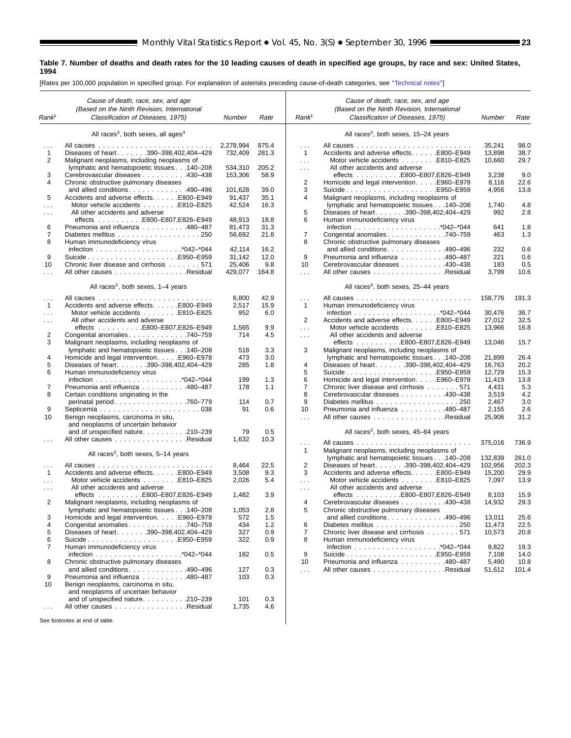#### <span id="page-22-0"></span>**Table 7. Number of deaths and death rates for the 10 leading causes of death in specified age groups, by race and sex: United States, 1994**

[Rates per 100,000 population in specified group. For explanation of asterisks preceding cause-of-death categories, see [''Technical notes'](#page-71-0)']

|                   | Cause of death, race, sex, and age                                                         |           |       |                           | Cause of death, race, sex, and age                                         |         |       |
|-------------------|--------------------------------------------------------------------------------------------|-----------|-------|---------------------------|----------------------------------------------------------------------------|---------|-------|
|                   | (Based on the Ninth Revision, International                                                |           |       |                           | (Based on the Ninth Revision, International                                |         |       |
| Rank <sup>1</sup> | Classification of Diseases, 1975)                                                          | Number    | Rate  | Rank <sup>1</sup>         | Classification of Diseases, 1975)                                          | Number  | Rate  |
|                   | All races <sup>2</sup> , both sexes, all ages <sup>3</sup>                                 |           |       |                           | All races <sup>2</sup> , both sexes, 15-24 years                           |         |       |
|                   |                                                                                            | 2.278.994 | 875.4 | $\cdots$                  |                                                                            | 35,241  | 98.0  |
| $\mathbf{1}$      | Diseases of heart. 390-398,402,404-429                                                     | 732,409   | 281.3 | 1                         | Accidents and adverse effects. E800-E949                                   | 13,898  | 38.7  |
| 2                 | Malignant neoplasms, including neoplasms of                                                |           |       | $\sim 100$                | Motor vehicle accidents E810-E825                                          | 10,660  | 29.7  |
|                   | lymphatic and hematopoietic tissues 140-208                                                | 534,310   | 205.2 | $\ldots$                  | All other accidents and adverse                                            |         |       |
| 3                 | Cerebrovascular diseases 430-438                                                           | 153,306   | 58.9  |                           | effects E800-E807,E826-E949                                                | 3,238   | 9.0   |
| 4                 | Chronic obstructive pulmonary diseases                                                     |           |       | 2                         | Homicide and legal intervention. E960–E978                                 | 8,116   | 22.6  |
|                   | and allied conditions. 490-496                                                             | 101,628   | 39.0  | 3                         | SuicideE950–E959                                                           | 4,956   | 13.8  |
| 5                 | Accidents and adverse effects. E800-E949                                                   | 91,437    | 35.1  | 4                         | Malignant neoplasms, including neoplasms of                                |         |       |
|                   | Motor vehicle accidents E810-E825                                                          | 42,524    | 16.3  |                           | lymphatic and hematopoietic tissues 140-208                                | 1,740   | 4.8   |
| $\sim 100$        | All other accidents and adverse                                                            |           |       | 5                         | Diseases of heart. 390-398,402,404-429                                     | 992     | 2.8   |
|                   | effects E800-E807,E826-E949                                                                | 48,913    | 18.8  | 6                         | Human immunodeficiency virus                                               |         |       |
| 6                 | Pneumonia and influenza 480-487                                                            | 81,473    | 31.3  |                           |                                                                            | 641     | 1.8   |
| $\overline{7}$    | Diabetes mellitus 250                                                                      | 56,692    | 21.8  | 7                         | Congenital anomalies 740–759                                               | 463     | 1.3   |
| 8                 | Human immunodeficiency virus                                                               | 42,114    | 16.2  | 8                         | Chronic obstructive pulmonary diseases                                     | 232     | 0.6   |
| 9                 | SuicideE950-E959                                                                           | 31,142    | 12.0  | 9                         | and allied conditions. 490–496<br>Pneumonia and influenza 480–487          | 221     | 0.6   |
| 10                | Chronic liver disease and cirrhosis 571                                                    | 25,406    | 9.8   | 10                        | Cerebrovascular diseases 430-438                                           | 183     | 0.5   |
| .                 | All other causes Residual                                                                  | 429,077   | 164.8 | $\sim 10$                 | All other causes Residual                                                  | 3,799   | 10.6  |
|                   |                                                                                            |           |       |                           |                                                                            |         |       |
|                   | All races <sup>2</sup> , both sexes, $1-4$ years                                           |           |       |                           | All races <sup>2</sup> , both sexes, 25-44 years                           |         |       |
| $\cdots$          |                                                                                            | 6,800     | 42.9  | .                         |                                                                            | 158,776 | 191.3 |
| $\mathbf{1}$      | Accidents and adverse effects. E800-E949                                                   | 2,517     | 15.9  | $\mathbf{1}$              | Human immunodeficiency virus                                               |         |       |
| $\sim$            | Motor vehicle accidents E810-E825                                                          | 952       | 6.0   |                           |                                                                            | 30,476  | 36.7  |
| $\cdots$          | All other accidents and adverse                                                            |           |       | $\overline{\mathbf{c}}$   | Accidents and adverse effects. E800-E949                                   | 27,012  | 32.5  |
|                   | effects E800-E807,E826-E949                                                                | 1,565     | 9.9   | $\cdots$                  | Motor vehicle accidents E810-E825                                          | 13,966  | 16.8  |
| 2                 | Congenital anomalies 740-759                                                               | 714       | 4.5   | $\sim 100$                | All other accidents and adverse                                            |         |       |
| 3                 | Malignant neoplasms, including neoplasms of<br>lymphatic and hematopoietic tissues 140-208 | 518       | 3.3   | 3                         | effects E800-E807,E826-E949<br>Malignant neoplasms, including neoplasms of | 13.046  | 15.7  |
| 4                 | Homicide and legal interventionE960–E978                                                   | 473       | 3.0   |                           | lymphatic and hematopoietic tissues 140-208                                | 21.899  | 26.4  |
| 5                 | Diseases of heart. 390-398,402,404-429                                                     | 285       | 1.8   | 4                         | Diseases of heart. 390-398,402,404-429                                     | 16,763  | 20.2  |
| 6                 | Human immunodeficiency virus                                                               |           |       | 5                         |                                                                            | 12,729  | 15.3  |
|                   |                                                                                            | 199       | 1.3   | 6                         | Homicide and legal intervention. E960–E978                                 | 11,419  | 13.8  |
| 7                 | Pneumonia and influenza 480-487                                                            | 178       | 1.1   | $\overline{7}$            | Chronic liver disease and cirrhosis 571                                    | 4,431   | 5.3   |
| 8                 | Certain conditions originating in the                                                      |           |       | 8                         | Cerebrovascular diseases 430-438                                           | 3,519   | 4.2   |
|                   | perinatal period760-779                                                                    | 114       | 0.7   | 9                         |                                                                            | 2,467   | 3.0   |
| 9                 | Septicemia038                                                                              | 91        | 0.6   | 10                        | Pneumonia and influenza 480–487                                            | 2,155   | 2.6   |
| 10                | Benign neoplasms, carcinoma in situ,                                                       |           |       | .                         | All other causes Residual                                                  | 25,906  | 31.2  |
|                   | and neoplasms of uncertain behavior                                                        |           |       |                           |                                                                            |         |       |
|                   | and of unspecified nature. 210-239                                                         | 79        | 0.5   |                           | All races <sup>2</sup> , both sexes, 45–64 years                           |         |       |
|                   | All other causes Residual                                                                  | 1,632     | 10.3  |                           |                                                                            | 375,016 | 736.9 |
|                   |                                                                                            |           |       | $\sim$ $\sim$ $\sim$<br>1 | Malignant neoplasms, including neoplasms of                                |         |       |
|                   | All races <sup>2</sup> , both sexes, 5-14 years                                            |           |       |                           | lymphatic and hematopoietic tissues 140-208                                | 132,839 | 261.0 |
| $\sim$ .          |                                                                                            | 8,464     | 22.5  | $\overline{2}$            | Diseases of heart. 390-398,402,404-429                                     | 102,956 | 202.3 |
| $\overline{1}$    | Accidents and adverse effects. E800-E949                                                   | 3,508     | 9.3   | 3                         | Accidents and adverse effects. E800-E949                                   | 15,200  | 29.9  |
| $\cdots$          | Motor vehicle accidents E810-E825                                                          | 2,026     | 5.4   | $\sim 100$                | Motor vehicle accidents E810-E825                                          | 7,097   | 13.9  |
| $\cdots$          | All other accidents and adverse                                                            |           |       | $\sim$ $\sim$ $\sim$      | All other accidents and adverse                                            |         |       |
|                   |                                                                                            | 1,482     | 3.9   |                           | effects E800-E807,E826-E949                                                | 8,103   | 15.9  |
| 2                 | Malignant neoplasms, including neoplasms of                                                |           |       | 4                         | Cerebrovascular diseases 430-438                                           | 14,932  | 29.3  |
|                   | lymphatic and hematopoietic tissues 140-208                                                | 1,053     | 2.8   | 5                         | Chronic obstructive pulmonary diseases                                     |         |       |
| 3                 | Homicide and legal intervention. E960-E978                                                 | 572       | 1.5   |                           | and allied conditions. $\ldots$ . 490–496                                  | 13.011  | 25.6  |
| 4                 | Congenital anomalies 740–759                                                               | 434       | 1.2   | 6                         | Diabetes mellitus 250                                                      | 11,473  | 22.5  |
| 5                 | Diseases of heart. 390-398,402,404-429                                                     | 327       | 0.9   | $\overline{7}$            | Chronic liver disease and cirrhosis 571                                    | 10,573  | 20.8  |
| 6                 | SuicideE950–E959                                                                           | 322       | 0.9   | 8                         | Human immunodeficiency virus                                               |         |       |
| 7                 | Human immunodeficiency virus                                                               |           |       |                           |                                                                            | 9,822   | 19.3  |
|                   |                                                                                            | 182       | 0.5   | 9                         |                                                                            | 7,108   | 14.0  |
| 8                 | Chronic obstructive pulmonary diseases                                                     |           |       | 10                        | Pneumonia and influenza 480-487                                            | 5,490   | 10.8  |
|                   | and allied conditions. 490-496                                                             | 127       | 0.3   | $\sim 100$                | All other causes Residual                                                  | 51,612  | 101.4 |
| 9                 | Pneumonia and influenza 480-487                                                            | 103       | 0.3   |                           |                                                                            |         |       |
| 10                | Benign neoplasms, carcinoma in situ,                                                       |           |       |                           |                                                                            |         |       |
|                   | and neoplasms of uncertain behavior<br>and of unspecified nature. 210-239                  | 101       | 0.3   |                           |                                                                            |         |       |
|                   | All other causes Residual                                                                  | 1,735     | 4.6   |                           |                                                                            |         |       |
| $\sim 100$        |                                                                                            |           |       |                           |                                                                            |         |       |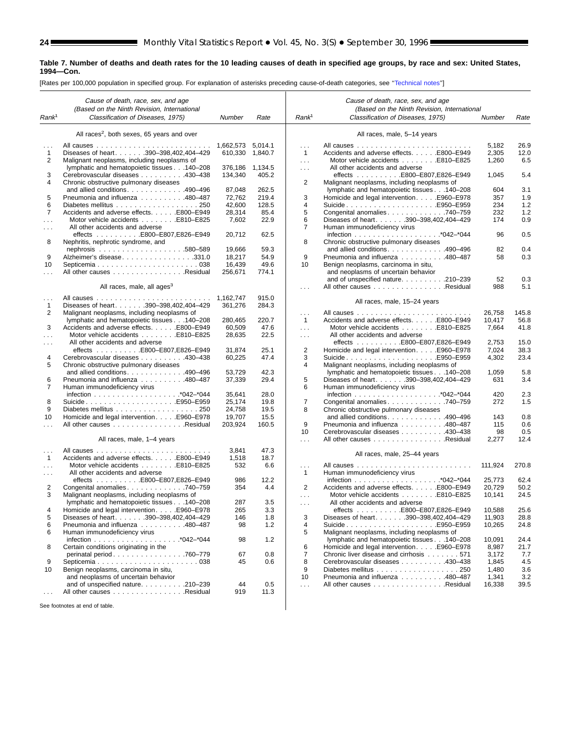۰

#### **Table 7. Number of deaths and death rates for the 10 leading causes of death in specified age groups, by race and sex: United States, 1994—Con.**

[Rates per 100,000 population in specified group. For explanation of asterisks preceding cause-of-death categories, see [''Technical notes'](#page-71-0)']

|                      | Cause of death, race, sex, and age<br>(Based on the Ninth Revision, International |           |         |                      | Cause of death, race, sex, and age<br>(Based on the Ninth Revision, International |         |       |
|----------------------|-----------------------------------------------------------------------------------|-----------|---------|----------------------|-----------------------------------------------------------------------------------|---------|-------|
| Rank <sup>1</sup>    | Classification of Diseases, 1975)                                                 | Number    | Rate    | Rank <sup>1</sup>    | Classification of Diseases, 1975)                                                 | Number  | Rate  |
|                      | All races <sup>2</sup> , both sexes, 65 years and over                            |           |         |                      | All races, male, 5-14 years                                                       |         |       |
|                      |                                                                                   | 1,662,573 | 5,014.1 | $\cdots$             |                                                                                   | 5,182   | 26.9  |
| 1                    | Diseases of heart. 390-398,402,404-429                                            | 610,330   | 1,840.7 | $\mathbf{1}$         | Accidents and adverse effects. E800-E949                                          | 2,305   | 12.0  |
| 2                    | Malignant neoplasms, including neoplasms of                                       |           |         | $\sim$ $\sim$ $\sim$ | Motor vehicle accidents E810-E825                                                 | 1,260   | 6.5   |
|                      | lymphatic and hematopoietic tissues 140-208                                       | 376,186   | 1,134.5 | $\sim 100$           | All other accidents and adverse                                                   |         |       |
| 3                    | Cerebrovascular diseases 430-438                                                  | 134,340   | 405.2   |                      |                                                                                   | 1,045   | 5.4   |
| $\overline{4}$       | Chronic obstructive pulmonary diseases                                            |           |         | 2                    | Malignant neoplasms, including neoplasms of                                       |         |       |
|                      | and allied conditions. $\ldots$ . 490–496                                         | 87,048    | 262.5   |                      | lymphatic and hematopoietic tissues 140-208                                       | 604     | 3.1   |
| 5                    | Pneumonia and influenza 480-487                                                   | 72,762    | 219.4   | 3                    | Homicide and legal interventionE960-E978                                          | 357     | 1.9   |
| 6                    |                                                                                   | 42.600    | 128.5   | 4                    | SuicideE950–E959                                                                  | 234     | $1.2$ |
| $\overline{7}$       | Accidents and adverse effects. E800-E949                                          | 28,314    | 85.4    | 5                    | Congenital anomalies740-759                                                       | 232     | 1.2   |
| $\cdots$             | Motor vehicle accidents E810-E825                                                 | 7,602     | 22.9    | 6                    | Diseases of heart. 390-398,402,404-429                                            | 174     | 0.9   |
| $\cdots$             | All other accidents and adverse                                                   |           |         | 7                    | Human immunodeficiency virus                                                      |         |       |
|                      | effects E800-E807,E826-E949                                                       | 20,712    | 62.5    |                      |                                                                                   | 96      | 0.5   |
| 8                    | Nephritis, nephrotic syndrome, and                                                |           |         | 8                    | Chronic obstructive pulmonary diseases                                            |         |       |
|                      |                                                                                   | 19,666    | 59.3    |                      | and allied conditions. 490-496                                                    | 82      | 0.4   |
| 9                    | Alzheimer's disease331.0                                                          | 18,217    | 54.9    | 9                    | Pneumonia and influenza 480–487                                                   | 58      | 0.3   |
| 10                   |                                                                                   | 16,439    | 49.6    | 10                   | Benign neoplasms, carcinoma in situ,                                              |         |       |
|                      | All other causes Residual                                                         | 256,671   | 774.1   |                      | and neoplasms of uncertain behavior                                               |         |       |
|                      |                                                                                   |           |         |                      | and of unspecified nature210-239                                                  | 52      | 0.3   |
|                      | All races, male, all ages <sup>3</sup>                                            |           |         | $\sim$ $\sim$ $\sim$ | All other causes Residual                                                         | 988     | 5.1   |
| $\sim$ $\sim$ $\sim$ |                                                                                   | 1.162.747 | 915.0   |                      |                                                                                   |         |       |
| $\mathbf{1}$         | Diseases of heart. 390-398,402,404-429                                            | 361,276   | 284.3   |                      | All races, male, 15-24 years                                                      |         |       |
| 2                    | Malignant neoplasms, including neoplasms of                                       |           |         | $\cdots$             |                                                                                   | 26,758  | 145.8 |
|                      | lymphatic and hematopoietic tissues 140-208                                       | 280,465   | 220.7   | $\mathbf{1}$         | Accidents and adverse effects. E800-E949                                          | 10,417  | 56.8  |
| 3                    | Accidents and adverse effects. E800-E949                                          | 60,509    | 47.6    | $\sim 100$           | Motor vehicle accidents E810-E825                                                 | 7,664   | 41.8  |
| $\mathbf{1}$         | Motor vehicle accidents E810-E825                                                 | 28,635    | 22.5    | $\sim 100$           | All other accidents and adverse                                                   |         |       |
| $\cdots$             | All other accidents and adverse                                                   |           |         |                      | effects E800-E807,E826-E949                                                       | 2,753   | 15.0  |
|                      | effects E800-E807,E826-E949                                                       | 31,874    | 25.1    | 2                    | Homicide and legal intervention. E960-E978                                        | 7,024   | 38.3  |
| 4                    | Cerebrovascular diseases 430–438                                                  | 60,225    | 47.4    | 3                    | SuicideE950–E959                                                                  | 4,302   | 23.4  |
| 5                    | Chronic obstructive pulmonary diseases                                            |           |         | 4                    | Malignant neoplasms, including neoplasms of                                       |         |       |
|                      | and allied conditions. 490-496                                                    | 53,729    | 42.3    |                      | lymphatic and hematopoietic tissues 140-208                                       | 1,059   | 5.8   |
| 6                    | Pneumonia and influenza 480–487                                                   | 37,339    | 29.4    | 5                    | Diseases of heart. 390-398,402,404-429                                            | 631     | 3.4   |
| 7                    | Human immunodeficiency virus                                                      |           |         | 6                    | Human immunodeficiency virus                                                      |         |       |
|                      |                                                                                   | 35,641    | 28.0    |                      |                                                                                   | 420     | 2.3   |
| 8                    | SuicideE950-E959                                                                  | 25,174    | 19.8    | $\overline{7}$       | Congenital anomalies740-759                                                       | 272     | 1.5   |
| 9                    |                                                                                   | 24,758    | 19.5    | 8                    | Chronic obstructive pulmonary diseases                                            |         |       |
| 10                   | Homicide and legal interventionE960-E978                                          | 19,707    | 15.5    |                      | and allied conditions. $\ldots$ . 490–496                                         | 143     | 0.8   |
|                      | All other causes Residual                                                         | 203,924   | 160.5   | 9                    | Pneumonia and influenza 480-487                                                   | 115     | 0.6   |
|                      |                                                                                   |           |         | 10                   | Cerebrovascular diseases 430–438                                                  | 98      | 0.5   |
|                      | All races, male, 1-4 years                                                        |           |         | $\cdots$             | All other causes Residual                                                         | 2,277   | 12.4  |
| $\cdots$             |                                                                                   | 3,841     | 47.3    |                      |                                                                                   |         |       |
| $\mathbf{1}$         | Accidents and adverse effects. E800-E949                                          | 1,518     | 18.7    |                      | All races, male, 25-44 years                                                      |         |       |
| $\cdots$             | Motor vehicle accidents E810-E825                                                 | 532       | 6.6     | $\sim 10$            |                                                                                   | 111,924 | 270.8 |
| $\sim$ $\sim$ $\sim$ | All other accidents and adverse                                                   |           |         | $\mathbf{1}$         | Human immunodeficiency virus                                                      |         |       |
|                      | effects E800-E807,E826-E949                                                       | 986       | 12.2    |                      |                                                                                   | 25,773  | 62.4  |
| $\overline{2}$       | Congenital anomalies 740–759                                                      | 354       | 4.4     | 2                    | Accidents and adverse effects. E800–E949                                          | 20,729  | 50.2  |
| 3                    | Malignant neoplasms, including neoplasms of                                       |           |         | $\sim 100$           | Motor vehicle accidents E810-E825                                                 | 10,141  | 24.5  |
|                      | lymphatic and hematopoietic tissues 140-208                                       | 287       | 3.5     | $\sim 100$           | All other accidents and adverse                                                   |         |       |
|                      | Homicide and legal intervention. E960-E978                                        | 265       | 3.3     |                      | effects E800-E807,E826-E949                                                       | 10,588  | 25.6  |
| 5                    | Diseases of heart. 390-398,402,404-429                                            | 146       | 1.8     | 3                    | Diseases of heart. 390-398,402,404-429                                            | 11,903  | 28.8  |
| 6                    | Pneumonia and influenza 480-487                                                   | 98        | 1.2     | 4                    | SuicideE950–E959                                                                  | 10,265  | 24.8  |
| 6                    | Human immunodeficiency virus                                                      |           |         | 5                    | Malignant neoplasms, including neoplasms of                                       |         |       |
|                      |                                                                                   | 98        | 1.2     |                      | lymphatic and hematopoietic tissues 140-208                                       | 10,091  | 24.4  |
| 8                    | Certain conditions originating in the                                             |           |         | 6                    | Homicide and legal intervention. E960-E978                                        | 8,987   | 21.7  |
|                      | perinatal period. 760-779                                                         | 67        | 0.8     | $\overline{7}$       | Chronic liver disease and cirrhosis 571                                           | 3,172   | 7.7   |
| 9                    |                                                                                   | 45        | 0.6     | 8                    | Cerebrovascular diseases 430-438                                                  | 1,845   | 4.5   |
| 10                   | Benign neoplasms, carcinoma in situ,                                              |           |         | 9                    | Diabetes mellitus 250                                                             | 1,480   | 3.6   |
|                      | and neoplasms of uncertain behavior                                               |           |         | 10                   | Pneumonia and influenza 480-487                                                   | 1,341   | 3.2   |
|                      | and of unspecified nature. 210-239                                                | 44        | 0.5     | $\sim 10$            | All other causes Residual                                                         | 16,338  | 39.5  |
|                      | All other causes Residual                                                         | 919       | 11.3    |                      |                                                                                   |         |       |
|                      | See footpotes at end of table                                                     |           |         |                      |                                                                                   |         |       |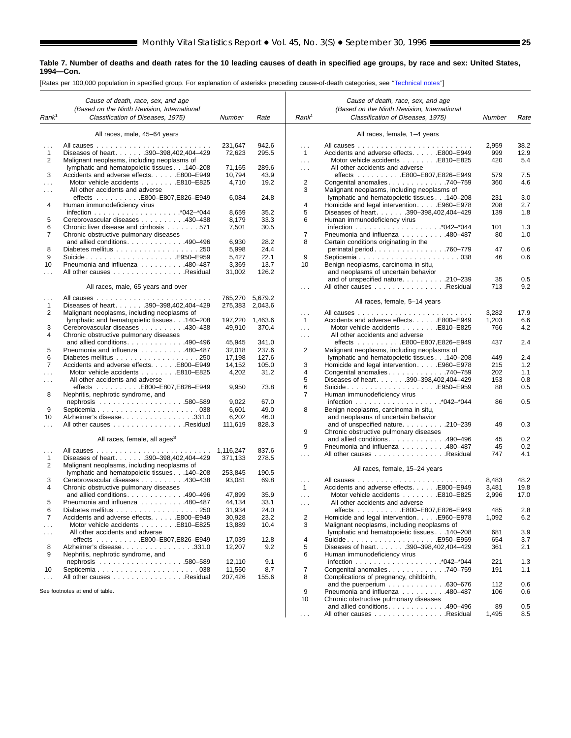#### **Table 7. Number of deaths and death rates for the 10 leading causes of death in specified age groups, by race and sex: United States, 1994—Con.**

[Rates per 100,000 population in specified group. For explanation of asterisks preceding cause-of-death categories, see [''Technical notes'](#page-71-0)']

|                           | Cause of death, race, sex, and age          |                 |         |                          | Cause of death, race, sex, and age                         |        |      |
|---------------------------|---------------------------------------------|-----------------|---------|--------------------------|------------------------------------------------------------|--------|------|
|                           | (Based on the Ninth Revision, International |                 |         |                          | (Based on the Ninth Revision, International                |        |      |
| Rank <sup>1</sup>         | Classification of Diseases, 1975)           | Number          | Rate    | Rank <sup>1</sup>        | Classification of Diseases, 1975)                          | Number | Rate |
|                           |                                             |                 |         |                          |                                                            |        |      |
|                           | All races, male, 45-64 years                |                 |         |                          | All races, female, 1-4 years                               |        |      |
|                           |                                             | 231,647         | 942.6   | $\cdots$                 |                                                            | 2,959  | 38.2 |
| 1                         | Diseases of heart. 390-398,402,404-429      | 72,623          | 295.5   | $\mathbf{1}$             | Accidents and adverse effects. E800-E949                   | 999    | 12.9 |
| 2                         | Malignant neoplasms, including neoplasms of |                 |         | $\ldots$                 | Motor vehicle accidents E810-E825                          | 420    | 5.4  |
|                           | lymphatic and hematopoietic tissues 140-208 | 71,165          | 289.6   | $\sim$ $\sim$ $\sim$     | All other accidents and adverse                            |        |      |
| 3                         | Accidents and adverse effects. E800-E949    | 10,794          | 43.9    |                          | effects E800-E807,E826-E949                                | 579    | 7.5  |
| $\cdots$                  | Motor vehicle accidents E810-E825           | 4,710           | 19.2    | 2                        | Congenital anomalies 740–759                               | 360    | 4.6  |
| $\sim$ $\sim$ $\sim$      | All other accidents and adverse             |                 |         | 3                        | Malignant neoplasms, including neoplasms of                |        |      |
|                           |                                             | 6,084           | 24.8    |                          | lymphatic and hematopoietic tissues 140-208                | 231    | 3.0  |
| 4                         | Human immunodeficiency virus                |                 |         | 4                        | Homicide and legal intervention. E960-E978                 | 208    | 2.7  |
|                           |                                             | 8,659           | 35.2    | 5                        | Diseases of heart. 390-398,402,404-429                     | 139    | 1.8  |
| 5                         | Cerebrovascular diseases 430-438            | 8,179           | 33.3    | 6                        | Human immunodeficiency virus                               |        |      |
| 6                         | Chronic liver disease and cirrhosis 571     | 7,501           | 30.5    |                          |                                                            | 101    | 1.3  |
|                           |                                             |                 |         |                          |                                                            | 80     |      |
| 7                         | Chronic obstructive pulmonary diseases      |                 |         | 7                        | Pneumonia and influenza 480-487                            |        | 1.0  |
|                           | and allied conditions. 490-496              | 6,930           | 28.2    | 8                        | Certain conditions originating in the                      |        |      |
| 8                         |                                             | 5,998           | 24.4    |                          | perinatal period. 760–779                                  | 47     | 0.6  |
| 9                         | SuicideE950–E959                            | 5,427           | 22.1    | 9                        |                                                            | 46     | 0.6  |
| 10                        | Pneumonia and influenza 480-487             | 3,369           | 13.7    | 10                       | Benign neoplasms, carcinoma in situ,                       |        |      |
| $\sim$                    | All other causes Residual                   | 31,002          | 126.2   |                          | and neoplasms of uncertain behavior                        |        |      |
|                           |                                             |                 |         |                          | and of unspecified nature210-239                           | 35     | 0.5  |
|                           | All races, male, 65 years and over          |                 |         | $\sim$ $\sim$ $\sim$     | All other causes Residual                                  | 713    | 9.2  |
|                           |                                             | 765,270 5,679.2 |         |                          |                                                            |        |      |
| $\sim$ $\sim$ $\sim$<br>1 | Diseases of heart. 390-398,402,404-429      | 275,383         | 2,043.6 |                          | All races, female, 5-14 years                              |        |      |
| 2                         | Malignant neoplasms, including neoplasms of |                 |         |                          |                                                            | 3,282  | 17.9 |
|                           | lymphatic and hematopoietic tissues 140-208 | 197,220 1,463.6 |         | $\cdots$<br>$\mathbf{1}$ | Accidents and adverse effects. E800-E949                   | 1,203  | 6.6  |
| 3                         |                                             | 49,910          | 370.4   |                          | Motor vehicle accidents E810-E825                          | 766    | 4.2  |
|                           | Cerebrovascular diseases 430–438            |                 |         | $\ldots$                 |                                                            |        |      |
| $\overline{4}$            | Chronic obstructive pulmonary diseases      |                 |         | $\cdots$                 | All other accidents and adverse                            |        |      |
|                           | and allied conditions. 490–496              | 45,945          | 341.0   |                          | effects E800-E807,E826-E949                                | 437    | 2.4  |
| 5                         | Pneumonia and influenza 480-487             | 32,018          | 237.6   | 2                        | Malignant neoplasms, including neoplasms of                |        |      |
| 6                         | Diabetes mellitus 250                       | 17,198          | 127.6   |                          | lymphatic and hematopoietic tissues 140-208                | 449    | 2.4  |
| 7                         | Accidents and adverse effects. E800-E949    | 14,152          | 105.0   | 3                        | Homicide and legal intervention. E960-E978                 | 215    | 1.2  |
|                           | Motor vehicle accidents E810-E825           | 4,202           | 31.2    | 4                        | Congenital anomalies 740–759                               | 202    | 1.1  |
| $\cdots$                  | All other accidents and adverse             |                 |         | 5                        | Diseases of heart. 390-398,402,404-429                     | 153    | 0.8  |
|                           | effects E800-E807,E826-E949                 | 9,950           | 73.8    | 6                        | SuicideE950-E959                                           | 88     | 0.5  |
| 8                         | Nephritis, nephrotic syndrome, and          |                 |         | 7                        | Human immunodeficiency virus                               |        |      |
|                           |                                             | 9,022           | 67.0    |                          |                                                            | 86     | 0.5  |
| 9                         |                                             | 6,601           | 49.0    | 8                        | Benign neoplasms, carcinoma in situ,                       |        |      |
| 10                        | Alzheimer's disease331.0                    | 6,202           | 46.0    |                          | and neoplasms of uncertain behavior                        |        |      |
| $\cdots$                  | All other causes Residual                   | 111,619         | 828.3   |                          | and of unspecified nature. $\ldots \ldots \ldots$ .210-239 | 49     | 0.3  |
|                           |                                             |                 |         | 9                        | Chronic obstructive pulmonary diseases                     |        |      |
|                           | All races, female, all ages <sup>3</sup>    |                 |         |                          | and allied conditions. $\ldots$ . 490–496                  | 45     | 0.2  |
|                           |                                             | 1,116,247       | 837.6   | 9                        | Pneumonia and influenza 480-487                            | 45     | 0.2  |
| $\sim$ $\sim$ $\sim$<br>1 | Diseases of heart. 390-398,402,404-429      | 371,133         | 278.5   | $\cdots$                 | All other causes Residual                                  | 747    | 4.1  |
| 2                         | Malignant neoplasms, including neoplasms of |                 |         |                          |                                                            |        |      |
|                           | lymphatic and hematopoietic tissues 140-208 | 253,845         | 190.5   |                          | All races, female, 15-24 years                             |        |      |
|                           |                                             |                 |         |                          |                                                            |        |      |
| 3                         | Cerebrovascular diseases 430-438            | 93,081          | 69.8    | $\cdots$                 |                                                            | 8,483  | 48.2 |
| 4                         | Chronic obstructive pulmonary diseases      |                 |         | $\mathbf{1}$             | Accidents and adverse effects. E800-E949                   | 3,481  | 19.8 |
|                           | and allied conditions. 490-496              | 47,899          | 35.9    | $\ldots$                 | Motor vehicle accidents E810-E825                          | 2,996  | 17.0 |
| 5                         | Pneumonia and influenza 480-487             | 44,134          | 33.1    | $\sim$                   | All other accidents and adverse                            |        |      |
| 6                         | Diabetes mellitus 250                       | 31,934          | 24.0    |                          | effects E800-E807,E826-E949                                | 485    | 2.8  |
| $\overline{7}$            | Accidents and adverse effects. E800-E949    | 30,928          | 23.2    | $\overline{\mathbf{c}}$  | Homicide and legal intervention. E960-E978                 | 1,092  | 6.2  |
| $\sim$ $\sim$ $\sim$      | Motor vehicle accidents E810–E825           | 13,889          | 10.4    | 3                        | Malignant neoplasms, including neoplasms of                |        |      |
| $\sim$ $\sim$ $\sim$      | All other accidents and adverse             |                 |         |                          | lymphatic and hematopoietic tissues 140-208                | 681    | 3.9  |
|                           | effects E800-E807,E826-E949                 | 17,039          | 12.8    | 4                        | SuicideE950-E959                                           | 654    | 3.7  |
| 8                         | Alzheimer's disease331.0                    | 12,207          | 9.2     | 5                        | Diseases of heart. 390-398,402,404-429                     | 361    | 2.1  |
| 9                         | Nephritis, nephrotic syndrome, and          |                 |         | 6                        | Human immunodeficiency virus                               |        |      |
|                           |                                             | 12,110          | 9.1     |                          |                                                            | 221    | 1.3  |
| 10                        |                                             | 11,550          | 8.7     | 7                        | Congenital anomalies. 740-759                              | 191    | 1.1  |
| $\cdots$                  | All other causes Residual                   | 207,426         | 155.6   | 8                        | Complications of pregnancy, childbirth,                    |        |      |
|                           |                                             |                 |         |                          | and the puerperium $\ldots \ldots \ldots \ldots$ .630-676  | 112    | 0.6  |
|                           | See footnotes at end of table.              |                 |         | 9                        | Pneumonia and influenza 480-487                            | 106    | 0.6  |
|                           |                                             |                 |         | 10                       | Chronic obstructive pulmonary diseases                     |        |      |
|                           |                                             |                 |         |                          | and allied conditions. 490–496                             | 89     | 0.5  |
|                           |                                             |                 |         | $\sim$ .                 | All other causes Residual                                  | 1,495  | 8.5  |
|                           |                                             |                 |         |                          |                                                            |        |      |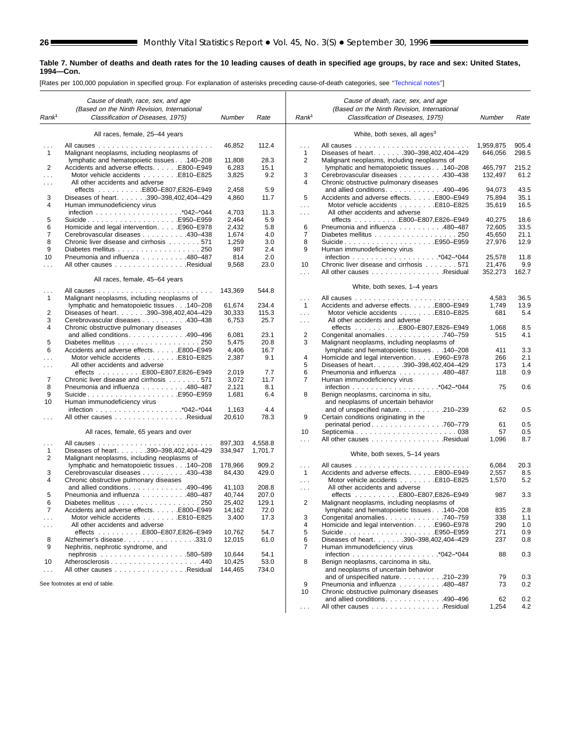ш

#### **Table 7. Number of deaths and death rates for the 10 leading causes of death in specified age groups, by race and sex: United States, 1994—Con.**

[Rates per 100,000 population in specified group. For explanation of asterisks preceding cause-of-death categories, see [''Technical notes''](#page-71-0)]

|                           | Cause of death, race, sex, and age                                             |                  |               |                      | Cause of death, race, sex, and age                                                         |                  |              |
|---------------------------|--------------------------------------------------------------------------------|------------------|---------------|----------------------|--------------------------------------------------------------------------------------------|------------------|--------------|
|                           | (Based on the Ninth Revision, International                                    |                  |               |                      | (Based on the Ninth Revision, International                                                |                  |              |
| Rank <sup>1</sup>         | Classification of Diseases, 1975)                                              | Number           | Rate          | Rank <sup>1</sup>    | Classification of Diseases, 1975)                                                          | Number           | Rate         |
|                           | All races, female, 25-44 years                                                 |                  |               |                      | White, both sexes, all ages <sup>3</sup>                                                   |                  |              |
|                           |                                                                                | 46.852           | 112.4         | .                    |                                                                                            | 1.959.875        | 905.4        |
| $\mathbf{1}$              | Malignant neoplasms, including neoplasms of                                    |                  |               | 1                    | Diseases of heart. 390-398,402,404-429                                                     | 646,056          | 298.5        |
|                           | lymphatic and hematopoietic tissues 140-208                                    | 11,808           | 28.3          | 2                    | Malignant neoplasms, including neoplasms of                                                |                  |              |
| 2                         | Accidents and adverse effects. E800-E949                                       | 6,283            | 15.1          |                      | lymphatic and hematopoietic tissues 140-208                                                | 465,797          | 215.2        |
| $\cdots$                  | Motor vehicle accidents E810-E825                                              | 3,825            | 9.2           | 3                    | Cerebrovascular diseases 430-438                                                           | 132,497          | 61.2         |
| $\cdots$                  | All other accidents and adverse                                                |                  |               | 4                    | Chronic obstructive pulmonary diseases                                                     |                  |              |
|                           | effects E800-E807,E826-E949                                                    | 2,458            | 5.9           |                      | and allied conditions490-496                                                               | 94,073           | 43.5         |
| 3                         | Diseases of heart. 390-398,402,404-429                                         | 4,860            | 11.7          | 5                    | Accidents and adverse effects. E800-E949                                                   | 75,894           | 35.1         |
| 4                         | Human immunodeficiency virus                                                   |                  |               | .                    |                                                                                            | 35,619           | 16.5         |
|                           |                                                                                | 4,703            | 11.3          | $\cdots$             | All other accidents and adverse                                                            |                  |              |
| 5<br>6                    | SuicideE950–E959                                                               | 2,464<br>2,432   | 5.9<br>5.8    | 6                    |                                                                                            | 40,275<br>72,605 | 18.6<br>33.5 |
| 7                         | Homicide and legal intervention. E960–E978<br>Cerebrovascular diseases 430–438 | 1,674            | 4.0           | $\overline{7}$       | Pneumonia and influenza 480-487<br>Diabetes mellitus 250                                   | 45,650           | 21.1         |
| 8                         | Chronic liver disease and cirrhosis 571                                        | 1,259            | 3.0           | 8                    | SuicideE950–E959                                                                           | 27,976           | 12.9         |
| 9                         |                                                                                | 987              | 2.4           | 9                    | Human immunodeficiency virus                                                               |                  |              |
| 10                        | Pneumonia and influenza 480-487                                                | 814              | 2.0           |                      |                                                                                            | 25,578           | 11.8         |
| $\cdots$                  | All other causes Residual                                                      | 9,568            | 23.0          | 10                   | Chronic liver disease and cirrhosis 571                                                    | 21,476           | 9.9          |
|                           |                                                                                |                  |               | .                    | All other causes Residual                                                                  | 352,273          | 162.7        |
|                           | All races, female, 45-64 years                                                 |                  |               |                      |                                                                                            |                  |              |
| $\cdots$                  |                                                                                | 143,369          | 544.8         |                      | White, both sexes, 1-4 years                                                               |                  |              |
| $\mathbf{1}$              | Malignant neoplasms, including neoplasms of                                    |                  |               | .                    |                                                                                            | 4,583            | 36.5         |
|                           | lymphatic and hematopoietic tissues 140-208                                    | 61,674           | 234.4         | $\mathbf{1}$         | Accidents and adverse effects. E800-E949                                                   | 1,749            | 13.9         |
| 2                         | Diseases of heart. 390-398,402,404-429                                         | 30,333           | 115.3         | $\sim$               | Motor vehicle accidents E810-E825                                                          | 681              | 5.4          |
| 3                         | Cerebrovascular diseases 430-438                                               | 6,753            | 25.7          | .                    | All other accidents and adverse                                                            |                  |              |
| 4                         | Chronic obstructive pulmonary diseases                                         |                  |               |                      | effects E800-E807,E826-E949                                                                | 1,068            | 8.5          |
|                           | and allied conditions. 490-496                                                 | 6,081            | 23.1          | 2                    | Congenital anomalies 740-759                                                               | 515              | 4.1          |
| 5<br>6                    | Diabetes mellitus 250<br>Accidents and adverse effects. E800-E949              | 5,475<br>4,406   | 20.8<br>16.7  | 3                    | Malignant neoplasms, including neoplasms of<br>lymphatic and hematopoietic tissues 140-208 | 411              | 3.3          |
| $\cdots$                  | Motor vehicle accidents E810-E825                                              | 2,387            | 9.1           | 4                    | Homicide and legal interventionE960-E978                                                   | 266              | 2.1          |
|                           | All other accidents and adverse                                                |                  |               | 5                    | Diseases of heart. 390-398,402,404-429                                                     | 173              | 1.4          |
| $\cdots$                  | effects E800-E807,E826-E949                                                    | 2,019            | 7.7           | 6                    | Pneumonia and influenza 480-487                                                            | 118              | 0.9          |
| 7                         | Chronic liver disease and cirrhosis 571                                        | 3,072            | 11.7          | 7                    | Human immunodeficiency virus                                                               |                  |              |
| 8                         | Pneumonia and influenza 480-487                                                | 2,121            | 8.1           |                      |                                                                                            | 75               | 0.6          |
| 9                         | SuicideE950–E959                                                               | 1,681            | 6.4           | 8                    | Benign neoplasms, carcinoma in situ,                                                       |                  |              |
| 10                        | Human immunodeficiency virus                                                   |                  |               |                      | and neoplasms of uncertain behavior                                                        |                  |              |
|                           |                                                                                | 1,163            | 4.4           |                      | and of unspecified nature. 210-239                                                         | 62               | 0.5          |
|                           | All other causes Residual                                                      | 20,610           | 78.3          | 9                    | Certain conditions originating in the                                                      |                  |              |
|                           |                                                                                |                  |               |                      | perinatal period. 760-779                                                                  | 61               | 0.5          |
|                           | All races, female, 65 years and over                                           |                  |               | 10                   |                                                                                            | 57               | 0.5          |
| $\cdots$                  |                                                                                | 897,303          | 4,558.8       | .                    | All other causes Residual                                                                  | 1,096            | 8.7          |
| 1                         | Diseases of heart. 390-398,402,404-429                                         | 334,947          | 1,701.7       |                      | White, both sexes, 5-14 years                                                              |                  |              |
| 2                         | Malignant neoplasms, including neoplasms of                                    |                  |               |                      |                                                                                            |                  |              |
|                           | lymphatic and hematopoietic tissues 140-208                                    | 178,966          | 909.2         | $\sim 100$           |                                                                                            | 6,084            | 20.3         |
| 3                         | Cerebrovascular diseases 430–438                                               | 84,430           | 429.0         | $\mathbf{1}$         | Accidents and adverse effects. E800-E949                                                   | 2,557            | 8.5          |
| 4                         | Chronic obstructive pulmonary diseases                                         |                  |               | $\cdots$             |                                                                                            | 1,570            | 5.2          |
|                           | and allied conditions. 490-496                                                 | 41,103           | 208.8         | $\sim$ $\sim$ $\sim$ | All other accidents and adverse                                                            |                  |              |
| 5<br>6                    | Pneumonia and influenza 480-487<br>Diabetes mellitus 250                       | 40.744           | 207.0         |                      | effects $\ldots \ldots \ldots$ . E800-E807, E826-E949                                      | 987              | 3.3          |
|                           | Accidents and adverse effects. E800-E949                                       | 25,402<br>14,162 | 129.1<br>72.0 | 2                    | Malignant neoplasms, including neoplasms of<br>lymphatic and hematopoietic tissues 140-208 | 835              | 2.8          |
|                           | Motor vehicle accidents E810–E825                                              | 3,400            | 17.3          | 3                    | Congenital anomalies 740–759                                                               | 338              | 1.1          |
| $\sim$ $\sim$<br>$\cdots$ | All other accidents and adverse                                                |                  |               | 4                    | Homicide and legal intervention. E960-E978                                                 | 290              | 1.0          |
|                           | effects E800-E807,E826-E949                                                    | 10,762           | 54.7          | 5                    | SuicideE950-E959                                                                           | 271              | 0.9          |
| 8                         | Alzheimer's disease331.0                                                       | 12,015           | 61.0          | 6                    | Diseases of heart. 390-398,402,404-429                                                     | 237              | 0.8          |
| 9                         | Nephritis, nephrotic syndrome, and                                             |                  |               | 7                    | Human immunodeficiency virus                                                               |                  |              |
|                           |                                                                                | 10,644           | 54.1          |                      |                                                                                            | 88               | 0.3          |
| 10                        | Atherosclerosis440                                                             | 10,425           | 53.0          | 8                    | Benign neoplasms, carcinoma in situ,                                                       |                  |              |
| $\cdots$                  | All other causes Residual                                                      | 144,465          | 734.0         |                      | and neoplasms of uncertain behavior                                                        |                  |              |
|                           |                                                                                |                  |               |                      | and of unspecified nature. 210-239                                                         | 79               | 0.3          |
|                           | See footnotes at end of table.                                                 |                  |               | 9                    | Pneumonia and influenza 480-487                                                            | 73               | 0.2          |
|                           |                                                                                |                  |               | 10                   | Chronic obstructive pulmonary diseases                                                     |                  |              |
|                           |                                                                                |                  |               |                      | and allied conditions. 490-496<br>All other causes Residual                                | 62               | 0.2          |
|                           |                                                                                |                  |               |                      |                                                                                            | 1,254            | 4.2          |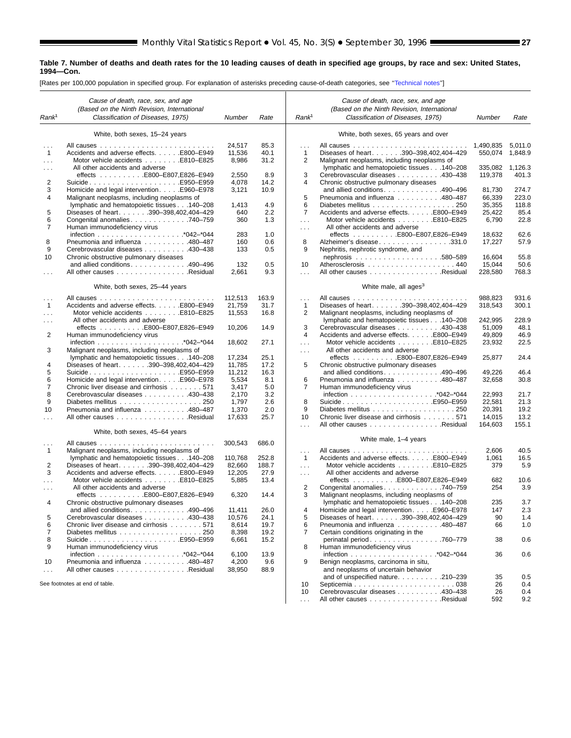#### **Table 7. Number of deaths and death rates for the 10 leading causes of death in specified age groups, by race and sex: United States, 1994—Con.**

[Rates per 100,000 population in specified group. For explanation of asterisks preceding cause-of-death categories, see [''Technical notes'](#page-71-0)']

|                          | Cause of death, race, sex, and age                                |         |       |                          | Cause of death, race, sex, and age          |           |              |
|--------------------------|-------------------------------------------------------------------|---------|-------|--------------------------|---------------------------------------------|-----------|--------------|
|                          | (Based on the Ninth Revision, International                       |         |       |                          | (Based on the Ninth Revision, International |           |              |
| Rank <sup>1</sup>        | Classification of Diseases, 1975)                                 | Number  | Rate  | Rank <sup>1</sup>        | Classification of Diseases, 1975)           | Number    | Rate         |
|                          |                                                                   |         |       |                          |                                             |           |              |
|                          | White, both sexes, 15-24 years                                    |         |       |                          | White, both sexes, 65 years and over        |           |              |
|                          |                                                                   | 24,517  | 85.3  | .                        |                                             | 1,490,835 | 5,011.0      |
| 1                        | Accidents and adverse effects. E800-E949                          | 11,536  | 40.1  | $\mathbf{1}$             | Diseases of heart. 390-398,402,404-429      | 550.074   | 1,848.9      |
| $\cdots$                 | Motor vehicle accidents E810-E825                                 | 8,986   | 31.2  | 2                        | Malignant neoplasms, including neoplasms of |           |              |
| .                        | All other accidents and adverse                                   |         |       |                          | lymphatic and hematopoietic tissues 140-208 | 335,082   | 1,126.3      |
|                          | effects E800-E807,E826-E949                                       | 2,550   | 8.9   | 3                        | Cerebrovascular diseases 430-438            | 119,378   | 401.3        |
| 2                        | SuicideE950–E959                                                  | 4,078   | 14.2  | 4                        | Chronic obstructive pulmonary diseases      |           |              |
| 3                        | Homicide and legal intervention. E960-E978                        | 3,121   | 10.9  |                          | and allied conditions. 490-496              | 81,730    | 274.7        |
| 4                        | Malignant neoplasms, including neoplasms of                       |         |       | 5                        | Pneumonia and influenza 480-487             | 66,339    | 223.0        |
|                          | lymphatic and hematopoietic tissues 140-208                       | 1,413   | 4.9   | 6                        | Diabetes mellitus 250                       | 35,355    | 118.8        |
| 5                        | Diseases of heart. 390-398,402,404-429                            | 640     | 2.2   | $\overline{7}$           | Accidents and adverse effects. E800-E949    | 25,422    | 85.4         |
|                          |                                                                   |         |       |                          |                                             |           |              |
| 6                        | Congenital anomalies740-759                                       | 360     | 1.3   | $\sim 100$               | Motor vehicle accidents E810-E825           | 6,790     | 22.8         |
| 7                        | Human immunodeficiency virus                                      |         |       | $\sim 100$               | All other accidents and adverse             |           |              |
|                          |                                                                   | 283     | 1.0   |                          | effects E800-E807,E826-E949                 | 18,632    | 62.6         |
| 8                        | Pneumonia and influenza 480-487                                   | 160     | 0.6   | 8                        | Alzheimer's disease331.0                    | 17,227    | 57.9         |
| 9                        | Cerebrovascular diseases 430–438                                  | 133     | 0.5   | 9                        | Nephritis, nephrotic syndrome, and          |           |              |
| 10                       | Chronic obstructive pulmonary diseases                            |         |       |                          |                                             | 16,604    | 55.8         |
|                          | and allied conditions. $\ldots$ . 490–496                         | 132     | 0.5   | 10                       |                                             | 15,044    | 50.6         |
| $\cdots$                 | All other causes Residual                                         | 2,661   | 9.3   | $\mathbf{1}$             | All other causes Residual                   | 228,580   | 768.3        |
|                          | White, both sexes, 25-44 years                                    |         |       |                          | White male, all ages <sup>3</sup>           |           |              |
|                          |                                                                   | 112,513 | 163.9 |                          |                                             | 988,823   | 931.6        |
| $\cdots$<br>$\mathbf{1}$ | Accidents and adverse effects. E800-E949                          | 21,759  | 31.7  | $\cdots$<br>$\mathbf{1}$ | Diseases of heart. 390-398,402,404-429      | 318,543   | 300.1        |
|                          | Motor vehicle accidents E810-E825                                 |         |       | $\overline{2}$           |                                             |           |              |
| $\cdots$                 |                                                                   | 11,553  | 16.8  |                          | Malignant neoplasms, including neoplasms of |           | 228.9        |
| .                        | All other accidents and adverse<br>effects E800-E807,E826-E949    |         |       |                          | lymphatic and hematopoietic tissues 140-208 | 242,995   |              |
|                          |                                                                   | 10,206  | 14.9  | 3                        | Cerebrovascular diseases 430-438            | 51,009    | 48.1<br>46.9 |
| 2                        | Human immunodeficiency virus                                      |         |       | 4                        | Accidents and adverse effects. E800-E949    | 49,809    |              |
|                          |                                                                   | 18,602  | 27.1  | $\ldots$                 | Motor vehicle accidents E810-E825           | 23,932    | 22.5         |
| 3                        | Malignant neoplasms, including neoplasms of                       |         |       | $\sim$ $\sim$ $\sim$     | All other accidents and adverse             |           |              |
|                          | lymphatic and hematopoietic tissues 140-208                       | 17,234  | 25.1  |                          |                                             | 25,877    | 24.4         |
| 4                        | Diseases of heart. 390-398,402,404-429                            | 11,785  | 17.2  | 5                        | Chronic obstructive pulmonary diseases      |           |              |
| 5                        |                                                                   | 11,212  | 16.3  |                          | and allied conditions. 490-496              | 49,226    | 46.4         |
| 6                        | Homicide and legal intervention. E960–E978                        | 5,534   | 8.1   | 6                        | Pneumonia and influenza 480-487             | 32,658    | 30.8         |
| 7                        | Chronic liver disease and cirrhosis 571                           | 3,417   | 5.0   | 7                        | Human immunodeficiency virus                |           |              |
| 8                        | Cerebrovascular diseases 430-438                                  | 2,170   | 3.2   |                          |                                             | 22,993    | 21.7         |
| 9                        | Diabetes mellitus 250                                             | 1,797   | 2.6   | 8                        | SuicideE950–E959                            | 22,581    | 21.3         |
| 10                       | Pneumonia and influenza 480-487                                   | 1,370   | 2.0   | 9                        | Diabetes mellitus 250                       | 20,391    | 19.2         |
| $\cdots$                 | All other causes Residual                                         | 17,633  | 25.7  | 10                       | Chronic liver disease and cirrhosis 571     | 14,015    | 13.2         |
|                          |                                                                   |         |       | $\sim 100$               | All other causes Residual                   | 164,603   | 155.1        |
|                          | White, both sexes, 45-64 years                                    |         |       |                          |                                             |           |              |
| $\sim$ $\sim$            |                                                                   | 300,543 | 686.0 |                          | White male, 1–4 years                       |           |              |
| $\mathbf{1}$             | Malignant neoplasms, including neoplasms of                       |         |       | $\cdots$                 |                                             | 2,606     | 40.5         |
|                          | lymphatic and hematopoietic tissues 140-208                       | 110,768 | 252.8 | $\mathbf{1}$             | Accidents and adverse effects. E800-E949    | 1,061     | 16.5         |
| 2                        | Diseases of heart. 390-398,402,404-429                            | 82,660  | 188.7 | $\sim 100$               | Motor vehicle accidents E810-E825           | 379       | 5.9          |
| 3                        | Accidents and adverse effects. E800-E949                          | 12,205  | 27.9  | $\sim$ $\sim$ $\sim$     | All other accidents and adverse             |           |              |
| $\sim$ $\sim$            | Motor vehicle accidents E810–E825                                 | 5,885   | 13.4  |                          |                                             | 682       | 10.6         |
| $\cdots$                 | All other accidents and adverse                                   |         |       | 2                        | Congenital anomalies. 740-759               | 254       | 3.9          |
|                          | effects $\ldots \ldots \ldots$ . E800-E807, E826-E949             | 6,320   | 14.4  | 3                        | Malignant neoplasms, including neoplasms of |           |              |
| 4                        | Chronic obstructive pulmonary diseases                            |         |       |                          | lymphatic and hematopoietic tissues 140-208 | 235       | 3.7          |
|                          | and allied conditions.<br>490-496                                 | 11,411  | 26.0  | 4                        | Homicide and legal intervention. E960–E978  | 147       | 2.3          |
| 5                        | Cerebrovascular diseases 430-438                                  | 10,576  | 24.1  | 5                        | Diseases of heart. 390-398,402,404-429      | 90        | 1.4          |
| 6                        | Chronic liver disease and cirrhosis 571                           | 8,614   | 19.7  | 6                        | Pneumonia and influenza 480-487             | 66        | 1.0          |
| 7                        | Diabetes mellitus $\ldots \ldots \ldots \ldots \ldots \ldots 250$ | 8,398   | 19.2  | 7                        | Certain conditions originating in the       |           |              |
| 8                        |                                                                   | 6,661   | 15.2  |                          | perinatal period760-779                     | 38        | 0.6          |
| 9                        | Human immunodeficiency virus                                      |         |       | 8                        | Human immunodeficiency virus                |           |              |
|                          |                                                                   | 6,100   | 13.9  |                          |                                             | 36        | 0.6          |
| 10                       | Pneumonia and influenza 480-487                                   | 4,200   | 9.6   | 9                        | Benign neoplasms, carcinoma in situ,        |           |              |
| $\sim$ $\sim$ $\sim$     | All other causes Residual                                         | 38,950  | 88.9  |                          | and neoplasms of uncertain behavior         |           |              |
|                          |                                                                   |         |       |                          | and of unspecified nature210-239            | 35        | 0.5          |
|                          | See footnotes at end of table.                                    |         |       | 10                       |                                             | 26        | 0.4          |
|                          |                                                                   |         |       | 10                       | Cerebrovascular diseases 430-438            | 26        | 0.4          |
|                          |                                                                   |         |       | $\sim$ .                 | All other causes Residual                   | 592       | 9.2          |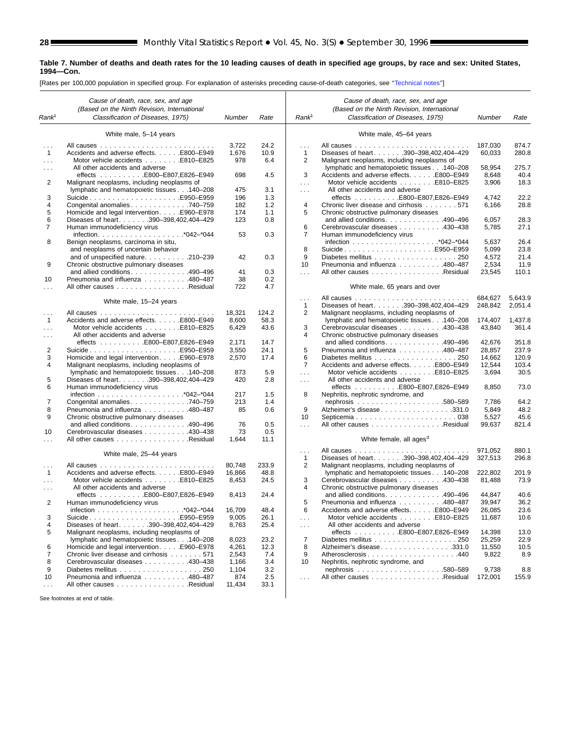s

#### **Table 7. Number of deaths and death rates for the 10 leading causes of death in specified age groups, by race and sex: United States, 1994—Con.**

[Rates per 100,000 population in specified group. For explanation of asterisks preceding cause-of-death categories, see [''Technical notes'](#page-71-0)']

|                               | Cause of death, race, sex, and age                  |                 |       |                                      | Cause of death, race, sex, and age                                                    |                    |                    |
|-------------------------------|-----------------------------------------------------|-----------------|-------|--------------------------------------|---------------------------------------------------------------------------------------|--------------------|--------------------|
|                               | (Based on the Ninth Revision, International         |                 |       |                                      | (Based on the Ninth Revision, International                                           |                    |                    |
| Rank <sup>1</sup>             | Classification of Diseases, 1975)                   | Number          | Rate  | Rank <sup>1</sup>                    | Classification of Diseases, 1975)                                                     | Number             | Rate               |
|                               | White male, 5-14 years                              |                 |       |                                      | White male, 45-64 years                                                               |                    |                    |
| $\cdots$                      |                                                     | 3,722           | 24.2  | $\cdots$                             |                                                                                       | 187,030            | 874.7              |
| $\mathbf{1}$                  | Accidents and adverse effects. E800-E949            | 1,676           | 10.9  | $\mathbf{1}$                         | Diseases of heart. 390-398,402,404-429                                                | 60,033             | 280.8              |
| $\cdots$                      | Motor vehicle accidents E810-E825                   | 978             | 6.4   | 2                                    | Malignant neoplasms, including neoplasms of                                           |                    |                    |
| .                             | All other accidents and adverse                     |                 |       |                                      | lymphatic and hematopoietic tissues 140-208                                           | 58,954             | 275.7              |
|                               | effects E800-E807,E826-E949                         | 698             | 4.5   | 3                                    | Accidents and adverse effects. E800-E949                                              | 8,648              | 40.4               |
| 2                             | Malignant neoplasms, including neoplasms of         |                 |       | $\sim$                               | Motor vehicle accidents E810-E825                                                     | 3,906              | 18.3               |
|                               | lymphatic and hematopoietic tissues 140-208         | 475             | 3.1   | $\sim 100$                           | All other accidents and adverse                                                       |                    |                    |
| 3                             | SuicideE950-E959                                    | 196             | 1.3   |                                      |                                                                                       | 4,742              | 22.2               |
| 4                             | Congenital anomalies740-759                         | 182             | 1.2   | 4                                    | Chronic liver disease and cirrhosis 571                                               | 6,166              | 28.8               |
| 5                             | Homicide and legal intervention. E960-E978          | 174             | 1.1   | 5                                    | Chronic obstructive pulmonary diseases                                                |                    |                    |
| 6                             | Diseases of heart. 390-398,402,404-429              | 123             | 0.8   |                                      | and allied conditions490-496                                                          | 6,057              | 28.3               |
| 7                             | Human immunodeficiency virus                        |                 |       | 6                                    | Cerebrovascular diseases 430–438                                                      | 5,785              | 27.1               |
|                               |                                                     | 53              | 0.3   | 7                                    | Human immunodeficiency virus                                                          |                    |                    |
| 8                             | Benign neoplasms, carcinoma in situ,                |                 |       |                                      |                                                                                       | 5,637              | 26.4               |
|                               | and neoplasms of uncertain behavior                 |                 |       | 8                                    | SuicideE950–E959                                                                      | 5,099              | 23.8               |
|                               | and of unspecified nature210-239                    | 42              | 0.3   | 9                                    |                                                                                       | 4,572              | 21.4               |
| 9                             | Chronic obstructive pulmonary diseases              |                 |       | 10                                   | Pneumonia and influenza 480-487                                                       | 2,534              | 11.9               |
|                               | and allied conditions. 490–496                      | 41              | 0.3   | $\sim 100$                           | All other causes Residual                                                             | 23,545             | 110.1              |
| 10                            | Pneumonia and influenza 480–487                     | 38              | 0.2   |                                      |                                                                                       |                    |                    |
| .                             | All other causes Residual                           | 722             | 4.7   |                                      | White male, 65 years and over                                                         |                    |                    |
|                               | White male, 15-24 years                             |                 |       | $\sim$ $\sim$ $\sim$<br>$\mathbf{1}$ |                                                                                       | 684,627<br>248,842 | 5,643.9<br>2,051.4 |
|                               |                                                     |                 | 124.2 | 2                                    | Diseases of heart. 390-398,402,404-429<br>Malignant neoplasms, including neoplasms of |                    |                    |
| $\sim$ $\sim$<br>$\mathbf{1}$ | Accidents and adverse effects. E800-E949            | 18,321<br>8,600 | 58.3  |                                      | lymphatic and hematopoietic tissues 140-208                                           | 174,407            | 1,437.8            |
|                               | Motor vehicle accidents E810-E825                   | 6,429           | 43.6  | 3                                    | Cerebrovascular diseases 430-438                                                      | 43,840             | 361.4              |
| .                             | All other accidents and adverse                     |                 |       | 4                                    | Chronic obstructive pulmonary diseases                                                |                    |                    |
| $\sim$ $\sim$                 | effects E800-E807,E826-E949                         | 2,171           | 14.7  |                                      | and allied conditions490-496                                                          | 42,676             | 351.8              |
| 2                             | SuicideE950–E959                                    | 3,550           | 24.1  | 5                                    | Pneumonia and influenza 480-487                                                       | 28,857             | 237.9              |
| 3                             | Homicide and legal intervention. E960–E978          | 2,570           | 17.4  | 6                                    |                                                                                       | 14,662             | 120.9              |
| 4                             | Malignant neoplasms, including neoplasms of         |                 |       | $\overline{7}$                       | Accidents and adverse effects. E800-E949                                              | 12,544             | 103.4              |
|                               | lymphatic and hematopoietic tissues 140-208         | 873             | 5.9   | $\sim 100$                           | Motor vehicle accidents E810-E825                                                     | 3,694              | 30.5               |
| 5                             | Diseases of heart. 390-398,402,404-429              | 420             | 2.8   | $\sim 100$                           | All other accidents and adverse                                                       |                    |                    |
| 6                             | Human immunodeficiency virus                        |                 |       |                                      | effects E800-E807,E826-E949                                                           | 8,850              | 73.0               |
|                               |                                                     | 217             | 1.5   | 8                                    | Nephritis, nephrotic syndrome, and                                                    |                    |                    |
| 7                             | Congenital anomalies740-759                         | 213             | 1.4   |                                      |                                                                                       | 7,786              | 64.2               |
| 8                             | Pneumonia and influenza 480-487                     | 85              | 0.6   | 9                                    | Alzheimer's disease331.0                                                              | 5,849              | 48.2               |
| 9                             | Chronic obstructive pulmonary diseases              |                 |       | 10                                   |                                                                                       | 5,527              | 45.6               |
|                               | and allied conditions. 490–496                      | 76              | 0.5   | $\sim 10$                            | All other causes Residual                                                             | 99,637             | 821.4              |
| 10                            | Cerebrovascular diseases 430-438                    | 73              | 0.5   |                                      |                                                                                       |                    |                    |
| .                             | All other causes Residual                           | 1,644           | 11.1  |                                      | White female, all ages <sup>3</sup>                                                   |                    |                    |
|                               |                                                     |                 |       | $\cdots$                             |                                                                                       | 971,052            | 880.1              |
|                               | White male, 25-44 years                             |                 |       | $\mathbf{1}$                         | Diseases of heart. 390-398,402,404-429                                                | 327,513            | 296.8              |
| $\sim$ $\sim$ $\sim$          |                                                     | 80,748          | 233.9 | $\overline{2}$                       | Malignant neoplasms, including neoplasms of                                           |                    |                    |
| $\overline{1}$                | Accidents and adverse effects. E800-E949            | 16,866          | 48.8  |                                      | lymphatic and hematopoietic tissues 140-208                                           | 222,802            | 201.9              |
| $\cdots$                      | Motor vehicle accidents E810–E825                   | 8,453           | 24.5  | 3                                    | Cerebrovascular diseases 430-438                                                      | 81,488             | 73.9               |
| $\sim$ $\sim$ $\sim$          | All other accidents and adverse                     |                 |       | 4                                    | Chronic obstructive pulmonary diseases                                                |                    |                    |
|                               | effects $\ldots \ldots \ldots$ E800-E807, E826-E949 | 8,413           | 24.4  |                                      | and allied conditions. 490–496                                                        | 44,847             | 40.6               |
| 2                             | Human immunodeficiency virus                        |                 |       | 5                                    | Pneumonia and influenza 480-487                                                       | 39,947             | 36.2               |
|                               |                                                     | 16,709          | 48.4  | 6                                    | Accidents and adverse effects. E800-E949                                              | 26,085             | 23.6               |
| 3                             |                                                     | 9,005           | 26.1  | $\sim$ .                             | Motor vehicle accidents E810-E825                                                     | 11,687             | 10.6               |
| 4                             | Diseases of heart. 390-398,402,404-429              | 8,763           | 25.4  | $\sim$ $\sim$ $\sim$                 | All other accidents and adverse                                                       |                    |                    |
| 5                             | Malignant neoplasms, including neoplasms of         |                 |       |                                      | effects E800-E807,E826-E949                                                           | 14,398             | 13.0               |
|                               | lymphatic and hematopoietic tissues 140-208         | 8,023           | 23.2  | 7                                    |                                                                                       | 25,259             | 22.9               |
| 6                             | Homicide and legal intervention. E960–E978          | 4,261           | 12.3  | 8                                    | Alzheimer's disease331.0                                                              | 11,550             | 10.5               |
| 7                             | Chronic liver disease and cirrhosis 571             | 2,543           | 7.4   | 9                                    | Atherosclerosis440                                                                    | 9,822              | 8.9                |
| 8                             | Cerebrovascular diseases 430-438                    | 1,166           | 3.4   | 10                                   | Nephritis, nephrotic syndrome, and                                                    |                    |                    |
| 9                             |                                                     | 1,104           | 3.2   |                                      |                                                                                       | 9,738              | 8.8                |
| 10                            | Pneumonia and influenza 480-487                     | 874             | 2.5   | $\sim$ $\sim$ $\sim$                 | All other causes Residual                                                             | 172,001            | 155.9              |
| $\ldots$                      | All other causes Residual                           | 11,434          | 33.1  |                                      |                                                                                       |                    |                    |
|                               |                                                     |                 |       |                                      |                                                                                       |                    |                    |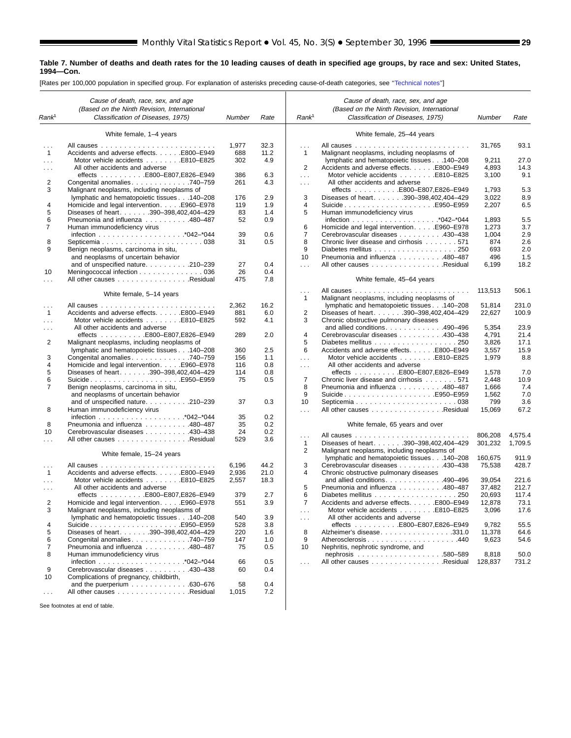#### **Table 7. Number of deaths and death rates for the 10 leading causes of death in specified age groups, by race and sex: United States, 1994—Con.**

[Rates per 100,000 population in specified group. For explanation of asterisks preceding cause-of-death categories, see '['Technical notes](#page-71-0)'']

|                          | Cause of death, race, sex, and age                                                      |              |              |                          | Cause of death, race, sex, and age                             |                    |                    |
|--------------------------|-----------------------------------------------------------------------------------------|--------------|--------------|--------------------------|----------------------------------------------------------------|--------------------|--------------------|
|                          | (Based on the Ninth Revision, International                                             |              |              |                          | (Based on the Ninth Revision, International                    |                    |                    |
| Rank <sup>1</sup>        | Classification of Diseases, 1975)                                                       | Number       | Rate         | Rank <sup>1</sup>        | Classification of Diseases, 1975)                              | Number             | Rate               |
|                          | White female, 1-4 years                                                                 |              |              |                          | White female, 25-44 years                                      |                    |                    |
| $\cdots$<br>$\mathbf{1}$ | Accidents and adverse effects. E800-E949                                                | 1,977<br>688 | 32.3<br>11.2 | .<br>$\overline{1}$      | Malignant neoplasms, including neoplasms of                    | 31,765             | 93.1               |
| $\sim$                   |                                                                                         | 302          | 4.9          |                          | lymphatic and hematopoietic tissues 140-208                    | 9,211              | 27.0               |
| .                        | All other accidents and adverse                                                         |              |              | 2                        | Accidents and adverse effects. E800-E949                       | 4,893              | 14.3               |
|                          |                                                                                         | 386          | 6.3          | $\cdots$                 | Motor vehicle accidents E810-E825                              | 3,100              | 9.1                |
| 2                        | Congenital anomalies 740–759                                                            | 261          | 4.3          | $\cdots$                 | All other accidents and adverse                                |                    |                    |
| 3                        | Malignant neoplasms, including neoplasms of                                             |              |              |                          | effects E800-E807,E826-E949                                    | 1,793              | 5.3                |
|                          | lymphatic and hematopoietic tissues 140-208                                             | 176          | 2.9          | 3                        | Diseases of heart. 390-398,402,404-429                         | 3,022              | 8.9                |
| 4                        | Homicide and legal interventionE960-E978                                                | 119          | 1.9          | 4                        | SuicideE950–E959                                               | 2,207              | 6.5                |
| 5                        | Diseases of heart. 390-398,402,404-429                                                  | 83           | 1.4          | 5                        | Human immunodeficiency virus                                   |                    |                    |
| 6                        | Pneumonia and influenza 480-487                                                         | 52           | 0.9          |                          |                                                                | 1,893              | 5.5                |
| $\overline{7}$           | Human immunodeficiency virus                                                            |              |              | 6<br>7                   | Homicide and legal intervention. E960-E978                     | 1,273              | 3.7                |
|                          |                                                                                         | 39           | 0.6          |                          | Cerebrovascular diseases 430–438                               | 1,004              | 2.9<br>2.6         |
| 8<br>9                   | Benign neoplasms, carcinoma in situ,                                                    | 31           | 0.5          | 8<br>9                   | Chronic liver disease and cirrhosis 571                        | 874<br>693         | 2.0                |
|                          | and neoplasms of uncertain behavior                                                     |              |              | 10                       | Pneumonia and influenza 480-487                                | 496                | 1.5                |
|                          | and of unspecified nature210-239                                                        | 27           | 0.4          | $\sim$ .                 | All other causes Residual                                      | 6,199              | 18.2               |
| 10                       | Meningococcal infection 036                                                             | 26           | 0.4          |                          |                                                                |                    |                    |
| $\cdots$                 | All other causes Residual                                                               | 475          | 7.8          |                          | White female, 45-64 years                                      |                    |                    |
|                          |                                                                                         |              |              | $\sim$ .                 |                                                                | 113,513            | 506.1              |
|                          | White female, 5-14 years                                                                |              |              | 1                        | Malignant neoplasms, including neoplasms of                    |                    |                    |
| $\cdots$                 |                                                                                         | 2,362        | 16.2         |                          | lymphatic and hematopoietic tissues 140-208                    | 51,814             | 231.0              |
| $\mathbf{1}$             | Accidents and adverse effects. E800–E949                                                | 881          | 6.0          | 2                        | Diseases of heart. 390-398,402,404-429                         | 22,627             | 100.9              |
| $\cdots$                 | Motor vehicle accidents E810-E825                                                       | 592          | 4.1          | 3                        | Chronic obstructive pulmonary diseases                         |                    |                    |
| $\cdots$                 | All other accidents and adverse                                                         |              |              |                          | and allied conditions490-496                                   | 5,354              | 23.9               |
|                          | effects E800-E807,E826-E949                                                             | 289          | 2.0          | 4                        | Cerebrovascular diseases 430–438                               | 4,791              | 21.4               |
| 2                        | Malignant neoplasms, including neoplasms of                                             |              |              | 5                        | Diabetes mellitus 250                                          | 3,826              | 17.1               |
|                          | lymphatic and hematopoietic tissues 140-208                                             | 360          | 2.5          | 6                        | Accidents and adverse effects. E800-E949                       | 3,557              | 15.9               |
| 3                        | Congenital anomalies 740–759                                                            | 156          | 1.1          | $\cdots$                 | Motor vehicle accidents E810-E825                              | 1,979              | 8.8                |
| 4<br>5                   | Homicide and legal intervention. E960-E978<br>Diseases of heart. 390-398,402,404-429    | 116<br>114   | 0.8<br>0.8   | $\sim$ $\sim$            | All other accidents and adverse<br>effects E800-E807,E826-E949 | 1,578              | 7.0                |
| 6                        | SuicideE950-E959                                                                        | 75           | 0.5          | 7                        | Chronic liver disease and cirrhosis 571                        | 2,448              | 10.9               |
| 7                        | Benign neoplasms, carcinoma in situ,                                                    |              |              | 8                        | Pneumonia and influenza 480-487                                | 1,666              | 7.4                |
|                          | and neoplasms of uncertain behavior                                                     |              |              | 9                        | SuicideE950–E959                                               | 1,562              | 7.0                |
|                          | and of unspecified nature210-239                                                        | 37           | 0.3          | 10                       |                                                                | 799                | 3.6                |
| 8                        | Human immunodeficiency virus                                                            |              |              | $\sim$ .                 | All other causes Residual                                      | 15,069             | 67.2               |
|                          |                                                                                         | 35           | 0.2          |                          |                                                                |                    |                    |
| 8                        | Pneumonia and influenza 480-487                                                         | 35           | 0.2          |                          | White female, 65 years and over                                |                    |                    |
| 10                       | Cerebrovascular diseases 430–438                                                        | 24           | 0.2          |                          |                                                                |                    |                    |
| .                        | All other causes Residual                                                               | 529          | 3.6          | $\cdots$<br>$\mathbf{1}$ | Diseases of heart. 390-398,402,404-429                         | 806,208<br>301,232 | 4,575.4<br>1,709.5 |
|                          |                                                                                         |              |              | 2                        | Malignant neoplasms, including neoplasms of                    |                    |                    |
|                          | White female, 15-24 years                                                               |              |              |                          | lymphatic and hematopoietic tissues 140-208                    | 160,675            | 911.9              |
| $\cdots$                 |                                                                                         | 6,196        | 44.2         | 3                        | Cerebrovascular diseases 430-438                               | 75,538             | 428.7              |
| $\overline{1}$           | Accidents and adverse effects. E800-E949                                                | 2,936        | 21.0         | 4                        | Chronic obstructive pulmonary diseases                         |                    |                    |
| $\cdots$                 |                                                                                         | 2,557        | 18.3         |                          | and allied conditions490-496                                   | 39,054             | 221.6              |
| $\cdots$                 | All other accidents and adverse                                                         |              |              | 5                        | Pneumonia and influenza 480-487                                | 37,482             | 212.7              |
|                          |                                                                                         | 379          | 2.7          | 6                        | Diabetes mellitus 250                                          | 20,693             | 117.4              |
| 2                        | Homicide and legal intervention. E960–E978                                              | 551          | 3.9          | $\overline{7}$           | Accidents and adverse effects. E800-E949                       | 12,878             | 73.1               |
| 3                        | Malignant neoplasms, including neoplasms of                                             |              |              | $\sim$ $\sim$ $\sim$     | Motor vehicle accidents E810-E825                              | 3,096              | 17.6               |
|                          | lymphatic and hematopoietic tissues140-208                                              | 540          | 3.9          | $\sim$ $\sim$            | All other accidents and adverse                                |                    |                    |
| 4                        | SuicideE950–E959                                                                        | 528          | 3.8          |                          | effects E800-E807,E826-E949                                    | 9,782              | 55.5               |
| 5                        | Diseases of heart. 390-398,402,404-429                                                  | 220          | 1.6          | 8                        | Alzheimer's disease331.0                                       | 11,378             | 64.6               |
| 6                        | Congenital anomalies 740–759                                                            | 147          | 1.0          | 9                        | Atherosclerosis440                                             | 9,623              | 54.6               |
| 7                        | Pneumonia and influenza 480-487                                                         | 75           | 0.5          | 10                       | Nephritis, nephrotic syndrome, and                             |                    |                    |
| 8                        | Human immunodeficiency virus                                                            |              |              |                          |                                                                | 8,818              | 50.0               |
|                          |                                                                                         | 66           | 0.5          | $\cdots$                 | All other causes Residual                                      | 128,837            | 731.2              |
| 9                        | Cerebrovascular diseases 430-438                                                        | 60           | 0.4          |                          |                                                                |                    |                    |
| 10                       | Complications of pregnancy, childbirth,                                                 |              | 0.4          |                          |                                                                |                    |                    |
| $\cdots$                 | and the puerperium $\ldots \ldots \ldots \ldots$ . 630-676<br>All other causes Residual | 58<br>1,015  | 7.2          |                          |                                                                |                    |                    |
|                          |                                                                                         |              |              |                          |                                                                |                    |                    |
|                          | See footpotes at end of table                                                           |              |              |                          |                                                                |                    |                    |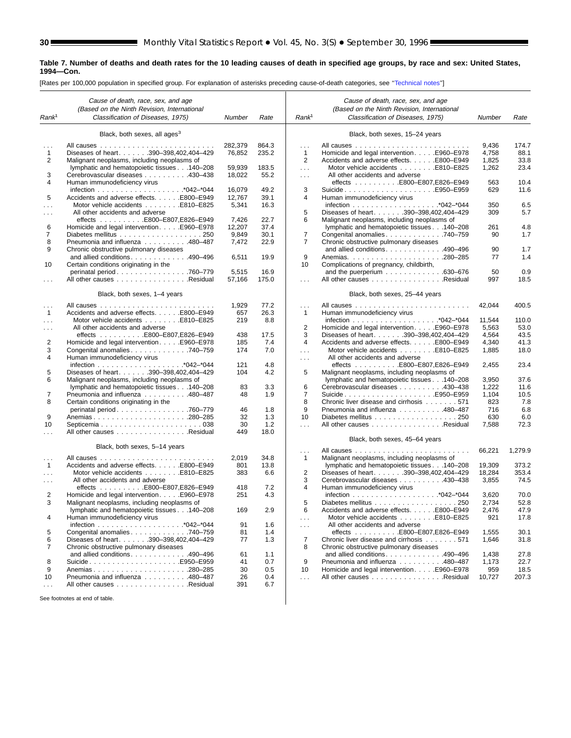▉

#### **Table 7. Number of deaths and death rates for the 10 leading causes of death in specified age groups, by race and sex: United States, 1994—Con.**

[Rates per 100,000 population in specified group. For explanation of asterisks preceding cause-of-death categories, see [''Technical notes''](#page-71-0)]

|                      | Cause of death, race, sex, and age                                                         |            |       |                      | Cause of death, race, sex, and age                                              |        |         |
|----------------------|--------------------------------------------------------------------------------------------|------------|-------|----------------------|---------------------------------------------------------------------------------|--------|---------|
|                      | (Based on the Ninth Revision, International                                                |            |       |                      | (Based on the Ninth Revision, International                                     |        |         |
| Rank <sup>1</sup>    | Classification of Diseases, 1975)                                                          | Number     | Rate  | Rank <sup>1</sup>    | Classification of Diseases, 1975)                                               | Number | Rate    |
|                      | Black, both sexes, all ages <sup>3</sup>                                                   |            |       |                      | Black, both sexes, 15-24 years                                                  |        |         |
|                      |                                                                                            |            |       |                      |                                                                                 |        |         |
|                      | All causes<br>1.1.1.1                                                                      | 282,379    | 864.3 | .                    |                                                                                 | 9,436  | 174.7   |
| $\mathbf{1}$         | Diseases of heart. 390-398,402,404-429                                                     | 76,852     | 235.2 | $\mathbf{1}$         | Homicide and legal intervention. E960–E978                                      | 4,758  | 88.1    |
| $\overline{2}$       | Malignant neoplasms, including neoplasms of                                                |            |       | 2                    | Accidents and adverse effects. E800-E949                                        | 1,825  | 33.8    |
|                      | lymphatic and hematopoietic tissues 140-208                                                | 59,939     | 183.5 | $\sim$ .             | Motor vehicle accidents E810-E825                                               | 1,262  | 23.4    |
| 3<br>4               | Cerebrovascular diseases 430-438<br>Human immunodeficiency virus                           | 18,022     | 55.2  | $\sim$ $\sim$ $\sim$ | All other accidents and adverse                                                 | 563    | 10.4    |
|                      |                                                                                            | 16,079     | 49.2  | 3                    | effects E800-E807,E826-E949                                                     | 629    | 11.6    |
| 5                    | Accidents and adverse effects. E800-E949                                                   | 12,767     | 39.1  | 4                    | Human immunodeficiency virus                                                    |        |         |
|                      | Motor vehicle accidents E810-E825                                                          | 5,341      | 16.3  |                      |                                                                                 | 350    | 6.5     |
| $\cdots$<br>$\cdots$ | All other accidents and adverse                                                            |            |       | 5                    | Diseases of heart. 390-398,402,404-429                                          | 309    | 5.7     |
|                      | effects E800-E807,E826-E949                                                                | 7,426      | 22.7  | 6                    | Malignant neoplasms, including neoplasms of                                     |        |         |
| 6                    | Homicide and legal intervention. E960-E978                                                 | 12,207     | 37.4  |                      | lymphatic and hematopoietic tissues 140-208                                     | 261    | 4.8     |
| 7                    | Diabetes mellitus 250                                                                      | 9,849      | 30.1  | $\overline{7}$       | Congenital anomalies 740-759                                                    | 90     | 1.7     |
| 8                    | Pneumonia and influenza 480-487                                                            | 7,472      | 22.9  | $\overline{7}$       | Chronic obstructive pulmonary diseases                                          |        |         |
| 9                    | Chronic obstructive pulmonary diseases                                                     |            |       |                      | and allied conditions490-496                                                    | 90     | 1.7     |
|                      | and allied conditions. 490-496                                                             | 6,511      | 19.9  | 9                    |                                                                                 | 77     | 1.4     |
| 10                   | Certain conditions originating in the                                                      |            |       | 10                   | Complications of pregnancy, childbirth,                                         |        |         |
|                      | perinatal period760-779                                                                    | 5,515      | 16.9  |                      | and the puerperium $\ldots \ldots \ldots \ldots$ .630-676                       | 50     | 0.9     |
| $\cdots$             | All other causes Residual                                                                  | 57,166     | 175.0 | $\sim$ .             | All other causes Residual                                                       | 997    | 18.5    |
|                      |                                                                                            |            |       |                      |                                                                                 |        |         |
|                      | Black, both sexes, 1-4 years                                                               |            |       |                      | Black, both sexes, 25-44 years                                                  |        |         |
| $\cdots$             |                                                                                            | 1,929      | 77.2  | .                    |                                                                                 | 42,044 | 400.5   |
| $\mathbf{1}$         | Accidents and adverse effects. E800-E949                                                   | 657        | 26.3  | $\mathbf{1}$         | Human immunodeficiency virus                                                    |        |         |
| $\cdots$             | Motor vehicle accidents E810-E825                                                          | 219        | 8.8   |                      |                                                                                 | 11,544 | 110.0   |
| $\cdots$             | All other accidents and adverse                                                            |            |       | 2                    | Homicide and legal interventionE960–E978                                        | 5,563  | 53.0    |
|                      | effects E800-E807,E826-E949                                                                | 438        | 17.5  | 3                    | Diseases of heart. 390-398,402,404-429                                          | 4,564  | 43.5    |
| 2                    | Homicide and legal intervention. E960-E978                                                 | 185        | 7.4   | 4                    | Accidents and adverse effects. E800-E949                                        | 4,340  | 41.3    |
| 3                    | Congenital anomalies 740–759                                                               | 174        | 7.0   | $\sim$               | Motor vehicle accidents E810-E825                                               | 1,885  | 18.0    |
| $\overline{4}$       | Human immunodeficiency virus                                                               |            |       | $\cdots$             | All other accidents and adverse                                                 |        |         |
|                      |                                                                                            | 121<br>104 | 4.8   |                      | effects $\ldots \ldots \ldots$ . E800-E807,E826-E949                            | 2,455  | 23.4    |
| 5<br>6               | Diseases of heart. 390-398,402,404-429                                                     |            | 4.2   | 5                    | Malignant neoplasms, including neoplasms of                                     | 3,950  | 37.6    |
|                      | Malignant neoplasms, including neoplasms of<br>lymphatic and hematopoietic tissues 140-208 | 83         | 3.3   | 6                    | lymphatic and hematopoietic tissues 140-208<br>Cerebrovascular diseases 430-438 | 1,222  | 11.6    |
| 7                    | Pneumonia and influenza 480-487                                                            | 48         | 1.9   | 7                    | SuicideE950-E959                                                                | 1,104  | 10.5    |
| 8                    | Certain conditions originating in the                                                      |            |       | 8                    | Chronic liver disease and cirrhosis 571                                         | 823    | 7.8     |
|                      | perinatal period760-779                                                                    | 46         | 1.8   | 9                    | Pneumonia and influenza 480-487                                                 | 716    | 6.8     |
| 9                    |                                                                                            | 32         | 1.3   | 10                   | Diabetes mellitus 250                                                           | 630    | 6.0     |
| 10                   |                                                                                            | 30         | 1.2   | $\sim$               | All other causes Residual                                                       | 7,588  | 72.3    |
| $\sim$ $\sim$        | All other causes Residual                                                                  | 449        | 18.0  |                      |                                                                                 |        |         |
|                      |                                                                                            |            |       |                      | Black, both sexes, 45-64 years                                                  |        |         |
|                      | Black, both sexes, 5-14 years                                                              |            |       | $\cdots$             |                                                                                 | 66,221 | 1,279.9 |
| $\sim$ $\sim$ $\sim$ |                                                                                            | 2,019      | 34.8  | $\mathbf{1}$         | Malignant neoplasms, including neoplasms of                                     |        |         |
| 1                    | Accidents and adverse effects. E800-E949                                                   | 801        | 13.8  |                      | lymphatic and hematopoietic tissues140-208                                      | 19,309 | 373.2   |
| $\cdots$             | Motor vehicle accidents E810-E825                                                          | 383        | 6.6   | 2                    | Diseases of heart. 390-398,402,404-429                                          | 18,284 | 353.4   |
| $\cdots$             | All other accidents and adverse                                                            |            |       | 3                    | Cerebrovascular diseases 430-438                                                | 3,855  | 74.5    |
|                      | effects E800-E807,E826-E949                                                                | 418        | 7.2   | 4                    | Human immunodeficiency virus                                                    |        |         |
| 2                    | Homicide and legal intervention. E960–E978                                                 | 251        | 4.3   |                      |                                                                                 | 3,620  | 70.0    |
| 3                    | Malignant neoplasms, including neoplasms of                                                |            |       | 5                    | Diabetes mellitus 250                                                           | 2,734  | 52.8    |
|                      | lymphatic and hematopoietic tissues 140-208                                                | 169        | 2.9   | 6                    | Accidents and adverse effects F800-F949                                         | 2.476  | 47.9    |
| 4                    | Human immunodeficiency virus                                                               |            |       | $\sim$ $\sim$        | Motor vehicle accidents E810-E825                                               | 921    | 17.8    |
|                      |                                                                                            | 91         | 1.6   | $\sim$ $\sim$ $\sim$ | All other accidents and adverse                                                 |        |         |
| 5                    | Congenital anomalies740-759                                                                | 81         | 1.4   |                      | effects E800-E807,E826-E949                                                     | 1,555  | 30.1    |
| 6                    | Diseases of heart. 390-398,402,404-429                                                     | 77         | 1.3   | $\overline{7}$       | Chronic liver disease and cirrhosis 571                                         | 1,646  | 31.8    |
| 7                    | Chronic obstructive pulmonary diseases                                                     |            |       | 8                    | Chronic obstructive pulmonary diseases                                          |        |         |
|                      | and allied conditions. 490-496                                                             | 61         | 1.1   |                      | and allied conditions490-496                                                    | 1,438  | 27.8    |
| 8                    | SuicideE950–E959                                                                           | 41         | 0.7   | 9                    | Pneumonia and influenza 480-487                                                 | 1,173  | 22.7    |
| 9                    | Anemias280-285                                                                             | 30         | 0.5   | 10                   | Homicide and legal intervention. E960–E978                                      | 959    | 18.5    |
| 10                   | Pneumonia and influenza 480–487                                                            | 26         | 0.4   | $\sim$ .             | All other causes Residual                                                       | 10,727 | 207.3   |
| $\sim$ $\sim$ $\sim$ | All other causes Residual                                                                  | 391        | 6.7   |                      |                                                                                 |        |         |
|                      | See footnotes at end of table.                                                             |            |       |                      |                                                                                 |        |         |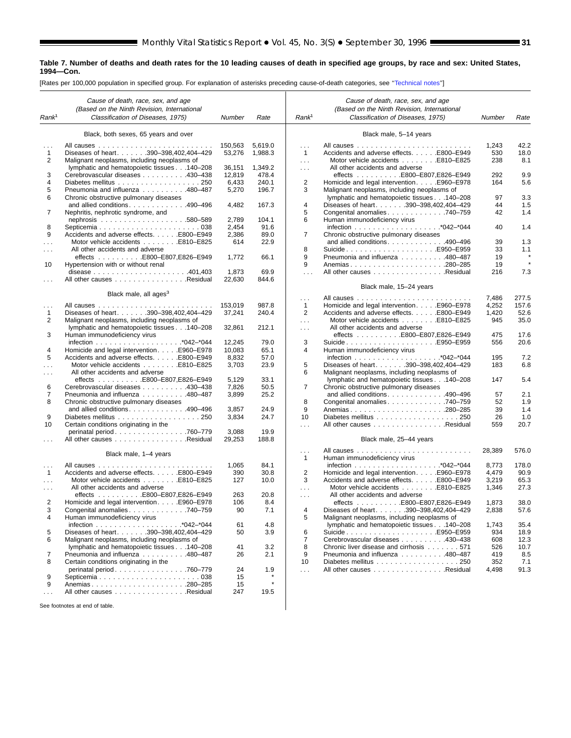#### **Table 7. Number of deaths and death rates for the 10 leading causes of death in specified age groups, by race and sex: United States, 1994—Con.**

[Rates per 100,000 population in specified group. For explanation of asterisks preceding cause-of-death categories, see [''Technical notes''](#page-71-0)]

|                      | Cause of death, race, sex, and age                             |         |         |                      | Cause of death, race, sex, and age                  |          |            |
|----------------------|----------------------------------------------------------------|---------|---------|----------------------|-----------------------------------------------------|----------|------------|
|                      | (Based on the Ninth Revision, International                    |         |         |                      | (Based on the Ninth Revision, International         |          |            |
| Rank <sup>1</sup>    | Classification of Diseases, 1975)                              | Number  | Rate    | Rank <sup>1</sup>    | Classification of Diseases, 1975)                   | Number   | Rate       |
|                      | Black, both sexes, 65 years and over                           |         |         |                      | Black male, 5-14 years                              |          |            |
|                      |                                                                | 150,563 | 5.619.0 | $\cdots$             |                                                     | 1,243    | 42.2       |
| 1                    | Diseases of heart. 390-398,402,404-429                         | 53,276  | 1,988.3 | $\overline{1}$       | Accidents and adverse effects. E800-E949            | 530      | 18.0       |
| $\overline{2}$       | Malignant neoplasms, including neoplasms of                    |         |         | $\sim 10$            |                                                     | 238      | 8.1        |
|                      | lymphatic and hematopoietic tissues 140-208                    | 36,151  | 1,349.2 | $\sim$ $\sim$ $\sim$ | All other accidents and adverse                     |          |            |
| 3                    | Cerebrovascular diseases 430-438                               | 12,819  | 478.4   |                      | effects E800-E807,E826-E949                         | 292      | 9.9        |
| 4                    | Diabetes mellitus 250                                          | 6,433   | 240.1   | 2                    | Homicide and legal intervention. E960-E978          | 164      | 5.6        |
| 5                    | Pneumonia and influenza 480-487                                | 5,270   | 196.7   | 3                    | Malignant neoplasms, including neoplasms of         |          |            |
| 6                    | Chronic obstructive pulmonary diseases                         |         |         |                      | lymphatic and hematopoietic tissues 140-208         | 97       | 3.3        |
|                      | and allied conditions490-496                                   | 4,482   | 167.3   | 4                    | Diseases of heart. 390-398,402,404-429              | 44       | 1.5        |
| 7                    | Nephritis, nephrotic syndrome, and                             |         |         | 5                    | Congenital anomalies 740-759                        | 42       | 1.4        |
|                      |                                                                | 2,789   | 104.1   | 6                    | Human immunodeficiency virus                        |          |            |
| 8<br>9               |                                                                | 2,454   | 91.6    | $\overline{7}$       |                                                     | 40       | 1.4        |
|                      | Accidents and adverse effects. E800-E949                       | 2,386   | 89.0    |                      | Chronic obstructive pulmonary diseases              |          |            |
| $\sim 10$            | Motor vehicle accidents E810-E825                              | 614     | 22.9    | 8                    | and allied conditions. 490-496                      | 39<br>33 | 1.3<br>1.1 |
| .                    | All other accidents and adverse<br>effects E800-E807,E826-E949 | 1,772   | 66.1    | 9                    | SuicideE950–E959<br>Pneumonia and influenza 480-487 | 19       |            |
| 10                   | Hypertension with or without renal                             |         |         | 9                    |                                                     | 19       |            |
|                      |                                                                | 1,873   | 69.9    |                      | All other causes Residual                           | 216      | 7.3        |
|                      | All other causes Residual                                      | 22,630  | 844.6   | $\mathbf{r}$         |                                                     |          |            |
|                      |                                                                |         |         |                      | Black male, 15-24 years                             |          |            |
|                      | Black male, all ages <sup>3</sup>                              |         |         | .                    |                                                     | 7,486    | 277.5      |
| $\sim$ $\sim$ $\sim$ |                                                                | 153,019 | 987.8   | $\mathbf{1}$         | Homicide and legal interventionE960-E978            | 4,252    | 157.6      |
| $\mathbf{1}$         | Diseases of heart. 390-398,402,404-429                         | 37,241  | 240.4   | $\overline{2}$       | Accidents and adverse effects. E800-E949            | 1,420    | 52.6       |
| $\overline{2}$       | Malignant neoplasms, including neoplasms of                    |         |         | $\cdots$             | Motor vehicle accidents E810-E825                   | 945      | 35.0       |
|                      | lymphatic and hematopoietic tissues 140-208                    | 32,861  | 212.1   | $\sim 100$           | All other accidents and adverse                     |          |            |
| 3                    | Human immunodeficiency virus                                   |         |         |                      | effects E800-E807,E826-E949                         | 475      | 17.6       |
|                      |                                                                | 12,245  | 79.0    | 3                    | SuicideE950–E959                                    | 556      | 20.6       |
| 4                    | Homicide and legal intervention. E960–E978                     | 10.083  | 65.1    | 4                    | Human immunodeficiency virus                        |          |            |
| 5                    | Accidents and adverse effects. E800-E949                       | 8,832   | 57.0    |                      |                                                     | 195      | 7.2        |
|                      | Motor vehicle accidents E810-E825                              | 3,703   | 23.9    | 5                    | Diseases of heart. 390-398,402,404-429              | 183      | 6.8        |
| $\cdots$             | All other accidents and adverse                                |         |         | 6                    | Malignant neoplasms, including neoplasms of         |          |            |
|                      |                                                                | 5,129   | 33.1    |                      | lymphatic and hematopoietic tissues 140-208         | 147      | 5.4        |
| 6                    | Cerebrovascular diseases 430-438                               | 7,826   | 50.5    | 7                    | Chronic obstructive pulmonary diseases              |          |            |
| 7                    | Pneumonia and influenza 480-487                                | 3,899   | 25.2    |                      | and allied conditions. 490-496                      | 57       | 2.1        |
| 8                    | Chronic obstructive pulmonary diseases                         |         |         | 8                    | Congenital anomalies 740-759                        | 52       | 1.9        |
|                      | and allied conditions. 490-496                                 | 3,857   | 24.9    | 9                    |                                                     | 39       | 1.4        |
| 9                    | Diabetes mellitus 250                                          | 3,834   | 24.7    | 10                   | Diabetes mellitus 250                               | 26       | 1.0        |
| 10                   | Certain conditions originating in the                          |         |         | $\cdots$             | All other causes Residual                           | 559      | 20.7       |
|                      | perinatal period760-779                                        | 3,088   | 19.9    |                      |                                                     |          |            |
|                      | All other causes Residual                                      | 29,253  | 188.8   |                      | Black male, 25-44 years                             |          |            |
|                      | Black male, 1-4 years                                          |         |         | $\cdots$<br>-1       | Human immunodeficiency virus                        | 28,389   | 576.0      |
| $\sim$ $\sim$ $\sim$ |                                                                | 1,065   | 84.1    |                      |                                                     | 8,773    | 178.0      |
| $\overline{1}$       | Accidents and adverse effects. E800-E949                       | 390     | 30.8    | 2                    | Homicide and legal interventionE960-E978            | 4,479    | 90.9       |
| $\cdots$             | Motor vehicle accidents E810–E825                              | 127     | 10.0    | 3                    | Accidents and adverse effects. E800-E949            | 3,219    | 65.3       |
| $\sim$ $\sim$ $\sim$ | All other accidents and adverse                                |         |         | $\sim 100$           | Motor vehicle accidents E810-E825                   | 1,346    | 27.3       |
|                      | effects $\ldots \ldots \ldots$ E800-E807, E826-E949            | 263     | 20.8    | $\sim 100$           | All other accidents and adverse                     |          |            |
| $\overline{2}$       | Homicide and legal intervention. E960-E978                     | 106     | 8.4     |                      | effects E800-E807,E826-E949                         | 1,873    | 38.0       |
|                      | Congenital anomalies 740-759                                   | 90      | 7.1     | 4                    | Diseases of heart. 390-398,402,404-429              | 2,838    | 57.6       |
| 4                    | Human immunodeficiency virus                                   |         |         | 5                    | Malignant neoplasms, including neoplasms of         |          |            |
|                      |                                                                | 61      | 4.8     |                      | lymphatic and hematopoietic tissues 140-208         | 1,743    | 35.4       |
| 5                    | Diseases of heart. 390-398,402,404-429                         | 50      | 3.9     | 6                    | SuicideE950–E959                                    | 934      | 18.9       |
| 6                    | Malignant neoplasms, including neoplasms of                    |         |         | 7                    | Cerebrovascular diseases 430-438                    | 608      | 12.3       |
|                      | lymphatic and hematopoietic tissues 140-208                    | 41      | 3.2     | 8                    | Chronic liver disease and cirrhosis 571             | 526      | 10.7       |
| 7                    | Pneumonia and influenza 480-487                                | 26      | 2.1     | 9                    | Pneumonia and influenza 480-487                     | 419      | 8.5        |
| 8                    | Certain conditions originating in the                          |         |         | 10                   | Diabetes mellitus 250                               | 352      | 7.1        |
|                      | perinatal period760-779                                        | 24      | 1.9     | $\sim$ $\sim$ $\sim$ | All other causes Residual                           | 4,498    | 91.3       |
| 9                    | Septicemia038                                                  | 15      |         |                      |                                                     |          |            |
| 9                    | Anemias280-285                                                 | 15      | $\star$ |                      |                                                     |          |            |
| $\sim$ $\sim$        | All other causes Residual                                      | 247     | 19.5    |                      |                                                     |          |            |
|                      | See footnotes at end of table.                                 |         |         |                      |                                                     |          |            |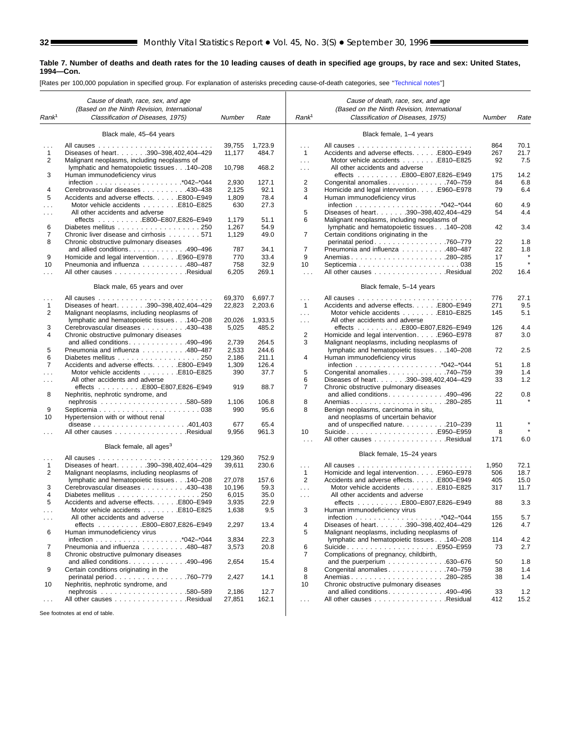s

#### **Table 7. Number of deaths and death rates for the 10 leading causes of death in specified age groups, by race and sex: United States, 1994—Con.**

[Rates per 100,000 population in specified group. For explanation of asterisks preceding cause-of-death categories, see [''Technical notes''\]](#page-71-0)

|                      | Cause of death, race, sex, and age<br>(Based on the Ninth Revision, International     |         |         |                   | Cause of death, race, sex, and age<br>(Based on the Ninth Revision, International |           |              |
|----------------------|---------------------------------------------------------------------------------------|---------|---------|-------------------|-----------------------------------------------------------------------------------|-----------|--------------|
| Rank <sup>1</sup>    | Classification of Diseases, 1975)                                                     | Number  | Rate    | Rank <sup>1</sup> | Classification of Diseases, 1975)                                                 | Number    | Rate         |
|                      |                                                                                       |         |         |                   |                                                                                   |           |              |
|                      | Black male, 45-64 years                                                               |         |         |                   | Black female, 1-4 years                                                           |           |              |
|                      |                                                                                       |         |         |                   |                                                                                   |           |              |
|                      |                                                                                       | 39,755  | 1,723.9 | $\cdots$          |                                                                                   | 864       | 70.1<br>21.7 |
| $\mathbf{1}$<br>2    | Diseases of heart. 390-398,402,404-429<br>Malignant neoplasms, including neoplasms of | 11,177  | 484.7   | $\mathbf{1}$      | Accidents and adverse effects. E800-E949<br>Motor vehicle accidents E810-E825     | 267<br>92 | 7.5          |
|                      |                                                                                       | 10,798  | 468.2   | $\ldots$          | All other accidents and adverse                                                   |           |              |
| 3                    | lymphatic and hematopoietic tissues 140-208<br>Human immunodeficiency virus           |         |         | $\cdots$          | effects E800-E807,E826-E949                                                       | 175       | 14.2         |
|                      |                                                                                       | 2,930   | 127.1   | 2                 | Congenital anomalies740-759                                                       | 84        | 6.8          |
| $\overline{4}$       | Cerebrovascular diseases 430-438                                                      | 2,125   | 92.1    | 3                 | Homicide and legal interventionE960-E978                                          | 79        | 6.4          |
| 5                    | Accidents and adverse effects. E800-E949                                              | 1,809   | 78.4    | 4                 | Human immunodeficiency virus                                                      |           |              |
| .                    | Motor vehicle accidents E810-E825                                                     | 630     | 27.3    |                   |                                                                                   | 60        | 4.9          |
| $\cdots$             | All other accidents and adverse                                                       |         |         | 5                 | Diseases of heart. 390-398,402,404-429                                            | 54        | 4.4          |
|                      |                                                                                       | 1,179   | 51.1    | 6                 | Malignant neoplasms, including neoplasms of                                       |           |              |
| 6                    | Diabetes mellitus 250                                                                 | 1,267   | 54.9    |                   | lymphatic and hematopoietic tissues 140-208                                       | 42        | 3.4          |
| 7                    | Chronic liver disease and cirrhosis 571                                               | 1,129   | 49.0    | 7                 | Certain conditions originating in the                                             |           |              |
| 8                    | Chronic obstructive pulmonary diseases                                                |         |         |                   | perinatal period760-779                                                           | 22        | 1.8          |
|                      | and allied conditions. 490-496                                                        | 787     | 34.1    | 7                 | Pneumonia and influenza 480-487                                                   | 22        | 1.8          |
| 9                    | Homicide and legal interventionE960-E978                                              | 770     | 33.4    | 9                 | Anemias280-285                                                                    | 17        |              |
| 10                   | Pneumonia and influenza 480-487                                                       | 758     | 32.9    | 10                |                                                                                   | 15        | $\star$      |
| $\mathbf{1}$         | All other causes Residual                                                             | 6,205   | 269.1   | $\mathbf{r}$      | All other causes Residual                                                         | 202       | 16.4         |
|                      |                                                                                       |         |         |                   |                                                                                   |           |              |
|                      | Black male, 65 years and over                                                         |         |         |                   | Black female, 5-14 years                                                          |           |              |
| $\cdots$             |                                                                                       | 69,370  | 6,697.7 | $\cdots$          |                                                                                   | 776       | 27.1         |
| 1                    | Diseases of heart. 390-398,402,404-429                                                | 22,823  | 2,203.6 | $\mathbf{1}$      | Accidents and adverse effects. E800-E949                                          | 271       | 9.5          |
| 2                    | Malignant neoplasms, including neoplasms of                                           |         |         | $\cdots$          | Motor vehicle accidents E810-E825                                                 | 145       | 5.1          |
|                      | lymphatic and hematopoietic tissues 140-208                                           | 20,026  | 1.933.5 | $\cdots$          | All other accidents and adverse                                                   |           |              |
| 3                    | Cerebrovascular diseases 430–438                                                      | 5,025   | 485.2   |                   | effects E800-E807,E826-E949                                                       | 126       | 4.4          |
| 4                    | Chronic obstructive pulmonary diseases                                                |         |         | 2                 | Homicide and legal intervention. E960–E978                                        | 87        | 3.0          |
|                      | and allied conditions490-496                                                          | 2,739   | 264.5   | 3                 | Malignant neoplasms, including neoplasms of                                       |           |              |
| 5                    | Pneumonia and influenza 480-487                                                       | 2,533   | 244.6   |                   | lymphatic and hematopoietic tissues 140-208                                       | 72        | 2.5          |
| 6                    |                                                                                       | 2,186   | 211.1   | 4                 | Human immunodeficiency virus                                                      |           |              |
| $\overline{7}$       | Accidents and adverse effects. E800–E949                                              | 1,309   | 126.4   |                   |                                                                                   | 51        | 1.8          |
| $\sim$ $\sim$        | Motor vehicle accidents E810-E825                                                     | 390     | 37.7    | 5                 | Congenital anomalies 740-759                                                      | 39        | 1.4          |
| .                    | All other accidents and adverse                                                       |         |         | 6                 | Diseases of heart. 390-398,402,404-429                                            | 33        | 1.2          |
|                      |                                                                                       | 919     | 88.7    | 7                 | Chronic obstructive pulmonary diseases                                            |           |              |
| 8                    | Nephritis, nephrotic syndrome, and                                                    |         |         |                   | and allied conditions. 490-496                                                    | 22        | 0.8          |
|                      |                                                                                       | 1,106   | 106.8   | 8                 |                                                                                   | 11        |              |
| 9                    |                                                                                       | 990     | 95.6    | 8                 | Benign neoplasms, carcinoma in situ,                                              |           |              |
| 10                   | Hypertension with or without renal                                                    |         |         |                   | and neoplasms of uncertain behavior                                               |           |              |
|                      | disease $\ldots \ldots \ldots \ldots \ldots \ldots \ldots 401,403$                    | 677     | 65.4    |                   | and of unspecified nature. 210-239                                                | 11        |              |
| $\cdots$             | All other causes Residual                                                             | 9,956   | 961.3   | 10                | SuicideE950–E959                                                                  | 8         |              |
|                      |                                                                                       |         |         | $\mathbf{r}$      | All other causes Residual                                                         | 171       | 6.0          |
|                      | Black female, all ages <sup>3</sup>                                                   |         |         |                   |                                                                                   |           |              |
|                      |                                                                                       | 129,360 | 752.9   |                   | Black female, 15-24 years                                                         |           |              |
| 1                    | Diseases of heart. 390-398,402,404-429                                                | 39,611  | 230.6   | $\cdots$          |                                                                                   | 1,950     | 72.1         |
| 2                    | Malignant neoplasms, including neoplasms of                                           |         |         | $\mathbf{1}$      | Homicide and legal interventionE960-E978                                          | 506       | 18.7         |
|                      | lymphatic and hematopoietic tissues 140-208                                           | 27,078  | 157.6   | $\overline{2}$    | Accidents and adverse effects. E800-E949                                          | 405       | 15.0         |
| 3                    | Cerebrovascular diseases 430-438                                                      | 10,196  | 59.3    | $\cdots$          | Motor vehicle accidents E810-E825                                                 | 317       | 11.7         |
| 4                    | Diabetes mellitus 250                                                                 | 6,015   | 35.0    | $\sim$            | All other accidents and adverse                                                   |           |              |
| 5                    | Accidents and adverse effects. E800-E949                                              | 3,935   | 22.9    |                   | effects E800-E807,E826-E949                                                       | 88        | 3.3          |
| $\cdots$             | Motor vehicle accidents E810-E825                                                     | 1,638   | 9.5     | 3                 | Human immunodeficiency virus                                                      |           |              |
| $\sim$ $\sim$ $\sim$ | All other accidents and adverse                                                       |         |         |                   |                                                                                   | 155       | 5.7          |
|                      | effects E800-E807,E826-E949                                                           | 2,297   | 13.4    | 4                 | Diseases of heart. 390-398,402,404-429                                            | 126       | 4.7          |
| 6                    | Human immunodeficiency virus                                                          |         |         | 5                 | Malignant neoplasms, including neoplasms of                                       |           |              |
|                      |                                                                                       | 3,834   | 22.3    |                   | lymphatic and hematopoietic tissues 140-208                                       | 114       | 4.2          |
| 7                    | Pneumonia and influenza 480-487                                                       | 3,573   | 20.8    | 6                 | SuicideE950–E959                                                                  | 73        | 2.7          |
| 8                    | Chronic obstructive pulmonary diseases                                                |         |         | 7                 | Complications of pregnancy, childbirth,                                           |           |              |
|                      | and allied conditions490-496                                                          | 2,654   | 15.4    |                   | and the puerperium $\ldots \ldots \ldots \ldots$ . 630–676                        | 50        | 1.8          |
| 9                    | Certain conditions originating in the                                                 |         |         | 8                 | Congenital anomalies 740-759                                                      | 38        | 1.4          |
|                      | perinatal period760-779                                                               | 2,427   | 14.1    | 8                 |                                                                                   | 38        | 1.4          |
| 10                   | Nephritis, nephrotic syndrome, and                                                    |         |         | 10                | Chronic obstructive pulmonary diseases                                            |           |              |
|                      |                                                                                       | 2,186   | 12.7    |                   | and allied conditions. 490-496                                                    | 33        | 1.2          |
| $\cdots$             | All other causes Residual                                                             | 27,851  | 162.1   | $\sim$ .          | All other causes Residual                                                         | 412       | 15.2         |
|                      | See footnotes at end of table.                                                        |         |         |                   |                                                                                   |           |              |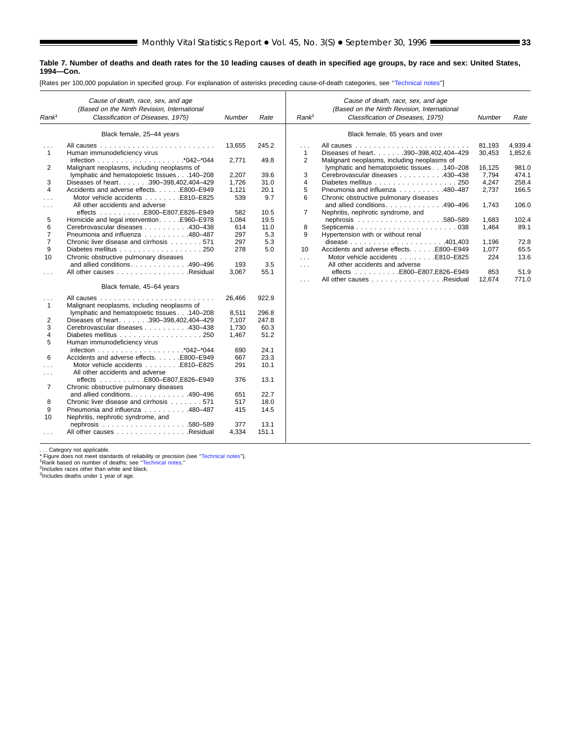#### **Table 7. Number of deaths and death rates for the 10 leading causes of death in specified age groups, by race and sex: United States, 1994—Con.**

[Rates per 100,000 population in specified group. For explanation of asterisks preceding cause-of-death categories, see '['Technical notes''](#page-71-0)]

| Rank <sup>1</sup>        | Cause of death, race, sex, and age<br>(Based on the Ninth Revision, International<br>Classification of Diseases, 1975) | <b>Number</b> | Rate  | Rank <sup>1</sup>        | Cause of death, race, sex, and age<br>(Based on the Ninth Revision, International<br>Classification of Diseases, 1975) | <b>Number</b>    | Rate               |
|--------------------------|------------------------------------------------------------------------------------------------------------------------|---------------|-------|--------------------------|------------------------------------------------------------------------------------------------------------------------|------------------|--------------------|
|                          | Black female, 25-44 years                                                                                              |               |       |                          | Black female, 65 years and over                                                                                        |                  |                    |
| $\cdots$<br>$\mathbf{1}$ | All causes.<br>Human immunodeficiency virus                                                                            | 13,655        | 245.2 | $\cdots$<br>$\mathbf{1}$ | All causes.<br>.<br>$\sim$ $\sim$ $\sim$ $\sim$<br>Diseases of heart. 390-398,402,404-429                              | 81,193<br>30,453 | 4,939.4<br>1,852.6 |
|                          |                                                                                                                        | 2,771         | 49.8  | $\overline{2}$           | Malignant neoplasms, including neoplasms of                                                                            |                  |                    |
| 2                        | Malignant neoplasms, including neoplasms of                                                                            |               |       |                          | lymphatic and hematopoietic tissues 140-208                                                                            | 16,125           | 981.0              |
|                          | lymphatic and hematopoietic tissues 140-208                                                                            | 2,207         | 39.6  | 3                        | Cerebrovascular diseases 430-438                                                                                       | 7,794            | 474.1              |
| 3                        | Diseases of heart. 390-398,402,404-429                                                                                 | 1,726         | 31.0  | 4                        |                                                                                                                        | 4,247            | 258.4              |
| 4                        | Accidents and adverse effects. E800-E949                                                                               | 1,121         | 20.1  | 5                        | Pneumonia and influenza 480-487                                                                                        | 2,737            | 166.5              |
| .                        | Motor vehicle accidents E810-E825                                                                                      | 539           | 9.7   | 6                        | Chronic obstructive pulmonary diseases                                                                                 |                  |                    |
| $\cdots$                 | All other accidents and adverse                                                                                        |               |       |                          | and allied conditions490-496                                                                                           | 1,743            | 106.0              |
|                          | effects E800–E807,E826–E949                                                                                            | 582           | 10.5  | 7                        | Nephritis, nephrotic syndrome, and                                                                                     |                  |                    |
| 5                        | Homicide and legal intervention. E960-E978                                                                             | 1,084         | 19.5  |                          |                                                                                                                        | 1,683            | 102.4              |
| 6                        | Cerebrovascular diseases 430-438                                                                                       | 614           | 11.0  | 8                        |                                                                                                                        | 1,464            | 89.1               |
| $\overline{7}$           | Pneumonia and influenza 480-487                                                                                        | 297           | 5.3   | 9                        | Hypertension with or without renal                                                                                     |                  |                    |
| $\overline{7}$           | Chronic liver disease and cirrhosis 571                                                                                | 297           | 5.3   |                          |                                                                                                                        | 1,196            | 72.8               |
| 9                        |                                                                                                                        | 278           | 5.0   | 10                       | Accidents and adverse effects. E800-E949                                                                               | 1,077            | 65.5               |
| 10                       | Chronic obstructive pulmonary diseases                                                                                 |               |       | $\cdots$                 | Motor vehicle accidents E810-E825                                                                                      | 224              | 13.6               |
|                          | and allied conditions. $\ldots$ , 490–496                                                                              | 193           | 3.5   | $\sim$ $\sim$ $\sim$     | All other accidents and adverse                                                                                        |                  |                    |
| $\cdots$                 | All other causes Residual                                                                                              | 3,067         | 55.1  |                          | effects E800-E807,E826-E949                                                                                            | 853              | 51.9               |
|                          | Black female, 45-64 years                                                                                              |               |       | $\sim 100$               | All other causes Residual                                                                                              | 12,674           | 771.0              |
|                          |                                                                                                                        |               |       |                          |                                                                                                                        |                  |                    |
| $\sim$ $\sim$ $\sim$     |                                                                                                                        | 26.466        | 922.9 |                          |                                                                                                                        |                  |                    |
| $\mathbf{1}$             | Malignant neoplasms, including neoplasms of                                                                            |               |       |                          |                                                                                                                        |                  |                    |
|                          | lymphatic and hematopoietic tissues 140-208                                                                            | 8,511         | 296.8 |                          |                                                                                                                        |                  |                    |
| 2                        | Diseases of heart. 390-398,402,404-429                                                                                 | 7,107         | 247.8 |                          |                                                                                                                        |                  |                    |
| 3                        | Cerebrovascular diseases 430-438                                                                                       | 1,730         | 60.3  |                          |                                                                                                                        |                  |                    |
| 4                        |                                                                                                                        | 1,467         | 51.2  |                          |                                                                                                                        |                  |                    |
| 5                        | Human immunodeficiency virus                                                                                           |               |       |                          |                                                                                                                        |                  |                    |
|                          |                                                                                                                        | 690           | 24.1  |                          |                                                                                                                        |                  |                    |
| 6                        | Accidents and adverse effects. E800-E949                                                                               | 667           | 23.3  |                          |                                                                                                                        |                  |                    |
| $\cdots$                 | Motor vehicle accidents E810-E825                                                                                      | 291           | 10.1  |                          |                                                                                                                        |                  |                    |
| $\cdots$                 | All other accidents and adverse                                                                                        |               |       |                          |                                                                                                                        |                  |                    |
|                          | effects E800–E807,E826–E949                                                                                            | 376           | 13.1  |                          |                                                                                                                        |                  |                    |
| $\overline{7}$           | Chronic obstructive pulmonary diseases                                                                                 |               |       |                          |                                                                                                                        |                  |                    |
|                          | and allied conditions490-496                                                                                           | 651           | 22.7  |                          |                                                                                                                        |                  |                    |
| 8                        | Chronic liver disease and cirrhosis 571                                                                                | 517           | 18.0  |                          |                                                                                                                        |                  |                    |
| 9                        | Pneumonia and influenza 480-487                                                                                        | 415           | 14.5  |                          |                                                                                                                        |                  |                    |
| 10                       | Nephritis, nephrotic syndrome, and                                                                                     |               |       |                          |                                                                                                                        |                  |                    |
|                          |                                                                                                                        | 377           | 13.1  |                          |                                                                                                                        |                  |                    |
| $\cdots$                 | All other causes Residual                                                                                              | 4,334         | 151.1 |                          |                                                                                                                        |                  |                    |

... Category not applicable.<br>\* Figure does not meet standards of reliability or precision (see "Technical notes").<br>\* Rank based on number of deaths; see "Technical notes."<br><sup>2</sup>Includes aces other than white and black.<br><sup>3</sup>In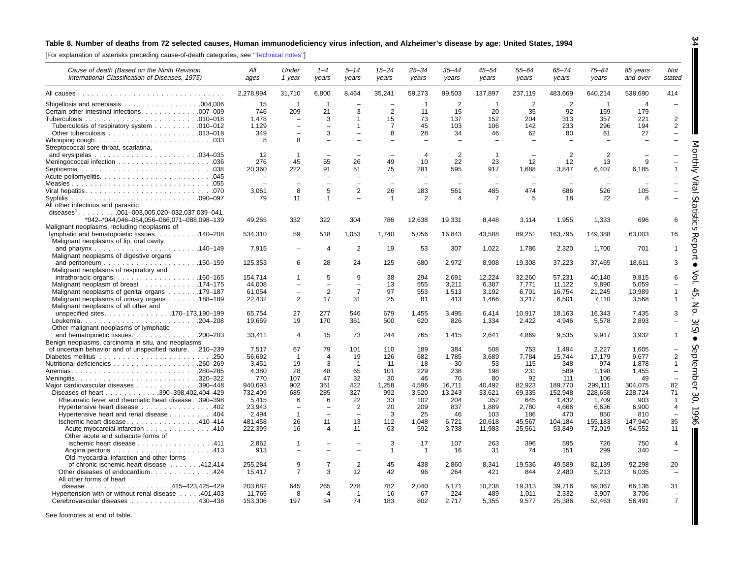#### <span id="page-33-0"></span>Table 8. Number of deaths from 72 selected causes, Human immunodeficiency virus infection, and Alzheimer's disease by age: United States, 1994

[For explanation of asterisks preceding cause-of-death categories, see [''Technical](#page-71-0) notes'']

| Cause of death (Based on the Ninth Revision,<br>International Classification of Diseases, 1975) | All<br>ages      | Under<br>1 year                                      | $1 - 4$<br>years       | 5–14<br>years                              | $15 - 24$<br>years      | $25 - 34$<br>years       | $35 - 44$<br>years       | $45 - 54$<br>years       | $55 - 64$<br>years | $65 - 74$<br>years | $75 - 84$<br>years | 85 years<br>and over     | Not<br>stated                              |
|-------------------------------------------------------------------------------------------------|------------------|------------------------------------------------------|------------------------|--------------------------------------------|-------------------------|--------------------------|--------------------------|--------------------------|--------------------|--------------------|--------------------|--------------------------|--------------------------------------------|
|                                                                                                 | 2,278,994        | 31,710                                               | 6,800                  | 8,464                                      | 35,241                  | 59,273                   | 99,503                   | 137,897                  | 237,119            | 483,669            | 640,214            | 538,690                  | 414                                        |
|                                                                                                 | 15               | $\mathbf{1}$                                         | $\overline{1}$         |                                            |                         | $\overline{1}$           | $\overline{2}$           | $\overline{1}$           | $\overline{2}$     | $\overline{2}$     | $\overline{1}$     | $\boldsymbol{\varDelta}$ |                                            |
| Certain other intestinal infections. 007-009                                                    | 746              | 209                                                  | 21                     | 3                                          | 2                       | 11                       | 15                       | 20                       | 35                 | 92                 | 159                | 179                      | $\overline{\phantom{a}}$                   |
|                                                                                                 | 1.478            | $\overline{\phantom{0}}$                             | 3                      | 1                                          | 15                      | 73                       | 137                      | 152                      | 204                | 313                | 357                | 221                      | $\overline{2}$                             |
| Tuberculosis of respiratory system 010–012                                                      | 1.129            | $\overline{\phantom{0}}$                             | $\equiv$               | $\mathbf{1}$                               | $\overline{7}$          | 45                       | 103                      | 106                      | 142                | 233                | 296                | 194                      | $\overline{2}$                             |
|                                                                                                 | 349              | $\sim$                                               | 3                      | $\equiv$                                   | 8                       | 28                       | 34                       | 46                       | 62                 | 80                 | 61                 | 27                       | $\equiv$                                   |
|                                                                                                 | 8                | 8                                                    | $\equiv$               |                                            |                         |                          |                          |                          |                    |                    |                    |                          |                                            |
| Streptococcal sore throat, scarlatina,                                                          | 12               | $\mathbf{1}$                                         |                        |                                            |                         | $\overline{4}$           | 2                        |                          |                    | $\overline{2}$     | $\overline{2}$     |                          |                                            |
|                                                                                                 | 276              | 45                                                   | 55                     | 26                                         | 49                      | 10                       | 22                       | 23                       | 12                 | 12                 | 13                 | 9                        |                                            |
|                                                                                                 | 20.360           | 222                                                  | 91                     | 51                                         | 75                      | 281                      | 595                      | 917                      | 1.688              | 3.847              | 6,407              | 6.185                    |                                            |
|                                                                                                 |                  | $\sim$                                               | $\equiv$               | $\overline{\phantom{0}}$                   | $\equiv$                | $\overline{\phantom{a}}$ | $\overline{\phantom{a}}$ | $\overline{\phantom{0}}$ |                    |                    |                    |                          |                                            |
|                                                                                                 |                  | $\sim$                                               | $\equiv$               | $\equiv$                                   | $\equiv$                | $\sim$                   | $\equiv$                 | $\overline{\phantom{0}}$ | $\equiv$           |                    | ÷                  |                          |                                            |
|                                                                                                 | 3,061            | 8                                                    | 5                      | $\overline{2}$                             | 26                      | 183                      | 561                      | 485                      | 474                | 686                | 526                | 105                      |                                            |
|                                                                                                 | 79               | 11                                                   | $\mathbf{1}$           |                                            | $\overline{1}$          | 2                        | 4                        | $\overline{7}$           | 5                  | 18                 | 22                 | 8                        | $\Omega$                                   |
| All other infectious and parasitic                                                              |                  |                                                      |                        |                                            |                         |                          |                          |                          |                    |                    |                    |                          |                                            |
| *042-*044,046-054,056-066,071-088,098-139                                                       | 49,265           | 332                                                  | 322                    | 304                                        | 786                     | 12,638                   |                          |                          |                    | 1,955              | 1,333              | 696                      | 6                                          |
| Malignant neoplasms, including neoplasms of                                                     |                  |                                                      |                        |                                            |                         |                          | 19,331                   | 8.448                    | 3,114              |                    |                    |                          | O                                          |
| lymphatic and hematopoietic tissues. 140–208                                                    | 534,310          | 59                                                   | 518                    | 1,053                                      | 1,740                   | 5,056                    | 16,843                   | 43,588                   | 89,251             | 163,795            | 149,388            | 63,003                   | 16                                         |
| Malignant neoplasms of lip, oral cavity,                                                        |                  |                                                      |                        |                                            |                         |                          |                          |                          |                    |                    |                    |                          |                                            |
|                                                                                                 | 7,915            | $\overline{\phantom{0}}$                             | 4                      | $\overline{2}$                             | 19                      | 53                       | 307                      | 1,022                    | 1,786              | 2,320              | 1,700              | 701                      | ℧<br>1                                     |
| Malignant neoplasms of digestive organs                                                         |                  |                                                      |                        |                                            |                         |                          |                          |                          |                    |                    |                    |                          |                                            |
|                                                                                                 | 125,353          | 6                                                    | 28                     | 24                                         | 125                     | 680                      | 2,972                    | 8,908                    | 19,308             | 37,223             | 37,465             | 18.611                   | 3                                          |
| Malignant neoplasms of respiratory and                                                          |                  |                                                      |                        |                                            |                         |                          |                          |                          |                    |                    |                    |                          |                                            |
| intrathoracic organs. $\ldots$ 160–165                                                          | 154,714          | $\mathbf 1$                                          | 5                      | 9                                          | 38                      | 294                      | 2,691                    | 12,224                   | 32,260             | 57,231             | 40,140             | 9,815                    | 6                                          |
| Malignant neoplasm of breast 174–175                                                            | 44,008           | $\overline{\phantom{0}}$<br>$\overline{\phantom{0}}$ | $\qquad \qquad -$<br>2 | $\overline{\phantom{m}}$<br>$\overline{7}$ | 13<br>97                | 555<br>553               | 3.211                    | 6,387<br>3,192           | 7,771<br>6,701     | 11,122             | 9,890              | 5,059<br>10,989          | 1                                          |
| Malignant neoplasms of genital organs 179–187<br>Malignant neoplasms of urinary organs 188–189  | 61,054<br>22,432 | 2                                                    | 17                     | 31                                         | 25                      | 81                       | 1,513<br>413             | 1,466                    | 3,217              | 16,754<br>6,501    | 21,245<br>7,110    | 3,568                    | OП<br>$\mathbf{1}$                         |
| Malignant neoplasms of all other and                                                            |                  |                                                      |                        |                                            |                         |                          |                          |                          |                    |                    |                    |                          | z                                          |
| unspecified sites170–173,190–199                                                                | 65.754           | 27                                                   | 277                    | 546                                        | 679                     | 1.455                    | 3.495                    | 6.414                    | 10.917             | 18.163             | 16.343             | 7.435                    | C<br>3                                     |
|                                                                                                 | 19,669           | 19                                                   | 170                    | 361                                        | 500                     | 620                      | 826                      | 1,334                    | 2,422              | 4,946              | 5,578              | 2,893                    |                                            |
| Other malignant neoplasms of lymphatic                                                          |                  |                                                      |                        |                                            |                         |                          |                          |                          |                    |                    |                    |                          | .<br>م                                     |
| and hematopoietic tissues. 200–203                                                              | 33,411           | 4                                                    | 15                     | 73                                         | 244                     | 765                      | 1,415                    | 2,641                    | 4,869              | 9,535              | 9,917              | 3,932                    | $\mathbf{1}$                               |
| Benign neoplasms, carcinoma in situ, and neoplasms                                              |                  |                                                      |                        |                                            |                         |                          |                          |                          |                    |                    |                    |                          | $\circ$                                    |
| of uncertain behavior and of unspecified nature.210-239                                         | 7.517            | 67                                                   | 79                     | 101                                        | 110                     | 189                      | 384                      | 508                      | 753                | 1.494              | 2.227              | 1,605                    | $\bigcirc$                                 |
|                                                                                                 | 56,692<br>3,451  | $\mathbf{1}$<br>19                                   | 4<br>3                 | 19<br>$\overline{1}$                       | 126<br>-11              | 682<br>18                | 1,785<br>30              | 3,689<br>53              | 7,784<br>115       | 15,744<br>348      | 17,179<br>974      | 9,677<br>1,878           | $\overline{2}$<br>℧<br>$\mathbf{1}$        |
|                                                                                                 | 4.380            | 28                                                   | 48                     | 65                                         | 101                     | 229                      | 238                      | 198                      | 231                | 589                | 1.198              | 1,455                    | $\sigma$<br>З<br>$\overline{\phantom{0}}$  |
| Meningitis320-322                                                                               | 770              | 107                                                  | 47                     | 32                                         | 30                      | 46                       | 70                       | 80                       | 92                 | 111                | 106                | 49                       | ਠ                                          |
| Major cardiovascular diseases 390–448                                                           | 940,693          | 902                                                  | 351                    | 422                                        | 1,258                   | 4,596                    | 16,711                   | 40,492                   | 82,923             | 189,770            | 299,111            | 304,075                  | 82<br>₾                                    |
| Diseases of heart 390-398,402,404-429                                                           | 732,409          | 685                                                  | 285                    | 327                                        | 992                     | 3,520                    | 13,243                   | 33,621                   | 69,335             | 152,948            | 228,658            | 228.724                  | 71<br>$\omega$                             |
| Rheumatic fever and rheumatic heart disease. .390-398                                           | 5,415            | 6                                                    | 6                      | 22                                         | 33                      | 102                      | 204                      | 352                      | 645                | 1,432              | 1,709              | 903                      | O<br>$\overline{1}$                        |
| Hypertensive heart disease 402                                                                  | 23,943           | $\overline{\phantom{0}}$                             | $\equiv$               | $\overline{2}$                             | 20                      | 209                      | 837                      | 1,889                    | 2,780              | 4,666              | 6,636              | 6,900                    | $\overline{4}$<br>$\overline{\phantom{0}}$ |
| Hypertensive heart and renal disease 404                                                        | 2.494            | $\mathbf{1}$                                         | $\equiv$               | $\equiv$                                   | 3                       | 25                       | 46                       | 103                      | 186                | 470                | 850                | 810                      | ∘                                          |
| Ischemic heart disease 410-414                                                                  | 481.458          | 26                                                   | 11                     | 13                                         | 112                     | 1.048                    | 6,721                    | 20.618                   | 45,567             | 104,184            | 155,183            | 147.940                  | òб<br>35                                   |
| Acute myocardial infarction 410                                                                 | 222.399          | 16                                                   | 4                      | 11                                         | 63                      | 592                      | 3,738                    | 11,983                   | 25.561             | 53,849             | 72,019             | 54,552                   | 11                                         |
| Other acute and subacute forms of<br>ischemic heart disease 411                                 | 2.862            | -1                                                   |                        |                                            | 3                       | 17                       | 107                      | 263                      | 396                | 595                | 726                | 750                      | $\overline{4}$                             |
|                                                                                                 | 913              |                                                      | $\equiv$               | $\equiv$                                   | $\overline{\mathbf{1}}$ | $\overline{1}$           | 16                       | 31                       | 74                 | 151                | 299                | 340                      | $\equiv$                                   |
| Old myocardial infarction and other forms                                                       |                  |                                                      |                        |                                            |                         |                          |                          |                          |                    |                    |                    |                          |                                            |
| of chronic ischemic heart disease 412,414                                                       | 255.284          | 9                                                    | $\overline{7}$         | $\overline{2}$                             | 45                      | 438                      | 2.860                    | 8,341                    | 19,536             | 49.589             | 82,139             | 92.298                   | 20                                         |
| Other diseases of endocardium424                                                                | 15,417           | $\overline{7}$                                       | 3                      | 12                                         | 42                      | 96                       | 264                      | 421                      | 844                | 2,480              | 5,213              | 6,035                    | $\overline{\phantom{m}}$                   |
| All other forms of heart                                                                        |                  |                                                      |                        |                                            |                         |                          |                          |                          |                    |                    |                    |                          |                                            |
| disease415-423,425-429                                                                          | 203,682          | 645                                                  | 265                    | 278                                        | 782                     | 2,040                    | 5,171                    | 10,238                   | 19,313             | 39,716             | 59,067             | 66,136                   | 31                                         |
| Hypertension with or without renal disease 401,403                                              | 11,765           | 8                                                    | 4                      | $\overline{1}$                             | 16                      | 67                       | 224                      | 489                      | 1,011              | 2,332              | 3,907              | 3,706                    | $\overline{\phantom{a}}$                   |
| Cerebrovascular diseases 430-438                                                                | 153,306          | 197                                                  | 54                     | 74                                         | 183                     | 802                      | 2,717                    | 5,355                    | 9,577              | 25,386             | 52,463             | 56,491                   | $\overline{7}$                             |

See footnotes at end of table.

**34**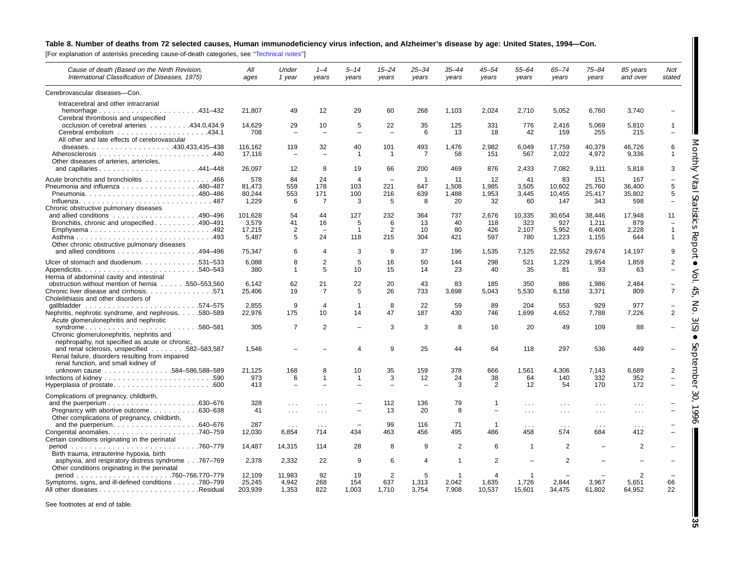#### Table 8. Number of deaths from 72 selected causes, Human immunodeficiency virus infection, and Alzheimer's disease by age: United States, 1994-Con.

[For explanation of asterisks preceding cause-of-death categories, see '['Technical](#page-71-0) notes'']

| Cause of death (Based on the Ninth Revision,<br>International Classification of Diseases, 1975)                                          | All<br>ages                         | Under<br>1 year                 | $1 - 4$<br>years                           | $5 - 14$<br>years                 | $15 - 24$<br>years                          | $25 - 34$<br>years                | $35 - 44$<br>years         | 45–54<br>years                              | $55 - 64$<br>years               | $65 - 74$<br>years               | 75–84<br>years                    | 85 years<br>and over             | <b>Not</b><br>stated |
|------------------------------------------------------------------------------------------------------------------------------------------|-------------------------------------|---------------------------------|--------------------------------------------|-----------------------------------|---------------------------------------------|-----------------------------------|----------------------------|---------------------------------------------|----------------------------------|----------------------------------|-----------------------------------|----------------------------------|----------------------|
| Cerebrovascular diseases-Con.                                                                                                            |                                     |                                 |                                            |                                   |                                             |                                   |                            |                                             |                                  |                                  |                                   |                                  |                      |
| Intracerebral and other intracranial                                                                                                     |                                     |                                 |                                            |                                   |                                             |                                   |                            |                                             |                                  |                                  |                                   |                                  |                      |
| Cerebral thrombosis and unspecified                                                                                                      | 21.807                              | 49                              | 12                                         | 29                                | 60                                          | 268                               | 1,103                      | 2,024                                       | 2.710                            | 5,052                            | 6,760                             | 3,740                            |                      |
| occlusion of cerebral arteries 434.0,434.9<br>All other and late effects of cerebrovascular                                              | 14,629<br>708                       | 29                              | 10<br>$\equiv$                             | 5<br>$\equiv$                     | 22<br>$\equiv$                              | 35<br>6                           | 125<br>13                  | 331<br>18                                   | 776<br>42                        | 2,416<br>159                     | 5,069<br>255                      | 5,810<br>215                     | 1                    |
|                                                                                                                                          | 116,162<br>17,116                   | 119<br>$\overline{\phantom{0}}$ | 32<br>$\overline{\phantom{0}}$             | 40<br>$\overline{1}$              | 101<br>$\overline{1}$                       | 493<br>$\overline{7}$             | 1.476<br>58                | 2,982<br>151                                | 6.049<br>567                     | 17,759<br>2,022                  | 40,379<br>4,972                   | 46,726<br>9,336                  |                      |
| Other diseases of arteries, arterioles,                                                                                                  | 26,097                              | 12                              | 8                                          | 19                                | 66                                          | 200                               | 469                        | 876                                         | 2,433                            | 7,082                            | 9,111                             | 5,818                            | ⋜<br>З               |
| Acute bronchitis and bronchiolitis 466<br>Pneumonia and influenza 480-487<br>Influenza487                                                | 578<br>81.473<br>80,244<br>1.229    | 84<br>559<br>553<br>6           | 24<br>178<br>171<br>$\overline{7}$         | 4<br>103<br>100<br>3              | $\overline{\phantom{a}}$<br>221<br>216<br>5 | $\overline{1}$<br>647<br>639<br>8 | 11<br>1.508<br>1,488<br>20 | 12<br>1.985<br>1,953<br>32                  | 41<br>3.505<br>3,445<br>60       | 83<br>10.602<br>10,455<br>147    | 151<br>25.760<br>25,417<br>343    | 167<br>36.400<br>35,802<br>598   | 5<br>5               |
| Chronic obstructive pulmonary diseases                                                                                                   |                                     |                                 |                                            |                                   |                                             |                                   |                            |                                             |                                  |                                  |                                   |                                  |                      |
| and allied conditions $\ldots \ldots \ldots \ldots \ldots \ldots 490-496$<br>Bronchitis, chronic and unspecified 490-491<br>Emphysema492 | 101.628<br>3,579<br>17,215<br>5,487 | 54<br>41<br>2<br>5              | 44<br>16<br>$\overline{\phantom{0}}$<br>24 | 127<br>5<br>$\overline{1}$<br>118 | 232<br>6<br>$\overline{2}$<br>215           | 364<br>13<br>10<br>304            | 737<br>40<br>80<br>421     | 2.676<br>118<br>426<br>597                  | 10.335<br>323<br>2,107<br>780    | 30.654<br>927<br>5,952<br>1,223  | 38.446<br>1,211<br>6,406<br>1,155 | 17.948<br>879<br>2,228<br>644    | 11                   |
| Other chronic obstructive pulmonary diseases<br>and allied conditions $\ldots \ldots \ldots \ldots \ldots$ 494-496                       | 75,347                              | 6                               | $\overline{\mathbf{4}}$                    | 3                                 | 9                                           | 37                                | 196                        | 1,535                                       | 7,125                            | 22,552                           | 29,674                            | 14,197                           | ℧<br>9               |
| Ulcer of stomach and duodenum. 531–533<br>Hernia of abdominal cavity and intestinal                                                      | 6.088<br>380                        | 8<br>$\overline{1}$             | 2<br>5                                     | 5<br>10                           | 16<br>15                                    | 50<br>14                          | 144<br>23                  | 298<br>40                                   | 521<br>35                        | 1,229<br>81                      | 1,954<br>93                       | 1,859<br>63                      | $\overline{2}$       |
| obstruction without mention of hernia 550–553,560                                                                                        | 6,142                               | 62                              | 21                                         | 22                                | 20                                          | 43                                | 83                         | 185                                         | 350                              | 886                              | 1,986                             | 2,484                            |                      |
| Chronic liver disease and cirrhosis571<br>Cholelithiasis and other disorders of                                                          | 25.406                              | 19                              | $\overline{7}$                             | 5                                 | 26                                          | 733                               | 3,698                      | 5.043                                       | 5.530                            | 6.158                            | 3,371                             | 809                              |                      |
| Nephritis, nephrotic syndrome, and nephrosis580–589<br>Acute glomerulonephritis and nephrotic                                            | 2.855<br>22,976                     | 9<br>175                        | $\overline{\mathbf{4}}$<br>10              | $\mathbf{1}$<br>14                | 8<br>47                                     | 22<br>187                         | 59<br>430                  | 89<br>746                                   | 204<br>1,699                     | 553<br>4,652                     | 929<br>7,788                      | 977<br>7,226                     | 2                    |
| syndrome580-581<br>Chronic glomerulonephritis, nephritis and<br>nephropathy, not specified as acute or chronic,                          | 305                                 | $\overline{7}$                  | 2                                          |                                   | 3                                           | 3                                 | 8                          | 16                                          | 20                               | 49                               | 109                               | 88                               |                      |
| and renal sclerosis, unspecified 582-583,587<br>Renal failure, disorders resulting from impaired<br>renal function, and small kidney of  | 1,546                               |                                 |                                            | 4                                 | 9                                           | 25                                | 44                         | 64                                          | 118                              | 297                              | 536                               | 449                              |                      |
| unknown cause 584-586,588-589                                                                                                            | 21.125<br>973<br>413                | 168<br>6                        | 8<br>$\mathbf 1$                           | 10<br>$\mathbf 1$                 | 35<br>3                                     | 159<br>12                         | 378<br>24<br>3             | 666<br>38<br>$\overline{2}$                 | 1.561<br>64<br>12                | 4.306<br>140<br>54               | 7,143<br>332<br>170               | 6.689<br>352<br>172              | 2                    |
| Complications of pregnancy, childbirth,                                                                                                  |                                     |                                 |                                            |                                   |                                             |                                   |                            |                                             |                                  |                                  |                                   |                                  |                      |
| Pregnancy with abortive outcome630–638<br>Other complications of pregnancy, childbirth,                                                  | 328<br>41                           | $\cdots$<br>$\sim 100$          | $\sim$ $\sim$ $\sim$                       |                                   | 112<br>13                                   | 136<br>20                         | 79<br>8                    | $\mathbf 1$<br>$\overline{\phantom{a}}$     | $\ldots$<br>$\sim$ $\sim$ $\sim$ | $\cdots$<br>$\sim$ $\sim$ $\sim$ | $\cdots$<br>$\cdots$              | $\cdots$<br>$\sim$ $\sim$ $\sim$ |                      |
|                                                                                                                                          | 287<br>12,030                       | $\sim$ $\sim$ $\sim$<br>6,854   | $\sim$ $\sim$ $\sim$<br>714                | 434                               | 99<br>463                                   | 116<br>456                        | 71<br>495                  | $\overline{1}$<br>486                       | $\sim$ $\sim$ $\sim$<br>458      | $\sim$ $\sim$ $\sim$<br>574      | $\sim$ $\sim$ $\sim$<br>684       | $\sim$ $\sim$ $\sim$<br>412      |                      |
| Certain conditions originating in the perinatal<br>Birth trauma, intrauterine hypoxia, birth                                             | 14.487                              | 14,315                          | 114                                        | 28                                | 8                                           | 9                                 | 2                          | 6                                           | -1                               | $\overline{2}$                   |                                   | $\overline{2}$                   |                      |
| asphyxia, and respiratory distress syndrome767-769<br>Other conditions originating in the perinatal                                      | 2,378                               | 2,332                           | 22                                         | 9                                 | 6                                           | $\boldsymbol{\varDelta}$          | -1                         | 2                                           |                                  |                                  |                                   |                                  |                      |
| Symptoms, signs, and ill-defined conditions 780–799                                                                                      | 12.109<br>25.245<br>203.939         | 11.983<br>4.942<br>1.353        | 92<br>268<br>822                           | 19<br>154<br>1.003                | $\mathcal{P}$<br>637<br>1.710               | .5<br>1,313<br>3.754              | 2.042<br>7.908             | $\boldsymbol{\varDelta}$<br>1,635<br>10.537 | 1.726<br>15.601                  | 2,844<br>34.475                  | 3,967<br>61.802                   | 5.651<br>64,952                  | 66<br>22             |

See footnotes at end of table.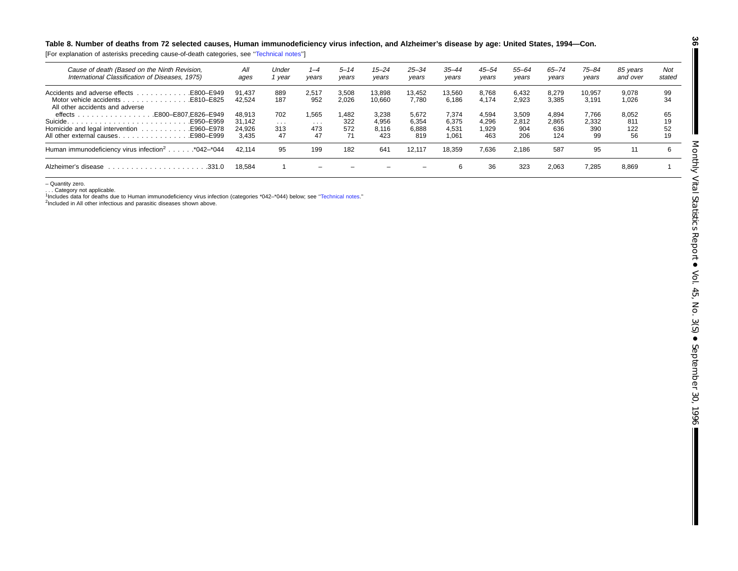#### Table 8. Number of deaths from 72 selected causes, Human immunodeficiency virus infection, and Alzheimer's disease by age: United States, 1994-Con.

[For explanation of asterisks preceding cause-of-death categories, see '['Technical](#page-71-0) notes'']

| Cause of death (Based on the Ninth Revision,<br>International Classification of Diseases, 1975)                      | All<br>ages      | Under<br>vear | 1–4<br>years | $5 - 14$<br>vears | $15 - 24$<br>vears | $25 - 34$<br>years | $35 - 44$<br>years | 45–54<br>years | 55–64<br>years | 65–74<br>years | $75 - 84$<br>vears | 85 vears<br>and over | Not<br>stated        |
|----------------------------------------------------------------------------------------------------------------------|------------------|---------------|--------------|-------------------|--------------------|--------------------|--------------------|----------------|----------------|----------------|--------------------|----------------------|----------------------|
| . E800-E949<br>Accidents and adverse effects<br>Motor vehicle accidents E810–E825<br>All other accidents and adverse | 91.437<br>42.524 | 889<br>187    | 2.517<br>952 | 3.508<br>2.026    | 13.898<br>10.660   | 13.452<br>7.780    | 13.560<br>6,186    | 8.768<br>4.174 | 6.432<br>2,923 | 8.279<br>3,385 | 10.957<br>3.191    | 9.078<br>1.026       | 99<br>34             |
| E800-E807.E826-E949.<br>$\theta$ effects $\ldots \ldots \ldots \ldots$<br>E950-E959                                  | 48.913<br>31.142 | 702<br>.      | 1,565<br>.   | 1.482<br>322      | 3.238<br>4.956     | 5.672<br>6.354     | 7.374<br>6.375     | 4,594<br>4.296 | 3.509<br>2,812 | 4.894<br>2.865 | 7.766<br>2.332     | 8.052<br>811         | 65<br>19             |
| All other external causesE980–E999                                                                                   | 24.926<br>3.435  | 313<br>47     | 473<br>47    | 572<br>71         | 8.116<br>423       | 6.888<br>819       | 4.531<br>1.061     | 1.929<br>463   | 904<br>206     | 636<br>124     | 390<br>99          | 122<br>56            | 52<br>1 <sub>Q</sub> |
| Human immunodeficiency virus infection <sup>2</sup> *042-*044                                                        | 42.114           | 95            | 199          | 182               | 641                | 12.117             | 18.359             | 7.636          | 2.186          | 587            | 95                 |                      | 6                    |
| Alzheimer's disease<br>.331.0<br>.                                                                                   | 18.584           |               | -            |                   |                    | -                  | 6                  | 36             | 323            | 2.063          | 7,285              | 8.869                |                      |

– Quantity zero.

. . . Category not applicable. 1Includes data for deaths due to Human immunodeficiency virus infection (categories \*042–\*044) below; see [''Technical](#page-71-0) notes.''

<sup>2</sup>Included in All other infectious and parasitic diseases shown above.

**36**

 $\blacksquare$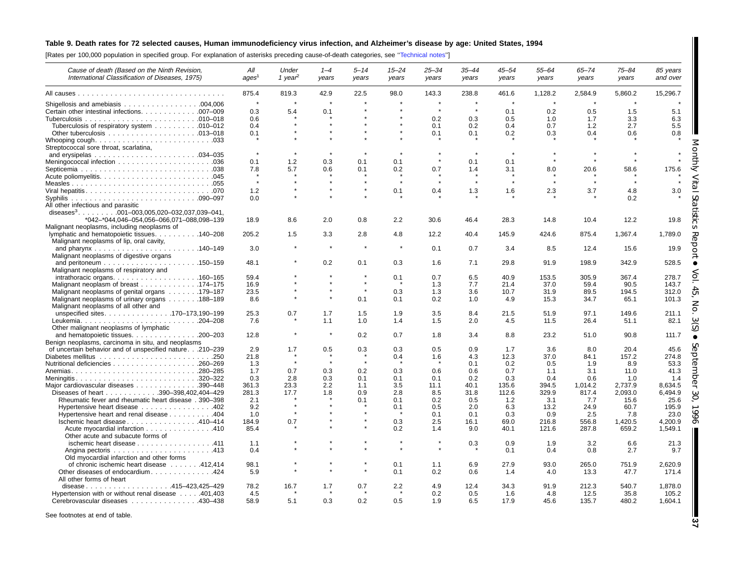# Table 9. Death rates for 72 selected causes, Human immunodeficiency virus infection, and Alzheimer's disease by age: United States, 1994

[Rates per 100,000 population in specified group. For explanation of asterisks preceding cause-of-death categories, see [''Technical](#page-71-0) notes'']

| Cause of death (Based on the Ninth Revision,<br>International Classification of Diseases, 1975)             | All<br>ages <sup>1</sup> | Under<br>1 year <sup>2</sup> | $1 - 4$<br>years | $5 - 14$<br>years | $15 - 24$<br>years | $25 - 34$<br>years | $35 - 44$<br>years | $45 - 54$<br>years | $55 - 64$<br>years | $65 - 74$<br>years | $75 - 84$<br>years | 85 years<br>and over           |
|-------------------------------------------------------------------------------------------------------------|--------------------------|------------------------------|------------------|-------------------|--------------------|--------------------|--------------------|--------------------|--------------------|--------------------|--------------------|--------------------------------|
|                                                                                                             | 875.4                    | 819.3                        | 42.9             | 22.5              | 98.0               | 143.3              | 238.8              | 461.6              | 1,128.2            | 2,584.9            | 5,860.2            | 15,296.7                       |
| Certain other intestinal infections. 007-009                                                                | $\star$<br>0.3           | 5.4                          | 0.1              |                   |                    | $\star$            | $\star$            | 0.1                | 0.2                | $\star$<br>0.5     | 1.5                | 5.1                            |
| Tuberculosis of respiratory system 010–012                                                                  | 0.6<br>0.4<br>0.1        |                              |                  |                   |                    | 0.2<br>0.1<br>0.1  | 0.3<br>0.2<br>0.1  | 0.5<br>0.4<br>0.2  | 1.0<br>0.7<br>0.3  | 1.7<br>1.2<br>0.4  | 3.3<br>2.7<br>0.6  | 6.3<br>5.5<br>0.8              |
| Streptococcal sore throat, scarlatina,                                                                      |                          |                              |                  |                   |                    |                    |                    |                    |                    |                    |                    |                                |
|                                                                                                             | $\star$                  |                              |                  |                   |                    |                    |                    |                    |                    |                    |                    |                                |
|                                                                                                             | 0.1<br>7.8               | 1.2<br>5.7                   | 0.3<br>0.6       | 0.1<br>0.1        | 0.1<br>0.2         | 0.7                | 0.1<br>1.4         | 0.1<br>3.1         | 8.0                | 20.6               | 58.6               | 175.6                          |
|                                                                                                             | $\star$                  |                              |                  |                   |                    |                    |                    | $\star$            |                    |                    |                    |                                |
|                                                                                                             | 1.2<br>0.0               |                              |                  |                   | 0.1                | 0.4                | 1.3                | 1.6                | 2.3                | 3.7                | 4.8<br>0.2         | 3.0                            |
| All other infectious and parasitic<br>diseases <sup>3</sup> . 001-003,005,020-032,037,039-041,              |                          |                              |                  |                   |                    |                    |                    |                    |                    |                    |                    |                                |
| *042-*044,046-054,056-066,071-088,098-139<br>Malignant neoplasms, including neoplasms of                    | 18.9                     | 8.6                          | 2.0              | 0.8               | 2.2                | 30.6               | 46.4               | 28.3               | 14.8               | 10.4               | 12.2               | 19.8<br>∩                      |
| lymphatic and hematopoietic tissues. 140–208<br>Malignant neoplasms of lip, oral cavity,                    | 205.2                    | 1.5                          | 3.3              | 2.8               | 4.8                | 12.2               | 40.4               | 145.9              | 424.6              | 875.4              | 1,367.4            | 1,789.0<br>ᇧ                   |
| Malignant neoplasms of digestive organs                                                                     | 3.0                      |                              |                  |                   |                    | 0.1                | 0.7                | 3.4                | 8.5                | 12.4               | 15.6               | ८<br>19.9                      |
| Malignant neoplasms of respiratory and                                                                      | 48.1                     |                              | 0.2              | 0.1               | 0.3                | 1.6                | 7.1                | 29.8               | 91.9               | 198.9              | 342.9              | 528.5                          |
| intrathoracic organs. $\ldots$ . 160–165<br>Malignant neoplasm of breast 174–175                            | 59.4<br>16.9             |                              |                  |                   | 0.1                | 0.7<br>1.3         | 6.5<br>7.7         | 40.9<br>21.4       | 153.5<br>37.0      | 305.9<br>59.4      | 367.4<br>90.5      | 278.7<br>143.7                 |
| Malignant neoplasms of genital organs 179–187                                                               | 23.5                     |                              |                  |                   | 0.3                | 1.3                | 3.6                | 10.7               | 31.9               | 89.5               | 194.5              | 312.0<br>CЛ                    |
| Malignant neoplasms of urinary organs 188-189<br>Malignant neoplasms of all other and                       | 8.6                      |                              |                  | 0.1               | 0.1                | 0.2                | 1.0                | 4.9                | 15.3               | 34.7               | 65.1               | 101.3<br>z                     |
| unspecified sites170-173,190-199                                                                            | 25.3<br>7.6              | 0.7                          | 1.7<br>1.1       | 1.5<br>1.0        | 1.9<br>1.4         | 3.5<br>1.5         | 8.4<br>2.0         | 21.5<br>4.5        | 51.9<br>11.5       | 97.1<br>26.4       | 149.6<br>51.1      | 211.1<br>82.1                  |
| Other malignant neoplasms of lymphatic                                                                      |                          |                              |                  |                   |                    |                    |                    |                    |                    |                    |                    |                                |
| and hematopoietic tissues. 200-203<br>Benign neoplasms, carcinoma in situ, and neoplasms                    | 12.8                     |                              | $\star$          | 0.2               | 0.7                | 1.8                | 3.4                | 8.8                | 23.2               | 51.0               | 90.8               | 111.7                          |
| of uncertain behavior and of unspecified nature.210-239                                                     | 2.9                      | 1.7                          | 0.5              | 0.3               | 0.3                | 0.5                | 0.9                | 1.7                | 3.6                | 8.0                | 20.4               | 45.6                           |
|                                                                                                             | 21.8<br>1.3              |                              | $\bullet$        | $\star$           | 0.4                | 1.6                | 4.3<br>0.1         | 12.3<br>0.2        | 37.0<br>0.5        | 84.1<br>1.9        | 157.2<br>8.9       | ⊽<br>274.8<br>$\sigma$<br>53.3 |
|                                                                                                             | 1.7                      | 0.7                          | 0.3              | 0.2               | 0.3                | 0.6                | 0.6                | 0.7                | 1.1                | 3.1                | 11.0               | 41.3                           |
| Meningitis320-322                                                                                           | 0.3                      | 2.8                          | 0.3              | 0.1               | 0.1                | 0.1                | 0.2                | 0.3                | 0.4                | 0.6                | 1.0                | ਨ<br>1.4                       |
| Major cardiovascular diseases 390-448                                                                       | 361.3                    | 23.3                         | 2.2              | 1.1               | 3.5                | 11.1               | 40.1               | 135.6              | 394.5              | 1,014.2            | 2,737.9            | 8,634.5                        |
| Diseases of heart 390-398,402,404-429                                                                       | 281.3                    | 17.7                         | 1.8              | 0.9               | 2.8                | 8.5                | 31.8               | 112.6              | 329.9              | 817.4              | 2,093.0            | 6,494.9<br>$\omega$<br>O       |
| Rheumatic fever and rheumatic heart disease . 390-398                                                       | 2.1                      |                              |                  | 0.1               | 0.1<br>0.1         | 0.2<br>0.5         | 0.5                | 1.2                | 3.1                | 7.7<br>24.9        | 15.6<br>60.7       | 25.6<br>195.9                  |
| Hypertensive heart disease 402<br>Hypertensive heart and renal disease 404                                  | 9.2<br>1.0               |                              |                  |                   |                    | 0.1                | 2.0<br>0.1         | 6.3<br>0.3         | 13.2<br>0.9        | 2.5                | 7.8                | ∽<br>23.0                      |
| Ischemic heart disease 410-414                                                                              | 184.9                    | 0.7                          |                  |                   | 0.3                | 2.5                | 16.1               | 69.0               | 216.8              | 556.8              | 1,420.5            | 4,200.9<br>ᡋ                   |
| Acute myocardial infarction 410<br>Other acute and subacute forms of                                        | 85.4                     |                              |                  |                   | 0.2                | 1.4                | 9.0                | 40.1               | 121.6              | 287.8              | 659.2              | 1,549.1                        |
| ischemic heart disease 411                                                                                  | 1.1<br>0.4               |                              |                  |                   |                    |                    | 0.3                | 0.9<br>0.1         | 1.9<br>0.4         | 3.2<br>0.8         | 6.6<br>2.7         | 21.3<br>9.7                    |
| Old myocardial infarction and other forms                                                                   |                          |                              |                  |                   |                    |                    |                    |                    |                    |                    |                    |                                |
| of chronic ischemic heart disease 412,414<br>Other diseases of endocardium. 424<br>All other forms of heart | 98.1<br>5.9              |                              |                  |                   | 0.1<br>0.1         | 1.1<br>0.2         | 6.9<br>0.6         | 27.9<br>1.4        | 93.0<br>4.0        | 265.0<br>13.3      | 751.9<br>47.7      | 2.620.9<br>171.4               |
| disease415-423,425-429                                                                                      | 78.2                     | 16.7                         | 1.7              | 0.7               | 2.2                | 4.9                | 12.4               | 34.3               | 91.9               | 212.3              | 540.7              | 1,878.0                        |
| Hypertension with or without renal disease 401,403<br>Cerebrovascular diseases 430–438                      | 4.5<br>58.9              | 5.1                          | 0.3              | 0.2               | 0.5                | 0.2<br>1.9         | 0.5<br>6.5         | 1.6<br>17.9        | 4.8<br>45.6        | 12.5<br>135.7      | 35.8<br>480.2      | 105.2<br>1,604.1               |

See footnotes at end of table.

**37**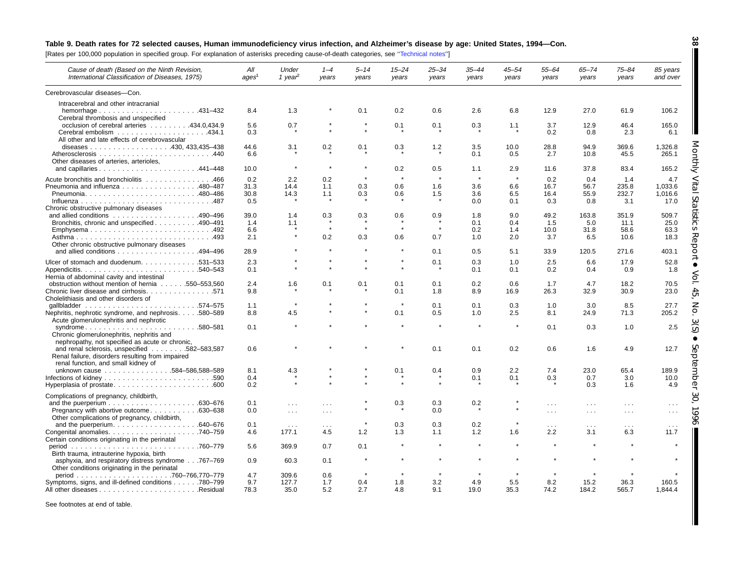# Table 9. Death rates for 72 selected causes, Human immunodeficiency virus infection, and Alzheimer's disease by age: United States, 1994-Con.

[Rates per 100,000 population in specified group. For explanation of asterisks preceding cause-of-death categories, see '['Technical](#page-71-0) notes'']

| Cause of death (Based on the Ninth Revision,<br>International Classification of Diseases, 1975)                 | All<br>aqes <sup>1</sup> | Under<br>1 year <sup>2</sup> | $1 - 4$<br>years | $5 - 14$<br>years | $15 - 24$<br>years | $25 - 34$<br>years | $35 - 44$<br>years | 45–54<br>years | $55 - 64$<br>years   | $65 - 74$<br>years | $75 - 84$<br>years   | 85 years<br>and over |
|-----------------------------------------------------------------------------------------------------------------|--------------------------|------------------------------|------------------|-------------------|--------------------|--------------------|--------------------|----------------|----------------------|--------------------|----------------------|----------------------|
| Cerebrovascular diseases-Con.                                                                                   |                          |                              |                  |                   |                    |                    |                    |                |                      |                    |                      |                      |
| Intracerebral and other intracranial                                                                            |                          |                              |                  |                   |                    |                    |                    |                |                      |                    |                      |                      |
| Cerebral thrombosis and unspecified                                                                             | 8.4                      | 1.3                          |                  | 0.1               | 0.2                | 0.6                | 2.6                | 6.8            | 12.9                 | 27.0               | 61.9                 | 106.2                |
| occlusion of cerebral arteries 434.0,434.9                                                                      | 5.6<br>0.3               | 0.7                          |                  |                   | 0.1                | 0.1                | 0.3                | 1.1            | 3.7<br>0.2           | 12.9<br>0.8        | 46.4<br>2.3          | 165.0<br>6.1         |
| All other and late effects of cerebrovascular                                                                   | 44.6                     |                              |                  |                   |                    |                    | 3.5                | 10.0           | 28.8                 | 94.9               | 369.6                | 1,326.8              |
|                                                                                                                 | 6.6                      | 3.1                          | 0.2              | 0.1               | 0.3                | 1.2                | 0.1                | 0.5            | 2.7                  | 10.8               | 45.5                 | 265.1                |
| Other diseases of arteries, arterioles,                                                                         | 10.0                     | $\star$                      | $\star$          | $\star$           | 0.2                | 0.5                | 1.1                | 2.9            | 11.6                 | 37.8               | 83.4                 | 165.2                |
|                                                                                                                 |                          |                              |                  |                   | $\star$            | $\star$            | $\star$            |                |                      |                    |                      |                      |
| Acute bronchitis and bronchiolitis 466                                                                          | 0.2                      | 2.2                          | 0.2              |                   |                    |                    |                    | $\pmb{\ast}$   | 0.2                  | 0.4                | 1.4                  | 4.7                  |
| Pneumonia and influenza 480-487                                                                                 | 31.3                     | 14.4                         | 1.1              | 0.3               | 0.6                | 1.6                | 3.6                | 6.6            | 16.7                 | 56.7               | 235.8                | 1.033.6              |
|                                                                                                                 | 30.8                     | 14.3                         | 1.1              | 0.3               | 0.6                | 1.5                | 3.6                | 6.5            | 16.4                 | 55.9               | 232.7                | 1,016.6              |
| Chronic obstructive pulmonary diseases                                                                          | 0.5                      |                              |                  |                   |                    |                    | 0.0                | 0.1            | 0.3                  | 0.8                | 3.1                  | 17.0                 |
|                                                                                                                 | 39.0                     | 1.4                          | 0.3              | 0.3               | 0.6                | 0.9                | 1.8                | 9.0            | 49.2                 | 163.8              | 351.9                | 509.7                |
| Bronchitis, chronic and unspecified 490–491                                                                     | 1.4                      | 1.1                          |                  |                   |                    |                    | 0.1                | 0.4            | 1.5                  | 5.0                | 11.1                 | 25.0                 |
| Emphysema492                                                                                                    | 6.6                      |                              | $\star$          | $\star$           | $\star$            | $\star$            | 0.2                | 1.4            | 10.0                 | 31.8               | 58.6                 | 63.3                 |
|                                                                                                                 | 2.1                      |                              | 0.2              | 0.3               | 0.6                | 0.7                | 1.0                | 2.0            | 3.7                  | 6.5                | 10.6                 | 18.3                 |
| Other chronic obstructive pulmonary diseases                                                                    |                          |                              |                  |                   |                    |                    |                    |                |                      |                    |                      |                      |
| and allied conditions 494-496                                                                                   | 28.9                     |                              |                  |                   | $\star$            | 0.1                | 0.5                | 5.1            | 33.9                 | 120.5              | 271.6                | 403.1                |
| Ulcer of stomach and duodenum. 531-533                                                                          | 2.3                      |                              |                  |                   |                    | 0.1                | 0.3                | 1.0            | 2.5                  | 6.6                | 17.9                 | 52.8                 |
|                                                                                                                 | 0.1                      |                              |                  |                   |                    |                    | 0.1                | 0.1            | 0.2                  | 0.4                | 0.9                  | 1.8                  |
| Hernia of abdominal cavity and intestinal                                                                       |                          |                              |                  |                   |                    |                    |                    |                |                      |                    |                      |                      |
| obstruction without mention of hernia 550–553,560                                                               | 2.4                      | 1.6                          | 0.1              | 0.1               | 0.1                | 0.1                | 0.2                | 0.6            | 1.7                  | 4.7                | 18.2                 | 70.5                 |
| Chronic liver disease and cirrhosis. 571<br>Cholelithiasis and other disorders of                               | 9.8                      |                              |                  |                   | 0.1                | 1.8                | 8.9                | 16.9           | 26.3                 | 32.9               | 30.9                 | 23.0                 |
|                                                                                                                 | 1.1                      |                              |                  |                   |                    | 0.1                | 0.1                | 0.3            | 1.0                  | 3.0                | 8.5                  | 27.7                 |
| Nephritis, nephrotic syndrome, and nephrosis. 580-589<br>Acute glomerulonephritis and nephrotic                 | 8.8                      | 4.5                          |                  |                   | 0.1                | 0.5                | 1.0                | 2.5            | 8.1                  | 24.9               | 71.3                 | 205.2                |
| syndrome580-581<br>Chronic glomerulonephritis, nephritis and<br>nephropathy, not specified as acute or chronic, | 0.1                      |                              |                  |                   |                    |                    | $\star$            |                | 0.1                  | 0.3                | 1.0                  | 2.5                  |
| and renal sclerosis, unspecified 582-583,587<br>Renal failure, disorders resulting from impaired                | 0.6                      |                              |                  |                   |                    | 0.1                | 0.1                | 0.2            | 0.6                  | 1.6                | 4.9                  | 12.7                 |
| renal function, and small kidney of                                                                             |                          |                              |                  |                   |                    |                    |                    |                |                      |                    |                      |                      |
| unknown cause 584-586,588-589                                                                                   | 8.1                      | 4.3                          |                  |                   | 0.1                | 0.4                | 0.9                | 2.2            | 7.4                  | 23.0               | 65.4                 | 189.9                |
|                                                                                                                 | 0.4                      |                              |                  |                   |                    |                    | 0.1                | 0.1            | 0.3                  | 0.7                | 3.0                  | 10.0                 |
| Hyperplasia of prostate600                                                                                      | 0.2                      |                              |                  |                   |                    | $\star$            |                    |                |                      | 0.3                | 1.6                  | 4.9                  |
| Complications of pregnancy, childbirth,                                                                         |                          |                              |                  |                   |                    |                    |                    |                |                      |                    |                      |                      |
|                                                                                                                 | 0.1                      | $\sim$                       |                  |                   | 0.3                | 0.3                | 0.2                |                | $\sim$ $\sim$ $\sim$ | $\sim 10$          | $\cdots$             | $\cdots$             |
| Pregnancy with abortive outcome630–638<br>Other complications of pregnancy, childbirth,                         | 0.0                      | $\sim$ $\sim$ $\sim$         | $\cdots$         |                   |                    | 0.0                |                    |                | $\sim 100$           | $\sim 100$         | $\cdots$             | $\sim$ $\sim$ $\sim$ |
|                                                                                                                 | 0.1                      | $\sim$ $\sim$ $\sim$         | $\cdots$         |                   | 0.3                | 0.3                | 0.2                |                | .                    | $\sim$ .           | $\sim$ $\sim$ $\sim$ | $\cdots$             |
| Certain conditions originating in the perinatal                                                                 | 4.6                      | 177.1                        | 4.5              | 1.2               | 1.3                | 1.1                | 1.2                | 1.6            | 2.2                  | 3.1                | 6.3                  | 11.7                 |
| Birth trauma, intrauterine hypoxia, birth                                                                       | 5.6                      | 369.9                        | 0.7              | 0.1               |                    |                    |                    |                |                      |                    |                      |                      |
| asphyxia, and respiratory distress syndrome767-769<br>Other conditions originating in the perinatal             | 0.9                      | 60.3                         | 0.1              |                   |                    |                    |                    |                |                      |                    |                      |                      |
|                                                                                                                 | 4.7                      | 309.6                        | 0.6              |                   |                    |                    |                    |                |                      |                    |                      |                      |
| Symptoms, signs, and ill-defined conditions 780–799                                                             | 9.7                      | 127.7                        | 1.7              | 0.4               | 1.8                | 3.2                | 4.9                | 5.5            | 8.2                  | 15.2               | 36.3                 | 160.5                |
|                                                                                                                 | 78.3                     | 35.0                         | 5.2              | 2.7               | 4.8                | 9.1                | 19.0               | 35.3           | 74.2                 | 184.2              | 565.7                | 1.844.4              |

See footnotes at end of table.

**38** H

Monthly Vital

Ш

Statistics

 Report  $\bullet$ 

Vol. 45, No. 3(S)

 $\bullet$ 

September

30, 1996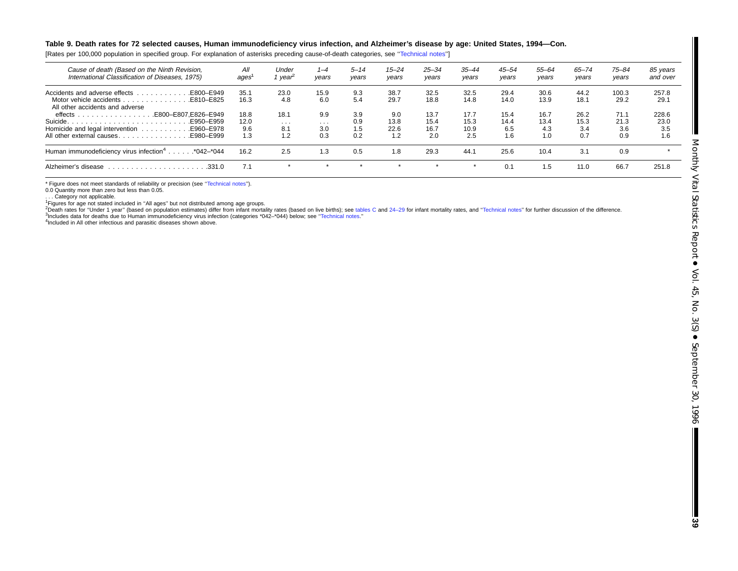#### Table 9. Death rates for 72 selected causes, Human immunodeficiency virus infection, and Alzheimer's disease by age: United States, 1994-Con.

[Rates per 100,000 population in specified group. For explanation of asterisks preceding cause-of-death categories, see [''Technical](#page-71-0) notes'']

| Cause of death (Based on the Ninth Revision,<br>International Classification of Diseases, 1975) | All<br>ages  | Under<br>' vear <sup>2</sup> | $1 - 4$<br>vears | $5 - 14$<br>years | $15 - 24$<br>vears | $25 - 34$<br>years | $35 - 44$<br>vears | $45 - 54$<br>years | 55–64<br>vears | $65 - 74$<br>years | $75 - 84$<br>vears | 85 years<br>and over |
|-------------------------------------------------------------------------------------------------|--------------|------------------------------|------------------|-------------------|--------------------|--------------------|--------------------|--------------------|----------------|--------------------|--------------------|----------------------|
| Motor vehicle accidents E810–E825<br>All other accidents and adverse                            | 35.1<br>16.3 | 23.0<br>4.8                  | 15.9<br>6.0      | 9.3<br>5.4        | 38.7<br>29.7       | 32.5<br>18.8       | 32.5<br>14.8       | 29.4<br>14.0       | 30.6<br>13.9   | 44.2<br>18.1       | 100.3<br>29.2      | 257.8<br>29.7        |
| E800-E807.E826-E949.<br>E950-E959                                                               | 18.8<br>12.0 | 18.1<br>$\cdots$             | 9.9<br>$\cdots$  | 3.9<br>0.9        | 9.0<br>13.8        | 13.7<br>15.4       | 17.7<br>15.3       | 15.4<br>14.4       | 16.7<br>13.4   | 26.2<br>15.3       | 71.1<br>21.3       | 228.6<br>23.0        |
| All other external causesE980–E999                                                              | 9.6<br>1.3   | 8.1<br>1.2                   | 3.0<br>0.3       | 1.5<br>0.2        | 22.6<br>1.2        | 16.7<br>2.0        | 10.9<br>2.5        | 6.5<br>1.6         | 4.3<br>1.0     | 3.4<br>0.7         | 3.6<br>0.9         | 3.5<br>1.6           |
| Human immunodeficiency virus infection <sup>4</sup> *042-*044                                   | 16.2         | 2.5                          | 1.3              | 0.5               | 1.8                | 29.3               | 44.7               | 25.6               | 10.4           | 3.1                | 0.9                |                      |
| Alzheimer's disease<br>.331.0                                                                   |              | $\star$                      | $\rightarrow$    |                   |                    | $\star$            | $\star$            | 0.1                | 1.5            | 11.0               | 66.7               | 251.8                |

\* Figure does not meet standards of reliability or precision (see "Technical notes").

0.0 Quantity more than zero but less than 0.05.

... Category not applicable.

<sup>1</sup>Figures for age not stated included in "All ages" but not distributed among age groups.<br><sup>2</sup>Death rates for "Under 1 year" (based on population estimates) differ from infant mortality rates (based on live births); see ta 3Includes data for deaths due to Human immunodeficiency virus infection (categories \*042–\*044) below; see [''Technical](#page-71-0) notes.''

<sup>4</sup>Included in All other infectious and parasitic diseases shown above.

 $\blacksquare$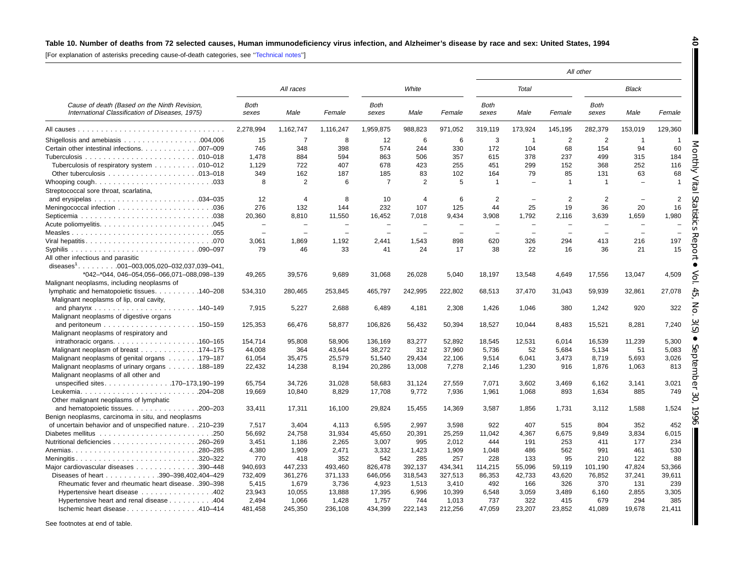# Table 10. Number of deaths from 72 selected causes, Human immunodeficiency virus infection, and Alzheimer's disease by race and sex: United States, 1994

[For explanation of asterisks preceding cause-of-death categories, see '['Technical](#page-71-0) notes'']

|                                                                                                 |                          |                            |                          |                          |                          |                          |                          |                          |                          | All other                |                          |                |
|-------------------------------------------------------------------------------------------------|--------------------------|----------------------------|--------------------------|--------------------------|--------------------------|--------------------------|--------------------------|--------------------------|--------------------------|--------------------------|--------------------------|----------------|
|                                                                                                 |                          | All races                  |                          |                          | White                    |                          |                          | Total                    |                          |                          | <b>Black</b>             |                |
| Cause of death (Based on the Ninth Revision,<br>International Classification of Diseases, 1975) | Both<br>sexes            | Male                       | Female                   | Both<br>sexes            | Male                     | Female                   | Both<br>sexes            | Male                     | Female                   | <b>Both</b><br>sexes     | Male                     | Female         |
|                                                                                                 | 2.278.994                | 1,162,747                  | 1,116,247                | 1,959,875                | 988,823                  | 971,052                  | 319,119                  | 173,924                  | 145,195                  | 282,379                  | 153,019                  | 129,360        |
|                                                                                                 | 15                       | $\overline{7}$             | 8                        | 12                       | 6                        | 6                        | 3                        | $\overline{1}$           | $\overline{2}$           | $\overline{c}$           | $\overline{1}$           | -1             |
| Certain other intestinal infections. 007-009                                                    | 746                      | 348                        | 398                      | 574                      | 244                      | 330                      | 172                      | 104                      | 68                       | 154                      | 94                       | 60             |
|                                                                                                 | 1,478                    | 884                        | 594                      | 863                      | 506                      | 357                      | 615                      | 378                      | 237                      | 499                      | 315                      | 184            |
| Tuberculosis of respiratory system 010-012                                                      | 1.129                    | 722                        | 407                      | 678                      | 423                      | 255                      | 451                      | 299                      | 152                      | 368                      | 252                      | 116            |
|                                                                                                 | 349                      | 162                        | 187                      | 185                      | 83                       | 102                      | 164                      | 79                       | 85                       | 131                      | 63                       | 68             |
|                                                                                                 | 8                        | 2                          | 6                        | 7                        | 2                        | 5                        | $\overline{\mathbf{1}}$  |                          | $\overline{1}$           | 1                        | $\equiv$                 | $\overline{1}$ |
| Streptococcal sore throat, scarlatina,                                                          |                          |                            |                          |                          |                          |                          |                          |                          |                          |                          |                          |                |
|                                                                                                 | 12                       | $\boldsymbol{\mathcal{A}}$ | 8                        | 10                       | $\overline{4}$           | 6                        | 2                        |                          | $\overline{2}$           | 2                        | $\overline{\phantom{a}}$ | 2              |
|                                                                                                 | 276                      | 132                        | 144                      | 232                      | 107                      | 125                      | 44                       | 25                       | 19                       | 36                       | 20                       | 16             |
|                                                                                                 | 20,360                   | 8.810                      | 11,550                   | 16,452                   | 7.018                    | 9.434                    | 3.908                    | 1.792                    | 2.116                    | 3,639                    | 1,659                    | 1.980          |
|                                                                                                 |                          | ÷                          |                          | $\overline{\phantom{0}}$ | $\overline{\phantom{0}}$ |                          | $\overline{\phantom{0}}$ | $\overline{\phantom{0}}$ | $\overline{\phantom{0}}$ | $\overline{\phantom{0}}$ | $\overline{\phantom{0}}$ |                |
|                                                                                                 | $\overline{\phantom{0}}$ | $\overline{\phantom{a}}$   | $\overline{\phantom{0}}$ | $\overline{\phantom{0}}$ | $\overline{\phantom{0}}$ | $\overline{\phantom{0}}$ | $\overline{\phantom{0}}$ | $\overline{\phantom{0}}$ | $\overline{\phantom{0}}$ | $\overline{\phantom{m}}$ | $\equiv$                 |                |
| Viral hepatitis070                                                                              | 3,061                    | 1,869                      | 1,192                    | 2,441                    | 1,543                    | 898                      | 620                      | 326                      | 294                      | 413                      | 216                      | 197            |
|                                                                                                 | 79                       | 46                         | 33                       | 41                       | 24                       | 17                       | 38                       | 22                       | 16                       | 36                       | 21                       | g<br>15        |
| All other infectious and parasitic                                                              |                          |                            |                          |                          |                          |                          |                          |                          |                          |                          |                          |                |
| diseases <sup>1</sup> 001-003,005,020-032,037,039-041,                                          |                          |                            |                          |                          |                          |                          |                          |                          |                          |                          |                          |                |
| *042-*044, 046-054,056-066,071-088,098-139                                                      | 49,265                   | 39,576                     | 9,689                    | 31,068                   | 26,028                   | 5,040                    | 18,197                   | 13,548                   | 4,649                    | 17,556                   | 13,047                   | 4,509          |
| Malignant neoplasms, including neoplasms of                                                     |                          |                            |                          |                          |                          |                          |                          |                          |                          |                          |                          |                |
| lymphatic and hematopoietic tissues. 140–208                                                    | 534,310                  | 280,465                    | 253,845                  | 465,797                  | 242,995                  | 222,802                  | 68,513                   | 37,470                   | 31,043                   | 59,939                   | 32,861                   | 27,078         |
| Malignant neoplasms of lip, oral cavity,                                                        |                          |                            |                          |                          |                          |                          |                          |                          |                          |                          |                          |                |
|                                                                                                 | 7.915                    | 5,227                      | 2.688                    | 6,489                    | 4.181                    | 2,308                    | 1,426                    | 1.046                    | 380                      | 1,242                    | 920                      | 322            |
| Malignant neoplasms of digestive organs                                                         |                          |                            |                          |                          |                          |                          |                          |                          |                          |                          |                          |                |
|                                                                                                 | 125.353                  | 66.476                     | 58.877                   | 106.826                  | 56,432                   | 50.394                   | 18,527                   | 10.044                   | 8.483                    | 15,521                   | 8,281                    | 7,240          |
| Malignant neoplasms of respiratory and                                                          |                          |                            |                          |                          |                          |                          |                          |                          |                          |                          |                          |                |
| $intrathoracic organs. \ldots \ldots \ldots \ldots \ldots \ldots \ldots \ldots 160-165$         | 154,714                  | 95,808                     | 58,906                   | 136,169                  | 83,277                   | 52,892                   | 18,545                   | 12,531                   | 6,014                    | 16,539                   | 11,239                   | 5,300          |
| Malignant neoplasm of breast 174–175                                                            | 44.008                   | 364                        | 43.644                   | 38,272                   | 312                      | 37.960                   | 5.736                    | 52                       | 5.684                    | 5.134                    | 51                       | 5.083          |
|                                                                                                 |                          |                            |                          |                          |                          |                          |                          |                          |                          |                          |                          | ⊽              |
| Malignant neoplasms of genital organs 179–187                                                   | 61,054                   | 35,475                     | 25,579                   | 51,540                   | 29,434                   | 22,106                   | 9,514                    | 6,041                    | 3,473                    | 8,719                    | 5,693                    | 3,026          |
| Malignant neoplasms of urinary organs 188–189                                                   | 22,432                   | 14,238                     | 8,194                    | 20,286                   | 13,008                   | 7,278                    | 2,146                    | 1,230                    | 916                      | 1,876                    | 1,063                    | 813            |
| Malignant neoplasms of all other and                                                            |                          |                            |                          |                          |                          |                          |                          |                          |                          |                          |                          |                |
| unspecified sites170-173,190-199                                                                | 65,754                   | 34,726                     | 31,028                   | 58,683                   | 31,124                   | 27,559                   | 7,071                    | 3,602                    | 3,469                    | 6,162                    | 3,141                    | 3,021          |
|                                                                                                 | 19,669                   | 10,840                     | 8,829                    | 17,708                   | 9,772                    | 7,936                    | 1,961                    | 1,068                    | 893                      | 1,634                    | 885                      | 749            |
| Other malignant neoplasms of lymphatic                                                          |                          |                            |                          |                          |                          |                          |                          |                          |                          |                          |                          |                |
| and hematopoietic tissues. 200-203                                                              | 33,411                   | 17,311                     | 16.100                   | 29,824                   | 15,455                   | 14,369                   | 3,587                    | 1.856                    | 1,731                    | 3,112                    | 1,588                    | 1,524          |
| Benign neoplasms, carcinoma in situ, and neoplasms                                              |                          |                            |                          |                          |                          |                          |                          |                          |                          |                          |                          |                |
| of uncertain behavior and of unspecified nature.210-239                                         | 7,517                    | 3,404                      | 4,113                    | 6,595                    | 2,997                    | 3,598                    | 922                      | 407                      | 515                      | 804                      | 352                      | 452            |
|                                                                                                 | 56,692                   | 24,758                     | 31,934                   | 45,650                   | 20,391                   | 25,259                   | 11,042                   | 4,367                    | 6,675                    | 9,849                    | 3,834                    | 6,015          |
|                                                                                                 | 3,451                    | 1,186                      | 2,265                    | 3,007                    | 995                      | 2.012                    | 444                      | 191                      | 253                      | 411                      | 177                      | 234            |
| Anemias<br>$.280 - 285$                                                                         | 4,380                    | 1,909                      | 2,471                    | 3,332                    | 1,423                    | 1,909                    | 1,048                    | 486                      | 562                      | 991                      | 461                      | 530            |
| Meningitis320-322                                                                               | 770                      | 418                        | 352                      | 542                      | 285                      | 257                      | 228                      | 133                      | 95                       | 210                      | 122                      | 88             |
| Major cardiovascular diseases 390-448                                                           | 940.693                  | 447,233                    | 493.460                  | 826,478                  | 392.137                  | 434.341                  | 114,215                  | 55.096                   | 59.119                   | 101,190                  | 47.824                   | 53.366         |
| Diseases of heart 390-398,402,404-429                                                           | 732,409                  | 361,276                    | 371,133                  | 646,056                  | 318,543                  | 327,513                  | 86,353                   | 42,733                   | 43,620                   | 76,852                   | 37,241                   | 39,611         |
| Rheumatic fever and rheumatic heart disease. .390-398                                           | 5,415                    | 1,679                      | 3,736                    | 4,923                    | 1,513                    | 3,410                    | 492                      | 166                      | 326                      | 370                      | 131                      | 239            |
| Hypertensive heart disease 402                                                                  | 23,943                   | 10,055                     | 13,888                   | 17,395                   | 6,996                    | 10,399                   | 6,548                    | 3,059                    | 3,489                    | 6,160                    | 2,855                    | 3,305          |
| Hypertensive heart and renal disease 404                                                        | 2,494                    | 1,066                      | 1,428                    | 1,757                    | 744                      | 1,013                    | 737                      | 322                      | 415                      | 679                      | 294                      | 385            |
| Ischemic heart disease 410-414                                                                  | 481.458                  | 245.350                    | 236.108                  | 434.399                  | 222.143                  | 212.256                  | 47.059                   | 23.207                   | 23.852                   | 41.089                   | 19,678                   | 21,411         |
|                                                                                                 |                          |                            |                          |                          |                          |                          |                          |                          |                          |                          |                          |                |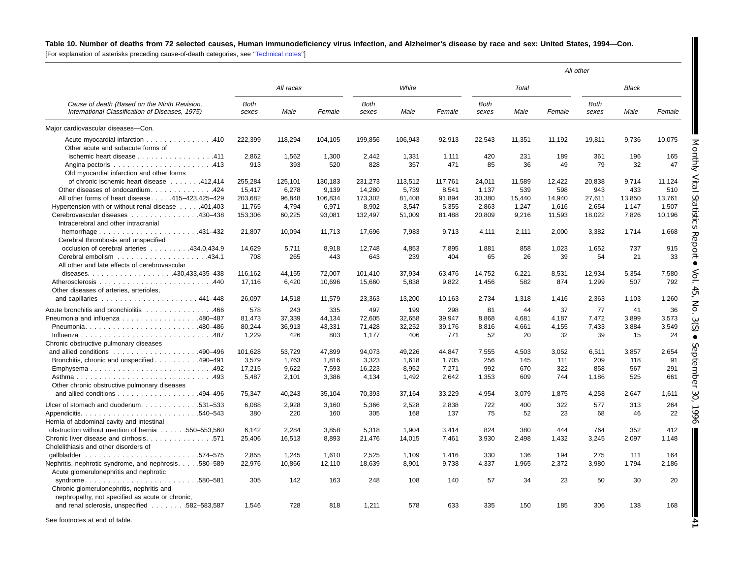# Table 10. Number of deaths from 72 selected causes, Human immunodeficiency virus infection, and Alzheimer's disease by race and sex: United States, 1994-Con.

[For explanation of asterisks preceding cause-of-death categories, see [''Technical](#page-71-0) notes'']

|                                                                                                 |                      |           |         |                      |         |         |                      |        |        | All other            |              |        |
|-------------------------------------------------------------------------------------------------|----------------------|-----------|---------|----------------------|---------|---------|----------------------|--------|--------|----------------------|--------------|--------|
|                                                                                                 |                      | All races |         |                      | White   |         |                      | Total  |        |                      | <b>Black</b> |        |
| Cause of death (Based on the Ninth Revision,<br>International Classification of Diseases, 1975) | <b>Both</b><br>sexes | Male      | Female  | <b>Both</b><br>sexes | Male    | Female  | <b>Both</b><br>sexes | Male   | Female | <b>Both</b><br>sexes | Male         | Female |
| Major cardiovascular diseases-Con.                                                              |                      |           |         |                      |         |         |                      |        |        |                      |              |        |
| Acute myocardial infarction 410                                                                 | 222,399              | 118,294   | 104,105 | 199,856              | 106,943 | 92,913  | 22,543               | 11,351 | 11,192 | 19,811               | 9,736        | 10,075 |
| Other acute and subacute forms of                                                               |                      |           |         |                      |         |         |                      |        |        |                      |              |        |
| ischemic heart disease 411                                                                      | 2,862                | 1,562     | 1,300   | 2,442                | 1,331   | 1,111   | 420                  | 231    | 189    | 361                  | 196          | 165    |
|                                                                                                 | 913                  | 393       | 520     | 828                  | 357     | 471     | 85                   | 36     | 49     | 79                   | 32           | 47     |
| Old myocardial infarction and other forms                                                       |                      |           |         |                      |         |         |                      |        |        |                      |              |        |
| of chronic ischemic heart disease 412,414                                                       | 255,284              | 125,101   | 130,183 | 231,273              | 113,512 | 117,761 | 24,011               | 11,589 | 12,422 | 20.838               | 9.714        | 11.124 |
| Other diseases of endocardium424                                                                | 15,417               | 6,278     | 9,139   | 14,280               | 5,739   | 8,541   | 1,137                | 539    | 598    | 943                  | 433          | 510    |
| All other forms of heart disease415-423,425-429                                                 | 203,682              | 96,848    | 106,834 | 173,302              | 81,408  | 91,894  | 30,380               | 15,440 | 14.940 | 27,611               | 13,850       | 13,761 |
| Hypertension with or without renal disease 401,403                                              | 11,765               | 4,794     | 6,971   | 8,902                | 3,547   | 5,355   | 2,863                | 1,247  | 1,616  | 2,654                | 1,147        | 1,507  |
| Cerebrovascular diseases 430–438                                                                | 153,306              | 60,225    | 93,081  | 132,497              | 51,009  | 81,488  | 20,809               | 9,216  | 11,593 | 18,022               | 7,826        | 10,196 |
| Intracerebral and other intracranial                                                            |                      |           |         |                      |         |         |                      |        |        |                      |              |        |
| hemorrhage $\ldots \ldots \ldots \ldots \ldots \ldots$ 431-432                                  | 21.807               | 10.094    | 11.713  | 17,696               | 7.983   | 9,713   | 4,111                | 2.111  | 2.000  | 3.382                | 1.714        | 1,668  |
| Cerebral thrombosis and unspecified                                                             |                      |           |         |                      |         |         |                      |        |        |                      |              |        |
| occlusion of cerebral arteries 434.0.434.9                                                      | 14.629               | 5,711     | 8,918   | 12.748               | 4,853   | 7,895   | 1,881                | 858    | 1,023  | 1.652                | 737          | 915    |
|                                                                                                 | 708                  | 265       | 443     | 643                  | 239     | 404     | 65                   | 26     | 39     | 54                   | 21           | 33     |
| All other and late effects of cerebrovascular                                                   |                      |           |         |                      |         |         |                      |        |        |                      |              |        |
|                                                                                                 | 116,162              | 44.155    | 72,007  | 101,410              | 37,934  | 63,476  | 14.752               | 6,221  | 8,531  | 12,934               | 5,354        | 7,580  |
|                                                                                                 |                      |           |         |                      |         |         |                      |        |        |                      |              |        |
|                                                                                                 | 17,116               | 6,420     | 10,696  | 15,660               | 5,838   | 9,822   | 1,456                | 582    | 874    | 1,299                | 507          | 792    |
| Other diseases of arteries, arterioles,                                                         |                      |           |         |                      |         |         |                      |        |        |                      |              |        |
|                                                                                                 | 26,097               | 14,518    | 11,579  | 23,363               | 13,200  | 10,163  | 2,734                | 1,318  | 1,416  | 2,363                | 1,103        | 1,260  |
| Acute bronchitis and bronchiolitis 466                                                          | 578                  | 243       | 335     | 497                  | 199     | 298     | 81                   | 44     | 37     | 77                   | 41           | 36     |
| Pneumonia and influenza 480-487                                                                 | 81,473               | 37,339    | 44,134  | 72,605               | 32,658  | 39,947  | 8,868                | 4,681  | 4,187  | 7,472                | 3,899        | 3,573  |
|                                                                                                 | 80,244               | 36,913    | 43,331  | 71,428               | 32,252  | 39,176  | 8,816                | 4,661  | 4,155  | 7,433                | 3,884        | 3,549  |
|                                                                                                 | 1,229                | 426       | 803     | 1,177                | 406     | 771     | 52                   | 20     | 32     | 39                   | 15           | 24     |
| Chronic obstructive pulmonary diseases                                                          |                      |           |         |                      |         |         |                      |        |        |                      |              |        |
|                                                                                                 | 101,628              | 53,729    | 47,899  | 94,073               | 49,226  | 44,847  | 7,555                | 4,503  | 3,052  | 6,511                | 3,857        | 2,654  |
| Bronchitis, chronic and unspecified 490–491                                                     | 3,579                | 1,763     | 1,816   | 3,323                | 1,618   | 1,705   | 256                  | 145    | 111    | 209                  | 118          | 91     |
| Emphysema492                                                                                    | 17,215               | 9,622     | 7,593   | 16,223               | 8,952   | 7,271   | 992                  | 670    | 322    | 858                  | 567          | 291    |
|                                                                                                 | 5,487                | 2,101     | 3,386   | 4,134                | 1,492   | 2,642   | 1,353                | 609    | 744    | 1,186                | 525          | 661    |
| Other chronic obstructive pulmonary diseases                                                    |                      |           |         |                      |         |         |                      |        |        |                      |              |        |
| and allied conditions 494-496                                                                   | 75,347               | 40,243    | 35,104  | 70,393               | 37,164  | 33,229  | 4,954                | 3,079  | 1,875  | 4,258                | 2,647        | 1,611  |
|                                                                                                 |                      |           |         |                      |         |         |                      |        |        |                      |              |        |
| Ulcer of stomach and duodenum. 531-533                                                          | 6,088                | 2,928     | 3,160   | 5,366                | 2,528   | 2,838   | 722                  | 400    | 322    | 577                  | 313          | 264    |
|                                                                                                 | 380                  | 220       | 160     | 305                  | 168     | 137     | 75                   | 52     | 23     | 68                   | 46           | 22     |
| Hernia of abdominal cavity and intestinal                                                       |                      |           |         |                      |         |         |                      |        |        |                      |              |        |
| obstruction without mention of hernia 550–553,560                                               | 6,142                | 2,284     | 3,858   | 5,318                | 1,904   | 3,414   | 824                  | 380    | 444    | 764                  | 352          | 412    |
| Chronic liver disease and cirrhosis. 571                                                        | 25,406               | 16,513    | 8,893   | 21,476               | 14,015  | 7,461   | 3,930                | 2,498  | 1,432  | 3,245                | 2,097        | 1,148  |
| Cholelithiasis and other disorders of                                                           |                      |           |         |                      |         |         |                      |        |        |                      |              |        |
|                                                                                                 | 2,855                | 1,245     | 1,610   | 2,525                | 1,109   | 1,416   | 330                  | 136    | 194    | 275                  | 111          | 164    |
| Nephritis, nephrotic syndrome, and nephrosis.580-589                                            | 22,976               | 10,866    | 12,110  | 18,639               | 8,901   | 9,738   | 4,337                | 1,965  | 2,372  | 3,980                | 1,794        | 2,186  |
| Acute glomerulonephritis and nephrotic                                                          |                      |           |         |                      |         |         |                      |        |        |                      |              |        |
| syndrome580-581                                                                                 | 305                  | 142       | 163     | 248                  | 108     | 140     | 57                   | 34     | 23     | 50                   | 30           | 20     |
| Chronic glomerulonephritis, nephritis and                                                       |                      |           |         |                      |         |         |                      |        |        |                      |              |        |
| nephropathy, not specified as acute or chronic,                                                 |                      |           |         |                      |         |         |                      |        |        |                      |              |        |
|                                                                                                 |                      |           |         |                      |         |         |                      |        |        |                      |              |        |
| and renal sclerosis, unspecified 582-583,587                                                    | 1,546                | 728       | 818     | 1,211                | 578     | 633     | 335                  | 150    | 185    | 306                  | 138          | 168    |
| See footnotes at end of table.                                                                  |                      |           |         |                      |         |         |                      |        |        |                      |              |        |
|                                                                                                 |                      |           |         |                      |         |         |                      |        |        |                      |              |        |

Vol. 45, No. 3(S) 30, 1996

**41**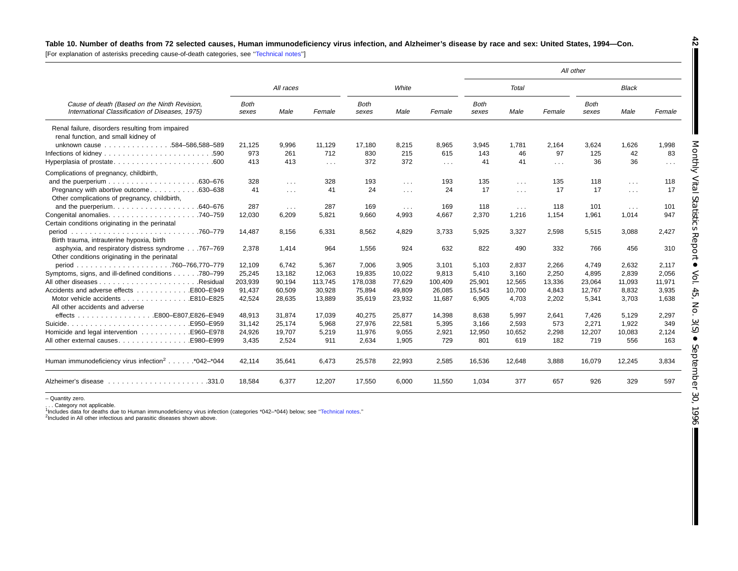#### Table 10. Number of deaths from 72 selected causes, Human immunodeficiency virus infection, and Alzheimer's disease by race and sex: United States, 1994-Con.

[For explanation of asterisks preceding cause-of-death categories, see [''Technical](#page-71-0) notes'']

|                                                                                                                |                      |                      |            |                      |                      |                      |                      |            |            | All other            |              |                      |
|----------------------------------------------------------------------------------------------------------------|----------------------|----------------------|------------|----------------------|----------------------|----------------------|----------------------|------------|------------|----------------------|--------------|----------------------|
|                                                                                                                |                      | All races            |            |                      | White                |                      |                      | Total      |            |                      | <b>Black</b> |                      |
| Cause of death (Based on the Ninth Revision,<br>International Classification of Diseases, 1975)                | <b>Both</b><br>sexes | Male                 | Female     | <b>Both</b><br>sexes | Male                 | Female               | <b>Both</b><br>sexes | Male       | Female     | <b>Both</b><br>sexes | Male         | Female               |
| Renal failure, disorders resulting from impaired<br>renal function, and small kidney of                        |                      |                      |            |                      |                      |                      |                      |            |            |                      |              |                      |
| unknown cause 584-586,588-589                                                                                  | 21.125               | 9,996                | 11,129     | 17.180               | 8,215                | 8,965                | 3,945                | 1.781      | 2,164      | 3,624                | 1,626        | 1,998                |
| .590                                                                                                           | 973                  | 261                  | 712        | 830                  | 215                  | 615                  | 143                  | 46         | 97         | 125                  | 42           | 83                   |
|                                                                                                                | 413                  | 413                  | $\sim 100$ | 372                  | 372                  | $\sim$ $\sim$ $\sim$ | 41                   | 41         | $\sim 100$ | 36                   | 36           | $\sim$ $\sim$ $\sim$ |
| Complications of pregnancy, childbirth,                                                                        |                      |                      |            |                      |                      |                      |                      |            |            |                      |              |                      |
| .630–676                                                                                                       | 328                  | $\sim 100$           | 328        | 193                  | $\sim 100$           | 193                  | 135                  | $\sim 100$ | 135        | 118                  | $\sim 100$   | 118                  |
| Pregnancy with abortive outcome<br>.630–638<br>Other complications of pregnancy, childbirth,                   | 41                   | $\sim$ $\sim$ $\sim$ | 41         | 24                   | $\sim$ $\sim$ $\sim$ | 24                   | 17                   | $\sim 100$ | 17         | 17                   | $\sim 100$   | 17                   |
| and the puerperium.<br>.640–676                                                                                | 287                  | $\sim 100$           | 287        | 169                  | $\mathbf{r}$         | 169                  | 118                  | $\cdots$   | 118        | 101                  | $\cdots$     | 101                  |
| Congenital anomalies.<br>.740–759<br>Certain conditions originating in the perinatal                           | 12,030               | 6,209                | 5,821      | 9,660                | 4,993                | 4,667                | 2,370                | 1,216      | 1,154      | 1,961                | 1,014        | 947                  |
| period<br>Birth trauma, intrauterine hypoxia, birth                                                            | 14,487               | 8,156                | 6,331      | 8,562                | 4,829                | 3,733                | 5,925                | 3,327      | 2,598      | 5,515                | 3,088        | 2,427                |
| asphyxia, and respiratory distress syndrome767-769<br>Other conditions originating in the perinatal            | 2,378                | 1,414                | 964        | 1,556                | 924                  | 632                  | 822                  | 490        | 332        | 766                  | 456          | 310                  |
| period                                                                                                         | 12,109               | 6,742                | 5,367      | 7,006                | 3,905                | 3,101                | 5,103                | 2,837      | 2,266      | 4,749                | 2,632        | 2,117                |
| Symptoms, signs, and ill-defined conditions 780-799                                                            | 25,245               | 13,182               | 12,063     | 19,835               | 10,022               | 9,813                | 5,410                | 3.160      | 2,250      | 4,895                | 2,839        | 2,056                |
| .Residual                                                                                                      | 203,939              | 90,194               | 113,745    | 178,038              | 77,629               | 100,409              | 25,901               | 12,565     | 13,336     | 23,064               | 11,093       | 11,971               |
| Accidents and adverse effects E800-E949                                                                        | 91,437               | 60,509               | 30,928     | 75,894               | 49,809               | 26,085               | 15,543               | 10,700     | 4,843      | 12,767               | 8,832        | 3,935                |
| Motor vehicle accidents E810-E825                                                                              | 42,524               | 28,635               | 13,889     | 35,619               | 23,932               | 11,687               | 6,905                | 4.703      | 2,202      | 5,341                | 3,703        | 1,638                |
| All other accidents and adverse                                                                                |                      |                      |            |                      |                      |                      |                      |            |            |                      |              |                      |
| .E800-E807.E826-E949<br>$effects \ldots \ldots \ldots \ldots$                                                  | 48.913               | 31.874               | 17.039     | 40,275               | 25.877               | 14,398               | 8.638                | 5.997      | 2.641      | 7.426                | 5.129        | 2,297                |
| E950-E959.                                                                                                     | 31,142               | 25,174               | 5,968      | 27,976               | 22,581               | 5,395                | 3,166                | 2,593      | 573        | 2,271                | 1,922        | 349                  |
| Homicide and legal intervention 5960-E978                                                                      | 24,926               | 19,707               | 5,219      | 11,976               | 9,055                | 2,921                | 12,950               | 10,652     | 2,298      | 12,207               | 10,083       | 2,124                |
| All other external causes.<br>E980-E999.                                                                       | 3,435                | 2,524                | 911        | 2,634                | 1,905                | 729                  | 801                  | 619        | 182        | 719                  | 556          | 163                  |
| Human immunodeficiency virus infection <sup>2</sup> *042-*044                                                  | 42,114               | 35,641               | 6,473      | 25,578               | 22,993               | 2,585                | 16,536               | 12,648     | 3,888      | 16,079               | 12,245       | 3,834                |
| Alzheimer's disease response in the series of the series of the series of the series of the series of the seri | 18.584               | 6,377                | 12,207     | 17,550               | 6,000                | 11,550               | 1,034                | 377        | 657        | 926                  | 329          | 597                  |

– Quantity zero.

. . . Category not applicable.<br><sup>1</sup>Includes data for deaths due to Human immunodeficiency virus infection (categories \*042–\*044) below; see "Technical notes."<br><sup>2</sup>Included in All other infectious and parasitic diseases shown

**42** T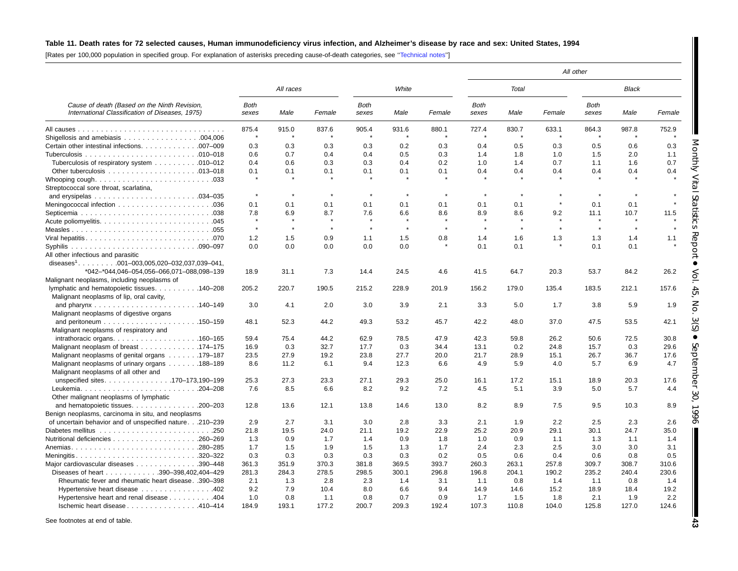# Table 11. Death rates for 72 selected causes, Human immunodeficiency virus infection, and Alzheimer's disease by race and sex: United States, 1994

[Rates per 100,000 population in specified group. For explanation of asterisks preceding cause-of-death categories, see [''Technical](#page-71-0) notes'']

|                                                                                                 |               |           |         |               |              |         |               |         |         | All other            |               |               |
|-------------------------------------------------------------------------------------------------|---------------|-----------|---------|---------------|--------------|---------|---------------|---------|---------|----------------------|---------------|---------------|
|                                                                                                 |               | All races |         |               | White        |         |               | Total   |         |                      | <b>Black</b>  |               |
| Cause of death (Based on the Ninth Revision,<br>International Classification of Diseases, 1975) | Both<br>sexes | Male      | Female  | Both<br>sexes | Male         | Female  | Both<br>sexes | Male    | Female  | <b>Both</b><br>sexes | Male          | Female        |
|                                                                                                 | 875.4         | 915.0     | 837.6   | 905.4         | 931.6        | 880.1   | 727.4         | 830.7   | 633.1   | 864.3                | 987.8         | 752.9         |
|                                                                                                 | $\star$       | -8        |         | 4             | $\mathbf{r}$ |         |               | $\star$ | $\star$ | $\star$              | $\rightarrow$ |               |
| Certain other intestinal infections. 007-009                                                    | 0.3           | 0.3       | 0.3     | 0.3           | 0.2          | 0.3     | 0.4           | 0.5     | 0.3     | 0.5                  | 0.6           | 0.3           |
|                                                                                                 | 0.6           | 0.7       | 0.4     | 0.4           | 0.5          | 0.3     | 1.4           | 1.8     | 1.0     | 1.5                  | 2.0           | 1.1           |
| Tuberculosis of respiratory system 010–012                                                      | 0.4           | 0.6       | 0.3     | 0.3           | 0.4          | 0.2     | 1.0           | 1.4     | 0.7     | 1.1                  | 1.6           | ynthly<br>0.7 |
|                                                                                                 | 0.1           | 0.1       | 0.1     | 0.1           | 0.1          | 0.1     | 0.4           | 0.4     | 0.4     | 0.4                  | 0.4           | 0.4           |
|                                                                                                 |               |           |         |               |              |         |               |         |         |                      |               |               |
| Streptococcal sore throat, scarlatina,                                                          |               |           |         |               |              |         |               |         |         |                      |               |               |
|                                                                                                 | $\pmb{\ast}$  | $\star$   | $\star$ | $\star$       | $\star$      |         | $\star$       | $\star$ |         | $\star$              |               |               |
|                                                                                                 | 0.1           | 0.1       | 0.1     | 0.1           | 0.1          | 0.1     | 0.1           | 0.1     |         | 0.1                  | 0.1           |               |
|                                                                                                 | 7.8           | 6.9       | 8.7     | 7.6           | 6.6          | 8.6     | 8.9           | 8.6     | 9.2     | 11.1                 | 10.7          | 11.5          |
|                                                                                                 |               | $\star$   |         |               |              |         |               |         |         |                      |               |               |
|                                                                                                 | $\star$       | $\star$   | $\star$ | $\star$       | $\star$      | $\star$ | $\star$       | $\star$ | $\star$ | $\star$              | $\star$       |               |
|                                                                                                 | 1.2           | 1.5       | 0.9     | 1.1           | 1.5          | 0.8     | 1.4           | 1.6     | 1.3     | 1.3                  | 1.4           | 1.1           |
|                                                                                                 | 0.0           | 0.0       | 0.0     | 0.0           | 0.0          |         | 0.1           | 0.1     |         | 0.1                  | 0.1           | ᅐ             |
| All other infectious and parasitic                                                              |               |           |         |               |              |         |               |         |         |                      |               |               |
| diseases <sup>1</sup> . 001-003,005,020-032,037,039-041,                                        |               |           |         |               |              |         |               |         |         |                      |               |               |
| *042-*044,046-054,056-066,071-088,098-139                                                       | 18.9          | 31.1      | 7.3     | 14.4          | 24.5         | 4.6     | 41.5          | 64.7    | 20.3    | 53.7                 | 84.2          | 26.2          |
| Malignant neoplasms, including neoplasms of                                                     |               |           |         |               |              |         |               |         |         |                      |               |               |
| lymphatic and hematopoietic tissues. 140–208                                                    | 205.2         | 220.7     | 190.5   | 215.2         | 228.9        | 201.9   | 156.2         | 179.0   | 135.4   | 183.5                | 212.1         | 157.6         |
| Malignant neoplasms of lip, oral cavity,                                                        |               |           |         |               |              |         |               |         |         |                      |               |               |
|                                                                                                 | 3.0           | 4.1       | 2.0     | 3.0           | 3.9          | 2.1     | 3.3           | 5.0     | 1.7     | 3.8                  | 5.9           | 1.9           |
| Malignant neoplasms of digestive organs                                                         |               |           |         |               |              |         |               |         |         |                      |               |               |
|                                                                                                 | 48.1          | 52.3      | 44.2    | 49.3          | 53.2         | 45.7    | 42.2          | 48.0    | 37.0    | 47.5                 | 53.5          | 42.1          |
| Malignant neoplasms of respiratory and                                                          |               |           |         |               |              |         |               |         |         |                      |               |               |
|                                                                                                 | 59.4          | 75.4      | 44.2    | 62.9          | 78.5         | 47.9    | 42.3          | 59.8    | 26.2    | 50.6                 | 72.5          | 30.8          |
| Malignant neoplasm of breast 174–175                                                            | 16.9          | 0.3       | 32.7    | 17.7          | 0.3          | 34.4    | 13.1          | 0.2     | 24.8    | 15.7                 | 0.3           | 29.6          |
| Malignant neoplasms of genital organs 179–187                                                   | 23.5          | 27.9      | 19.2    | 23.8          | 27.7         | 20.0    | 21.7          | 28.9    | 15.1    | 26.7                 | 36.7          | 17.6<br>pte   |
| Malignant neoplasms of urinary organs 188-189                                                   | 8.6           | 11.2      | 6.1     | 9.4           | 12.3         | 6.6     | 4.9           | 5.9     | 4.0     | 5.7                  | 6.9           | 4.7           |
| Malignant neoplasms of all other and                                                            |               |           |         |               |              |         |               |         |         |                      |               |               |
| unspecified sites170-173,190-199                                                                | 25.3          | 27.3      | 23.3    | 27.1          | 29.3         | 25.0    | 16.1          | 17.2    | 15.1    | 18.9                 | 20.3          | 17.6          |
|                                                                                                 | 7.6           | 8.5       | 6.6     | 8.2           | 9.2          | 7.2     | 4.5           | 5.1     | 3.9     | 5.0                  | 5.7           | 4.4           |
| Other malignant neoplasms of lymphatic                                                          |               |           |         |               |              |         |               |         |         |                      |               |               |
| and hematopoietic tissues.<br>$.200 - 203$                                                      | 12.8          | 13.6      | 12.1    | 13.8          | 14.6         | 13.0    | 8.2           | 8.9     | 7.5     | 9.5                  | 10.3          | 8.9           |
| Benign neoplasms, carcinoma in situ, and neoplasms                                              |               |           |         |               |              |         |               |         |         |                      |               |               |
| of uncertain behavior and of unspecified nature.210-239                                         | 2.9           | 2.7       | 3.1     | 3.0           | 2.8          | 3.3     | 2.1           | 1.9     | 2.2     | 2.5                  | 2.3           | 2.6           |
|                                                                                                 | 21.8          | 19.5      | 24.0    | 21.1          | 19.2         | 22.9    | 25.2          | 20.9    | 29.1    | 30.1                 | 24.7          | 35.0          |
|                                                                                                 | 1.3           | 0.9       | 1.7     | 1.4           | 0.9          | 1.8     | 1.0           | 0.9     | 1.1     | 1.3                  | 1.1           | 1.4           |
| .280-285<br>Anemias                                                                             | 1.7           | 1.5       | 1.9     | 1.5           | 1.3          | 1.7     | 2.4           | 2.3     | 2.5     | 3.0                  | 3.0           | 3.1           |
| Meningitis320–322                                                                               | 0.3           | 0.3       | 0.3     | 0.3           | 0.3          | 0.2     | 0.5           | 0.6     | 0.4     | 0.6                  | 0.8           | 0.5           |
| Major cardiovascular diseases<br>.390-448                                                       | 361.3         | 351.9     | 370.3   | 381.8         | 369.5        | 393.7   | 260.3         | 263.1   | 257.8   | 309.7                | 308.7         | 310.6         |
| Diseases of heart 390-398,402,404-429                                                           | 281.3         | 284.3     | 278.5   | 298.5         | 300.1        | 296.8   | 196.8         | 204.1   | 190.2   | 235.2                | 240.4         | 230.6         |
| Rheumatic fever and rheumatic heart disease. .390-398                                           | 2.1           | 1.3       | 2.8     | 2.3           | 1.4          | 3.1     | 1.1           | 0.8     | 1.4     | 1.1                  | 0.8           | 1.4           |
| Hypertensive heart disease 402                                                                  | 9.2           | 7.9       | 10.4    | 8.0           | 6.6          | 9.4     | 14.9          | 14.6    | 15.2    | 18.9                 | 18.4          | 19.2          |
| Hypertensive heart and renal disease 404                                                        | 1.0           | 0.8       | 1.1     | 0.8           | 0.7          | 0.9     | 1.7           | 1.5     | 1.8     | 2.1                  | 1.9           | 2.2           |
| Ischemic heart disease 410-414                                                                  | 184.9         | 193.1     | 177.2   | 200.7         | 209.3        | 192.4   | 107.3         | 110.8   | 104.0   | 125.8                | 127.0         | 124.6         |

See footnotes at end of table.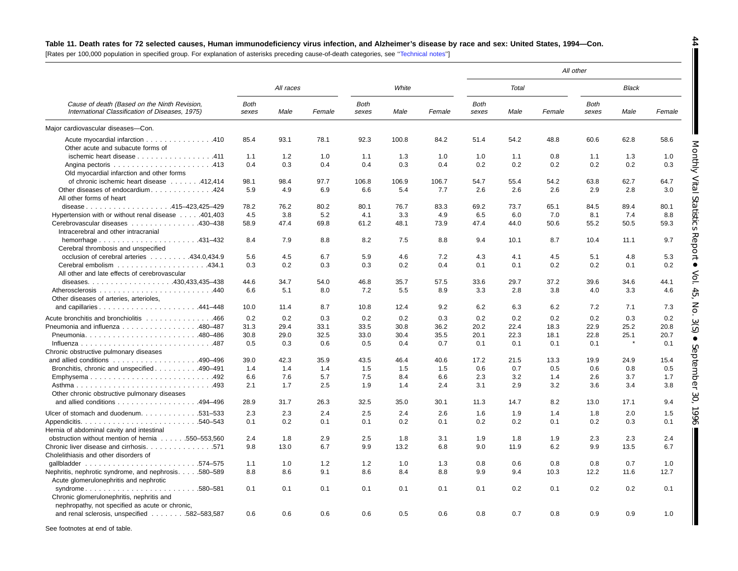#### Table 11. Death rates for 72 selected causes, Human immunodeficiency virus infection, and Alzheimer's disease by race and sex: United States, 1994-Con.

[Rates per 100,000 population in specified group. For explanation of asterisks preceding cause-of-death categories, see [''Technical](#page-71-0) notes'']

|                                                                                                                       |               |           |        |                      |       |        |               |       |        | All other            |              |        |
|-----------------------------------------------------------------------------------------------------------------------|---------------|-----------|--------|----------------------|-------|--------|---------------|-------|--------|----------------------|--------------|--------|
|                                                                                                                       |               | All races |        |                      | White |        |               | Total |        |                      | <b>Black</b> |        |
| Cause of death (Based on the Ninth Revision,<br>International Classification of Diseases, 1975)                       | Both<br>sexes | Male      | Female | <b>Both</b><br>sexes | Male  | Female | Both<br>sexes | Male  | Female | <b>Both</b><br>sexes | Male         | Female |
| Maior cardiovascular diseases-Con.                                                                                    |               |           |        |                      |       |        |               |       |        |                      |              |        |
| Acute myocardial infarction 410<br>Other acute and subacute forms of                                                  | 85.4          | 93.1      | 78.1   | 92.3                 | 100.8 | 84.2   | 51.4          | 54.2  | 48.8   | 60.6                 | 62.8         | 58.6   |
| ischemic heart disease 411                                                                                            | 1.1           | 1.2       | 1.0    | 1.1                  | 1.3   | 1.0    | 1.0           | 1.1   | 0.8    | 1.1                  | 1.3          | 1.0    |
| Old myocardial infarction and other forms                                                                             | 0.4           | 0.3       | 0.4    | 0.4                  | 0.3   | 0.4    | 0.2           | 0.2   | 0.2    | 0.2                  | 0.2          | 0.3    |
| of chronic ischemic heart disease 412,414                                                                             | 98.1          | 98.4      | 97.7   | 106.8                | 106.9 | 106.7  | 54.7          | 55.4  | 54.2   | 63.8                 | 62.7         | 64.7   |
| Other diseases of endocardium424<br>All other forms of heart                                                          | 5.9           | 4.9       | 6.9    | 6.6                  | 5.4   | 7.7    | 2.6           | 2.6   | 2.6    | 2.9                  | 2.8          | 3.0    |
| disease415-423,425-429                                                                                                | 78.2          | 76.2      | 80.2   | 80.1                 | 76.7  | 83.3   | 69.2          | 73.7  | 65.1   | 84.5                 | 89.4         | 80.1   |
| Hypertension with or without renal disease 401,403                                                                    | 4.5           | 3.8       | 5.2    | 4.1                  | 3.3   | 4.9    | 6.5           | 6.0   | 7.0    | 8.1                  | 7.4          | 8.8    |
| Cerebrovascular diseases 430-438<br>Intracerebral and other intracranial                                              | 58.9          | 47.4      | 69.8   | 61.2                 | 48.1  | 73.9   | 47.4          | 44.0  | 50.6   | 55.2                 | 50.5         | 59.3   |
| Cerebral thrombosis and unspecified                                                                                   | 8.4           | 7.9       | 8.8    | 8.2                  | 7.5   | 8.8    | 9.4           | 10.1  | 8.7    | 10.4                 | 11.1         | 9.7    |
| occlusion of cerebral arteries 434.0.434.9                                                                            | 5.6           | 4.5       | 6.7    | 5.9                  | 4.6   | 7.2    | 4.3           | 4.1   | 4.5    | 5.1                  | 4.8          | 5.3    |
| All other and late effects of cerebrovascular                                                                         | 0.3           | 0.2       | 0.3    | 0.3                  | 0.2   | 0.4    | 0.1           | 0.1   | 0.2    | 0.2                  | 0.1          | 0.2    |
|                                                                                                                       | 44.6          | 34.7      | 54.0   | 46.8                 | 35.7  | 57.5   | 33.6          | 29.7  | 37.2   | 39.6                 | 34.6         | 44.1   |
| Other diseases of arteries, arterioles,                                                                               | 6.6           | 5.1       | 8.0    | 7.2                  | 5.5   | 8.9    | 3.3           | 2.8   | 3.8    | 4.0                  | 3.3          | 4.6    |
|                                                                                                                       | 10.0          | 11.4      | 8.7    | 10.8                 | 12.4  | 9.2    | 6.2           | 6.3   | 6.2    | 7.2                  | 7.1          | 7.3    |
| Acute bronchitis and bronchiolitis 466                                                                                | 0.2           | 0.2       | 0.3    | 0.2                  | 0.2   | 0.3    | 0.2           | 0.2   | 0.2    | 0.2                  | 0.3          | 0.2    |
| Pneumonia and influenza 480-487                                                                                       | 31.3          | 29.4      | 33.1   | 33.5                 | 30.8  | 36.2   | 20.2          | 22.4  | 18.3   | 22.9                 | 25.2         | 20.8   |
|                                                                                                                       | 30.8          | 29.0      | 32.5   | 33.0                 | 30.4  | 35.5   | 20.1          | 22.3  | 18.1   | 22.8                 | 25.1         | 20.7   |
| Chronic obstructive pulmonary diseases                                                                                | 0.5           | 0.3       | 0.6    | 0.5                  | 0.4   | 0.7    | 0.1           | 0.1   | 0.1    | 0.1                  |              | 0.1    |
| and allied conditions $\ldots \ldots \ldots \ldots \ldots \ldots$ 490-496                                             | 39.0          | 42.3      | 35.9   | 43.5                 | 46.4  | 40.6   | 17.2          | 21.5  | 13.3   | 19.9                 | 24.9         | 15.4   |
| Bronchitis, chronic and unspecified 490–491                                                                           | 1.4           | 1.4       | 1.4    | 1.5                  | 1.5   | 1.5    | 0.6           | 0.7   | 0.5    | 0.6                  | 0.8          | 0.5    |
| Emphysema492                                                                                                          | 6.6           | 7.6       | 5.7    | 7.5                  | 8.4   | 6.6    | 2.3           | 3.2   | 1.4    | 2.6                  | 3.7          | 1.7    |
| Other chronic obstructive pulmonary diseases                                                                          | 2.1           | 1.7       | 2.5    | 1.9                  | 1.4   | 2.4    | 3.1           | 2.9   | 3.2    | 3.6                  | 3.4          | 3.8    |
| and allied conditions 494-496                                                                                         | 28.9          | 31.7      | 26.3   | 32.5                 | 35.0  | 30.1   | 11.3          | 14.7  | 8.2    | 13.0                 | 17.1         | 9.4    |
| Ulcer of stomach and duodenum. 531-533                                                                                | 2.3           | 2.3       | 2.4    | 2.5                  | 2.4   | 2.6    | 1.6           | 1.9   | 1.4    | 1.8                  | 2.0          | 1.5    |
| Hernia of abdominal cavity and intestinal                                                                             | 0.1           | 0.2       | 0.1    | 0.1                  | 0.2   | 0.1    | 0.2           | 0.2   | 0.1    | 0.2                  | 0.3          | 0.1    |
| obstruction without mention of hernia 550–553.560                                                                     | 2.4           | 1.8       | 2.9    | 2.5                  | 1.8   | 3.1    | 1.9           | 1.8   | 1.9    | 2.3                  | 2.3          | 2.4    |
| Chronic liver disease and cirrhosis571<br>Cholelithiasis and other disorders of                                       | 9.8           | 13.0      | 6.7    | 9.9                  | 13.2  | 6.8    | 9.0           | 11.9  | 6.2    | 9.9                  | 13.5         | 6.7    |
|                                                                                                                       | 1.1           | 1.0       | 1.2    | 1.2                  | 1.0   | 1.3    | 0.8           | 0.6   | 0.8    | 0.8                  | 0.7          | 1.0    |
| Nephritis, nephrotic syndrome, and nephrosis. 580-589<br>Acute glomerulonephritis and nephrotic                       | 8.8           | 8.6       | 9.1    | 8.6                  | 8.4   | 8.8    | 9.9           | 9.4   | 10.3   | 12.2                 | 11.6         | 12.7   |
| syndrome<br>. 580–581<br>Chronic glomerulonephritis, nephritis and<br>nephropathy, not specified as acute or chronic, | 0.1           | 0.1       | 0.1    | 0.1                  | 0.1   | 0.1    | 0.1           | 0.2   | 0.1    | 0.2                  | 0.2          | 0.1    |
| and renal sclerosis, unspecified 582-583,587                                                                          | 0.6           | 0.6       | 0.6    | 0.6                  | 0.5   | 0.6    | 0.8           | 0.7   | 0.8    | 0.9                  | 0.9          | 1.0    |

See footnotes at end of table.

**44**

Monthly Vital

Ш

Statistics

 Report  $\bullet$ 

Vol. 45, No. 3(S)

 $\bullet$ 

September

30, 1996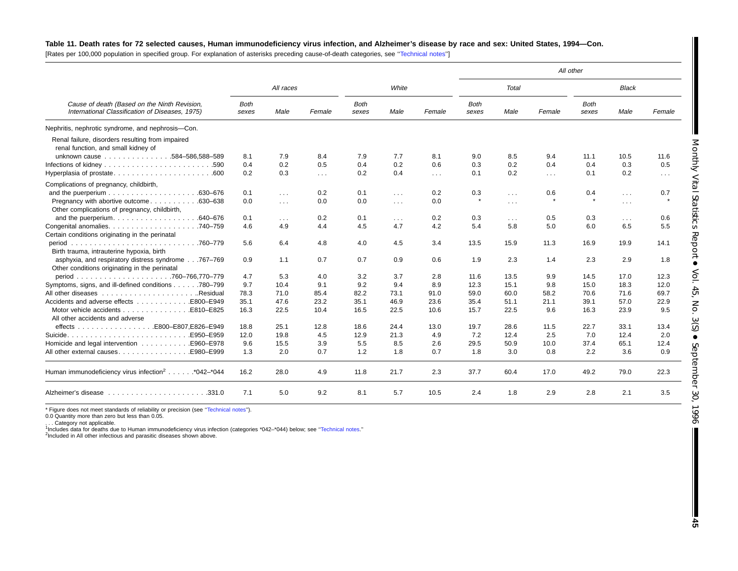#### Table 11. Death rates for 72 selected causes, Human immunodeficiency virus infection, and Alzheimer's disease by race and sex: United States, 1994-Con.

[Rates per 100,000 population in specified group. For explanation of asterisks preceding cause-of-death categories, see [''Technical](#page-71-0) notes'']

|                                                                                                 |                      |            |            |                      |                      |            |                      |                      |            | All other            |              |            |
|-------------------------------------------------------------------------------------------------|----------------------|------------|------------|----------------------|----------------------|------------|----------------------|----------------------|------------|----------------------|--------------|------------|
|                                                                                                 |                      | All races  |            |                      | White                |            |                      | Total                |            |                      | <b>Black</b> |            |
| Cause of death (Based on the Ninth Revision,<br>International Classification of Diseases, 1975) | <b>Both</b><br>sexes | Male       | Female     | <b>Both</b><br>sexes | Male                 | Female     | <b>Both</b><br>sexes | Male                 | Female     | <b>Both</b><br>sexes | Male         | Female     |
| Nephritis, nephrotic syndrome, and nephrosis-Con.                                               |                      |            |            |                      |                      |            |                      |                      |            |                      |              |            |
| Renal failure, disorders resulting from impaired<br>renal function, and small kidney of         |                      |            |            |                      |                      |            |                      |                      |            |                      |              |            |
| unknown cause 584-586,588-589                                                                   | 8.1                  | 7.9        | 8.4        | 7.9                  | 7.7                  | 8.1        | 9.0                  | 8.5                  | 9.4        | 11.1                 | 10.5         | 11.6       |
|                                                                                                 | 0.4                  | 0.2        | 0.5        | 0.4                  | 0.2                  | 0.6        | 0.3                  | 0.2                  | 0.4        | 0.4                  | 0.3          | 0.5        |
|                                                                                                 | 0.2                  | 0.3        | $\sim 100$ | 0.2                  | 0.4                  | $\sim 100$ | 0.1                  | 0.2                  | $\sim 100$ | 0.1                  | 0.2          | $\sim 100$ |
| Complications of pregnancy, childbirth,                                                         |                      |            |            |                      |                      |            |                      |                      |            |                      |              |            |
|                                                                                                 | 0.1                  | $\sim 100$ | 0.2        | 0.1                  | $\sim 100$           | 0.2        | 0.3                  | $\sim 100$           | 0.6        | 0.4                  | $\sim 100$   | 0.7        |
| Pregnancy with abortive outcome630-638                                                          | 0.0                  | $\sim 100$ | 0.0        | 0.0                  | $\sim$ $\sim$ $\sim$ | 0.0        | $\star$              | $\sim$ $\sim$ $\sim$ |            |                      | $\cdots$     |            |
| Other complications of pregnancy, childbirth,                                                   |                      |            |            |                      |                      |            |                      |                      |            |                      |              |            |
| and the puerperium. $\ldots \ldots \ldots \ldots \ldots \ldots$ . 640-676                       | 0.1                  | $\sim 100$ | 0.2        | 0.1                  | $\sim 100$           | 0.2        | 0.3                  | $\sim$ $\sim$ $\sim$ | 0.5        | 0.3                  | $\cdots$     | 0.6        |
|                                                                                                 | 4.6                  | 4.9        | 4.4        | 4.5                  | 4.7                  | 4.2        | 5.4                  | 5.8                  | 5.0        | 6.0                  | 6.5          | 5.5        |
| Certain conditions originating in the perinatal                                                 |                      |            |            |                      |                      |            |                      |                      |            |                      |              |            |
|                                                                                                 | 5.6                  | 6.4        | 4.8        | 4.0                  | 4.5                  | 3.4        | 13.5                 | 15.9                 | 11.3       | 16.9                 | 19.9         | 14.1       |
| Birth trauma, intrauterine hypoxia, birth                                                       |                      |            |            |                      |                      |            |                      |                      |            |                      |              |            |
| asphyxia, and respiratory distress syndrome767-769                                              | 0.9                  | 1.1        | 0.7        | 0.7                  | 0.9                  | 0.6        | 1.9                  | 2.3                  | 1.4        | 2.3                  | 2.9          | 1.8        |
| Other conditions originating in the perinatal                                                   |                      |            |            |                      |                      |            |                      |                      |            |                      |              |            |
|                                                                                                 | 4.7                  | 5.3        | 4.0        | 3.2                  | 3.7                  | 2.8        | 11.6                 | 13.5                 | 9.9        | 14.5                 | 17.0         | 12.3       |
| Symptoms, signs, and ill-defined conditions 780–799                                             | 9.7                  | 10.4       | 9.1        | 9.2                  | 9.4                  | 8.9        | 12.3                 | 15.1                 | 9.8        | 15.0                 | 18.3         | 12.0       |
|                                                                                                 | 78.3                 | 71.0       | 85.4       | 82.2                 | 73.1                 | 91.0       | 59.0                 | 60.0                 | 58.2       | 70.6                 | 71.6         | 69.7       |
| Accidents and adverse effects E800–E949                                                         | 35.1                 | 47.6       | 23.2       | 35.1                 | 46.9                 | 23.6       | 35.4                 | 51.1                 | 21.1       | 39.1                 | 57.0         | 22.9       |
|                                                                                                 | 16.3                 | 22.5       | 10.4       | 16.5                 | 22.5                 | 10.6       | 15.7                 | 22.5                 | 9.6        | 16.3                 | 23.9         | 9.5        |
| All other accidents and adverse                                                                 |                      |            |            |                      |                      |            |                      |                      |            |                      |              |            |
|                                                                                                 | 18.8                 | 25.1       | 12.8       | 18.6                 | 24.4                 | 13.0       | 19.7                 | 28.6                 | 11.5       | 22.7                 | 33.1         | 13.4       |
|                                                                                                 | 12.0                 | 19.8       | 4.5        | 12.9                 | 21.3                 | 4.9        | 7.2                  | 12.4                 | 2.5        | 7.0                  | 12.4         | 2.0        |
|                                                                                                 | 9.6                  | 15.5       | 3.9        | 5.5                  | 8.5                  | 2.6        | 29.5                 | 50.9                 | 10.0       | 37.4                 | 65.1         | 12.4       |
| All other external causes. E980–E999                                                            | 1.3                  | 2.0        | 0.7        | 1.2                  | 1.8                  | 0.7        | 1.8                  | 3.0                  | 0.8        | 2.2                  | 3.6          | 0.9        |
| Human immunodeficiency virus infection <sup>2</sup> *042-*044                                   | 16.2                 | 28.0       | 4.9        | 11.8                 | 21.7                 | 2.3        | 37.7                 | 60.4                 | 17.0       | 49.2                 | 79.0         | 22.3       |
|                                                                                                 | 7.1                  | 5.0        | 9.2        | 8.1                  | 5.7                  | 10.5       | 2.4                  | 1.8                  | 2.9        | 2.8                  | 2.1          | 3.5        |

\* Figure does not meet standards of reliability or precision (see "Technical notes").

0.0 Quantity more than zero but less than 0.05.

. . . Category not applicable. 1Includes data for deaths due to Human immunodeficiency virus infection (categories \*042–\*044) below; see [''Technical](#page-71-0) notes.''

<sup>2</sup>Included in All other infectious and parasitic diseases shown above.

I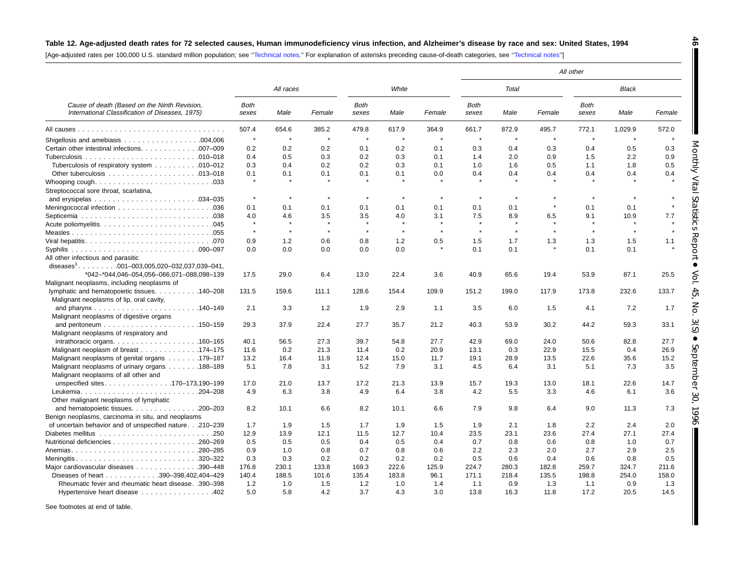#### Table 12. Age-adjusted death rates for 72 selected causes, Human immunodeficiency virus infection, and Alzheimer's disease by race and sex: United States, 1994

**46**

T

Monthly Vital

L

Statistics

 Report  $\bullet$ 

Vol. 45, No. 3(S)

 $\bullet$ 

September

30, 1996

[Age-adjusted rates per 100,000 U.S. standard million population; see [''Technical](#page-71-0) notes.'' For explanation of asterisks preceding cause-of-death categories, see [''Technical](#page-71-0) notes'']

|                                                                                                 |                      |           |         |                      |         |              |                      |         |         | All other            |              |         |
|-------------------------------------------------------------------------------------------------|----------------------|-----------|---------|----------------------|---------|--------------|----------------------|---------|---------|----------------------|--------------|---------|
|                                                                                                 |                      | All races |         |                      | White   |              |                      | Total   |         |                      | <b>Black</b> |         |
| Cause of death (Based on the Ninth Revision,<br>International Classification of Diseases, 1975) | <b>Both</b><br>sexes | Male      | Female  | <b>Both</b><br>sexes | Male    | Female       | <b>Both</b><br>sexes | Male    | Female  | <b>Both</b><br>sexes | Male         | Female  |
|                                                                                                 | 507.4                | 654.6     | 385.2   | 479.8                | 617.9   | 364.9        | 661.7                | 872.9   | 495.7   | 772.1                | 1,029.9      | 572.0   |
|                                                                                                 | $\star$              | $\star$   | $\star$ | $\star$              | $\star$ | $\star$      | $\star$              | $\star$ | $\star$ | $\star$              | $\star$      |         |
| Certain other intestinal infections. 007-009                                                    | 0.2                  | 0.2       | 0.2     | 0.1                  | 0.2     | 0.1          | 0.3                  | 0.4     | 0.3     | 0.4                  | 0.5          | 0.3     |
|                                                                                                 | 0.4                  | 0.5       | 0.3     | 0.2                  | 0.3     | 0.1          | 1.4                  | 2.0     | 0.9     | 1.5                  | 2.2          | 0.9     |
| Tuberculosis of respiratory system 010-012                                                      | 0.3                  | 0.4       | 0.2     | 0.2                  | 0.3     | 0.1          | 1.0                  | 1.6     | 0.5     | 1.1                  | 1.8          | 0.5     |
|                                                                                                 | 0.1                  | 0.1       | 0.1     | 0.1                  | 0.1     | 0.0          | 0.4                  | 0.4     | 0.4     | 0.4                  | 0.4          | 0.4     |
| Streptococcal sore throat, scarlatina,                                                          | $\pmb{\ast}$         | $\star$   |         |                      |         |              |                      |         |         |                      |              |         |
|                                                                                                 | $\star$              | $\star$   | $\star$ | $\star$              | $\star$ |              | $\star$              | $\star$ |         | $\star$              | $\star$      |         |
|                                                                                                 | 0.1                  | 0.1       | 0.1     | 0.1                  | 0.1     | 0.1          | 0.1                  | 0.1     |         | 0.1                  | 0.1          | $\star$ |
|                                                                                                 | 4.0                  | 4.6       | 3.5     | 3.5                  | 4.0     | 3.1          | 7.5                  | 8.9     | 6.5     | 9.1                  | 10.9         | 7.7     |
|                                                                                                 | $\star$              | $\star$   | $\star$ | $\star$              | $\star$ | $\mathbf{r}$ | $\bullet$            | $\star$ |         | $\star$              |              |         |
|                                                                                                 | $\star$              | $\star$   | $\star$ | $\pmb{\ast}$         | $\star$ | $\star$      | $\star$              | $\star$ | $\star$ | $\star$              | $\star$      | $\star$ |
|                                                                                                 | 0.9                  | 1.2       | 0.6     | 0.8                  | 1.2     | 0.5          | 1.5                  | 1.7     | 1.3     | 1.3                  | 1.5          | 1.1     |
| All other infectious and parasitic                                                              | 0.0                  | 0.0       | 0.0     | 0.0                  | 0.0     |              | 0.1                  | 0.1     |         | 0.1                  | 0.1          |         |
| diseases <sup>1</sup> . 001-003,005,020-032,037,039-041,                                        |                      |           |         |                      |         |              |                      |         |         |                      |              |         |
| *042-*044,046-054,056-066,071-088,098-139                                                       | 17.5                 | 29.0      | 6.4     | 13.0                 | 22.4    | 3.6          | 40.9                 | 65.6    | 19.4    | 53.9                 | 87.1         | 25.5    |
| Malignant neoplasms, including neoplasms of                                                     |                      |           |         |                      |         |              |                      |         |         |                      |              |         |
| lymphatic and hematopoietic tissues. 140–208<br>Malignant neoplasms of lip, oral cavity,        | 131.5                | 159.6     | 111.1   | 128.6                | 154.4   | 109.9        | 151.2                | 199.0   | 117.9   | 173.8                | 232.6        | 133.7   |
|                                                                                                 | 2.1                  | 3.3       | 1.2     | 1.9                  | 2.9     | 1.1          | 3.5                  | 6.0     | 1.5     | 4.1                  | 7.2          | 1.7     |
| Malignant neoplasms of digestive organs                                                         |                      |           |         |                      |         |              |                      |         |         |                      |              |         |
|                                                                                                 | 29.3                 | 37.9      | 22.4    | 27.7                 | 35.7    | 21.2         | 40.3                 | 53.9    | 30.2    | 44.2                 | 59.3         | 33.1    |
| Malignant neoplasms of respiratory and                                                          |                      |           |         |                      |         |              |                      |         |         |                      |              |         |
| intrathoracic organs. $\ldots$ 160–165                                                          | 40.1                 | 56.5      | 27.3    | 39.7                 | 54.8    | 27.7         | 42.9                 | 69.0    | 24.0    | 50.6                 | 82.8         | 27.7    |
| Malignant neoplasm of breast 174–175                                                            | 11.6                 | 0.2       | 21.3    | 11.4                 | 0.2     | 20.9         | 13.1                 | 0.3     | 22.9    | 15.5                 | 0.4          | 26.9    |
| Malignant neoplasms of genital organs 179–187                                                   | 13.2                 | 16.4      | 11.9    | 12.4                 | 15.0    | 11.7         | 19.1                 | 28.9    | 13.5    | 22.6                 | 35.6         | 15.2    |
| Malignant neoplasms of urinary organs 188–189                                                   | 5.1                  | 7.8       | 3.1     | 5.2                  | 7.9     | 3.1          | 4.5                  | 6.4     | 3.1     | 5.1                  | 7.3          | 3.5     |
| Malignant neoplasms of all other and                                                            |                      |           |         |                      |         |              |                      |         |         |                      |              |         |
| unspecified sites170-173,190-199                                                                | 17.0                 | 21.0      | 13.7    | 17.2                 | 21.3    | 13.9         | 15.7                 | 19.3    | 13.0    | 18.1                 | 22.6         | 14.7    |
| Leukemia204-208                                                                                 | 4.9                  | 6.3       | 3.8     | 4.9                  | 6.4     | 3.8          | 4.2                  | 5.5     | 3.3     | 4.6                  | 6.1          | 3.6     |
| Other malignant neoplasms of lymphatic                                                          |                      |           |         |                      |         |              |                      |         |         |                      |              |         |
| and hematopoietic tissues. $\ldots$ . 200–203                                                   | 8.2                  | 10.1      | 6.6     | 8.2                  | 10.1    | 6.6          | 7.9                  | 9.8     | 6.4     | 9.0                  | 11.3         | 7.3     |
| Benign neoplasms, carcinoma in situ, and neoplasms                                              |                      |           |         |                      |         |              |                      |         |         |                      |              |         |
| of uncertain behavior and of unspecified nature.210-239                                         | 1.7                  | 1.9       | 1.5     | 1.7                  | 1.9     | 1.5          | 1.9                  | 2.1     | 1.8     | 2.2                  | 2.4          | 2.0     |
|                                                                                                 | 12.9                 | 13.9      | 12.1    | 11.5                 | 12.7    | 10.4         | 23.5                 | 23.1    | 23.6    | 27.4                 | 27.1         | 27.4    |
|                                                                                                 | 0.5                  | 0.5       | 0.5     | 0.4                  | 0.5     | 0.4          | 0.7                  | 0.8     | 0.6     | 0.8                  | 1.0          | 0.7     |
| Anemias280-285                                                                                  | 0.9                  | 1.0       | 0.8     | 0.7                  | 0.8     | 0.6          | 2.2                  | 2.3     | 2.0     | 2.7                  | 2.9          | 2.5     |
| Meningitis320-322                                                                               | 0.3                  | 0.3       | 0.2     | 0.2                  | 0.2     | 0.2          | 0.5                  | 0.6     | 0.4     | 0.6                  | 0.8          | 0.5     |
| Major cardiovascular diseases 390-448                                                           | 176.8                | 230.1     | 133.8   | 169.3                | 222.6   | 125.9        | 224.7                | 280.3   | 182.8   | 259.7                | 324.7        | 211.6   |
| Diseases of heart 390-398,402,404-429                                                           | 140.4                | 188.5     | 101.6   | 135.4                | 183.8   | 96.1         | 171.1                | 218.4   | 135.5   | 198.8                | 254.0        | 158.0   |
| Rheumatic fever and rheumatic heart disease. .390-398                                           | 1.2                  | 1.0       | 1.5     | 1.2                  | 1.0     | 1.4          | 1.1                  | 0.9     | 1.3     | 1.1                  | 0.9          | 1.3     |
| Hypertensive heart disease 402                                                                  | 5.0                  | 5.8       | 4.2     | 3.7                  | 4.3     | 3.0          | 13.8                 | 16.3    | 11.8    | 17.2                 | 20.5         | 14.5    |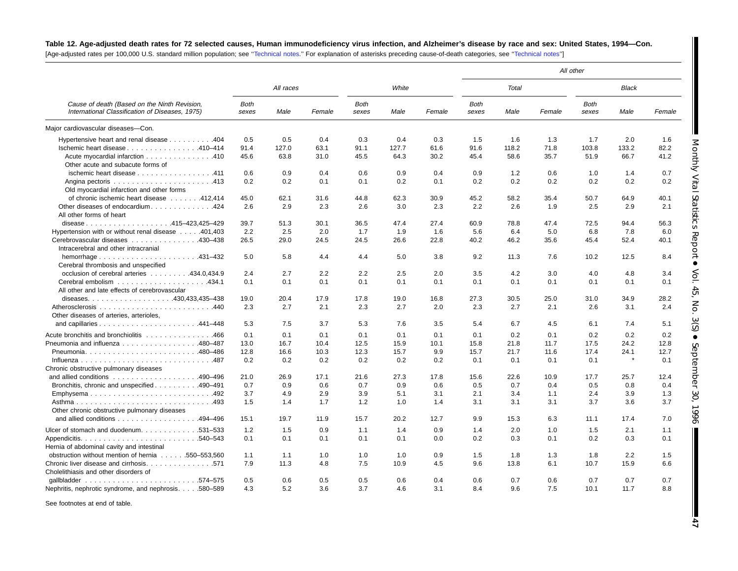# Table 12. Age-adjusted death rates for 72 selected causes, Human immunodeficiency virus infection, and Alzheimer's disease by race and sex: United States, 1994-Con.

[Age-adjusted rates per 100,000 U.S. standard million population; see [''Technical](#page-71-0) notes.'' For explanation of asterisks preceding cause-of-death categories, see [''Technical](#page-71-0) notes'']

|                                                                                                 |                      |           |        |                      |       |        |               |              |        | All other            |              |        |
|-------------------------------------------------------------------------------------------------|----------------------|-----------|--------|----------------------|-------|--------|---------------|--------------|--------|----------------------|--------------|--------|
|                                                                                                 |                      | All races |        |                      | White |        |               | <b>Total</b> |        |                      | <b>Black</b> |        |
| Cause of death (Based on the Ninth Revision,<br>International Classification of Diseases, 1975) | <b>Both</b><br>sexes | Male      | Female | <b>Both</b><br>sexes | Male  | Female | Both<br>sexes | Male         | Female | <b>Both</b><br>sexes | Male         | Female |
| Major cardiovascular diseases-Con.                                                              |                      |           |        |                      |       |        |               |              |        |                      |              |        |
| Hypertensive heart and renal disease 404                                                        | 0.5                  | 0.5       | 0.4    | 0.3                  | 0.4   | 0.3    | 1.5           | 1.6          | 1.3    | 1.7                  | 2.0          | 1.6    |
| Ischemic heart disease 410-414                                                                  | 91.4                 | 127.0     | 63.1   | 91.1                 | 127.7 | 61.6   | 91.6          | 118.2        | 71.8   | 103.8                | 133.2        | 82.2   |
| Acute myocardial infarction 410                                                                 | 45.6                 | 63.8      | 31.0   | 45.5                 | 64.3  | 30.2   | 45.4          | 58.6         | 35.7   | 51.9                 | 66.7         | 41.2   |
| Other acute and subacute forms of                                                               |                      |           |        |                      |       |        |               |              |        |                      |              |        |
| ischemic heart disease 411                                                                      | 0.6                  | 0.9       | 0.4    | 0.6                  | 0.9   | 0.4    | 0.9           | 1.2          | 0.6    | 1.0                  | 1.4          | 0.7    |
|                                                                                                 | 0.2                  | 0.2       | 0.1    | 0.1                  | 0.2   | 0.1    | 0.2           | 0.2          | 0.2    | 0.2                  | 0.2          | 0.2    |
| Old myocardial infarction and other forms                                                       |                      |           |        |                      |       |        |               |              |        |                      |              |        |
| of chronic ischemic heart disease 412,414                                                       | 45.0                 | 62.1      | 31.6   | 44.8                 | 62.3  | 30.9   | 45.2          | 58.2         | 35.4   | 50.7                 | 64.9         | 40.1   |
| Other diseases of endocardium424                                                                | 2.6                  | 2.9       | 2.3    | 2.6                  | 3.0   | 2.3    | 2.2           | 2.6          | 1.9    | 2.5                  | 2.9          | 2.1    |
| All other forms of heart                                                                        |                      |           |        |                      |       |        |               |              |        |                      |              |        |
| disease415-423,425-429                                                                          | 39.7                 | 51.3      | 30.1   | 36.5                 | 47.4  | 27.4   | 60.9          | 78.8         | 47.4   | 72.5                 | 94.4         | 56.3   |
| Hypertension with or without renal disease 401,403                                              | 2.2                  | 2.5       | 2.0    | 1.7                  | 1.9   | 1.6    | 5.6           | 6.4          | 5.0    | 6.8                  | 7.8          | 6.0    |
| Cerebrovascular diseases 430-438                                                                | 26.5                 | 29.0      | 24.5   | 24.5                 | 26.6  | 22.8   | 40.2          | 46.2         | 35.6   | 45.4                 | 52.4         | 40.1   |
| Intracerebral and other intracranial                                                            |                      |           |        |                      |       |        |               |              |        |                      |              |        |
|                                                                                                 | 5.0                  | 5.8       | 4.4    | 4.4                  | 5.0   | 3.8    | 9.2           | 11.3         | 7.6    | 10.2                 | 12.5         | 8.4    |
| Cerebral thrombosis and unspecified                                                             |                      |           |        |                      |       |        |               |              |        |                      |              |        |
| occlusion of cerebral arteries 434.0,434.9                                                      | 2.4                  | 2.7       | 2.2    | 2.2                  | 2.5   | 2.0    | 3.5           | 4.2          | 3.0    | 4.0                  | 4.8          | 3.4    |
|                                                                                                 | 0.1                  | 0.1       | 0.1    | 0.1                  | 0.1   | 0.1    | 0.1           | 0.1          | 0.1    | 0.1                  | 0.1          | 0.1    |
| All other and late effects of cerebrovascular                                                   |                      |           |        |                      |       |        |               |              |        |                      |              |        |
|                                                                                                 | 19.0                 | 20.4      | 17.9   | 17.8                 | 19.0  | 16.8   | 27.3          | 30.5         | 25.0   | 31.0                 | 34.9         | 28.2   |
|                                                                                                 | 2.3                  | 2.7       | 2.1    | 2.3                  | 2.7   | 2.0    | 2.3           | 2.7          | 2.1    | 2.6                  | 3.1          | 2.4    |
| Other diseases of arteries, arterioles,                                                         |                      |           |        |                      |       |        |               |              |        |                      |              |        |
|                                                                                                 | 5.3                  | 7.5       | 3.7    | 5.3                  | 7.6   | 3.5    | 5.4           | 6.7          | 4.5    | 6.1                  | 7.4          | 5.1    |
| Acute bronchitis and bronchiolitis 466                                                          | 0.1                  | 0.1       | 0.1    | 0.1                  | 0.1   | 0.1    | 0.1           | 0.2          | 0.1    | 0.2                  | 0.2          | 0.2    |
| Pneumonia and influenza 480-487                                                                 | 13.0                 | 16.7      | 10.4   | 12.5                 | 15.9  | 10.1   | 15.8          | 21.8         | 11.7   | 17.5                 | 24.2         | 12.8   |
|                                                                                                 | 12.8                 | 16.6      | 10.3   | 12.3                 | 15.7  | 9.9    | 15.7          | 21.7         | 11.6   | 17.4                 | 24.1         | 12.7   |
|                                                                                                 | 0.2                  | 0.2       | 0.2    | 0.2                  | 0.2   | 0.2    | 0.1           | 0.1          | 0.1    | 0.1                  | $\star$      | 0.1    |
| Chronic obstructive pulmonary diseases                                                          |                      |           |        |                      |       |        |               |              |        |                      |              |        |
| and allied conditions $\ldots \ldots \ldots \ldots \ldots \ldots$ 490-496                       | 21.0                 | 26.9      | 17.1   | 21.6                 | 27.3  | 17.8   | 15.6          | 22.6         | 10.9   | 17.7                 | 25.7         | 12.4   |
| Bronchitis, chronic and unspecified 490–491                                                     | 0.7                  | 0.9       | 0.6    | 0.7                  | 0.9   | 0.6    | 0.5           | 0.7          | 0.4    | 0.5                  | 0.8          | 0.4    |
| Emphysema492                                                                                    | 3.7                  | 4.9       | 2.9    | 3.9                  | 5.1   | 3.1    | 2.1           | 3.4          | 1.1    | 2.4                  | 3.9          | 1.3    |
|                                                                                                 | 1.5                  | 1.4       | 1.7    | 1.2                  | 1.0   | 1.4    | 3.1           | 3.1          | 3.1    | 3.7                  | 3.6          | 3.7    |
| Other chronic obstructive pulmonary diseases                                                    |                      |           |        |                      |       |        |               |              |        |                      |              |        |
| and allied conditions 494-496                                                                   | 15.1                 | 19.7      | 11.9   | 15.7                 | 20.2  | 12.7   | 9.9           | 15.3         | 6.3    | 11.1                 | 17.4         | 7.0    |
| Ulcer of stomach and duodenum. 531–533                                                          | 1.2                  | 1.5       | 0.9    | 1.1                  | 1.4   | 0.9    | 1.4           | 2.0          | 1.0    | 1.5                  | 2.1          | 1.1    |
|                                                                                                 | 0.1                  | 0.1       | 0.1    | 0.1                  | 0.1   | 0.0    | 0.2           | 0.3          | 0.1    | 0.2                  | 0.3          | 0.1    |
| Hernia of abdominal cavity and intestinal                                                       |                      |           |        |                      |       |        |               |              |        |                      |              |        |
| obstruction without mention of hernia 550–553,560                                               | 1.1                  | 1.1       | 1.0    | 1.0                  | 1.0   | 0.9    | 1.5           | 1.8          | 1.3    | 1.8                  | 2.2          | 1.5    |
| Chronic liver disease and cirrhosis. 571                                                        | 7.9                  | 11.3      | 4.8    | 7.5                  | 10.9  | 4.5    | 9.6           | 13.8         | 6.1    | 10.7                 | 15.9         | 6.6    |
| Cholelithiasis and other disorders of                                                           |                      |           |        |                      |       |        |               |              |        |                      |              |        |
|                                                                                                 | 0.5                  | 0.6       | 0.5    | 0.5                  | 0.6   | 0.4    | 0.6           | 0.7          | 0.6    | 0.7                  | 0.7          | 0.7    |
| Nephritis, nephrotic syndrome, and nephrosis580–589                                             | 4.3                  | 5.2       | 3.6    | 3.7                  | 4.6   | 3.1    | 8.4           | 9.6          | 7.5    | 10.1                 | 11.7         | 8.8    |

See footnotes at end of table.

**47**

Monthly Vital

Statistics

 Report  $\bullet$ 

Vol. 45, No. 3(S)

 $\bullet$ 

September

30, 1996

 $\blacksquare$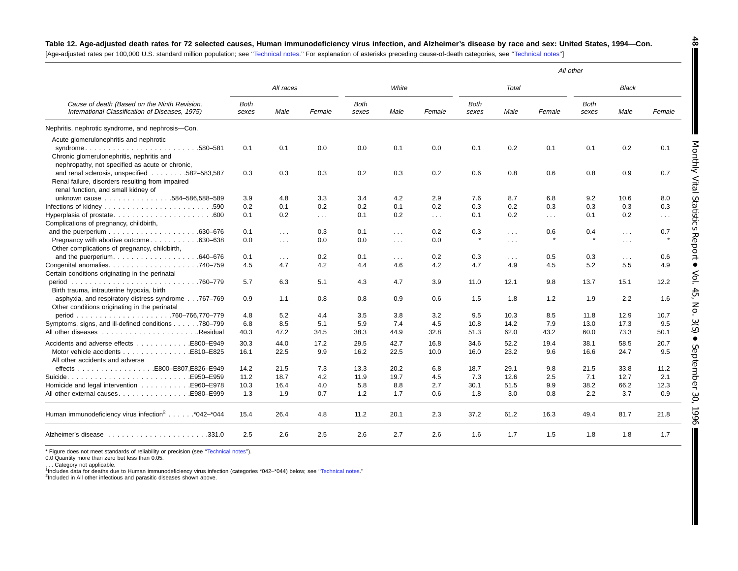# Table 12. Age-adjusted death rates for 72 selected causes, Human immunodeficiency virus infection, and Alzheimer's disease by race and sex: United States, 1994-Con.

[Age-adjusted rates per 100,000 U.S. standard million population; see [''Technical](#page-71-0) notes.'' For explanation of asterisks preceding cause-of-death categories, see [''Technical](#page-71-0) notes'']

|                                                                                                                 |                      |               |                      |               |            |          |               |            |          | All other            |                      |        |
|-----------------------------------------------------------------------------------------------------------------|----------------------|---------------|----------------------|---------------|------------|----------|---------------|------------|----------|----------------------|----------------------|--------|
|                                                                                                                 |                      | All races     |                      |               | White      |          |               | Total      |          |                      | <b>Black</b>         |        |
| Cause of death (Based on the Ninth Revision,<br>International Classification of Diseases, 1975)                 | <b>Both</b><br>sexes | Male          | Female               | Both<br>sexes | Male       | Female   | Both<br>sexes | Male       | Female   | <b>Both</b><br>sexes | Male                 | Female |
| Nephritis, nephrotic syndrome, and nephrosis-Con.                                                               |                      |               |                      |               |            |          |               |            |          |                      |                      |        |
| Acute glomerulonephritis and nephrotic                                                                          |                      |               |                      |               |            |          |               |            |          |                      |                      |        |
| syndrome580-581<br>Chronic glomerulonephritis, nephritis and<br>nephropathy, not specified as acute or chronic, | 0.1                  | 0.1           | 0.0                  | 0.0           | 0.1        | 0.0      | 0.1           | 0.2        | 0.1      | 0.1                  | 0.2                  | 0.1    |
| and renal sclerosis, unspecified 582-583,587<br>Renal failure, disorders resulting from impaired                | 0.3                  | 0.3           | 0.3                  | 0.2           | 0.3        | 0.2      | 0.6           | 0.8        | 0.6      | 0.8                  | 0.9                  | 0.7    |
| renal function, and small kidney of                                                                             |                      |               |                      |               |            |          |               |            |          |                      |                      |        |
| unknown cause 584-586,588-589                                                                                   | 3.9                  | 4.8           | 3.3                  | 3.4           | 4.2        | 2.9      | 7.6           | 8.7        | 6.8      | 9.2                  | 10.6                 | 8.0    |
|                                                                                                                 | 0.2                  | 0.1           | 0.2                  | 0.2           | 0.1        | 0.2      | 0.3           | 0.2        | 0.3      | 0.3                  | 0.3                  | 0.3    |
| Complications of pregnancy, childbirth,                                                                         | 0.1                  | 0.2           | $\sim$ $\sim$ $\sim$ | 0.1           | 0.2        | $\sim$ . | 0.1           | 0.2        | $\cdots$ | 0.1                  | 0.2                  | $\sim$ |
| .630-676                                                                                                        | 0.1                  | $\sim$ $\sim$ | 0.3                  | 0.1           | $\sim$     | 0.2      | 0.3           | $\sim 10$  | 0.6      | 0.4                  | $\sim 100$           | 0.7    |
| Pregnancy with abortive outcome<br>.630–638<br>Other complications of pregnancy, childbirth,                    | 0.0                  | $\cdots$      | 0.0                  | 0.0           | $\sim 100$ | 0.0      |               | $\cdots$   |          |                      | $\cdots$             |        |
|                                                                                                                 | 0.1                  | $\cdots$      | 0.2                  | 0.1           | $\sim 100$ | 0.2      | 0.3           | $\sim 100$ | 0.5      | 0.3                  | $\sim$ $\sim$ $\sim$ | 0.6    |
| Certain conditions originating in the perinatal                                                                 | 4.5                  | 4.7           | 4.2                  | 4.4           | 4.6        | 4.2      | 4.7           | 4.9        | 4.5      | 5.2                  | 5.5                  | 4.9    |
| Birth trauma, intrauterine hypoxia, birth                                                                       | 5.7                  | 6.3           | 5.1                  | 4.3           | 4.7        | 3.9      | 11.0          | 12.1       | 9.8      | 13.7                 | 15.1                 | 12.2   |
| asphyxia, and respiratory distress syndrome767-769<br>Other conditions originating in the perinatal             | 0.9                  | 1.1           | 0.8                  | 0.8           | 0.9        | 0.6      | 1.5           | 1.8        | 1.2      | 1.9                  | 2.2                  | 1.6    |
|                                                                                                                 | 4.8                  | 5.2           | 4.4                  | 3.5           | 3.8        | 3.2      | 9.5           | 10.3       | 8.5      | 11.8                 | 12.9                 | 10.7   |
| Symptoms, signs, and ill-defined conditions 780–799                                                             | 6.8                  | 8.5           | 5.1                  | 5.9           | 7.4        | 4.5      | 10.8          | 14.2       | 7.9      | 13.0                 | 17.3                 | 9.5    |
|                                                                                                                 | 40.3                 | 47.2          | 34.5                 | 38.3          | 44.9       | 32.8     | 51.3          | 62.0       | 43.2     | 60.0                 | 73.3                 | 50.1   |
|                                                                                                                 | 30.3                 | 44.0          | 17.2                 | 29.5          | 42.7       | 16.8     | 34.6          | 52.2       | 19.4     | 38.1                 | 58.5                 | 20.7   |
| Motor vehicle accidents E810–E825<br>All other accidents and adverse                                            | 16.1                 | 22.5          | 9.9                  | 16.2          | 22.5       | 10.0     | 16.0          | 23.2       | 9.6      | 16.6                 | 24.7                 | 9.5    |
|                                                                                                                 | 14.2                 | 21.5          | 7.3                  | 13.3          | 20.2       | 6.8      | 18.7          | 29.1       | 9.8      | 21.5                 | 33.8                 | 11.2   |
|                                                                                                                 | 11.2                 | 18.7          | 4.2                  | 11.9          | 19.7       | 4.5      | 7.3           | 12.6       | 2.5      | 7.1                  | 12.7                 | 2.1    |
|                                                                                                                 | 10.3                 | 16.4          | 4.0                  | 5.8           | 8.8        | 2.7      | 30.1          | 51.5       | 9.9      | 38.2                 | 66.2                 | 12.3   |
| All other external causesE980–E999                                                                              | 1.3                  | 1.9           | 0.7                  | 1.2           | 1.7        | 0.6      | 1.8           | 3.0        | 0.8      | 2.2                  | 3.7                  | 0.9    |
| Human immunodeficiency virus infection <sup>2</sup> *042-*044                                                   | 15.4                 | 26.4          | 4.8                  | 11.2          | 20.1       | 2.3      | 37.2          | 61.2       | 16.3     | 49.4                 | 81.7                 | 21.8   |
|                                                                                                                 | 2.5                  | 2.6           | 2.5                  | 2.6           | 2.7        | 2.6      | 1.6           | 1.7        | 1.5      | 1.8                  | 1.8                  | 1.7    |

\* Figure does not meet standards of reliability or precision (see [''Technical](#page-71-0) notes'').

0.0 Quantity more than zero but less than 0.05.

. . . Category not applicable. 1Includes data for deaths due to Human immunodeficiency virus infection (categories \*042–\*044) below; see [''Technical](#page-71-0) notes.''

<sup>2</sup>Included in All other infectious and parasitic diseases shown above.

**48**

T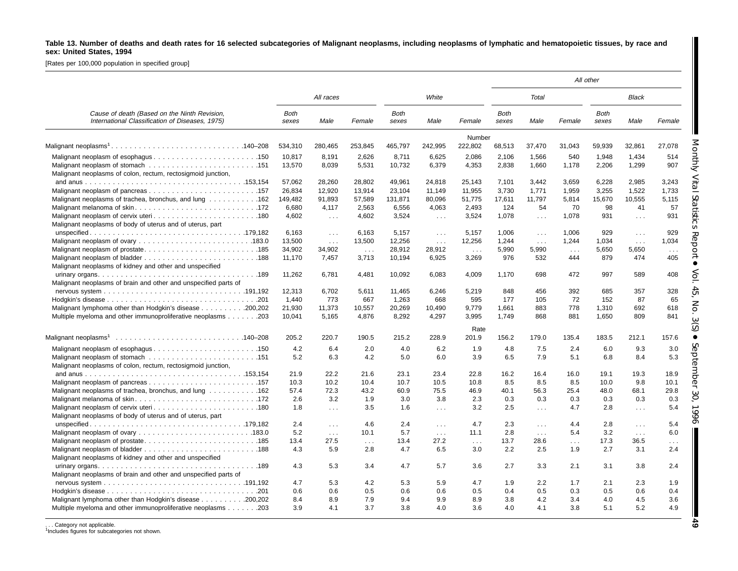## Table 13. Number of deaths and death rates for 16 selected subcategories of Malignant neoplasms, including neoplasms of lymphatic and hematopoietic tissues, by race and **sex: United States, 1994**

[Rates per 100,000 population in specified group]

|                                                                                                                         |                      |             |            |               |                             |            |                      |            |            | All other            |            |                      |
|-------------------------------------------------------------------------------------------------------------------------|----------------------|-------------|------------|---------------|-----------------------------|------------|----------------------|------------|------------|----------------------|------------|----------------------|
|                                                                                                                         |                      | All races   |            |               | White                       |            |                      | Total      |            |                      | Black      |                      |
| Cause of death (Based on the Ninth Revision,<br>International Classification of Diseases, 1975)                         | <b>Both</b><br>sexes | Male        | Female     | Both<br>sexes | Male                        | Female     | <b>Both</b><br>sexes | Male       | Female     | <b>Both</b><br>sexes | Male       | Female               |
|                                                                                                                         |                      |             |            |               |                             | Number     |                      |            |            |                      |            |                      |
|                                                                                                                         | 534,310              | 280,465     | 253,845    | 465,797       | 242,995                     | 222,802    | 68,513               | 37,470     | 31,043     | 59.939               | 32,861     | 27.078               |
|                                                                                                                         | 10,817               | 8,191       | 2,626      | 8,711         | 6,625                       | 2,086      | 2,106                | 1,566      | 540        | 1,948                | 1,434      | 514                  |
|                                                                                                                         | 13,570               | 8,039       | 5,531      | 10,732        | 6,379                       | 4,353      | 2,838                | 1,660      | 1,178      | 2,206                | 1,299      | 907                  |
| Malignant neoplasms of colon, rectum, rectosigmoid junction,                                                            |                      |             |            |               |                             |            |                      |            |            |                      |            |                      |
|                                                                                                                         | 57,062               | 28,260      | 28,802     | 49,961        | 24,818                      | 25,143     | 7.101                | 3,442      | 3,659      | 6,228                | 2,985      | 3,243                |
|                                                                                                                         | 26,834               | 12,920      | 13,914     | 23,104        | 11,149                      | 11.955     | 3,730                | 1,771      | 1,959      | 3,255                | 1,522      | 1,733                |
| Malignant neoplasms of trachea, bronchus, and lung 162                                                                  | 149,482              | 91,893      | 57,589     | 131,871       | 80,096                      | 51,775     | 17,611               | 11,797     | 5,814      | 15,670               | 10,555     | 5,115                |
|                                                                                                                         | 6,680                | 4,117       | 2,563      | 6,556         | 4,063                       | 2,493      | 124                  | 54         | 70         | 98                   | 41         | 57                   |
| Malignant neoplasms of body of uterus and of uterus, part                                                               | 4,602                | $\sim 100$  | 4,602      | 3,524         | $\sim 10$                   | 3,524      | 1,078                | $\cdots$   | 1,078      | 931                  | $\ldots$   | 931                  |
|                                                                                                                         | 6.163                | $\sim 100$  | 6.163      | 5.157         | $\sim 100$                  | 5,157      | 1.006                | $\sim 100$ | 1.006      | 929                  | $\sim 100$ | 929                  |
|                                                                                                                         | 13,500               | $\sim 10$ . | 13,500     | 12,256        | $\sim 100$                  | 12,256     | 1,244                | $\sim 10$  | 1,244      | 1,034                | $\sim 100$ | 1,034                |
|                                                                                                                         | 34,902               | 34,902      | $\sim 100$ | 28,912        | 28,912                      | $\sim 100$ | 5,990                | 5,990      | $\sim 100$ | 5,650                | 5,650      | $\sim 100$           |
|                                                                                                                         | 11,170               | 7.457       | 3,713      | 10,194        | 6,925                       | 3,269      | 976                  | 532        | 444        | 879                  | 474        | 405                  |
| Malignant neoplasms of kidney and other and unspecified                                                                 |                      |             |            |               |                             |            |                      |            |            |                      |            |                      |
|                                                                                                                         | 11,262               | 6,781       | 4,481      | 10,092        | 6,083                       | 4,009      | 1,170                | 698        | 472        | 997                  | 589        | 408                  |
| Malignant neoplasms of brain and other and unspecified parts of                                                         |                      |             |            |               |                             |            |                      |            |            |                      |            |                      |
|                                                                                                                         | 12,313               | 6,702       | 5,611      | 11,465        | 6,246                       | 5,219      | 848                  | 456        | 392        | 685                  | 357        | 328                  |
|                                                                                                                         | 1,440                | 773         | 667        | 1,263         | 668                         | 595        | 177                  | 105        | 72         | 152                  | 87         | 65                   |
| Malignant lymphoma other than Hodgkin's disease 200,202                                                                 | 21,930               | 11,373      | 10,557     | 20,269        | 10,490                      | 9,779      | 1,661                | 883        | 778        | 1,310                | 692        | 618                  |
| Multiple myeloma and other immunoproliferative neoplasms 203                                                            | 10.041               | 5.165       | 4.876      | 8.292         | 4,297                       | 3.995      | 1.749                | 868        | 881        | 1.650                | 809        | 841                  |
|                                                                                                                         |                      |             |            |               |                             | Rate       |                      |            |            |                      |            |                      |
| Malignant neoplasms <sup>1</sup> $\ldots \ldots \ldots \ldots \ldots \ldots \ldots \ldots \ldots \ldots \ldots 140-208$ | 205.2                | 220.7       | 190.5      | 215.2         | 228.9                       | 201.9      | 156.2                | 179.0      | 135.4      | 183.5                | 212.1      | 157.6                |
|                                                                                                                         | 4.2                  | 6.4         | 2.0        | 4.0           | 6.2                         | 1.9        | 4.8                  | 7.5        | 2.4        | 6.0                  | 9.3        | 3.0                  |
|                                                                                                                         | 5.2                  | 6.3         | 4.2        | 5.0           | 6.0                         | 3.9        | 6.5                  | 7.9        | 5.1        | 6.8                  | 8.4        | 5.3                  |
| Malignant neoplasms of colon, rectum, rectosigmoid junction,                                                            |                      |             |            |               |                             |            |                      |            |            |                      |            |                      |
|                                                                                                                         | 21.9                 | 22.2        | 21.6       | 23.1          | 23.4                        | 22.8       | 16.2                 | 16.4       | 16.0       | 19.1                 | 19.3       | 18.9                 |
|                                                                                                                         | 10.3                 | 10.2        | 10.4       | 10.7          | 10.5                        | 10.8       | 8.5                  | 8.5        | 8.5        | 10.0                 | 9.8        | 10.1                 |
| Malignant neoplasms of trachea, bronchus, and lung 162                                                                  | 57.4                 | 72.3        | 43.2       | 60.9          | 75.5                        | 46.9       | 40.1                 | 56.3       | 25.4       | 48.0                 | 68.1       | 29.8                 |
|                                                                                                                         | 2.6                  | 3.2         | 1.9        | 3.0           | 3.8                         | 2.3        | 0.3                  | 0.3        | 0.3        | 0.3                  | 0.3        | 0.3                  |
|                                                                                                                         | 1.8                  | $\sim 10$   | 3.5        | 1.6           | $\mathcal{L}^{\mathcal{L}}$ | 3.2        | 2.5                  | $\sim$     | 4.7        | 2.8                  | $\sim 100$ | 5.4                  |
| Malignant neoplasms of body of uterus and of uterus, part                                                               |                      |             |            |               |                             |            |                      |            |            |                      |            |                      |
|                                                                                                                         | 2.4                  | $\sim 100$  | 4.6        | 2.4           | $\sim 100$                  | 4.7        | 2.3                  | $\sim 100$ | 4.4        | 2.8                  | $\sim 100$ | 5.4                  |
|                                                                                                                         | 5.2                  | $\sim 100$  | 10.1       | 5.7           | $\sim 100$                  | 11.1       | 2.8                  | $\ldots$   | 5.4        | 3.2                  | $\sim 100$ | 6.0                  |
|                                                                                                                         | 13.4                 | 27.5        | $\sim 100$ | 13.4          | 27.2                        | $\sim 100$ | 13.7                 | 28.6       | $\sim 100$ | 17.3                 | 36.5       | $\sim$ $\sim$ $\sim$ |
|                                                                                                                         | 4.3                  | 5.9         | 2.8        | 4.7           | 6.5                         | 3.0        | 2.2                  | 2.5        | 1.9        | 2.7                  | 3.1        | 2.4                  |
| Malignant neoplasms of kidney and other and unspecified                                                                 |                      |             |            |               |                             |            |                      |            |            |                      |            |                      |
|                                                                                                                         | 4.3                  | 5.3         | 3.4        | 4.7           | 5.7                         | 3.6        | 2.7                  | 3.3        | 2.1        | 3.1                  | 3.8        | 2.4                  |
| Malignant neoplasms of brain and other and unspecified parts of                                                         |                      |             |            |               |                             |            |                      |            |            |                      |            |                      |
|                                                                                                                         | 4.7                  | 5.3         | 4.2        | 5.3           | 5.9                         | 4.7        | 1.9                  | 2.2        | 1.7        | 2.1                  | 2.3        | 1.9                  |
|                                                                                                                         | 0.6                  | 0.6         | 0.5        | 0.6           | 0.6                         | 0.5        | 0.4                  | 0.5        | 0.3        | 0.5                  | 0.6        | 0.4                  |
| Malignant lymphoma other than Hodgkin's disease 200,202                                                                 | 8.4                  | 8.9         | 7.9        | 9.4           | 9.9                         | 8.9        | 3.8                  | 4.2        | 3.4        | 4.0                  | 4.5        | 3.6                  |
| Multiple myeloma and other immunoproliferative neoplasms 203                                                            | 3.9                  | 4.1         | 3.7        | 3.8           | 4.0                         | 3.6        | 4.0                  | 4.1        | 3.8        | 5.1                  | 5.2        | 4.9                  |
|                                                                                                                         |                      |             |            |               |                             |            |                      |            |            |                      |            |                      |

. . . Category not applicable. 1Includes figures for subcategories not shown.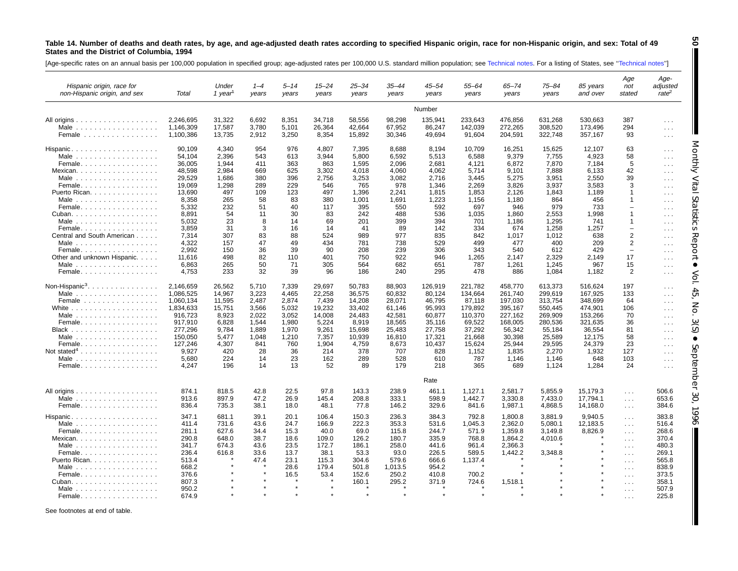#### Table 14. Number of deaths and death rates, by age, and age-adjusted death rates according to specified Hispanic origin, race for non-Hispanic origin, and sex: Total of 49 **States and the District of Columbia, 1994**

[Age-specific rates on an annual basis per 100,000 population in specified group; age-adjusted rates per 100,000 U.S. standard million population; see [Technical](#page-71-0) notes. For a listing of States, see "Technical notes"]

| Hispanic origin, race for<br>non-Hispanic origin, and sex | Total     | Under<br>1 year <sup>1</sup> | $1 - 4$<br>years | 5–14<br>years | $15 - 24$<br>years | 25–34<br>years | 35–44<br>years | 45–54<br>years | 55–64<br>years | 65–74<br>years | 75–84<br>years | 85 years<br>and over | Age<br>not<br>stated                         | Age-<br>adjusted<br>rate <sup>2</sup> |
|-----------------------------------------------------------|-----------|------------------------------|------------------|---------------|--------------------|----------------|----------------|----------------|----------------|----------------|----------------|----------------------|----------------------------------------------|---------------------------------------|
|                                                           |           |                              |                  |               |                    |                |                | Number         |                |                |                |                      |                                              |                                       |
| All origins $\ldots \ldots \ldots \ldots \ldots$          | 2,246,695 | 31,322                       | 6,692            | 8,351         | 34,718             | 58,556         | 98,298         | 135,941        | 233,643        | 476,856        | 631,268        | 530,663              | 387                                          | $\sim 100$                            |
| Male $\ldots \ldots \ldots \ldots \ldots$                 | 1.146.309 | 17,587                       | 3,780            | 5.101         | 26.364             | 42.664         | 67,952         | 86,247         | 142,039        | 272,265        | 308,520        | 173,496              | 294                                          | $\sim$ $\sim$ $\sim$                  |
| Female                                                    | 1,100,386 | 13,735                       | 2,912            | 3,250         | 8,354              | 15,892         | 30,346         | 49,694         | 91,604         | 204,591        | 322,748        | 357,167              | 93                                           | $\sim 100$                            |
| Hispanic.                                                 | 90,109    | 4,340                        | 954              | 976           | 4,807              | 7,395          | 8,688          | 8,194          | 10,709         | 16,251         | 15,625         | 12,107               | 63                                           | $\sim$ $\sim$ $\sim$                  |
| Male $\ldots \ldots \ldots \ldots \ldots$                 | 54,104    | 2,396                        | 543              | 613           | 3,944              | 5,800          | 6,592          | 5,513          | 6,588          | 9,379          | 7,755          | 4,923                | 58                                           | $\sim 100$                            |
| Female                                                    | 36,005    | 1,944                        | 411              | 363           | 863                | 1,595          | 2,096          | 2,681          | 4,121          | 6,872          | 7,870          | 7,184                | 5                                            | $\sim$ $\sim$ $\sim$                  |
| Mexican                                                   | 48,598    | 2,984                        | 669              | 625           | 3,302              | 4,018          | 4,060          | 4,062          | 5,714          | 9,101          | 7,888          | 6,133                | 42                                           | $\sim 100$                            |
| Male                                                      | 29,529    | 1,686                        | 380              | 396           | 2,756              | 3,253          | 3,082          | 2,716          | 3,445          | 5,275          | 3,951          | 2,550                | 39                                           | $\sim$ $\sim$ $\sim$                  |
| Female                                                    | 19.069    | 1.298                        | 289              | 229           | 546                | 765            | 978            | 1.346          | 2.269          | 3.826          | 3,937          | 3.583                | 3                                            | $\cdots$                              |
| Puerto Rican.                                             | 13,690    | 497                          | 109              | 123           | 497                | 1,396          | 2,241          | 1,815          | 1,853          | 2,126          | 1,843          | 1,189                | $\mathbf 1$                                  | $\sim 100$                            |
| Male $\ldots$                                             | 8.358     | 265                          | 58               | 83            | 380                | 1.001          | 1.691          | 1.223          | 1.156          | 1.180          | 864            | 456                  | $\mathbf{1}$                                 | $\sim 100$                            |
| Female                                                    | 5,332     | 232                          | 51               | 40            | 117                | 395            | 550            | 592            | 697            | 946            | 979            | 733                  | $\overline{\phantom{0}}$                     | $\sim$ $\sim$ $\sim$                  |
| Cuban.                                                    | 8,891     | 54                           | 11               | 30            | 83                 | 242            | 488            | 536            | 1,035          | 1,860          | 2,553          | 1,998                | $\mathbf{1}$                                 | $\sim 100$                            |
| Male $\ldots$                                             | 5,032     | 23                           | 8                | 14            | 69                 | 201            | 399            | 394            | 701            | 1,186          | 1.295          | 741                  | $\mathbf{1}$                                 | $\sim 100$                            |
| Female                                                    | 3,859     | 31                           | 3                | 16            | 14                 | 41             | 89             | 142            | 334            | 674            | 1,258          | 1,257                | $\overline{\phantom{0}}$                     | $\sim$ $\sim$ $\sim$                  |
| Central and South American                                | 7,314     | 307                          | 83               | 88            | 524                | 989            | 977            | 835            | 842            | 1,017          | 1,012          | 638                  | $\overline{2}$                               | $\sim 100$                            |
| Male $\ldots$                                             | 4,322     | 157                          | 47               | 49            | 434                | 781            | 738            | 529            | 499            | 477            | 400            | 209                  | $\overline{2}$                               | $\sim$ $\sim$ $\sim$                  |
| Female                                                    | 2.992     | 150                          | 36               | 39            | 90                 | 208            | 239            | 306            | 343            | 540            | 612            | 429                  | $\overline{\phantom{0}}$                     | $\sim$ $\sim$ $\sim$                  |
| Other and unknown Hispanic.                               | 11,616    | 498                          | 82               | 110           | 401                | 750            | 922            | 946            | 1,265          | 2,147          | 2,329          | 2,149                | 17                                           | $\sim 100$                            |
|                                                           | 6.863     | 265                          | 50               | 71            | 305                | 564            | 682            | 651            | 787            | 1,261          | 1,245          | 967                  | 15                                           | $\sim$ $\sim$ $\sim$                  |
| Female                                                    | 4,753     | 233                          | 32               | 39            | 96                 | 186            | 240            | 295            | 478            | 886            | 1,084          | 1,182                | $\overline{2}$                               | $\sim$ $\sim$ $\sim$                  |
|                                                           |           |                              |                  |               |                    |                |                |                |                |                |                |                      |                                              |                                       |
| Non-Hispanic <sup>3</sup> . $\ldots$ .                    | 2,146,659 | 26,562                       | 5,710            | 7,339         | 29,697             | 50,783         | 88,903         | 126,919        | 221,782        | 458,770        | 613,373        | 516,624              | 197                                          | $\sim$ $\sim$ $\sim$                  |
| Male                                                      | 1.086,525 | 14.967                       | 3.223            | 4.465         | 22.258             | 36.575         | 60.832         | 80.124         | 134.664        | 261.740        | 299.619        | 167.925              | 133                                          | $\sim$ $\sim$ $\sim$                  |
| Female                                                    | 1,060,134 | 11,595                       | 2,487            | 2,874         | 7,439              | 14,208         | 28,071         | 46,795         | 87,118         | 197,030        | 313,754        | 348,699              | 64                                           | $\sim 100$                            |
| White $\ldots \ldots \ldots \ldots \ldots$                | 1,834,633 | 15,751                       | 3,566            | 5,032         | 19,232             | 33,402         | 61,146         | 95,993         | 179,892        | 395,167        | 550,445        | 474,901              | 106                                          | $\sim 100$                            |
| Male $\ldots$                                             | 916.723   | 8,923                        | 2.022            | 3,052         | 14,008             | 24,483         | 42,581         | 60,877         | 110,370        | 227,162        | 269,909        | 153,266              | 70                                           | $\sim 100$                            |
| Female.                                                   | 917,910   | 6,828                        | 1.544            | 1,980         | 5,224              | 8,919          | 18,565         | 35,116         | 69,522         | 168,005        | 280,536        | 321,635              | 36                                           | $\sim 100$                            |
|                                                           | 277,296   | 9,784                        | 1,889            | 1.970         | 9,261              | 15,698         | 25,483         | 27,758         | 37,292         | 56,342         | 55,184         | 36,554               | 81                                           | $\sim 100$                            |
| Male                                                      | 150,050   | 5,477                        | 1,048            | 1,210         | 7,357              | 10,939         | 16,810         | 17,321         | 21,668         | 30,398         | 25,589         | 12,175               | 58                                           | $\sim 100$                            |
| Female                                                    | 127,246   | 4,307                        | 841              | 760           | 1,904              | 4,759          | 8,673          | 10,437         | 15,624         | 25,944         | 29,595         | 24,379               | 23                                           | $\sim$ $\sim$ $\sim$                  |
| Not stated <sup>4</sup>                                   | 9,927     | 420                          | 28               | 36            | 214                | 378            | 707            | 828            | 1,152          | 1,835          | 2,270          | 1,932                | 127                                          | $\sim 100$                            |
| Male $\ldots \ldots \ldots \ldots \ldots$                 | 5,680     | 224                          | 14               | 23            | 162                | 289            | 528            | 610            | 787            | 1,146          | 1,146          | 648                  | 103                                          | $\sim$ $\sim$ $\sim$                  |
| Female.                                                   | 4,247     | 196                          | 14               | 13            | 52                 | 89             | 179            | 218            | 365            | 689            | 1,124          | 1,284                | 24                                           | $\sim 100$                            |
|                                                           |           |                              |                  |               |                    |                |                | Rate           |                |                |                |                      |                                              |                                       |
| All origins                                               | 874.1     | 818.5                        | 42.8             | 22.5          | 97.8               | 143.3          | 238.9          | 461.1          | 1,127.1        | 2,581.7        | 5,855.9        | 15,179.3             | $\sim 100$                                   | 506.6                                 |
| Male $\ldots \ldots \ldots \ldots \ldots$                 | 913.6     | 897.9                        | 47.2             | 26.9          | 145.4              | 208.8          | 333.1          | 598.9          | 1,442.7        | 3,330.8        | 7,433.0        | 17,794.1             | $\sim 100$                                   | 653.6                                 |
| Female                                                    | 836.4     | 735.3                        | 38.1             | 18.0          | 48.1               | 77.8           | 146.2          | 329.6          | 841.6          | 1,987.1        | 4,868.5        | 14,168.0             | $\sim 100$                                   | 384.6                                 |
| Hispanic.                                                 | 347.1     | 681.1                        | 39.1             | 20.1          | 106.4              | 150.3          | 236.3          | 384.3          | 792.8          | 1,800.8        | 3,881.9        | 9,940.5              | $\sim 100$                                   | 383.8                                 |
| Male $\ldots \ldots \ldots \ldots \ldots$                 | 411.4     | 731.6                        | 43.6             | 24.7          | 166.9              | 222.3          | 353.3          | 531.6          | 1,045.3        | 2,362.0        | 5,080.1        | 12,183.5             | $\cdots$                                     | 516.4                                 |
| Female                                                    | 281.1     | 627.6                        | 34.4             | 15.3          | 40.0               | 69.0           | 115.8          | 244.7          | 571.9          | 1,359.8        | 3,149.8        | 8,826.9              | $\sim 100$                                   | 268.6                                 |
| Mexican.                                                  | 290.8     | 648.0                        | 38.7             | 18.6          | 109.0              | 126.2          | 180.7          | 335.9          | 768.8          | 1,864.2        | 4,010.6        |                      | $\sim$ $\sim$ $\sim$                         | 370.4                                 |
| Male $\ldots$                                             | 341.7     | 674.3                        | 43.6             | 23.5          | 172.7              | 186.1          | 258.0          | 441.6          | 961.4          | 2,366.3        |                |                      | $\sim 100$                                   | 480.3                                 |
| Female                                                    | 236.4     | 616.8                        | 33.6             | 13.7          | 38.1               | 53.3           | 93.0           | 226.5          | 589.5          | 1,442.2        | 3,348.8        |                      | $\cdots$                                     | 269.1                                 |
| Puerto Rican.                                             | 513.4     |                              | 47.4             | 23.1          | 115.3              | 304.6          | 579.6          | 666.6          | 1,137.4        |                |                |                      | $\sim 100$                                   | 565.8                                 |
| Male $\ldots \ldots \ldots \ldots \ldots$                 | 668.2     |                              |                  | 28.6          | 179.4              | 501.8          | 1,013.5        | 954.2          |                |                |                |                      | $\cdots$                                     | 838.9                                 |
| Female                                                    | 376.6     |                              |                  | 16.5          | 53.4               | 152.6          | 250.2          | 410.8          | 700.2          |                |                |                      |                                              | 373.5                                 |
| Cuban.                                                    | 807.3     |                              |                  |               |                    | 160.1          | 295.2          | 371.9          | 724.6          | 1,518.1        |                |                      | $\sim$ $\sim$ $\sim$<br>$\sim$ $\sim$ $\sim$ | 358.1                                 |
| Male                                                      | 950.2     |                              |                  |               |                    |                |                |                |                |                |                |                      | $\sim$ $\sim$ $\sim$                         | 507.9                                 |
| Female                                                    | 674.9     |                              |                  |               |                    |                |                |                |                |                |                |                      |                                              | 225.8                                 |

See footnotes at end of table.

**50**

Monthly Vital

Ш

Statistics

 Report  $\bullet$ 

Vol. 45, No. 3(S)

 $\bullet$ 

September

30, 1996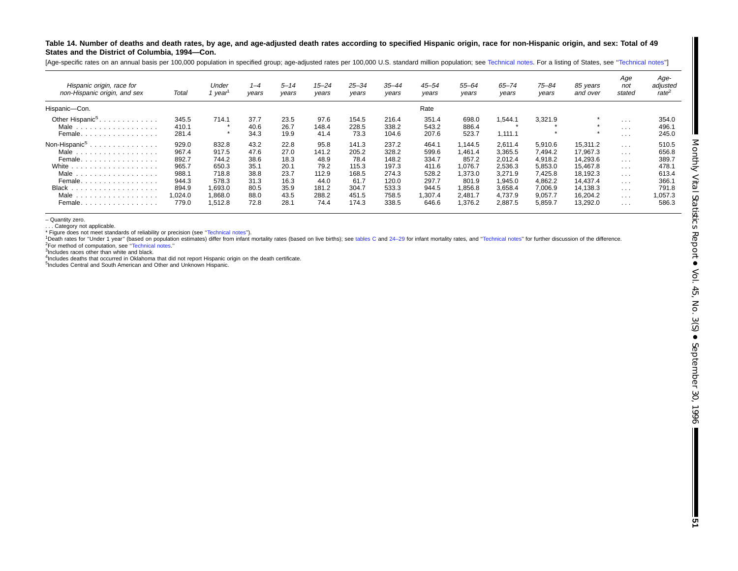Table 14. Number of deaths and death rates, by age, and age-adjusted death rates according to specified Hispanic origin, race for non-Hispanic origin, and sex: Total of 49 **States and the District of Columbia, 1994—Con.**

[Age-specific rates on an annual basis per 100,000 population in specified group; age-adjusted rates per 100,000 U.S. standard million population; see [Technical](#page-71-0) notes. For a listing of States, see "Technical notes"]

| Hispanic origin, race for<br>non-Hispanic origin, and sex                                                                                | Total                                                                         | Under<br>1 year                                                                     | $1 - 4$<br>years                                                     | $5 - 14$<br>vears                                                    | $15 - 24$<br>years                                                       | $25 - 34$<br>years                                                          | $35 - 44$<br>vears                                                            | $45 - 54$<br>years                                                             | 55-64<br>years                                                                        | 65–74<br>vears                                                                                  | 75-84<br>years                                                                                  | 85 years<br>and over                                                                                     | Age<br>not<br>stated                                                         | Age-<br>adjusted<br>rate <sup>2</sup>                                           |
|------------------------------------------------------------------------------------------------------------------------------------------|-------------------------------------------------------------------------------|-------------------------------------------------------------------------------------|----------------------------------------------------------------------|----------------------------------------------------------------------|--------------------------------------------------------------------------|-----------------------------------------------------------------------------|-------------------------------------------------------------------------------|--------------------------------------------------------------------------------|---------------------------------------------------------------------------------------|-------------------------------------------------------------------------------------------------|-------------------------------------------------------------------------------------------------|----------------------------------------------------------------------------------------------------------|------------------------------------------------------------------------------|---------------------------------------------------------------------------------|
| Hispanic-Con.                                                                                                                            |                                                                               |                                                                                     |                                                                      |                                                                      |                                                                          |                                                                             |                                                                               | Rate                                                                           |                                                                                       |                                                                                                 |                                                                                                 |                                                                                                          |                                                                              |                                                                                 |
| Other Hispanic <sup>5</sup><br>Male<br>.<br>Female.<br>.                                                                                 | 345.5<br>410.1<br>281.4                                                       | 714.1<br>÷                                                                          | 37.7<br>40.6<br>34.3                                                 | 23.5<br>26.7<br>19.9                                                 | 97.6<br>148.4<br>41.4                                                    | 154.5<br>228.5<br>73.3                                                      | 216.4<br>338.2<br>104.6                                                       | 351.4<br>543.2<br>207.6                                                        | 698.0<br>886.4<br>523.7                                                               | 1,544.1<br>1,111.1                                                                              | 3,321.9                                                                                         | $\star$                                                                                                  | $\cdots$<br>$\cdots$<br>$\cdot$ $\cdot$ $\cdot$                              | 354.0<br>496.1<br>245.0                                                         |
| Non-Hispanic <sup>5</sup><br>.<br>Male<br>.<br>Female.<br>White<br>.<br>Male<br>.<br>Female<br><b>Black</b><br>Male<br>.<br>Female.<br>. | 929.0<br>967.4<br>892.7<br>965.7<br>988.<br>944.3<br>894.9<br>.024.0<br>779.0 | 832.8<br>917.5<br>744.2<br>650.3<br>718.8<br>578.3<br>0.693.0<br>0.868.0<br>1,512.8 | 43.2<br>47.6<br>38.6<br>35.1<br>38.8<br>31.3<br>80.5<br>88.0<br>72.8 | 22.8<br>27.0<br>18.3<br>20.1<br>23.7<br>16.3<br>35.9<br>43.5<br>28.1 | 95.8<br>141.2<br>48.9<br>79.2<br>112.9<br>44.0<br>181.2<br>288.2<br>74.4 | 141.3<br>205.2<br>78.4<br>115.3<br>168.5<br>61.7<br>304.7<br>451.5<br>174.3 | 237.2<br>328.2<br>148.2<br>197.3<br>274.3<br>120.0<br>533.3<br>758.5<br>338.5 | 464.1<br>599.6<br>334.7<br>411.6<br>528.2<br>297.7<br>944.5<br>.307.4<br>646.6 | .144.5<br>.461.4<br>857.2<br>.076.7<br>.373.0<br>801.9<br>.856.8<br>2,481.7<br>.376.2 | 2,611.4<br>3,365.5<br>2.012.4<br>2,536.3<br>3.271.9<br>1.945.0<br>3,658.4<br>4,737.9<br>2,887.5 | 5,910.6<br>7.494.2<br>4,918.2<br>5,853.0<br>7,425.8<br>4.862.2<br>7.006.9<br>9,057.7<br>5,859.7 | 15,311.2<br>17.967.3<br>14,293.6<br>15.467.8<br>18,192.3<br>14.437.4<br>14.138.3<br>16,204.2<br>13,292.0 | .<br>$\cdots$<br>.<br>$\cdots$<br>.<br>$\cdots$<br>.<br>$\cdots$<br>$\cdots$ | 510.5<br>656.8<br>389.7<br>478.1<br>613.4<br>366.1<br>791.8<br>1,057.3<br>586.3 |

– Quantity zero.

. . . Category not applicable.

\* Figure does not meet standards of reliability or precision (see "Technical notes").

1Death rates for "Under 1 year" (based on population estimates) differ from infant mortality rates (based on live births); see [tables](#page-10-0) C and 24-29 for infant mortality rates, and "Technical notes" for further discussion of 2For method of computation, see [''Technical](#page-71-0) notes.''

<sup>3</sup>Includes races other than white and black.

4Includes deaths that occurred in Oklahoma that did not report Hispanic origin on the death certificate.

<sup>5</sup>Includes Central and South American and Other and Unknown Hispanic.

I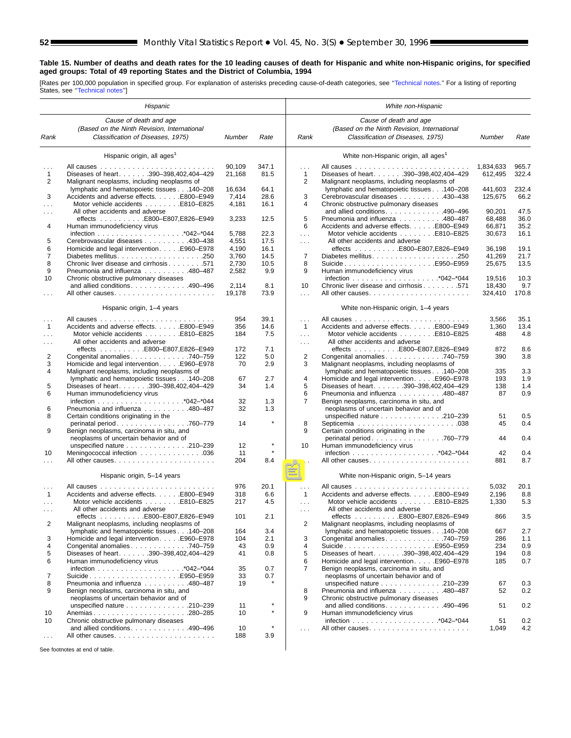#### **Table 15. Number of deaths and death rates for the 10 leading causes of death for Hispanic and white non-Hispanic origins, for specified aged groups: Total of 49 reporting States and the District of Columbia, 1994**

[Rates per 100,000 population in specified group. For explanation of asterisks preceding cause-of-death categories, see [''Technical notes.](#page-71-0)'' For a listing of reporting States, see [''Technical notes''](#page-71-0)]

|                          | Hispanic                                                                       |                |                    |                                              | White non-Hispanic                                                          |            |            |
|--------------------------|--------------------------------------------------------------------------------|----------------|--------------------|----------------------------------------------|-----------------------------------------------------------------------------|------------|------------|
|                          | Cause of death and age                                                         |                |                    |                                              | Cause of death and age                                                      |            |            |
|                          | (Based on the Ninth Revision, International                                    |                |                    |                                              | (Based on the Ninth Revision, International                                 |            |            |
| Rank                     | Classification of Diseases, 1975)                                              | Number         | Rate               | Rank                                         | Classification of Diseases, 1975)                                           | Number     | Rate       |
|                          | Hispanic origin, all ages <sup>1</sup>                                         |                |                    |                                              | White non-Hispanic origin, all ages <sup>1</sup>                            |            |            |
| $\cdots$                 |                                                                                | 90,109         | 347.1              | $\sim 10$                                    |                                                                             | 1,834,633  | 965.7      |
| $\mathbf{1}$             | Diseases of heart. 390-398,402,404-429                                         | 21,168         | 81.5               | 1                                            | Diseases of heart. 390-398,402,404-429                                      | 612,495    | 322.4      |
| $\overline{2}$           | Malignant neoplasms, including neoplasms of                                    |                |                    | $\overline{2}$                               | Malignant neoplasms, including neoplasms of                                 |            |            |
|                          | lymphatic and hematopoietic tissues 140-208                                    | 16,634         | 64.1               |                                              | lymphatic and hematopoietic tissues 140-208                                 | 441,603    | 232.4      |
| 3                        | Accidents and adverse effects. E800–E949                                       | 7,414          | 28.6               | 3                                            | Cerebrovascular diseases 430–438                                            | 125,675    | 66.2       |
| .                        | Motor vehicle accidents E810-E825                                              | 4,181          | 16.1               | 4                                            | Chronic obstructive pulmonary diseases                                      |            |            |
| $\cdots$                 | All other accidents and adverse                                                |                |                    |                                              | and allied conditions490-496                                                | 90,201     | 47.5       |
|                          | effects E800-E807,E826-E949                                                    | 3,233          | 12.5               | 5                                            | Pneumonia and influenza 480–487<br>Accidents and adverse effects. E800-E949 | 68,488     | 36.0       |
| 4                        | Human immunodeficiency virus                                                   |                |                    | 6                                            |                                                                             | 66,871     | 35.2       |
|                          |                                                                                | 5,788          | 22.3               | $\sim$ $\sim$ $\sim$                         | Motor vehicle accidents E810-E825                                           | 30,673     | 16.1       |
| 5<br>6                   | Cerebrovascular diseases 430–438<br>Homicide and legal intervention. E960-E978 | 4,551<br>4,190 | 17.5<br>16.1       | $\sim 100$                                   | All other accidents and adverse<br>effects E800-E807,E826-E949              | 36,198     | 19.1       |
| $\overline{7}$           |                                                                                | 3,760          | 14.5               | 7                                            |                                                                             | 41,269     | 21.7       |
| 8                        | Chronic liver disease and cirrhosis 571                                        | 2,730          | 10.5               | 8                                            | SuicideE950–E959                                                            | 25,675     | 13.5       |
| 9                        | Pneumonia and influenza 480-487                                                | 2,582          | 9.9                | 9                                            | Human immunodeficiency virus                                                |            |            |
| 10                       | Chronic obstructive pulmonary diseases                                         |                |                    |                                              |                                                                             | 19,516     | 10.3       |
|                          | and allied conditions. 490-496                                                 | 2,114          | 8.1                | 10                                           | Chronic liver disease and cirrhosis 571                                     | 18,430     | 9.7        |
|                          |                                                                                | 19,178         | 73.9               | $\sim 100$                                   |                                                                             | 324,410    | 170.8      |
|                          |                                                                                |                |                    |                                              |                                                                             |            |            |
|                          | Hispanic origin, 1-4 years                                                     | 954            | 39.1               |                                              | White non-Hispanic origin, 1-4 years                                        | 3,566      | 35.1       |
| $\cdots$<br>$\mathbf{1}$ | Accidents and adverse effects. E800-E949                                       | 356            | 14.6               | $\sim 10$<br>$\mathbf{1}$                    | Accidents and adverse effects. E800-E949                                    | 1,360      | 13.4       |
|                          | Motor vehicle accidents E810-E825                                              | 184            | 7.5                |                                              | Motor vehicle accidents E810-E825                                           | 488        | 4.8        |
| .<br>$\cdots$            | All other accidents and adverse                                                |                |                    | $\sim$ $\sim$ $\sim$<br>$\sim$ $\sim$ $\sim$ | All other accidents and adverse                                             |            |            |
|                          | effects E800-E807,E826-E949                                                    | 172            | 7.1                |                                              | effects E800-E807,E826-E949                                                 | 872        | 8.6        |
| 2                        | Congenital anomalies 740-759                                                   | 122            | 5.0                | $\overline{2}$                               | Congenital anomalies 740-759                                                | 390        | 3.8        |
| 3                        | Homicide and legal intervention. E960–E978                                     | 70             | 2.9                | 3                                            | Malignant neoplasms, including neoplasms of                                 |            |            |
| 4                        | Malignant neoplasms, including neoplasms of                                    |                |                    |                                              | lymphatic and hematopoietic tissues 140-208                                 | 335        | 3.3        |
|                          | lymphatic and hematopoietic tissues 140-208                                    | 67             | 2.7                | 4                                            | Homicide and legal intervention. E960–E978                                  | 193        | 1.9        |
| 5                        | Diseases of heart. 390-398,402,404-429                                         | 34             | 1.4                | 5                                            | Diseases of heart. 390-398,402,404-429                                      | 138        | 1.4        |
| 6                        | Human immunodeficiency virus                                                   |                |                    | 6                                            | Pneumonia and influenza 480-487                                             | 87         | 0.9        |
|                          |                                                                                | 32             | 1.3                | 7                                            | Benign neoplasms, carcinoma in situ, and                                    |            |            |
| 6                        | Pneumonia and influenza 480-487                                                | 32             | 1.3                |                                              | neoplasms of uncertain behavior and of                                      |            |            |
| 8                        | Certain conditions originating in the                                          |                |                    |                                              | unspecified nature 210-239                                                  | 51         | 0.5        |
|                          | perinatal period760-779                                                        | 14             |                    | 8                                            |                                                                             | 45         | 0.4        |
| 9                        | Benign neoplasms, carcinoma in situ, and                                       |                |                    | 9                                            | Certain conditions originating in the                                       |            |            |
|                          | neoplasms of uncertain behavior and of                                         |                |                    |                                              | perinatal period 760-779                                                    | 44         | 0.4        |
|                          | unspecified nature 210-239                                                     | 12             | $\star$<br>$\star$ | 10                                           | Human immunodeficiency virus                                                |            |            |
| 10                       | Meningococcal infection 036                                                    | 11             |                    |                                              |                                                                             | 42         | 0.4        |
| $\cdots$                 |                                                                                | 204            | 8.4                | $\sim 100$                                   |                                                                             | 881        | 8.7        |
|                          | Hispanic origin, 5-14 years                                                    |                |                    |                                              | White non-Hispanic origin, 5-14 years                                       |            |            |
| $\sim$ $\sim$ $\sim$     |                                                                                | 976            | 20.1               | $\sim$ $\sim$ $\sim$                         |                                                                             | 5,032      | 20.1       |
| $\mathbf{1}$             | Accidents and adverse effects. E800-E949                                       | 318            | 6.6                | $\mathbf{1}$                                 | Accidents and adverse effects. E800-E949                                    | 2,196      | 8.8        |
| $\cdots$                 | Motor vehicle accidents E810-E825                                              | 217            | 4.5                | $\ldots$ .                                   | Motor vehicle accidents E810-E825                                           | 1,330      | 5.3        |
|                          | All other accidents and adverse                                                |                |                    | $\cdots$                                     | All other accidents and adverse                                             |            |            |
|                          | effects E800-E807,E826-E949                                                    | 101            | 2.1                |                                              |                                                                             | 866        | 3.5        |
| 2                        | Malignant neoplasms, including neoplasms of                                    |                |                    | 2                                            | Malignant neoplasms, including neoplasms of                                 |            |            |
|                          | lymphatic and hematopoietic tissues 140-208                                    | 164            | 3.4                |                                              | lymphatic and hematopoietic tissues 140-208<br>Congenital anomalies 740-759 | 667        | 2.7        |
| 3<br>4                   | Homicide and legal intervention. E960–E978<br>Congenital anomalies 740–759     | 104<br>43      | 2.1<br>0.9         | 3<br>4                                       |                                                                             | 286<br>234 | 1.1        |
| 5                        | Diseases of heart. 390-398,402,404-429                                         | 41             | 0.8                | 5                                            | Diseases of heart. 390-398,402,404-429                                      | 194        | 0.9<br>0.8 |
| 6                        | Human immunodeficiency virus                                                   |                |                    | 6                                            | Homicide and legal intervention. E960–E978                                  | 185        | 0.7        |
|                          |                                                                                | 35             | 0.7                | 7                                            | Benign neoplasms, carcinoma in situ, and                                    |            |            |
| 7                        | SuicideE950–E959                                                               | 33             | 0.7                |                                              | neoplasms of uncertain behavior and of                                      |            |            |
| 8                        | Pneumonia and influenza 480-487                                                | 19             |                    |                                              | unspecified nature $\ldots \ldots \ldots \ldots 210-239$                    | 67         | 0.3        |
| 9                        | Benign neoplasms, carcinoma in situ, and                                       |                |                    | 8                                            | Pneumonia and influenza 480-487                                             | 52         | 0.2        |
|                          | neoplasms of uncertain behavior and of                                         |                |                    | 9                                            | Chronic obstructive pulmonary diseases                                      |            |            |
|                          | unspecified nature 210-239                                                     | 11             | $\star$            |                                              | and allied conditions. 490–496                                              | 51         | 0.2        |
| 10                       |                                                                                | 10             | $\star$            | 9                                            | Human immunodeficiency virus                                                |            |            |
| 10                       | Chronic obstructive pulmonary diseases                                         |                |                    |                                              |                                                                             | 51         | 0.2        |
|                          | and allied conditions. 490-496                                                 | 10             |                    | $\ldots$ .                                   |                                                                             | 1,049      | 4.2        |
|                          |                                                                                | 188            | 3.9                |                                              |                                                                             |            |            |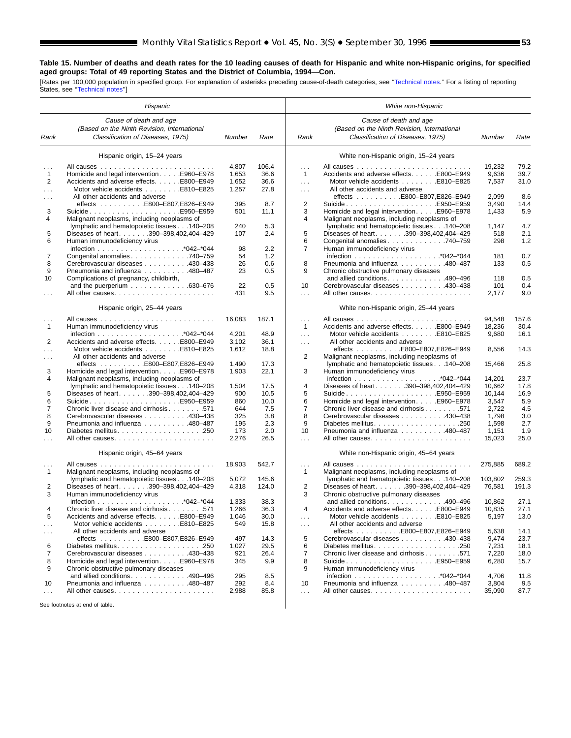# **Table 15. Number of deaths and death rates for the 10 leading causes of death for Hispanic and white non-Hispanic origins, for specified aged groups: Total of 49 reporting States and the District of Columbia, 1994—Con.**

[Rates per 100,000 population in specified group. For explanation of asterisks preceding cause-of-death categories, see "Technical notes." For a listing of reporting<br>States, see "Technical notes"]

|               | Hispanic                                                                                                   |        |       |                      | White non-Hispanic                                                                                         |         |       |
|---------------|------------------------------------------------------------------------------------------------------------|--------|-------|----------------------|------------------------------------------------------------------------------------------------------------|---------|-------|
| Rank          | Cause of death and age<br>(Based on the Ninth Revision, International<br>Classification of Diseases, 1975) | Number | Rate  | Rank                 | Cause of death and age<br>(Based on the Ninth Revision, International<br>Classification of Diseases, 1975) | Number  | Rate  |
|               | Hispanic origin, 15-24 years                                                                               |        |       |                      | White non-Hispanic origin, 15-24 years                                                                     |         |       |
| $\cdots$      |                                                                                                            | 4,807  | 106.4 | $\mathbf{1}$         |                                                                                                            | 19,232  | 79.2  |
| $\mathbf{1}$  | Homicide and legal intervention. E960–E978                                                                 | 1,653  | 36.6  | $\mathbf{1}$         | Accidents and adverse effects. E800-E949                                                                   | 9,636   | 39.7  |
| 2             | Accidents and adverse effects. E800-E949                                                                   | 1,652  | 36.6  | $\ldots$             | Motor vehicle accidents E810-E825                                                                          | 7,537   | 31.0  |
| $\sim$        | Motor vehicle accidents E810-E825                                                                          | 1,257  | 27.8  | $\sim$ $\sim$ $\sim$ | All other accidents and adverse                                                                            |         |       |
|               | All other accidents and adverse                                                                            |        |       |                      | effects E800-E807,E826-E949                                                                                | 2,099   | 8.6   |
|               | effects E800-E807,E826-E949                                                                                | 395    | 8.7   | $\overline{2}$       | SuicideE950–E959                                                                                           | 3,490   | 14.4  |
| 3             |                                                                                                            | 501    | 11.1  | 3                    | Homicide and legal intervention. E960-E978                                                                 | 1,433   | 5.9   |
| 4             | Malignant neoplasms, including neoplasms of                                                                |        |       | 4                    | Malignant neoplasms, including neoplasms of                                                                |         |       |
|               | lymphatic and hematopoietic tissues 140-208                                                                | 240    | 5.3   |                      | lymphatic and hematopoietic tissues 140-208                                                                | 1,147   | 4.7   |
| 5             | Diseases of heart. 390-398,402,404-429                                                                     | 107    | 2.4   | 5                    | Diseases of heart. 390-398,402,404-429                                                                     | 518     | 2.1   |
| 6             | Human immunodeficiency virus                                                                               |        |       | 6                    | Congenital anomalies 740-759                                                                               | 298     | 1.2   |
|               |                                                                                                            | 98     | 2.2   | $\overline{7}$       | Human immunodeficiency virus                                                                               |         |       |
| 7             | Congenital anomalies 740-759                                                                               | 54     | 1.2   |                      |                                                                                                            | 181     | 0.7   |
| 8             | Cerebrovascular diseases 430-438                                                                           | 26     | 0.6   | 8                    | Pneumonia and influenza 480–487                                                                            | 133     | 0.5   |
| 9             | Pneumonia and influenza 480-487                                                                            | 23     | 0.5   | 9                    | Chronic obstructive pulmonary diseases                                                                     |         |       |
| 10            | Complications of pregnancy, childbirth,                                                                    |        |       |                      | and allied conditions. $\ldots$ . 490–496                                                                  | 118     | 0.5   |
|               | and the puerperium $\ldots \ldots \ldots \ldots$ .630-676                                                  | 22     | 0.5   | 10                   | Cerebrovascular diseases 430-438                                                                           | 101     | 0.4   |
| $\cdots$      |                                                                                                            | 431    | 9.5   | $\sim$               |                                                                                                            | 2,177   | 9.0   |
|               | Hispanic origin, 25-44 years                                                                               |        |       |                      | White non-Hispanic origin, 25-44 years                                                                     |         |       |
|               |                                                                                                            | 16,083 | 187.1 | $\sim 10$            |                                                                                                            | 94,548  | 157.6 |
| $\mathbf{1}$  | Human immunodeficiency virus                                                                               |        |       | $\mathbf{1}$         | Accidents and adverse effects. E800-E949                                                                   | 18,236  | 30.4  |
|               |                                                                                                            | 4,201  | 48.9  | $\ldots$             | Motor vehicle accidents E810-E825                                                                          | 9,680   | 16.1  |
| 2             | Accidents and adverse effects. E800-E949                                                                   | 3,102  | 36.1  | $\sim$ $\sim$ $\sim$ | All other accidents and adverse                                                                            |         |       |
| .             | Motor vehicle accidents E810-E825                                                                          | 1,612  | 18.8  |                      | effects E800-E807,E826-E949                                                                                | 8,556   | 14.3  |
| $\cdots$      | All other accidents and adverse                                                                            |        |       | 2                    | Malignant neoplasms, including neoplasms of                                                                |         |       |
|               | effects E800-E807,E826-E949                                                                                | 1,490  | 17.3  |                      | lymphatic and hematopoietic tissues 140-208                                                                | 15,466  | 25.8  |
| 3             | Homicide and legal intervention. E960–E978                                                                 | 1,903  | 22.1  | 3                    | Human immunodeficiency virus                                                                               |         |       |
| 4             | Malignant neoplasms, including neoplasms of                                                                |        |       |                      |                                                                                                            | 14,201  | 23.7  |
|               | lymphatic and hematopoietic tissues 140-208                                                                | 1,504  | 17.5  | 4                    | Diseases of heart. 390-398,402,404-429                                                                     | 10,662  | 17.8  |
| 5             | Diseases of heart. 390-398,402,404-429                                                                     | 900    | 10.5  | 5                    | SuicideE950–E959                                                                                           | 10,144  | 16.9  |
| 6             |                                                                                                            | 860    | 10.0  | 6                    | Homicide and legal interventionE960-E978                                                                   | 3,547   | 5.9   |
| 7             | Chronic liver disease and cirrhosis 571                                                                    | 644    | 7.5   | 7                    | Chronic liver disease and cirrhosis 571                                                                    | 2,722   | 4.5   |
| 8             | Cerebrovascular diseases 430-438                                                                           | 325    | 3.8   | 8                    | Cerebrovascular diseases 430-438                                                                           | 1,798   | 3.0   |
| 9             | Pneumonia and influenza 480-487                                                                            | 195    | 2.3   | 9                    |                                                                                                            | 1,598   | 2.7   |
| 10            |                                                                                                            | 173    | 2.0   | 10                   | Pneumonia and influenza 480-487                                                                            | 1,151   | 1.9   |
| .             |                                                                                                            | 2,276  | 26.5  | .                    |                                                                                                            | 15,023  | 25.0  |
|               | Hispanic origin, 45-64 years                                                                               |        |       |                      | White non-Hispanic origin, 45-64 years                                                                     |         |       |
|               |                                                                                                            | 18,903 | 542.7 | $\cdots$             |                                                                                                            | 275,885 | 689.2 |
| $\mathbf{1}$  | Malignant neoplasms, including neoplasms of                                                                |        |       | $\mathbf{1}$         | Malignant neoplasms, including neoplasms of                                                                |         |       |
|               | lymphatic and hematopoietic tissues 140-208                                                                | 5,072  | 145.6 |                      | lymphatic and hematopoietic tissues 140-208                                                                | 103,802 | 259.3 |
| 2             | Diseases of heart. 390-398,402,404-429                                                                     | 4,318  | 124.0 | 2                    | Diseases of heart. 390-398,402,404-429                                                                     | 76,581  | 191.3 |
| 3             | Human immunodeficiency virus                                                                               |        |       | 3                    | Chronic obstructive pulmonary diseases                                                                     |         |       |
|               |                                                                                                            | 1,333  | 38.3  |                      | and allied conditions. 490–496                                                                             | 10,862  | 27.1  |
|               | Chronic liver disease and cirrhosis 571                                                                    | 1,266  | 36.3  | 4                    | Accidents and adverse effects. E800–E949                                                                   | 10,835  | 27.1  |
| 5             | Accidents and adverse effects. E800-E949                                                                   | 1,046  | 30.0  | $\sim$ $\sim$ $\sim$ | Motor vehicle accidents E810-E825                                                                          | 5,197   | 13.0  |
| $\sim$ $\sim$ | Motor vehicle accidents E810-E825                                                                          | 549    | 15.8  | $\sim$ $\sim$ $\sim$ | All other accidents and adverse                                                                            |         |       |
| $\sim$ $\sim$ | All other accidents and adverse                                                                            |        |       |                      | effects E800-E807,E826-E949                                                                                | 5,638   | 14.1  |
|               | effects E800-E807,E826-E949                                                                                | 497    | 14.3  | 5                    | Cerebrovascular diseases 430-438                                                                           | 9,474   | 23.7  |
| 6             |                                                                                                            | 1,027  | 29.5  | 6                    |                                                                                                            | 7,231   | 18.1  |
| 7             | Cerebrovascular diseases 430-438                                                                           | 921    | 26.4  | 7                    | Chronic liver disease and cirrhosis 571                                                                    | 7,220   | 18.0  |
| 8             | Homicide and legal intervention. E960-E978                                                                 | 345    | 9.9   | 8                    | SuicideE950-E959                                                                                           | 6,280   | 15.7  |
| 9             | Chronic obstructive pulmonary diseases                                                                     |        |       | 9                    | Human immunodeficiency virus                                                                               |         |       |
|               | and allied conditions. 490–496                                                                             | 295    | 8.5   |                      |                                                                                                            | 4,706   | 11.8  |
| 10            | Pneumonia and influenza 480-487                                                                            | 292    | 8.4   | 10                   | Pneumonia and influenza 480-487                                                                            | 3,804   | 9.5   |
| $\cdots$      |                                                                                                            | 2,988  | 85.8  | $\mathbf{1}$         |                                                                                                            | 35,090  | 87.7  |
|               | See footnotes at end of table.                                                                             |        |       |                      |                                                                                                            |         |       |
|               |                                                                                                            |        |       |                      |                                                                                                            |         |       |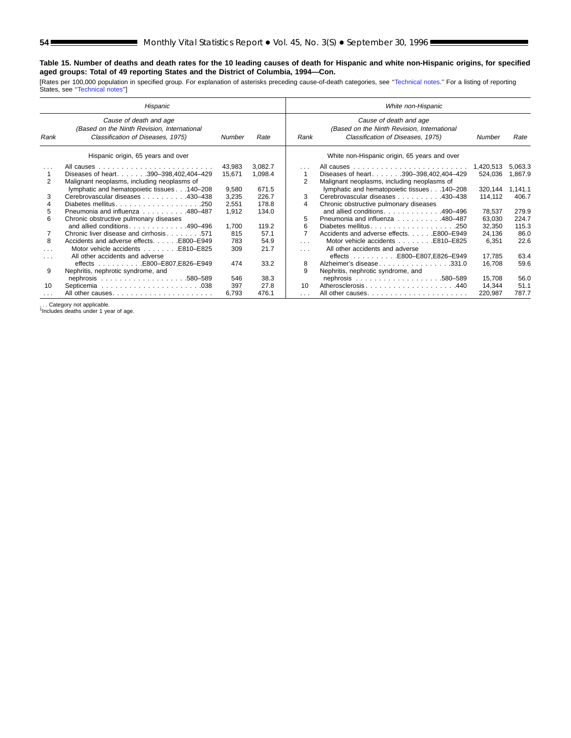# **Table 15. Number of deaths and death rates for the 10 leading causes of death for Hispanic and white non-Hispanic origins, for specified aged groups: Total of 49 reporting States and the District of Columbia, 1994—Con.**

[Rates per 100,000 population in specified group. For explanation of asterisks preceding cause-of-death categories, see "Technical notes." For a listing of reporting<br>States, see "Technical notes"]

|                      | Hispanic                                                                                                   |        |         |                | White non-Hispanic                                                                                         |           |         |
|----------------------|------------------------------------------------------------------------------------------------------------|--------|---------|----------------|------------------------------------------------------------------------------------------------------------|-----------|---------|
| Rank                 | Cause of death and age<br>(Based on the Ninth Revision, International<br>Classification of Diseases, 1975) | Number | Rate    | Rank           | Cause of death and age<br>(Based on the Ninth Revision, International<br>Classification of Diseases, 1975) | Number    | Rate    |
|                      | Hispanic origin, 65 years and over                                                                         |        |         |                | White non-Hispanic origin, 65 years and over                                                               |           |         |
| $\sim$ $\sim$ $\sim$ |                                                                                                            | 43,983 | 3,082.7 | $\sim$ $\sim$  |                                                                                                            | 1.420.513 | 5,063.3 |
|                      | Diseases of heart. 390-398,402,404-429                                                                     | 15,671 | 1,098.4 |                | Diseases of heart. 390-398,402,404-429                                                                     | 524,036   | 1,867.9 |
| 2                    | Malignant neoplasms, including neoplasms of                                                                |        |         | $\overline{2}$ | Malignant neoplasms, including neoplasms of                                                                |           |         |
|                      | lymphatic and hematopoietic tissues 140-208                                                                | 9,580  | 671.5   |                | lymphatic and hematopoietic tissues 140-208                                                                | 320,144   | 1.141.1 |
| 3                    | Cerebrovascular diseases 430-438                                                                           | 3,235  | 226.7   | 3              | Cerebrovascular diseases 430–438                                                                           | 114,112   | 406.7   |
|                      | Diabetes mellitus250                                                                                       | 2,551  | 178.8   | 4              | Chronic obstructive pulmonary diseases                                                                     |           |         |
| 5                    | Pneumonia and influenza 480–487                                                                            | 1.912  | 134.0   |                | and allied conditions. 490-496                                                                             | 78,537    | 279.9   |
| 6                    | Chronic obstructive pulmonary diseases                                                                     |        |         | 5              | Pneumonia and influenza 480-487                                                                            | 63,030    | 224.7   |
|                      | and allied conditions490-496                                                                               | 1.700  | 119.2   | 6              | Diabetes mellitus<br>.250                                                                                  | 32,350    | 115.3   |
|                      |                                                                                                            | 815    | 57.1    | 7              | Accidents and adverse effects. E800–E949                                                                   | 24,136    | 86.0    |
| 8                    | Accidents and adverse effects. E800–E949                                                                   | 783    | 54.9    | $\cdots$       |                                                                                                            | 6,351     | 22.6    |
|                      | Motor vehicle accidents E810-E825                                                                          | 309    | 21.7    | $\cdots$       | All other accidents and adverse                                                                            |           |         |
| $\cdots$             | All other accidents and adverse                                                                            |        |         |                |                                                                                                            | 17,785    | 63.4    |
|                      | effects E800–E807,E826–E949                                                                                | 474    | 33.2    | 8              | Alzheimer's disease331.0                                                                                   | 16,708    | 59.6    |
| 9                    | Nephritis, nephrotic syndrome, and                                                                         |        |         | 9              | Nephritis, nephrotic syndrome, and                                                                         |           |         |
|                      |                                                                                                            | 546    | 38.3    |                |                                                                                                            | 15,708    | 56.0    |
| 10                   |                                                                                                            | 397    | 27.8    | 10             | Atherosclerosis440                                                                                         | 14,344    | 51.1    |
| .                    | All other causes                                                                                           | 6.793  | 476.1   | .              |                                                                                                            | 220,987   | 787.7   |

... Category not applicable.<br><sup>1</sup>Includes deaths under 1 year of age.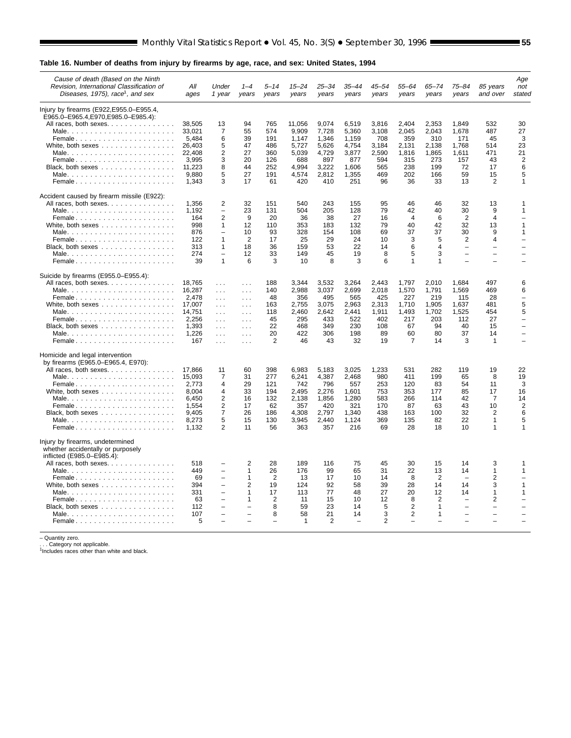# **Table 16. Number of deaths from injury by firearms by age, race, and sex: United States, 1994**

| Cause of death (Based on the Ninth<br>Revision, International Classification of<br>Diseases, 1975), race <sup>1</sup> , and sex | All<br>ages     | Under<br>1 year                          | $1 - 4$<br>years     | 5–14<br>years  | $15 - 24$<br>years | 25–34<br>years | 35–44<br>years           | 45–54<br>vears | 55–64<br>years           | 65–74<br>years | 75–84<br>years                | 85 years<br>and over                                 | Age<br>not<br>stated     |
|---------------------------------------------------------------------------------------------------------------------------------|-----------------|------------------------------------------|----------------------|----------------|--------------------|----------------|--------------------------|----------------|--------------------------|----------------|-------------------------------|------------------------------------------------------|--------------------------|
| Injury by firearms (E922, E955.0–E955.4,                                                                                        |                 |                                          |                      |                |                    |                |                          |                |                          |                |                               |                                                      |                          |
| E965.0-E965.4, E970, E985.0-E985.4):                                                                                            |                 |                                          |                      |                |                    |                |                          |                |                          |                |                               |                                                      |                          |
| All races, both sexes.                                                                                                          | 38.505          | 13                                       | 94                   | 765            | 11,056             | 9,074          | 6,519                    | 3.816          | 2.404                    | 2,353          | 1.849                         | 532                                                  | 30                       |
|                                                                                                                                 | 33.021          | 7                                        | 55                   | 574            | 9,909              | 7,728          | 5,360                    | 3,108          | 2.045                    | 2.043          | 1,678                         | 487                                                  | 27                       |
| Female                                                                                                                          | 5,484<br>26,403 | 6<br>5                                   | 39<br>47             | 191<br>486     | 1,147<br>5,727     | 1,346<br>5,626 | 1,159<br>4,754           | 708<br>3,184   | 359<br>2,131             | 310<br>2,138   | 171<br>1,768                  | 45<br>514                                            | 3<br>23                  |
|                                                                                                                                 | 22.408          | $\overline{2}$                           | 27                   | 360            | 5,039              | 4,729          | 3,877                    | 2,590          | 1,816                    | 1,865          | 1.611                         | 471                                                  | 21                       |
| Female                                                                                                                          | 3.995           | 3                                        | 20                   | 126            | 688                | 897            | 877                      | 594            | 315                      | 273            | 157                           | 43                                                   | $\overline{2}$           |
| Black, both sexes $\ldots$                                                                                                      | 11,223          | 8                                        | 44                   | 252            | 4,994              | 3,222          | 1,606                    | 565            | 238                      | 199            | 72                            | 17                                                   | 6                        |
|                                                                                                                                 | 9,880           | 5                                        | 27                   | 191            | 4,574              | 2,812          | 1,355                    | 469            | 202                      | 166            | 59                            | 15                                                   | 5                        |
| Female                                                                                                                          | 1,343           | 3                                        | 17                   | 61             | 420                | 410            | 251                      | 96             | 36                       | 33             | 13                            | 2                                                    | 1                        |
| Accident caused by firearm missile (E922):                                                                                      |                 |                                          |                      |                |                    |                |                          |                |                          |                |                               |                                                      |                          |
| All races, both sexes.                                                                                                          | 1,356           | 2                                        | 32                   | 151            | 540                | 243            | 155                      | 95             | 46                       | 46             | 32                            | 13                                                   | 1                        |
|                                                                                                                                 | 1,192           | $\overline{\phantom{0}}$                 | 23                   | 131            | 504                | 205            | 128                      | 79             | 42                       | 40             | 30                            | 9                                                    | 1                        |
| Female                                                                                                                          | 164             | $\overline{2}$                           | 9                    | 20             | 36                 | 38             | 27                       | 16             | $\overline{4}$           | 6              | $\overline{2}$                | $\overline{4}$                                       |                          |
| White, both sexes                                                                                                               | 998             | $\mathbf{1}$                             | 12                   | 110            | 353                | 183            | 132                      | 79             | 40                       | 42             | 32                            | 13                                                   | $\mathbf{1}$             |
|                                                                                                                                 | 876             | $\overline{\phantom{0}}$                 | 10                   | 93             | 328                | 154            | 108                      | 69             | 37                       | 37             | 30                            | 9                                                    | 1                        |
| Female                                                                                                                          | 122             | $\mathbf{1}$                             | 2                    | 17             | 25                 | 29             | 24                       | 10             | 3                        | 5              | $\overline{2}$                | 4                                                    |                          |
| Black, both sexes $\ldots$ , $\ldots$ , $\ldots$ , $\ldots$                                                                     | 313             | $\mathbf{1}$<br>$\overline{\phantom{0}}$ | 18                   | 36             | 159                | 53             | 22                       | 14             | 6                        | $\overline{4}$ | $\qquad \qquad -$<br>$\equiv$ | $\overline{\phantom{a}}$<br>$\overline{\phantom{0}}$ |                          |
| Female                                                                                                                          | 274<br>39       | $\mathbf{1}$                             | 12<br>6              | 33<br>3        | 149<br>10          | 45<br>8        | 19<br>3                  | 8<br>6         | 5<br>$\mathbf{1}$        | 3<br>1         |                               |                                                      |                          |
| Suicide by firearms (E955.0–E955.4):                                                                                            |                 |                                          |                      |                |                    |                |                          |                |                          |                |                               |                                                      |                          |
| All races, both sexes.                                                                                                          | 18,765          | $\sim 10$                                | $\cdots$             | 188            | 3,344              | 3,532          | 3,264                    | 2.443          | 1,797                    | 2.010          | 1,684                         | 497                                                  | 6                        |
|                                                                                                                                 | 16,287          | $\cdots$                                 | $\sim$ $\sim$ $\sim$ | 140            | 2,988              | 3,037          | 2,699                    | 2,018          | 1,570                    | 1,791          | 1,569                         | 469                                                  | 6                        |
| Female                                                                                                                          | 2.478           | $\sim$ $\sim$ $\sim$                     | $\sim$ $\sim$        | 48             | 356                | 495            | 565                      | 425            | 227                      | 219            | 115                           | 28                                                   | $\overline{\phantom{0}}$ |
| White, both sexes                                                                                                               | 17,007          | $\sim 10$                                | $\sim$ $\sim$        | 163            | 2,755              | 3,075          | 2,963                    | 2,313          | 1,710                    | 1,905          | 1,637                         | 481                                                  | 5                        |
|                                                                                                                                 | 14,751          | $\sim 100$                               | $\sim$ $\sim$ $\sim$ | 118            | 2,460              | 2,642          | 2,441                    | 1,911          | 1,493                    | 1,702          | 1,525                         | 454                                                  | 5                        |
| Female                                                                                                                          | 2,256           | $\sim 100$                               | $\sim$ $\sim$ $\sim$ | 45             | 295                | 433            | 522                      | 402            | 217                      | 203            | 112                           | 27                                                   | $\overline{\phantom{0}}$ |
| Black, both sexes                                                                                                               | 1,393           | $\sim 100$                               | $\ldots$             | 22             | 468                | 349            | 230                      | 108            | 67                       | 94             | 40                            | 15                                                   |                          |
|                                                                                                                                 | 1,226           | $\sim 10$                                | $\sim 100$           | 20             | 422                | 306            | 198                      | 89             | 60                       | 80             | 37                            | 14                                                   |                          |
| Female                                                                                                                          | 167             | $\sim 100$                               | $\sim$ $\sim$ $\sim$ | 2              | 46                 | 43             | 32                       | 19             | $\overline{7}$           | 14             | 3                             | $\mathbf{1}$                                         |                          |
| Homicide and legal intervention<br>by firearms (E965.0-E965.4, E970):                                                           |                 |                                          |                      |                |                    |                |                          |                |                          |                |                               |                                                      |                          |
|                                                                                                                                 | 17,866          | 11                                       | 60                   | 398            | 6,983              | 5,183          | 3,025                    | 1,233          | 531                      | 282            | 119                           | 19                                                   | 22                       |
| All races, both sexes                                                                                                           | 15,093          | 7                                        | 31                   | 277            | 6,241              | 4,387          | 2,468                    | 980            | 411                      | 199            | 65                            | 8                                                    | 19                       |
| Female                                                                                                                          | 2.773           | 4                                        | 29                   | 121            | 742                | 796            | 557                      | 253            | 120                      | 83             | 54                            | 11                                                   | 3                        |
| White, both sexes $\ldots$ ,                                                                                                    | 8,004           | 4                                        | 33                   | 194            | 2,495              | 2,276          | 1,601                    | 753            | 353                      | 177            | 85                            | 17                                                   | 16                       |
|                                                                                                                                 | 6,450           | $\overline{2}$                           | 16                   | 132            | 2,138              | 1,856          | 1,280                    | 583            | 266                      | 114            | 42                            | $\overline{7}$                                       | 14                       |
| Female                                                                                                                          | 1,554           | 2                                        | 17                   | 62             | 357                | 420            | 321                      | 170            | 87                       | 63             | 43                            | 10                                                   | 2                        |
| Black, both sexes $\ldots$                                                                                                      | 9,405           | $\overline{7}$                           | 26                   | 186            | 4,308              | 2,797          | 1,340                    | 438            | 163                      | 100            | 32                            | $\overline{2}$                                       | 6                        |
|                                                                                                                                 | 8,273           | 5                                        | 15                   | 130            | 3.945              | 2.440          | 1.124                    | 369            | 135                      | 82             | 22                            | $\mathbf{1}$                                         | 5                        |
| Female                                                                                                                          | 1,132           | $\overline{2}$                           | 11                   | 56             | 363                | 357            | 216                      | 69             | 28                       | 18             | 10                            | $\mathbf{1}$                                         | 1                        |
| Injury by firearms, undetermined                                                                                                |                 |                                          |                      |                |                    |                |                          |                |                          |                |                               |                                                      |                          |
| whether accidentally or purposely                                                                                               |                 |                                          |                      |                |                    |                |                          |                |                          |                |                               |                                                      |                          |
| inflicted (E985.0-E985.4):                                                                                                      |                 |                                          |                      |                |                    |                |                          |                |                          |                |                               |                                                      |                          |
| All races, both sexes.                                                                                                          | 518<br>449      | $\qquad \qquad -$                        | 2<br>1               | 28<br>26       | 189<br>176         | 116<br>99      | 75<br>65                 | 45<br>31       | 30<br>22                 | 15<br>13       | 14<br>14                      | 3<br>$\mathbf{1}$                                    | 1<br>1                   |
|                                                                                                                                 | 69              | $\overline{\phantom{0}}$                 | $\mathbf{1}$         | $\overline{2}$ | 13                 | 17             | 10                       | 14             | 8                        | 2              | $\equiv$                      | 2                                                    |                          |
| Female                                                                                                                          | 394             | $\overline{\phantom{0}}$                 | 2                    | 19             | 124                | 92             | 58                       | 39             | 28                       | 14             | 14                            | 3                                                    | 1                        |
|                                                                                                                                 | 331             | $\overline{\phantom{0}}$                 | 1                    | 17             | 113                | 77             | 48                       | 27             | 20                       | 12             | 14                            | $\mathbf{1}$                                         | 1                        |
| Female                                                                                                                          | 63              | ÷                                        | 1                    | $\overline{2}$ | 11                 | 15             | 10                       | 12             | 8                        | $\overline{2}$ | $\overline{\phantom{0}}$      | $\overline{2}$                                       |                          |
| Black, both sexes                                                                                                               | 112             | L.                                       | $\equiv$             | 8              | 59                 | 23             | 14                       | 5              | 2                        | 1              | $\equiv$                      | $\overline{\phantom{0}}$                             |                          |
|                                                                                                                                 | 107             | $\overline{\phantom{0}}$                 | $\equiv$             | 8              | 58                 | 21             | 14                       | 3              | $\overline{2}$           | $\mathbf{1}$   | $\equiv$                      | $\equiv$                                             |                          |
| Female                                                                                                                          | 5               |                                          |                      | L              | 1                  | 2              | $\overline{\phantom{0}}$ | $\overline{2}$ | $\overline{\phantom{0}}$ |                |                               |                                                      |                          |
|                                                                                                                                 |                 |                                          |                      |                |                    |                |                          |                |                          |                |                               |                                                      |                          |

– Quantity zero.<br>. . . Category not applicable.<br><sup>1</sup>Includes races other than white and black.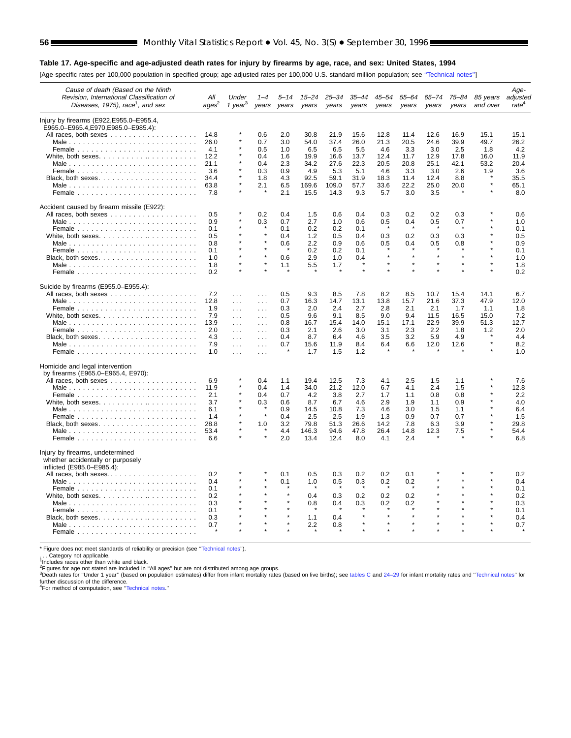#### **Table 17. Age-specific and age-adjusted death rates for injury by firearms by age, race, and sex: United States, 1994**

[Age-specific rates per 100,000 population in specified group; age-adjusted rates per 100,000 U.S. standard million population; see [''Technical notes''\]](#page-71-0)

| Cause of death (Based on the Ninth<br>Revision, International Classification of<br>Diseases, 1975), race <sup>1</sup> , and sex | All<br>ages <sup>2</sup>    | Under<br>1 year <sup>3</sup>                   | $1 - 4$<br>years                     | 5–14<br>years            | $15 - 24$<br>years          | 25–34<br>years              | 35–44<br>years              | 45–54<br>years              | 55–64<br>years              | 65–74<br>years              | 75–84<br>years             | 85 years<br>and over | Age-<br>adjusted<br>rate <sup>4</sup> |
|---------------------------------------------------------------------------------------------------------------------------------|-----------------------------|------------------------------------------------|--------------------------------------|--------------------------|-----------------------------|-----------------------------|-----------------------------|-----------------------------|-----------------------------|-----------------------------|----------------------------|----------------------|---------------------------------------|
| Injury by firearms (E922, E955.0–E955.4,<br>E965.0-E965.4,E970,E985.0-E985.4):                                                  | 14.8<br>26.0<br>4.1         |                                                | 0.6<br>0.7<br>0.5                    | 2.0<br>3.0<br>1.0        | 30.8<br>54.0<br>6.5         | 21.9<br>37.4<br>6.5         | 15.6<br>26.0<br>5.5         | 12.8<br>21.3<br>4.6         | 11.4<br>20.5<br>3.3         | 12.6<br>24.6<br>3.0         | 16.9<br>39.9<br>2.5        | 15.1<br>49.7<br>1.8  | 15.1<br>26.2<br>4.2                   |
| White, both sexes. $\ldots$ . $\ldots$ . $\ldots$ . $\ldots$                                                                    | 12.2<br>21.1<br>3.6<br>34.4 |                                                | 0.4<br>0.4<br>0.3<br>1.8             | 1.6<br>2.3<br>0.9<br>4.3 | 19.9<br>34.2<br>4.9<br>92.5 | 16.6<br>27.6<br>5.3<br>59.1 | 13.7<br>22.3<br>5.1<br>31.9 | 12.4<br>20.5<br>4.6<br>18.3 | 11.7<br>20.8<br>3.3<br>11.4 | 12.9<br>25.1<br>3.0<br>12.4 | 17.8<br>42.1<br>2.6<br>8.8 | 16.0<br>53.2<br>1.9  | 11.9<br>20.4<br>3.6<br>35.5           |
| Female $\ldots$ , $\ldots$ , $\ldots$ , $\ldots$ , $\ldots$ , $\ldots$ , $\ldots$ , $\ldots$                                    | 63.8<br>7.8                 |                                                | 2.1                                  | 6.5<br>2.1               | 169.6<br>15.5               | 109.0<br>14.3               | 57.7<br>9.3                 | 33.6<br>5.7                 | 22.2<br>3.0                 | 25.0<br>3.5                 | 20.0                       |                      | 65.1<br>8.0                           |
| Accident caused by firearm missile (E922):                                                                                      | 0.5                         |                                                | 0.2                                  | 0.4                      | 1.5                         | 0.6                         | 0.4                         | 0.3                         | 0.2                         | 0.2                         | 0.3                        |                      | 0.6                                   |
|                                                                                                                                 | 0.9<br>0.1                  |                                                | 0.3<br>$\star$                       | 0.7<br>0.1               | 2.7<br>0.2                  | 1.0<br>0.2                  | 0.6<br>0.1                  | 0.5                         | 0.4                         | 0.5                         | 0.7                        |                      | 1.0<br>0.1                            |
|                                                                                                                                 | 0.5<br>0.8<br>0.1           |                                                | $\star$                              | 0.4<br>0.6               | 1.2<br>2.2<br>0.2           | 0.5<br>0.9<br>0.2           | 0.4<br>0.6<br>0.1           | 0.3<br>0.5                  | 0.2<br>0.4                  | 0.3<br>0.5                  | 0.3<br>0.8                 |                      | 0.5<br>0.9<br>0.1                     |
| Male                                                                                                                            | 1.0<br>1.8<br>0.2           |                                                | $\star$<br>$\star$                   | 0.6<br>1.1               | 2.9<br>5.5                  | 1.0<br>1.7                  | 0.4                         | $\star$                     | $\star$                     | $\star$<br>$\star$          |                            | $\star$              | 1.0<br>1.8<br>0.2                     |
| Suicide by firearms (E955.0–E955.4):                                                                                            |                             |                                                |                                      |                          |                             |                             |                             |                             |                             |                             |                            |                      |                                       |
|                                                                                                                                 | 7.2<br>12.8                 | $\cdots$<br>$\cdots$                           | $\cdots$<br>$\sim$ $\sim$            | 0.5<br>0.7               | 9.3<br>16.3                 | 8.5<br>14.7                 | 7.8<br>13.1                 | 8.2<br>13.8                 | 8.5<br>15.7                 | 10.7<br>21.6                | 15.4<br>37.3               | 14.1<br>47.9         | 6.7<br>12.0                           |
|                                                                                                                                 | 1.9<br>7.9<br>13.9          | $\sim 100$<br>$\cdots$<br>$\sim$ $\sim$ $\sim$ | $\sim 100$<br>$\cdots$<br>$\sim 100$ | 0.3<br>0.5<br>0.8        | 2.0<br>9.6<br>16.7          | 2.4<br>9.1<br>15.4          | 2.7<br>8.5<br>14.0          | 2.8<br>9.0<br>15.1          | 2.1<br>9.4<br>17.1          | 2.1<br>11.5<br>22.9         | 1.7<br>16.5<br>39.9        | 1.1<br>15.0<br>51.3  | 1.8<br>7.2<br>12.7                    |
| Black, both sexes                                                                                                               | 2.0<br>4.3<br>7.9           | $\ldots$<br>$\cdots$<br>$\cdots$               | $\sim 100$<br>$\cdots$<br>$\sim 100$ | 0.3<br>0.4<br>0.7        | 2.1<br>8.7<br>15.6          | 2.6<br>6.4<br>11.9          | 3.0<br>4.6<br>8.4           | 3.1<br>3.5<br>6.4           | 2.3<br>3.2<br>6.6           | 2.2<br>5.9<br>12.0          | 1.8<br>4.9<br>12.6         | 1.2                  | 2.0<br>4.4<br>8.2                     |
|                                                                                                                                 | 1.0                         | .                                              | $\cdots$                             |                          | 1.7                         | 1.5                         | 1.2                         |                             |                             |                             |                            |                      | 1.0                                   |
| Homicide and legal intervention<br>by firearms (E965.0-E965.4, E970):                                                           |                             |                                                |                                      |                          |                             |                             |                             |                             |                             |                             |                            |                      |                                       |
|                                                                                                                                 | 6.9<br>11.9<br>2.1          |                                                | 0.4<br>0.4<br>0.4                    | 1.1<br>1.4<br>0.7        | 19.4<br>34.0<br>4.2         | 12.5<br>21.2<br>3.8         | 7.3<br>12.0<br>2.7          | 4.1<br>6.7<br>1.7           | 2.5<br>4.1<br>1.1           | 1.5<br>2.4<br>0.8           | 1.1<br>1.5<br>0.8          |                      | 7.6<br>12.8<br>2.2                    |
| White, both sexes. $\dots$ .                                                                                                    | 3.7<br>6.1<br>1.4           |                                                | 0.3<br>$\star$                       | 0.6<br>0.9<br>0.4        | 8.7<br>14.5<br>2.5          | 6.7<br>10.8<br>2.5          | 4.6<br>7.3<br>1.9           | 2.9<br>4.6<br>1.3           | 1.9<br>3.0<br>0.9           | 1.1<br>1.5<br>0.7           | 0.9<br>1.1<br>0.7          |                      | 4.0<br>6.4<br>1.5                     |
|                                                                                                                                 | 28.8<br>53.4                |                                                | 1.0<br>$\star$                       | 3.2<br>4.4               | 79.8<br>146.3               | 51.3<br>94.6                | 26.6<br>47.8                | 14.2<br>26.4                | 7.8<br>14.8                 | 6.3<br>12.3                 | 3.9<br>7.5                 |                      | 29.8<br>54.4                          |
| Injury by firearms, undetermined                                                                                                | 6.6                         |                                                |                                      | 2.0                      | 13.4                        | 12.4                        | 8.0                         | 4.1                         | 2.4                         |                             |                            |                      | 6.8                                   |
| whether accidentally or purposely<br>inflicted (E985.0-E985.4):                                                                 |                             |                                                |                                      |                          |                             |                             |                             |                             |                             |                             |                            |                      |                                       |
| All races, both sexes                                                                                                           | 0.2<br>0.4<br>0.1           |                                                |                                      | 0.1<br>0.1               | 0.5<br>1.0                  | 0.3<br>0.5                  | 0.2<br>0.3                  | 0.2<br>0.2                  | 0.1<br>0.2                  |                             |                            |                      | 0.2<br>0.4<br>0.1                     |
| White, both sexes. $\dots$ .                                                                                                    | 0.2<br>0.3                  |                                                |                                      |                          | 0.4<br>0.8                  | 0.3<br>0.4                  | 0.2<br>0.3                  | 0.2<br>0.2                  | 0.2<br>0.2                  |                             |                            |                      | 0.2<br>0.3                            |
|                                                                                                                                 | 0.1<br>0.3<br>0.7           |                                                |                                      |                          | 1.1<br>2.2                  | 0.4<br>0.8                  |                             |                             |                             |                             |                            |                      | 0.1<br>0.4<br>0.7                     |

\* Figure does not meet standards of reliability or precision (see "Technical notes").<br>... Category not applicable.

. . . Category not applicable.<br><sup>1</sup>Includes races other than white and black.<br><sup>3</sup>Figures for age not stated are included in "All ages" but are not distributed among age groups.<br><sup>3</sup>Death rates for "Under 1 year" (based on po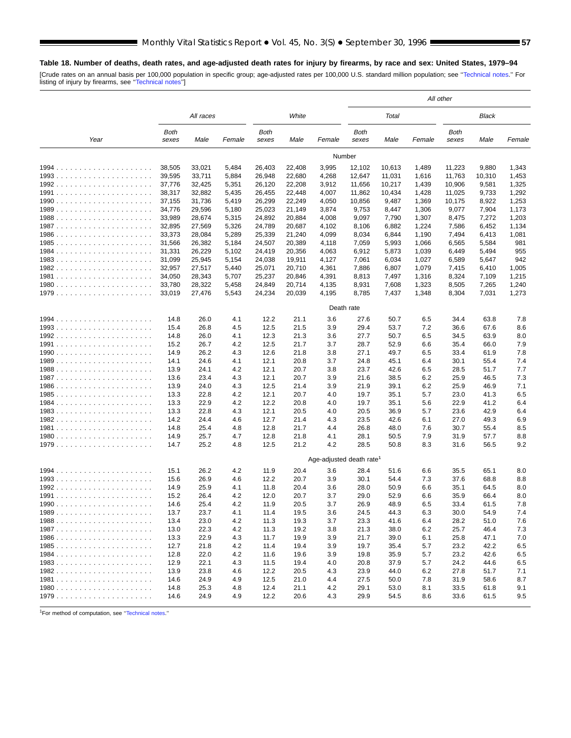# **Table 18. Number of deaths, death rates, and age-adjusted death rates for injury by firearms, by race and sex: United States, 1979–94**

[Crude rates on an annual basis per 100,000 population in specific group; age-adjusted rates per 100,000 U.S. standard million population; see "Technical notes." For<br>Iisting of injury by firearms, see "Technical notes"]

|      |                  |                  |                |                      |                  |                         | All other            |                |                |                |                |                |  |
|------|------------------|------------------|----------------|----------------------|------------------|-------------------------|----------------------|----------------|----------------|----------------|----------------|----------------|--|
|      |                  | All races        |                |                      | White            |                         |                      | Total          |                |                | Black          |                |  |
| Year | Both<br>sexes    | Male             | Female         | <b>Both</b><br>sexes | Male             | Female                  | <b>Both</b><br>sexes | Male           | Female         | Both<br>sexes  | Male           | Female         |  |
|      |                  |                  |                |                      |                  |                         | Number               |                |                |                |                |                |  |
|      | 38,505           | 33,021           | 5,484          | 26,403               | 22,408           | 3,995                   | 12,102               | 10,613         | 1,489          | 11,223         | 9,880          | 1,343          |  |
|      | 39,595           | 33,711           | 5,884          | 26,948               | 22,680           | 4,268                   | 12,647               | 11,031         | 1,616          | 11,763         | 10,310         | 1,453          |  |
|      | 37,776           | 32,425           | 5,351          | 26,120               | 22,208           | 3,912                   | 11,656               | 10,217         | 1,439          | 10,906         | 9,581          | 1,325          |  |
|      | 38,317           | 32,882           | 5,435          | 26,455               | 22,448           | 4,007                   | 11,862               | 10,434         | 1,428          | 11,025         | 9,733          | 1,292          |  |
|      | 37,155           | 31,736           | 5,419          | 26,299               | 22,249           | 4,050                   | 10,856               | 9,487          | 1,369          | 10,175         | 8,922          | 1,253          |  |
|      | 34,776           | 29,596           | 5,180          | 25,023               | 21,149           | 3,874                   | 9,753                | 8,447          | 1,306          | 9,077          | 7,904          | 1,173          |  |
|      | 33,989<br>32,895 | 28,674           | 5,315          | 24,892               | 20,884           | 4,008                   | 9,097                | 7,790          | 1,307          | 8,475          | 7,272          | 1,203          |  |
|      | 33,373           | 27,569<br>28,084 | 5,326<br>5,289 | 24,789<br>25,339     | 20,687<br>21,240 | 4,102<br>4,099          | 8,106<br>8,034       | 6,882<br>6,844 | 1,224<br>1,190 | 7,586<br>7,494 | 6,452<br>6,413 | 1,134<br>1,081 |  |
|      | 31,566           | 26,382           | 5,184          | 24,507               | 20,389           | 4,118                   | 7,059                | 5,993          | 1,066          | 6,565          | 5,584          | 981            |  |
|      | 31,331           | 26,229           | 5,102          | 24,419               | 20,356           | 4,063                   | 6,912                | 5,873          | 1,039          | 6,449          | 5,494          | 955            |  |
|      | 31,099           | 25,945           | 5,154          | 24,038               | 19,911           | 4,127                   | 7,061                | 6,034          | 1,027          | 6,589          | 5,647          | 942            |  |
|      | 32,957           | 27,517           | 5,440          | 25,071               | 20,710           | 4,361                   | 7,886                | 6,807          | 1,079          | 7,415          | 6,410          | 1,005          |  |
|      | 34,050           | 28,343           | 5,707          | 25,237               | 20,846           | 4,391                   | 8,813                | 7,497          | 1,316          | 8,324          | 7,109          | 1,215          |  |
|      | 33,780           | 28,322           | 5,458          | 24,849               | 20,714           | 4,135                   | 8,931                | 7,608          | 1,323          | 8,505          | 7,265          | 1,240          |  |
|      | 33,019           | 27,476           | 5,543          | 24,234               | 20,039           | 4,195                   | 8,785                | 7,437          | 1,348          | 8,304          | 7,031          | 1,273          |  |
|      |                  |                  |                |                      |                  |                         | Death rate           |                |                |                |                |                |  |
|      | 14.8             | 26.0             | 4.1            | 12.2                 | 21.1             | 3.6                     | 27.6                 | 50.7           | 6.5            | 34.4           | 63.8           | 7.8            |  |
|      | 15.4             | 26.8             | 4.5            | 12.5                 | 21.5             | 3.9                     | 29.4                 | 53.7           | 7.2            | 36.6           | 67.6           | 8.6            |  |
|      | 14.8             | 26.0             | 4.1            | 12.3                 | 21.3             | 3.6                     | 27.7                 | 50.7           | 6.5            | 34.5           | 63.9           | 8.0            |  |
|      | 15.2             | 26.7             | 4.2            | 12.5                 | 21.7             | 3.7                     | 28.7                 | 52.9           | 6.6            | 35.4           | 66.0           | 7.9            |  |
|      | 14.9             | 26.2             | 4.3            | 12.6                 | 21.8             | 3.8                     | 27.1                 | 49.7           | 6.5            | 33.4           | 61.9           | 7.8            |  |
|      | 14.1             | 24.6             | 4.1            | 12.1                 | 20.8             | 3.7                     | 24.8                 | 45.1           | 6.4            | 30.1           | 55.4           | 7.4            |  |
|      | 13.9             | 24.1             | 4.2            | 12.1                 | 20.7             | 3.8                     | 23.7                 | 42.6           | 6.5            | 28.5           | 51.7           | 7.7            |  |
|      | 13.6             | 23.4             | 4.3            | 12.1                 | 20.7             | 3.9                     | 21.6                 | 38.5           | 6.2            | 25.9           | 46.5           | 7.3            |  |
|      | 13.9             | 24.0             | 4.3            | 12.5                 | 21.4             | 3.9                     | 21.9                 | 39.1           | 6.2            | 25.9           | 46.9           | 7.1            |  |
|      | 13.3             | 22.8             | 4.2            | 12.1                 | 20.7             | 4.0                     | 19.7                 | 35.1           | 5.7            | 23.0           | 41.3           | 6.5            |  |
|      | 13.3             | 22.9             | 4.2            | 12.2                 | 20.8             | 4.0                     | 19.7                 | 35.1           | 5.6            | 22.9           | 41.2           | 6.4            |  |
|      | 13.3             | 22.8             | 4.3            | 12.1                 | 20.5             | 4.0                     | 20.5                 | 36.9           | 5.7            | 23.6           | 42.9           | 6.4            |  |
|      | 14.2             | 24.4             | 4.6            | 12.7                 | 21.4             | 4.3                     | 23.5                 | 42.6           | 6.1            | 27.0           | 49.3           | 6.9            |  |
|      | 14.8             | 25.4             | 4.8            | 12.8                 | 21.7             | 4.4                     | 26.8                 | 48.0           | 7.6            | 30.7           | 55.4           | 8.5            |  |
|      | 14.9             | 25.7<br>25.2     | 4.7            | 12.8<br>12.5         | 21.8<br>21.2     | 4.1<br>4.2              | 28.1<br>28.5         | 50.5           | 7.9<br>8.3     | 31.9<br>31.6   | 57.7<br>56.5   | 8.8<br>9.2     |  |
|      | 14.7             |                  | 4.8            |                      |                  |                         |                      | 50.8           |                |                |                |                |  |
|      |                  |                  |                |                      |                  | Age-adjusted death rate |                      |                |                |                |                |                |  |
|      | 15.1             | 26.2             | 4.2            | 11.9                 | 20.4             | 3.6                     | 28.4                 | 51.6           | 6.6            | 35.5           | 65.1           | 8.0            |  |
|      | 15.6             | 26.9             | 4.6            | 12.2                 | 20.7             | 3.9                     | 30.1                 | 54.4           | 7.3            | 37.6           | 68.8           | 8.8            |  |
|      | 14.9             | 25.9             | 4.1            | 11.8                 | 20.4             | 3.6                     | 28.0                 | 50.9           | 6.6            | 35.1           | 64.5           | 8.0            |  |
|      | 15.2<br>14.6     | 26.4<br>25.4     | 4.2<br>4.2     | 12.0<br>11.9         | 20.7<br>20.5     | 3.7<br>3.7              | 29.0<br>26.9         | 52.9<br>48.9   | 6.6<br>6.5     | 35.9<br>33.4   | 66.4<br>61.5   | 8.0<br>7.8     |  |
| 1990 | 13.7             |                  |                |                      |                  |                         |                      |                |                |                |                |                |  |
|      | 13.4             | 23.7<br>23.0     | 4.1<br>4.2     | 11.4<br>11.3         | 19.5<br>19.3     | 3.6<br>3.7              | 24.5<br>23.3         | 44.3<br>41.6   | 6.3<br>6.4     | 30.0<br>28.2   | 54.9<br>51.0   | 7.4<br>7.6     |  |
|      | 13.0             | 22.3             | 4.2            | 11.3                 | 19.2             | 3.8                     | 21.3                 | 38.0           | 6.2            | 25.7           | 46.4           | 7.3            |  |
|      | 13.3             | 22.9             | 4.3            | 11.7                 | 19.9             | 3.9                     | 21.7                 | 39.0           | 6.1            | 25.8           | 47.1           | 7.0            |  |
|      | 12.7             | 21.8             | 4.2            | 11.4                 | 19.4             | 3.9                     | 19.7                 | 35.4           | 5.7            | 23.2           | 42.2           | 6.5            |  |
|      | 12.8             | 22.0             | 4.2            | 11.6                 | 19.6             | 3.9                     | 19.8                 | 35.9           | 5.7            | 23.2           | 42.6           | 6.5            |  |
|      | 12.9             | 22.1             | 4.3            | 11.5                 | 19.4             | 4.0                     | 20.8                 | 37.9           | 5.7            | 24.2           | 44.6           | 6.5            |  |
|      | 13.9             | 23.8             | 4.6            | 12.2                 | 20.5             | 4.3                     | 23.9                 | 44.0           | 6.2            | 27.8           | 51.7           | 7.1            |  |
|      | 14.6             | 24.9             | 4.9            | 12.5                 | 21.0             | 4.4                     | 27.5                 | 50.0           | 7.8            | 31.9           | 58.6           | 8.7            |  |
|      | 14.8             | 25.3             | 4.8            | 12.4                 | 21.1             | 4.2                     | 29.1                 | 53.0           | 8.1            | 33.5           | 61.8           | 9.1            |  |
|      | 14.6             | 24.9             | 4.9            | 12.2                 | 20.6             | 4.3                     | 29.9                 | 54.5           | 8.6            | 33.6           | 61.5           | 9.5            |  |

1For method of computation, see [''Technical notes.'](#page-71-0)'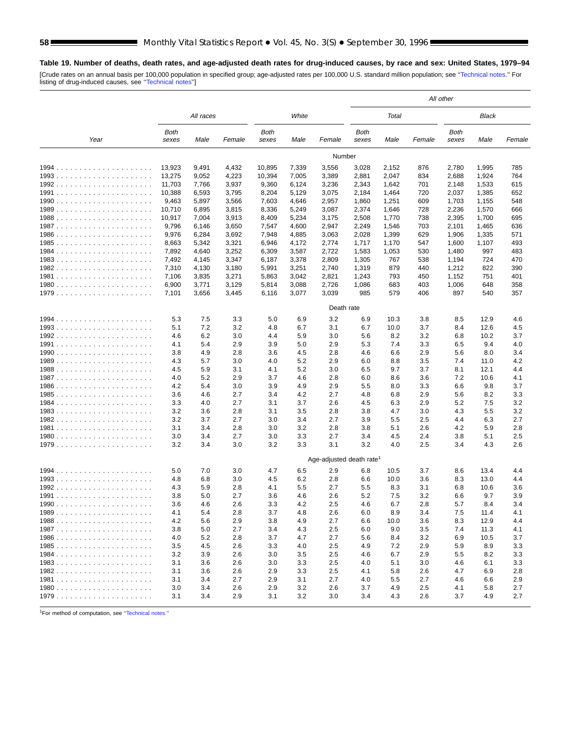# **Table 19. Number of deaths, death rates, and age-adjusted death rates for drug-induced causes, by race and sex: United States, 1979–94**

[Crude rates on an annual basis per 100,000 population in specified group; age-adjusted rates per 100,000 U.S. standard million population; see "Technical notes." For<br>Iisting of drug-induced causes, see "Technical notes"]

|       |               |            |            |                |            |                         | All other     |            |            |               |            |            |  |
|-------|---------------|------------|------------|----------------|------------|-------------------------|---------------|------------|------------|---------------|------------|------------|--|
|       |               | All races  |            |                | White      |                         |               | Total      |            |               | Black      |            |  |
| Year  | Both<br>sexes | Male       | Female     | Both<br>sexes  | Male       | Female                  | Both<br>sexes | Male       | Female     | Both<br>sexes | Male       | Female     |  |
|       |               |            |            |                |            | Number                  |               |            |            |               |            |            |  |
|       | 13,923        | 9,491      | 4,432      | 10,895         | 7,339      | 3,556                   | 3,028         | 2,152      | 876        | 2,780         | 1,995      | 785        |  |
|       | 13,275        | 9,052      | 4,223      | 10,394         | 7,005      | 3,389                   | 2,881         | 2,047      | 834        | 2,688         | 1,924      | 764        |  |
|       | 11,703        | 7,766      | 3,937      | 9,360          | 6,124      | 3,236                   | 2,343         | 1,642      | 701        | 2,148         | 1,533      | 615        |  |
|       | 10,388        | 6,593      | 3,795      | 8,204          | 5,129      | 3,075                   | 2,184         | 1,464      | 720        | 2,037         | 1,385      | 652        |  |
|       | 9,463         | 5,897      | 3,566      | 7,603          | 4,646      | 2,957                   | 1,860         | 1,251      | 609        | 1,703         | 1,155      | 548        |  |
|       | 10,710        | 6,895      | 3,815      | 8,336          | 5,249      | 3,087                   | 2,374         | 1,646      | 728        | 2,236         | 1,570      | 666        |  |
|       | 10,917        | 7,004      | 3,913      | 8,409          | 5,234      | 3,175                   | 2,508         | 1,770      | 738        | 2,395         | 1,700      | 695        |  |
|       | 9,796         | 6,146      | 3,650      | 7,547          | 4,600      | 2,947                   | 2,249         | 1,546      | 703        | 2,101         | 1,465      | 636        |  |
|       | 9,976         | 6,284      | 3,692      | 7,948          | 4,885      | 3,063                   | 2,028         | 1,399      | 629        | 1,906         | 1,335      | 571        |  |
|       | 8,663         | 5,342      | 3,321      | 6,946          | 4,172      | 2,774                   | 1,717         | 1,170      | 547        | 1,600         | 1,107      | 493        |  |
|       | 7,892         | 4,640      | 3,252      | 6,309          | 3,587      | 2,722                   | 1,583         | 1,053      | 530        | 1,480         | 997        | 483        |  |
|       | 7,492         | 4,145      | 3,347      | 6,187          | 3,378      | 2,809                   | 1,305         | 767        | 538        | 1,194         | 724        | 470        |  |
|       | 7,310         | 4,130      | 3,180      | 5,991          | 3,251      | 2,740                   | 1,319         | 879        | 440        | 1,212         | 822        | 390        |  |
|       | 7,106         | 3,835      | 3,271      | 5,863          | 3,042      | 2,821                   | 1,243         | 793        | 450        | 1,152         | 751        | 401        |  |
|       | 6,900         | 3,771      | 3,129      | 5,814<br>6,116 | 3,088      | 2,726<br>3,039          | 1,086<br>985  | 683<br>579 | 403<br>406 | 1,006<br>897  | 648<br>540 | 358<br>357 |  |
|       | 7,101         | 3,656      | 3,445      |                | 3,077      |                         |               |            |            |               |            |            |  |
|       |               |            |            |                |            | Death rate              |               |            |            |               |            |            |  |
|       | 5.3           | 7.5        | 3.3        | 5.0            | 6.9        | 3.2                     | 6.9           | 10.3       | 3.8        | 8.5           | 12.9       | 4.6        |  |
|       | 5.1           | 7.2        | 3.2        | 4.8            | 6.7        | 3.1                     | 6.7           | 10.0       | 3.7        | 8.4           | 12.6       | 4.5        |  |
|       | 4.6           | 6.2        | 3.0        | 4.4            | 5.9        | 3.0                     | 5.6           | 8.2        | 3.2        | 6.8           | 10.2       | 3.7        |  |
|       | 4.1           | 5.4        | 2.9        | 3.9            | 5.0        | 2.9                     | 5.3           | 7.4        | 3.3        | 6.5           | 9.4        | 4.0        |  |
|       | 3.8           | 4.9        | 2.8        | 3.6            | 4.5        | 2.8                     | 4.6           | 6.6        | 2.9        | 5.6           | 8.0        | 3.4        |  |
|       | 4.3           | 5.7        | 3.0        | 4.0            | 5.2        | 2.9                     | 6.0           | 8.8        | 3.5        | 7.4           | 11.0       | 4.2        |  |
|       | 4.5           | 5.9        | 3.1        | 4.1            | 5.2        | 3.0                     | 6.5           | 9.7        | 3.7        | 8.1           | 12.1       | 4.4        |  |
|       | 4.0           | 5.2        | 2.9        | 3.7            | 4.6        | 2.8                     | 6.0           | 8.6        | 3.6        | 7.2           | 10.6       | 4.1        |  |
|       | 4.2           | 5.4        | 3.0        | 3.9            | 4.9        | 2.9                     | 5.5           | 8.0        | 3.3        | 6.6           | 9.8        | 3.7        |  |
|       | 3.6           | 4.6        | 2.7        | 3.4            | 4.2        | 2.7                     | 4.8           | 6.8        | 2.9        | 5.6           | 8.2        | 3.3        |  |
|       | 3.3           | 4.0        | 2.7        | 3.1            | 3.7        | 2.6                     | 4.5           | 6.3        | 2.9        | 5.2           | 7.5        | 3.2        |  |
|       | 3.2           | 3.6        | 2.8        | 3.1            | 3.5        | 2.8                     | 3.8           | 4.7        | 3.0        | 4.3           | 5.5        | 3.2        |  |
|       | 3.2           | 3.7        | 2.7        | 3.0            | 3.4        | 2.7                     | 3.9           | 5.5        | 2.5        | 4.4           | 6.3        | 2.7        |  |
|       | 3.1<br>3.0    | 3.4<br>3.4 | 2.8<br>2.7 | 3.0            | 3.2        | 2.8<br>2.7              | 3.8           | 5.1        | 2.6<br>2.4 | 4.2           | 5.9        | 2.8<br>2.5 |  |
|       | 3.2           | 3.4        | 3.0        | 3.0<br>3.2     | 3.3<br>3.3 | 3.1                     | 3.4<br>3.2    | 4.5<br>4.0 | 2.5        | 3.8<br>3.4    | 5.1<br>4.3 | 2.6        |  |
|       |               |            |            |                |            |                         |               |            |            |               |            |            |  |
|       |               |            |            |                |            | Age-adjusted death rate |               |            |            |               |            |            |  |
| 1994. | 5.0           | 7.0        | 3.0        | 4.7            | 6.5        | 2.9                     | 6.8           | 10.5       | 3.7        | 8.6           | 13.4       | 4.4        |  |
|       | 4.8           | 6.8        | 3.0        | 45             | 6.2        | 2.8                     | 6.6           | 10.0       | 3.6        | 8.3           | 13.0       | 4.4        |  |
|       | 4.3           | 5.9        | 2.8        | 4.1            | 5.5        | 2.7                     | 5.5           | 8.3        | 3.1        | 6.8           | 10.6       | 3.6        |  |
|       | 3.8           | 5.0        | 2.7        | 3.6            | 4.6        | 2.6                     | 5.2           | 7.5        | 3.2        | 6.6           | 9.7        | 3.9        |  |
| 1990. | 3.6           | 4.6        | 2.6        | 3.3            | 4.2        | 2.5                     | 4.6           | 6.7        | 2.8        | 5.7           | 8.4        | 3.4        |  |
|       | 4.1           | 5.4        | 2.8        | 3.7            | 4.8        | 2.6                     | 6.0           | 8.9        | 3.4        | 7.5           | 11.4       | 4.1        |  |
|       | 4.2           | 5.6        | 2.9        | 3.8            | 4.9        | 2.7                     | 6.6           | 10.0       | 3.6        | 8.3           | 12.9       | 4.4        |  |
|       | 3.8           | 5.0        | 2.7        | 3.4            | 4.3        | 2.5                     | 6.0           | 9.0        | 3.5        | 7.4           | 11.3       | 4.1        |  |
|       | 4.0           | 5.2        | 2.8        | 3.7            | 4.7        | 2.7                     | 5.6           | 8.4        | 3.2        | 6.9           | 10.5       | 3.7        |  |
|       | 3.5           | 4.5        | 2.6        | 3.3            | 4.0        | 2.5                     | 4.9           | 7.2        | 2.9        | 5.9           | 8.9        | 3.3        |  |
|       | 3.2           | 3.9        | 2.6        | 3.0            | 3.5        | 2.5                     | 4.6           | 6.7        | 2.9        | 5.5           | 8.2        | 3.3        |  |
|       | 3.1           | 3.6        | 2.6        | 3.0            | 3.3        | 2.5                     | 4.0           | 5.1        | 3.0        | 4.6           | 6.1        | 3.3        |  |
|       | 3.1           | 3.6        | 2.6        | 2.9            | 3.3        | 2.5                     | 4.1           | 5.8        | 2.6        | 4.7           | 6.9        | 2.8        |  |
|       | 3.1           | 3.4        | 2.7        | 2.9            | 3.1        | 2.7                     | 4.0           | 5.5        | 2.7        | 4.6           | 6.6        | 2.9        |  |
|       | 3.0           | 3.4        | 2.6        | 2.9            | 3.2        | 2.6                     | 3.7           | 4.9        | 2.5        | 4.1           | 5.8        | 2.7        |  |
|       | 3.1           | 3.4        | 2.9        | 3.1            | 3.2        | 3.0                     | 3.4           | 4.3        | 2.6        | 3.7           | 4.9        | 2.7        |  |

1For method of computation, see [''Technical notes.](#page-71-0)''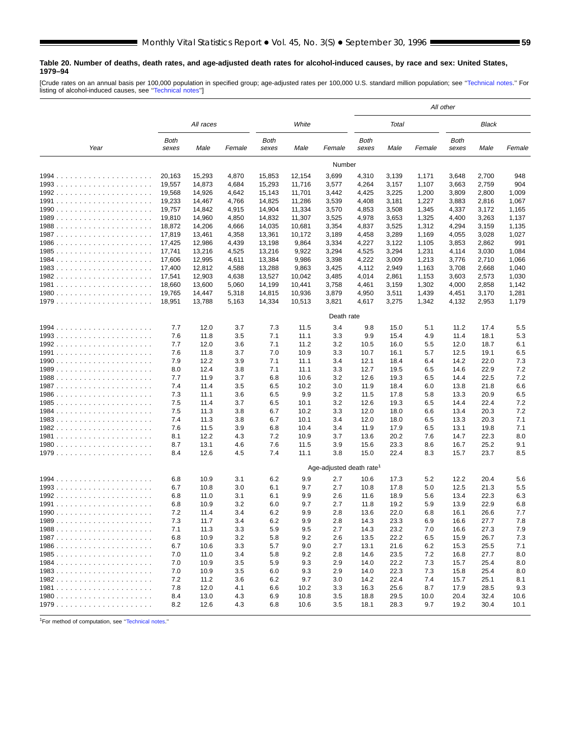#### **Table 20. Number of deaths, death rates, and age-adjusted death rates for alcohol-induced causes, by race and sex: United States, 1979–94**

[Crude rates on an annual basis per 100,000 population in specified group; age-adjusted rates per 100,000 U.S. standard million population; see [''Technical notes.](#page-71-0)'' For listing of alcohol-induced causes, see [''Technical notes''](#page-71-0)]

|            |                  |                  |                |                      |                  |                                      | All other      |                |                |                      |                |                |
|------------|------------------|------------------|----------------|----------------------|------------------|--------------------------------------|----------------|----------------|----------------|----------------------|----------------|----------------|
|            |                  | All races        |                |                      | White            |                                      |                | Total          |                |                      | Black          |                |
| Year       | Both<br>sexes    | Male             | Female         | <b>Both</b><br>sexes | Male             | Female                               | Both<br>sexes  | Male           | Female         | <b>Both</b><br>sexes | Male           | Female         |
|            |                  |                  |                |                      |                  | Number                               |                |                |                |                      |                |                |
|            | 20,163           | 15,293           | 4,870          | 15,853               | 12,154           | 3,699                                | 4,310          | 3,139          | 1,171          | 3,648                | 2,700          | 948            |
|            | 19,557           | 14,873           | 4,684          | 15,293               | 11,716           | 3,577                                | 4,264          | 3,157          | 1,107          | 3,663                | 2,759          | 904            |
|            | 19,568           | 14,926           | 4,642          | 15,143               | 11,701           | 3,442                                | 4,425          | 3,225          | 1,200          | 3,809                | 2,800          | 1,009          |
|            | 19,233           | 14,467           | 4,766          | 14,825               | 11,286           | 3,539                                | 4,408          | 3,181          | 1,227          | 3,883                | 2,816          | 1,067          |
|            | 19,757<br>19,810 | 14,842           | 4,915          | 14,904<br>14,832     | 11,334<br>11,307 | 3,570<br>3,525                       | 4,853          | 3,508          | 1,345<br>1,325 | 4,337                | 3,172<br>3,263 | 1,165          |
|            | 18,872           | 14,960<br>14,206 | 4,850<br>4,666 | 14,035               | 10,681           | 3,354                                | 4,978<br>4,837 | 3,653<br>3,525 | 1,312          | 4,400<br>4,294       | 3,159          | 1,137<br>1,135 |
|            | 17,819           | 13,461           | 4,358          | 13,361               | 10,172           | 3,189                                | 4,458          | 3,289          | 1,169          | 4,055                | 3,028          | 1,027          |
|            | 17,425           | 12,986           | 4,439          | 13,198               | 9,864            | 3,334                                | 4,227          | 3,122          | 1,105          | 3,853                | 2,862          | 991            |
|            | 17,741           | 13,216           | 4,525          | 13,216               | 9,922            | 3,294                                | 4,525          | 3,294          | 1,231          | 4,114                | 3,030          | 1,084          |
|            | 17,606           | 12,995           | 4,611          | 13,384               | 9,986            | 3,398                                | 4,222          | 3,009          | 1,213          | 3,776                | 2,710          | 1,066          |
|            | 17,400           | 12,812           | 4,588          | 13,288               | 9,863            | 3,425                                | 4,112          | 2,949          | 1,163          | 3,708                | 2,668          | 1,040          |
|            | 17,541           | 12,903           | 4,638          | 13,527               | 10,042           | 3,485                                | 4,014          | 2,861          | 1,153          | 3,603                | 2,573          | 1,030          |
|            | 18,660           | 13,600           | 5,060          | 14,199               | 10,441           | 3,758                                | 4,461          | 3,159          | 1,302          | 4,000                | 2,858          | 1,142          |
|            | 19,765           | 14,447           | 5,318          | 14,815               | 10,936           | 3,879                                | 4,950          | 3,511          | 1,439          | 4,451                | 3,170          | 1,281          |
|            | 18,951           | 13,788           | 5,163          | 14,334               | 10,513           | 3,821                                | 4,617          | 3,275          | 1,342          | 4,132                | 2,953          | 1,179          |
|            |                  |                  |                |                      |                  | Death rate                           |                |                |                |                      |                |                |
|            | 7.7              | 12.0             | 3.7            | 7.3                  | 11.5             | 3.4                                  | 9.8            | 15.0           | 5.1            | 11.2                 | 17.4           | 5.5            |
|            | 7.6              | 11.8             | 3.5            | 7.1                  | 11.1             | 3.3                                  | 9.9            | 15.4           | 4.9            | 11.4                 | 18.1           | 5.3            |
|            | 7.7              | 12.0             | 3.6            | 7.1                  | 11.2             | 3.2                                  | 10.5           | 16.0           | 5.5            | 12.0                 | 18.7           | 6.1            |
|            | 7.6              | 11.8             | 3.7            | 7.0                  | 10.9             | 3.3                                  | 10.7           | 16.1           | 5.7            | 12.5                 | 19.1           | 6.5            |
|            | 7.9              | 12.2             | 3.9            | 7.1                  | 11.1             | 3.4                                  | 12.1           | 18.4           | 6.4            | 14.2                 | 22.0           | 7.3            |
|            | 8.0              | 12.4             | 3.8            | 7.1                  | 11.1             | 3.3                                  | 12.7           | 19.5           | 6.5            | 14.6                 | 22.9           | 7.2            |
|            | 7.7              | 11.9             | 3.7            | 6.8                  | 10.6             | 3.2                                  | 12.6           | 19.3           | 6.5            | 14.4                 | 22.5           | 7.2            |
|            | 7.4              | 11.4             | 3.5            | 6.5                  | 10.2             | 3.0                                  | 11.9           | 18.4           | 6.0            | 13.8                 | 21.8           | 6.6            |
|            | 7.3<br>7.5       | 11.1<br>11.4     | 3.6<br>3.7     | 6.5<br>6.5           | 9.9<br>10.1      | 3.2<br>3.2                           | 11.5<br>12.6   | 17.8<br>19.3   | 5.8<br>6.5     | 13.3<br>14.4         | 20.9<br>22.4   | 6.5<br>7.2     |
|            | 7.5              | 11.3             | 3.8            | 6.7                  | 10.2             | 3.3                                  | 12.0           | 18.0           | 6.6            | 13.4                 | 20.3           | 7.2            |
|            | 7.4              | 11.3             | 3.8            | 6.7                  | 10.1             | 3.4                                  | 12.0           | 18.0           | 6.5            | 13.3                 | 20.3           | 7.1            |
|            | 7.6              | 11.5             | 3.9            | 6.8                  | 10.4             | 3.4                                  | 11.9           | 17.9           | 6.5            | 13.1                 | 19.8           | 7.1            |
|            | 8.1              | 12.2             | 4.3            | 7.2                  | 10.9             | 3.7                                  | 13.6           | 20.2           | 7.6            | 14.7                 | 22.3           | 8.0            |
|            | 8.7              | 13.1             | 46             | 7.6                  | 11.5             | 3.9                                  | 15.6           | 23.3           | 8.6            | 16.7                 | 25.2           | 9.1            |
|            | 8.4              | 12.6             | 4.5            | 7.4                  | 11.1             | 3.8                                  | 15.0           | 22.4           | 8.3            | 15.7                 | 23.7           | 8.5            |
|            |                  |                  |                |                      |                  | Age-adjusted death rate <sup>1</sup> |                |                |                |                      |                |                |
| 1994.<br>. | 6.8              | 10.9             | 3.1            | 6.2                  | 9.9              | 2.7                                  | 10.6           | 17.3           | 5.2            | 12.2                 | 20.4           | 5.6            |
|            | 6.7              | 10.8             | 3.0            | 6.1                  | 9.7              | 2.7                                  | 10.8           | 17.8           | 5.0            | 12.5                 | 21.3           | 5.5            |
|            | 6.8              | 11.0             | 3.1            | 6.1                  | 9.9              | 2.6                                  | 11.6           | 18.9           | 5.6            | 13.4                 | 22.3           | 6.3            |
|            | 6.8              | 10.9             | 3.2            | 6.0                  | 9.7              | 2.7                                  | 11.8           | 19.2           | 5.9            | 13.9                 | 22.9           | 6.8            |
|            | 7.2              | 11.4             | 3.4            | 6.2                  | 9.9              | 2.8                                  | 13.6           | 22.0           | 6.8            | 16.1                 | 26.6           | 7.7            |
|            | 7.3              | 11.7             | 3.4            | 6.2                  | 9.9              | 2.8                                  | 14.3           | 23.3           | 6.9            | 16.6                 | 27.7           | 7.8            |
|            | 7.1              | 11.3             | 3.3            | 5.9                  | 9.5              | 2.7                                  | 14.3           | 23.2           | 7.0            | 16.6                 | 27.3           | 7.9            |
|            | 6.8              | 10.9             | 3.2            | 5.8                  | 9.2              | 2.6                                  | 13.5           | 22.2           | 6.5            | 15.9                 | 26.7           | 7.3            |
|            | 6.7              | 10.6             | 3.3            | 5.7                  | 9.0              | 2.7                                  | 13.1           | 21.6           | 6.2            | 15.3                 | 25.5           | 7.1            |
|            | 7.0              | 11.0             | 3.4            | 5.8                  | 9.2              | 2.8                                  | 14.6           | 23.5           | 7.2            | 16.8                 | 27.7           | 8.0            |
|            | 7.0              | 10.9             | 3.5            | 5.9                  | 9.3              | 2.9                                  | 14.0           | 22.2           | 7.3            | 15.7                 | 25.4           | 8.0            |
|            | 7.0              | 10.9             | 3.5            | 6.0                  | 9.3              | 2.9                                  | 14.0           | 22.3           | 7.3            | 15.8                 | 25.4           | 8.0            |
|            | 7.2              | 11.2             | 3.6            | 6.2                  | 9.7              | 3.0                                  | 14.2           | 22.4           | 7.4            | 15.7                 | 25.1           | 8.1            |
|            | 7.8              | 12.0             | 4.1            | 6.6                  | 10.2             | 3.3                                  | 16.3           | 25.6           | 8.7            | 17.9                 | 28.5           | 9.3            |
|            | 8.4              | 13.0             | 4.3            | 6.9                  | 10.8             | 3.5                                  | 18.8           | 29.5           | 10.0           | 20.4                 | 32.4           | 10.6           |
|            | 8.2              | 12.6             | 4.3            | 6.8                  | 10.6             | 3.5                                  | 18.1           | 28.3           | 9.7            | 19.2                 | 30.4           | 10.1           |

1For method of computation, see [''Technical notes.](#page-71-0)''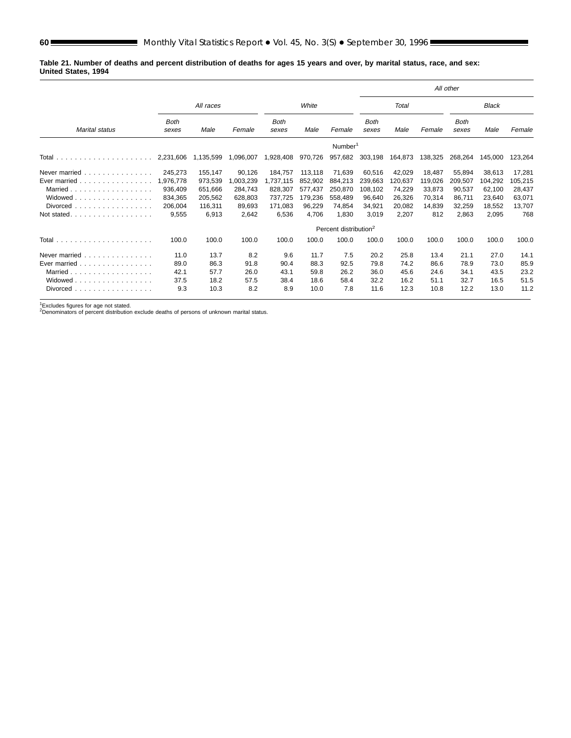**Table 21. Number of deaths and percent distribution of deaths for ages 15 years and over, by marital status, race, and sex: United States, 1994**

|                                                         |                      |           |           |                      |         |                                   |                      |              |         | All other            |              |         |
|---------------------------------------------------------|----------------------|-----------|-----------|----------------------|---------|-----------------------------------|----------------------|--------------|---------|----------------------|--------------|---------|
|                                                         |                      | All races |           |                      | White   |                                   |                      | <b>Total</b> |         |                      | <b>Black</b> |         |
| <b>Marital status</b>                                   | <b>Both</b><br>sexes | Male      | Female    | <b>Both</b><br>sexes | Male    | Female                            | <b>Both</b><br>sexes | Male         | Female  | <b>Both</b><br>sexes | Male         | Female  |
|                                                         |                      |           |           |                      |         | Number <sup>1</sup>               |                      |              |         |                      |              |         |
|                                                         | 2,231,606            | 1,135,599 | 1,096,007 | 1,928,408            | 970,726 | 957,682                           | 303,198              | 164,873      | 138,325 | 268,264              | 145,000      | 123,264 |
| Never married $\ldots$ , $\ldots$ , $\ldots$ , $\ldots$ | 245,273              | 155,147   | 90,126    | 184,757              | 113,118 | 71,639                            | 60,516               | 42,029       | 18,487  | 55,894               | 38,613       | 17,281  |
| Ever married $\ldots$ , $\ldots$ , $\ldots$ , $\ldots$  | 1.976.778            | 973.539   | 1,003,239 | 1,737,115            | 852,902 | 884,213                           | 239.663              | 120,637      | 119,026 | 209,507              | 104,292      | 105,215 |
| Married                                                 | 936,409              | 651,666   | 284,743   | 828,307              | 577,437 | 250,870                           | 108.102              | 74,229       | 33,873  | 90,537               | 62,100       | 28,437  |
| Widowed $\ldots$ , $\ldots$ , $\ldots$ , $\ldots$       | 834,365              | 205,562   | 628,803   | 737,725              | 179,236 | 558,489                           | 96,640               | 26,326       | 70,314  | 86,711               | 23,640       | 63,071  |
|                                                         | 206,004              | 116,311   | 89,693    | 171,083              | 96,229  | 74,854                            | 34,921               | 20,082       | 14,839  | 32,259               | 18,552       | 13,707  |
| Not stated.<br>.                                        | 9,555                | 6,913     | 2,642     | 6,536                | 4,706   | 1,830                             | 3,019                | 2,207        | 812     | 2,863                | 2,095        | 768     |
|                                                         |                      |           |           |                      |         | Percent distribution <sup>2</sup> |                      |              |         |                      |              |         |
|                                                         | 100.0                | 100.0     | 100.0     | 100.0                | 100.0   | 100.0                             | 100.0                | 100.0        | 100.0   | 100.0                | 100.0        | 100.0   |
| Never married                                           | 11.0                 | 13.7      | 8.2       | 9.6                  | 11.7    | 7.5                               | 20.2                 | 25.8         | 13.4    | 21.1                 | 27.0         | 14.1    |
| Ever married                                            | 89.0                 | 86.3      | 91.8      | 90.4                 | 88.3    | 92.5                              | 79.8                 | 74.2         | 86.6    | 78.9                 | 73.0         | 85.9    |
| Married                                                 | 42.1                 | 57.7      | 26.0      | 43.1                 | 59.8    | 26.2                              | 36.0                 | 45.6         | 24.6    | 34.1                 | 43.5         | 23.2    |
| Widowed                                                 | 37.5                 | 18.2      | 57.5      | 38.4                 | 18.6    | 58.4                              | 32.2                 | 16.2         | 51.1    | 32.7                 | 16.5         | 51.5    |
| Divorced                                                | 9.3                  | 10.3      | 8.2       | 8.9                  | 10.0    | 7.8                               | 11.6                 | 12.3         | 10.8    | 12.2                 | 13.0         | 11.2    |

1Excludes figures for age not stated. 2Denominators of percent distribution exclude deaths of persons of unknown marital status.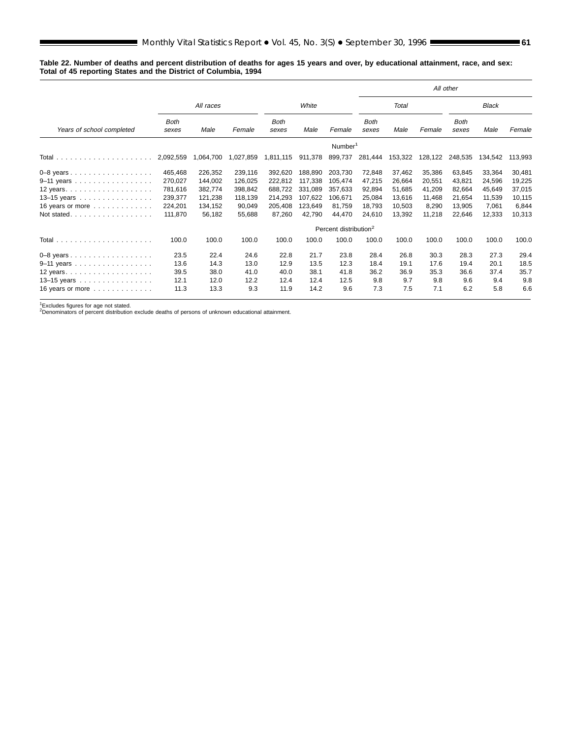#### **Table 22. Number of deaths and percent distribution of deaths for ages 15 years and over, by educational attainment, race, and sex: Total of 45 reporting States and the District of Columbia, 1994**

|                                                     |                      |           |           |                      |         |                                   |                      |         |         | All other            |              |         |
|-----------------------------------------------------|----------------------|-----------|-----------|----------------------|---------|-----------------------------------|----------------------|---------|---------|----------------------|--------------|---------|
|                                                     |                      | All races |           |                      | White   |                                   |                      | Total   |         |                      | <b>Black</b> |         |
| Years of school completed                           | <b>Both</b><br>sexes | Male      | Female    | <b>Both</b><br>sexes | Male    | Female                            | <b>Both</b><br>sexes | Male    | Female  | <b>Both</b><br>sexes | Male         | Female  |
|                                                     |                      |           |           |                      |         | Number <sup>1</sup>               |                      |         |         |                      |              |         |
|                                                     | 2,092,559            | 1,064,700 | 1,027,859 | 1,811,115            | 911,378 | 899,737                           | 281,444              | 153,322 | 128,122 | 248,535              | 134,542      | 113,993 |
| $0-8$ years                                         | 465.468              | 226,352   | 239,116   | 392,620              | 188,890 | 203,730                           | 72,848               | 37,462  | 35,386  | 63,845               | 33,364       | 30,481  |
| 9-11 years                                          | 270,027              | 144,002   | 126.025   | 222,812              | 117,338 | 105.474                           | 47,215               | 26,664  | 20,551  | 43,821               | 24,596       | 19,225  |
| 12 years. $\ldots$ . $\ldots$ . $\ldots$ . $\ldots$ | 781,616              | 382,774   | 398.842   | 688,722              | 331.089 | 357.633                           | 92.894               | 51,685  | 41,209  | 82.664               | 45,649       | 37,015  |
| 13-15 years                                         | 239,377              | 121.238   | 118,139   | 214,293              | 107,622 | 106.671                           | 25,084               | 13.616  | 11,468  | 21.654               | 11,539       | 10,115  |
| 16 years or more $\dots\dots\dots\dots$             | 224,201              | 134,152   | 90,049    | 205,408              | 123.649 | 81.759                            | 18,793               | 10.503  | 8,290   | 13.905               | 7,061        | 6,844   |
| Not stated                                          | 111.870              | 56.182    | 55,688    | 87,260               | 42,790  | 44.470                            | 24,610               | 13,392  | 11,218  | 22,646               | 12,333       | 10,313  |
|                                                     |                      |           |           |                      |         | Percent distribution <sup>2</sup> |                      |         |         |                      |              |         |
|                                                     | 100.0                | 100.0     | 100.0     | 100.0                | 100.0   | 100.0                             | 100.0                | 100.0   | 100.0   | 100.0                | 100.0        | 100.0   |
| $0-8$ years                                         | 23.5                 | 22.4      | 24.6      | 22.8                 | 21.7    | 23.8                              | 28.4                 | 26.8    | 30.3    | 28.3                 | 27.3         | 29.4    |
| 9-11 years                                          | 13.6                 | 14.3      | 13.0      | 12.9                 | 13.5    | 12.3                              | 18.4                 | 19.1    | 17.6    | 19.4                 | 20.1         | 18.5    |
| 12 years                                            | 39.5                 | 38.0      | 41.0      | 40.0                 | 38.1    | 41.8                              | 36.2                 | 36.9    | 35.3    | 36.6                 | 37.4         | 35.7    |
| 13-15 years                                         | 12.1                 | 12.0      | 12.2      | 12.4                 | 12.4    | 12.5                              | 9.8                  | 9.7     | 9.8     | 9.6                  | 9.4          | 9.8     |
| 16 years or more $\ldots \ldots \ldots \ldots$      | 11.3                 | 13.3      | 9.3       | 11.9                 | 14.2    | 9.6                               | 7.3                  | 7.5     | 7.1     | 6.2                  | 5.8          | 6.6     |

1Excludes figures for age not stated. 2Denominators of percent distribution exclude deaths of persons of unknown educational attainment.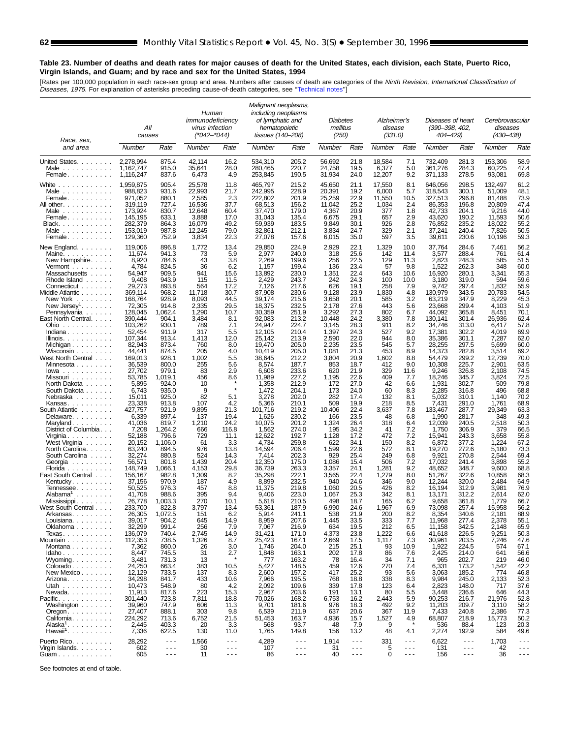# **Table 23. Number of deaths and death rates for major causes of death for the United States, each division, each State, Puerto Rico, Virgin Islands, and Guam; and by race and sex for the United States, 1994**

[Rates per 100,000 population in each race-sex group and area. Numbers after causes of death are categories of the *Ninth Revision, International Classification of*<br>*Diseases, 1975.* For explanation of asterisks preceding

| Race, sex,                                                                                                                                                                                                         | All<br>causes      |                      | Human<br>immunodeficiency<br>virus infection<br>(*042–*044) |                      | Malignant neoplasms,<br>including neoplasms<br>of lymphatic and<br>hematopoietic<br>tissues (140–208) |                      | <b>Diabetes</b><br>mellitus<br>(250) |                      | Alzheimer's<br>disease<br>(331.0) |                      | Diseases of heart<br>(390-398, 402,<br>404–429) |                      | Cerebrovascular<br>diseases<br>(430–438) |                      |
|--------------------------------------------------------------------------------------------------------------------------------------------------------------------------------------------------------------------|--------------------|----------------------|-------------------------------------------------------------|----------------------|-------------------------------------------------------------------------------------------------------|----------------------|--------------------------------------|----------------------|-----------------------------------|----------------------|-------------------------------------------------|----------------------|------------------------------------------|----------------------|
| and area                                                                                                                                                                                                           | Number             | Rate                 | Number                                                      | Rate                 | Number                                                                                                | Rate                 | Number                               | Rate                 | Number                            | Rate                 | Number                                          | Rate                 | Number                                   | Rate                 |
| United States.                                                                                                                                                                                                     | 2.278.994          | 875.4                | 42,114                                                      | 16.2                 | 534,310                                                                                               | 205.2                | 56,692                               | 21.8                 | 18,584                            | 7.1                  | 732,409                                         | 281.3                | 153,306                                  | 58.9                 |
| Male $\ldots$ , $\ldots$ , $\ldots$                                                                                                                                                                                | 1,162,747          | 915.0                | 35,641                                                      | 28.0                 | 280,465                                                                                               | 220.7                | 24,758                               | 19.5                 | 6,377                             | 5.0                  | 361,276                                         | 284.3                | 60,225                                   | 47.4                 |
| Female                                                                                                                                                                                                             | 1,116,247          | 837.6                | 6,473                                                       | 4.9                  | 253,845                                                                                               | 190.5                | 31,934                               | 24.0                 | 12,207                            | 9.2                  | 371,133                                         | 278.5                | 93,081                                   | 69.8                 |
| White                                                                                                                                                                                                              | 1,959,875          | 905.4                | 25,578                                                      | 11.8                 | 465,797                                                                                               | 215.2                | 45,650                               | 21.1                 | 17,550                            | 8.1                  | 646,056                                         | 298.5                | 132,497                                  | 61.2                 |
| Male $\ldots$ , $\ldots$ , $\ldots$                                                                                                                                                                                | 988,823            | 931.6                | 22,993                                                      | 21.7                 | 242,995                                                                                               | 228.9                | 20,391                               | 19.2                 | 6,000                             | 5.7                  | 318,543                                         | 300.1                | 51,009                                   | 48.1                 |
| Female                                                                                                                                                                                                             | 971,052            | 880.1                | 2,585                                                       | 2.3                  | 222.802                                                                                               | 201.9                | 25,259                               | 22.9                 | 11,550                            | 10.5                 | 327,513                                         | 296.8                | 81,488                                   | 73.9                 |
| All other.                                                                                                                                                                                                         | 319,119            | 727.4                | 16,536                                                      | 37.7                 | 68,513                                                                                                | 156.2                | 11,042                               | 25.2                 | 1,034                             | 2.4                  | 86,353                                          | 196.8                | 20,809                                   | 47.4                 |
| Male $\ldots$                                                                                                                                                                                                      | 173,924            | 830.7                | 12,648                                                      | 60.4                 | 37,470                                                                                                | 179.0                | 4,367                                | 20.9                 | 377                               | 1.8                  | 42,733                                          | 204.1                | 9,216                                    | 44.0                 |
| Female                                                                                                                                                                                                             | 145,195            | 633.1                | 3,888                                                       | 17.0                 | 31,043                                                                                                | 135.4                | 6,675                                | 29.1                 | 657                               | 2.9                  | 43,620                                          | 190.2                | 11,593                                   | 50.6                 |
| Black                                                                                                                                                                                                              | 282,379            | 864.3                | 16,079                                                      | 49.2                 | 59,939                                                                                                | 183.5                | 9,849                                | 30.1                 | 926                               | 2.8                  | 76,852                                          | 235.2                | 18,022                                   | 55.2                 |
| Male $\ldots$ , $\ldots$ , $\ldots$                                                                                                                                                                                | 153,019            | 987.8                | 12,245                                                      | 79.0                 | 32,861                                                                                                | 212.1                | 3,834                                | 24.7                 | 329                               | 2.1                  | 37,241                                          | 240.4                | 7,826                                    | 50.5                 |
| Female                                                                                                                                                                                                             | 129,360            | 752.9                | 3,834                                                       | 22.3                 | 27,078                                                                                                | 157.6                | 6,015                                | 35.0                 | 597                               | 3.5                  | 39,611                                          | 230.6                | 10,196                                   | 59.3                 |
| New England                                                                                                                                                                                                        | 119,006            | 896.8                | 1,772                                                       | 13.4                 | 29,850                                                                                                | 224.9                | 2,929                                | 22.1                 | 1,329                             | 10.0                 | 37,764                                          | 284.6                | 7,461                                    | 56.2                 |
| Maine.                                                                                                                                                                                                             | 11,674             | 941.3                | 73                                                          | 5.9                  | 2,977                                                                                                 | 240.0                | 318                                  | 25.6                 | 142                               | 11.4                 | 3,577                                           | 288.4                | 761                                      | 61.4                 |
| New Hampshire.                                                                                                                                                                                                     | 8,920              | 784.6                | 43                                                          | 3.8                  | 2,269                                                                                                 | 199.6                | 256                                  | 22.5                 | 129                               | 11.3                 | 2,823                                           | 248.3                | 585                                      | 51.5                 |
| Vermont $\ldots$ , $\ldots$ , $\ldots$                                                                                                                                                                             | 4,784              | 824.5                | 36                                                          | 6.2                  | 1,157                                                                                                 | 199.4                | 136                                  | 23.4                 | 57                                | 9.8                  | 1,522                                           | 262.3                | 348                                      | 60.0                 |
| Massachusetts<br>Rhode Island                                                                                                                                                                                      | 54.947             | 909.5                | 941                                                         | 15.6                 | 13,892                                                                                                | 230.0                | 1,351                                | 22.4                 | 643                               | 10.6                 | 16,920                                          | 280.1                | 3.341<br>594                             | 55.3                 |
| Connecticut                                                                                                                                                                                                        | 9,408<br>29,273    | 943.9<br>893.8       | 115<br>564                                                  | 11.5<br>17.2         | 2,429<br>7,126                                                                                        | 243.7<br>217.6       | 242<br>626                           | 24.3<br>19.1         | 100<br>258                        | 10.0<br>7.9          | 3,180<br>9,742                                  | 319.0<br>297.4       | 1,832                                    | 59.6<br>55.9         |
| Middle Atlantic<br>New York<br>$\label{eq:reduced} \mathcal{L}^{\mathcal{A}}(\mathcal{A}^{\mathcal{A}}(\mathcal{A}^{\mathcal{A}}(\mathcal{A}^{\mathcal{A}}(\mathcal{A}^{\mathcal{A}}(\mathcal{A}^{\mathcal{A}})))$ | 369,114<br>168,764 | 968.2<br>928.9       | 11,718<br>8,093                                             | 30.7<br>44.5         | 87,908<br>39,174                                                                                      | 230.6<br>215.6       | 9,128<br>3,658                       | 23.9<br>20.1         | 1,830<br>585                      | 4.8<br>3.2           | 130,979<br>63,219                               | 343.5<br>347.9       | 20,783<br>8,229                          | 54.5<br>45.3         |
| New Jersey'                                                                                                                                                                                                        | 72,305             | 914.8                | 2,335                                                       | 29.5                 | 18,375                                                                                                | 232.5                | 2,178                                | 27.6                 | 443                               | 5.6                  | 23,668                                          | 299.4                | 4,103                                    | 51.9                 |
| Pennsylvania                                                                                                                                                                                                       | 128,045            | 1,062.4              | 1,290                                                       | 10.7                 | 30,359                                                                                                | 251.9                | 3,292                                | 27.3                 | 802                               | 6.7                  | 44,092                                          | 365.8                | 8,451                                    | 70.1                 |
| East North Central.                                                                                                                                                                                                | 390,444            | 904.1                | 3,484                                                       | 8.1                  | 92,083                                                                                                | 213.2                | 10,448                               | 24.2                 | 3,380                             | 7.8                  | 130,141                                         | 301.4                | 26,936                                   | 62.4                 |
| $Ohio \dots \dots \dots$                                                                                                                                                                                           | 103,262            | 930.1                | 789                                                         | 7.1                  | 24,947                                                                                                | 224.7                | 3,145                                | 28.3                 | 911                               | 8.2                  | 34,746                                          | 313.0                | 6,417                                    | 57.8                 |
| Indiana                                                                                                                                                                                                            | 52,454             | 911.9                | 317                                                         | 5.5                  | 12,105                                                                                                | 210.4                | 1,397                                | 24.3                 | 527                               | 9.2                  | 17,381                                          | 302.2                | 4,019                                    | 69.9                 |
| Illinois. $\ldots$ .                                                                                                                                                                                               | 107,344            | 913.4                | 1,413                                                       | 12.0                 | 25,142                                                                                                | 213.9                | 2,590                                | 22.0                 | 944                               | 8.0                  | 35,386                                          | 301.1                | 7,287                                    | 62.0                 |
| Michigan                                                                                                                                                                                                           | 82,943             | 873.4                | 760                                                         | 8.0                  | 19.470                                                                                                | 205.0                | 2,235                                | 23.5                 | 545                               | 5.7                  | 28,255                                          | 297.5                | 5,699                                    | 60.0                 |
| Wisconsin                                                                                                                                                                                                          | 44,441<br>169.013  | 874.5                | 205                                                         | 4.0<br>5.5           | 10,419                                                                                                | 205.0                | 1,081<br>3,804                       | 21.3<br>20.9         | 453<br>1,602                      | 8.9                  | 14,373<br>54,479                                | 282.8<br>299.2       | 3,514<br>12,739                          | 69.2<br>70.0         |
| West North Central<br>Minnesota                                                                                                                                                                                    | 36.539             | 928.1<br>800.0       | 1,002<br>255                                                | 5.6                  | 38,645<br>8,574                                                                                       | 212.2<br>187.7       | 853                                  | 18.7                 | 412                               | 8.8<br>9.0           | 10,308                                          | 225.7                | 2,901                                    | 63.5                 |
| $Iowa$                                                                                                                                                                                                             | 27,702             | 979.1                | 83                                                          | 2.9                  | 6,608                                                                                                 | 233.6                | 620                                  | 21.9                 | 329                               | 11.6                 | 9,246                                           | 326.8                | 2,108                                    | 74.5                 |
| Missouri                                                                                                                                                                                                           | 53,785             | 1,019.1              | 456                                                         | 8.6                  | 11,989                                                                                                | 227.2                | 1,195                                | 22.6                 | 409                               | 7.7                  | 18,246                                          | 345.7                | 3,824                                    | 72.5                 |
| North Dakota                                                                                                                                                                                                       | 5,895              | 924.0                | 10                                                          | ٠                    | 1,358                                                                                                 | 212.9                | 172                                  | 27.0                 | 42                                | 6.6                  | 1,931                                           | 302.7                | 509                                      | 79.8                 |
| South Dakota                                                                                                                                                                                                       | 6,743              | 935.0                | 9                                                           |                      | 1,472                                                                                                 | 204.1                | 173                                  | 24.0                 | 60                                | 8.3                  | 2,285                                           | 316.8                | 496                                      | 68.8                 |
| Nebraska                                                                                                                                                                                                           | 15,011             | 925.0                | 82                                                          | 5.1                  | 3,278                                                                                                 | 202.0                | 282                                  | 17.4                 | 132                               | 8.1                  | 5,032                                           | 310.1                | 1,140                                    | 70.2                 |
| Kansas                                                                                                                                                                                                             | 23,338             | 913.8                | 107                                                         | 4.2                  | 5,366                                                                                                 | 210.1                | 509                                  | 19.9                 | 218                               | 8.5                  | 7,431                                           | 291.0                | 1,761                                    | 68.9                 |
| South Atlantic                                                                                                                                                                                                     | 427,757            | 921.9                | 9,895                                                       | 21.3                 | 101,716                                                                                               | 219.2                | 10,406                               | 22.4                 | 3,637                             | 7.8                  | 133,467                                         | 287.7                | 29,349                                   | 63.3                 |
| Delaware.                                                                                                                                                                                                          | 6,339              | 897.4                | 137                                                         | 19.4                 | 1,626                                                                                                 | 230.2                | 166                                  | 23.5                 | 48                                | 6.8                  | 1,990                                           | 281.7                | 348                                      | 49.3                 |
| Maryland                                                                                                                                                                                                           | 41,036             | 819.7                | 1,210                                                       | 24.2                 | 10,075                                                                                                | 201.2                | 1,324                                | 26.4                 | 318                               | 6.4                  | 12,039                                          | 240.5                | 2,518                                    | 50.3                 |
| District of Columbia                                                                                                                                                                                               | 7,208              | 1,264.2              | 666                                                         | 116.8                | 1,562                                                                                                 | 274.0                | 195                                  | 34.2                 | 41                                | 7.2                  | 1,750                                           | 306.9                | 379                                      | 66.5                 |
|                                                                                                                                                                                                                    | 52,188             | 796.6                | 729                                                         | 11.1                 | 12,622                                                                                                | 192.7                | 1,128                                | 17.2                 | 472                               | 7.2                  | 15,941                                          | 243.3                | 3,658                                    | 55.8                 |
| Virginia<br>West Virginia                                                                                                                                                                                          | 20,152             | 1,106.0              | 61                                                          | 3.3                  | 4,734                                                                                                 | 259.8                | 622                                  | 34.1                 | 150                               | 8.2                  | 6,872                                           | 377.2                | 1,224                                    | 67.2                 |
| North Carolina.                                                                                                                                                                                                    | 63,240             | 894.5                | 976                                                         | 13.8                 | 14,594                                                                                                | 206.4                | 1,599                                | 22.6                 | 572                               | 8.1                  | 19,270                                          | 272.6                | 5,180                                    | 73.3                 |
| South Carolina                                                                                                                                                                                                     | 32,274             | 880.8                | 524                                                         | 14.3                 | 7,414                                                                                                 | 202.3                | 929                                  | 25.4                 | 249                               | 6.8                  | 9,921                                           | 270.8                | 2,544                                    | 69.4                 |
| Georgia<br>Florida                                                                                                                                                                                                 | 56,571<br>148,749  | 801.8<br>1,066.1     | 1.439<br>4,153                                              | 20.4<br>29.8         | 12,350<br>36,739                                                                                      | 175.0<br>263.3       | 1.086<br>3,357                       | 15.4<br>24.1         | 506<br>1,281                      | 7.2<br>9.2           | 17,032<br>48,652                                | 241.4<br>348.7       | 3,898<br>9,600                           | 55.2<br>68.8         |
| East South Central                                                                                                                                                                                                 | 156,167            | 982.8                | 1,309                                                       | 8.2                  | 35,298                                                                                                | 222.1                | 3,565                                | 22.4                 | 1,279                             | 8.0                  | 51,267                                          | 322.6                | 10,858                                   | 68.3                 |
| Kentucky                                                                                                                                                                                                           | 37,156             | 970.9                | 187                                                         | 4.9                  | 8,899                                                                                                 | 232.5                | 940                                  | 24.6                 | 346                               | 9.0                  | 12,244                                          | 320.0                | 2.484                                    | 64.9                 |
| Tennessee                                                                                                                                                                                                          | 50,525             | 976.3                | 457                                                         | 8.8                  | 11,375                                                                                                | 219.8                | 1,060                                | 20.5                 | 426                               | 8.2                  | 16,194                                          | 312.9                | 3,981                                    | 76.9                 |
| Alabama'                                                                                                                                                                                                           | 41,708             | 988.6                | 395                                                         | 9.4                  | 9,406                                                                                                 | 223.0                | 1,067                                | 25.3                 | 342                               | 8.1                  | 13,171                                          | 312.2                | 2,614                                    | 62.0                 |
| Mississippi                                                                                                                                                                                                        | 26,778             | 1,003.3              | 270                                                         | 10.1                 | 5,618                                                                                                 | 210.5                | 498                                  | 18.7                 | 165                               | 6.2                  | 9,658                                           | 361.8                | 1,779                                    | 66.7                 |
| West South Central                                                                                                                                                                                                 | 233,700            | 822.8                | 3,797                                                       | 13.4                 | 53,361                                                                                                | 187.9                | 6,990                                | 24.6                 | 1,967                             | 6.9                  | 73.098                                          | 257.4                | 15,958                                   | 56.2                 |
| Arkansas                                                                                                                                                                                                           | 26,305             | 1,072.5              | 151                                                         | 6.2                  | 5,914                                                                                                 | 241.1                | 538                                  | 21.9                 | 200                               | 8.2                  | 8,354                                           | 340.6                | 2,181                                    | 88.9                 |
| Louisiana                                                                                                                                                                                                          | 39,017             | 904.2                | 645                                                         | 14.9                 | 8,959                                                                                                 | 207.6                | 1,445                                | 33.5                 | 333                               | $\iota$ .            | 11,968                                          | 277.4                | 2,378                                    | 55.1                 |
| Oklahoma                                                                                                                                                                                                           | 32,299             | 991.4                | 256                                                         | 7.9                  | 7,067                                                                                                 | 216.9                | 634                                  | 19.5                 | 212                               | 6.5                  | 11,158                                          | 342.5                | 2,148                                    | 65.9                 |
| Texas.                                                                                                                                                                                                             | 136,079            | 740.4                | 2,745                                                       | 14.9                 | 31,421                                                                                                | 171.0                | 4,373                                | 23.8                 | 1,222                             | 6.6                  | 41,618                                          | 226.5                | 9,251                                    | 50.3                 |
| Mountain                                                                                                                                                                                                           | 112,353            | 738.5                | 1,326                                                       | 8.7                  | 25,423                                                                                                | 167.1                | 2,669                                | 17.5                 | 1,117                             | 7.3                  | 30,961                                          | 203.5                | 7,246                                    | 47.6                 |
| Montana                                                                                                                                                                                                            | 7,362              | 860.0                | 26                                                          | 3.0                  | 1,746                                                                                                 | 204.0                | 215                                  | 25.1                 | 93                                | 10.9                 | 1,922                                           | 224.5                | 574                                      | 67.1                 |
| Idaho                                                                                                                                                                                                              | 8,447              | 745.5                | 31                                                          | 2.7                  | 1,848                                                                                                 | 163.1                | 202                                  | 17.8                 | 86<br>34                          | 7.6                  | 2,425<br>965                                    | 214.0                | 641<br>219                               | 56.6                 |
| Wyoming. $\ldots$<br>Colorado                                                                                                                                                                                      | 3,481<br>24,250    | 731.3<br>663.4       | 13<br>383                                                   | 10.5                 | 777<br>5,427                                                                                          | 163.2<br>148.5       | 78<br>459                            | 16.4<br>12.6         | 270                               | 7.1<br>7.4           | 6,331                                           | 202.7<br>173.2       | 1,542                                    | 46.0<br>42.2         |
| New Mexico                                                                                                                                                                                                         | 12,129             | 733.5                | 137                                                         | 8.3                  | 2,600                                                                                                 | 157.2                | 417                                  | 25.2                 | 93                                | 5.6                  | 3,063                                           | 185.2                | 774                                      | 46.8                 |
| Arizona.                                                                                                                                                                                                           | 34,298             | 841.7                | 433                                                         | 10.6                 | 7,966                                                                                                 | 195.5                | 768                                  | 18.8                 | 338                               | 8.3                  | 9,984                                           | 245.0                | 2,133                                    | 52.3                 |
| Utah                                                                                                                                                                                                               | 10,473             | 548.9                | 80                                                          | 4.2                  | 2,092                                                                                                 | 109.6                | 339                                  | 17.8                 | 123                               | 6.4                  | 2,823                                           | 148.0                | 717                                      | 37.6                 |
| $N$ evada                                                                                                                                                                                                          | 11,913             | 817.6                | 223                                                         | 15.3                 | 2,967                                                                                                 | 203.6                | 191                                  | 13.1                 | 80                                | 5.5                  | 3,448                                           | 236.6                | 646                                      | 44.3                 |
| Pacific                                                                                                                                                                                                            | 301,440            | 723.8                | 7,811                                                       | 18.8                 | 70,026                                                                                                | 168.2                | 6,753                                | 16.2                 | 2,443                             | 5.9                  | 90,253                                          | 216.7                | 21.976                                   | 52.8                 |
| Washington                                                                                                                                                                                                         | 39,960             | 747.9                | 606                                                         | 11.3                 | 9,701                                                                                                 | 181.6                | 976                                  | 18.3                 | 492                               | 9.2                  | 11,203                                          | 209.7                | 3,110                                    | 58.2                 |
| $O$ regon. $\ldots$ $\ldots$ $\ldots$ .                                                                                                                                                                            | 27,407             | 888.1                | 303                                                         | 9.8                  | 6,539                                                                                                 | 211.9                | 637                                  | 20.6                 | 367                               | 11.9                 | 7,433                                           | 240.8                | 2,386                                    | 77.3                 |
| California.                                                                                                                                                                                                        | 224,292            | 713.6                | 6,752                                                       | 21.5                 | 51,453                                                                                                | 163.7                | 4,936                                | 15.7                 | 1,527                             | 4.9                  | 68,807                                          | 218.9                | 15,773                                   | 50.2                 |
| Alaska <sup>1</sup>                                                                                                                                                                                                | 2,445              | 403.3                | 20                                                          | 3.3                  | 568                                                                                                   | 93.7                 | 48                                   | 7.9                  | 9                                 |                      | 536                                             | 88.4                 | 123                                      | 20.3                 |
| $Hawai1$                                                                                                                                                                                                           | 7,336              | 622.5                | 130                                                         | 11.0                 | 1,765                                                                                                 | 149.8                | 156                                  | 13.2                 | 48                                | 4.1                  | 2,274                                           | 192.9                | 584                                      | 49.6                 |
| Puerto Rico.                                                                                                                                                                                                       | 28,292             | $\sim$ $\sim$ $\sim$ | 1,566                                                       | $\sim$ $\sim$ $\sim$ | 4,289                                                                                                 | $\sim$ $\sim$ $\sim$ | 1,914                                | $\sim$ $\sim$ $\sim$ | 331                               | $\sim$ $\sim$ $\sim$ | 6,622                                           | $\sim$ $\sim$ $\sim$ | 1,703                                    | $\sim$ $\sim$ $\sim$ |
|                                                                                                                                                                                                                    | 602                | $\sim$ $\sim$ $\sim$ | 30                                                          | $\sim$ $\sim$ $\sim$ | 107                                                                                                   | $\sim$ $\sim$ $\sim$ | 31                                   | $\sim$ $\sim$ $\sim$ | 5                                 | $\sim$ $\sim$ $\sim$ | 131                                             | $\sim$ $\sim$ $\sim$ | 42                                       | $\sim$ $\sim$ $\sim$ |
| Virgin Islands.<br>Guam                                                                                                                                                                                            | 605                | $\sim$ $\sim$ $\sim$ | 11                                                          | $\sim$ $\sim$ $\sim$ | 86                                                                                                    | $\sim$ $\sim$ $\sim$ | 40                                   | $\sim$ $\sim$ $\sim$ | 0                                 | $\sim$ $\sim$ $\sim$ | 156                                             | $\sim$ $\sim$ $\sim$ | 36                                       | $\sim$ $\sim$ $\sim$ |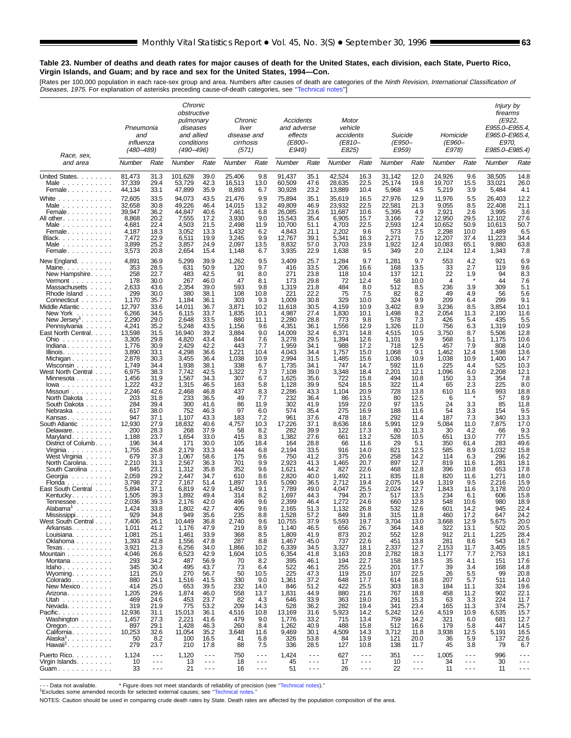# **Table 23. Number of deaths and death rates for major causes of death for the United States, each division, each State, Puerto Rico, Virgin Islands, and Guam; and by race and sex for the United States, 1994—Con.**

[Rates per 100,000 population in each race-sex group and area. Numbers after causes of death are categories of the *Ninth Revision, International Classification of*<br>*Diseases, 1975.* For explanation of asterisks preceding

|                                                                                                                                                                                                                                                                                                                                                                                                                                                                                                                                                                                                                                                                                                                                                                                                                                                                                                                                                                                                                                      | Pneumonia<br>and<br>influenza<br>(480–489)                                                                                                                                                                                                                                                                                                                                                                                                                                                                     |                                                                                                                                                                                                                                                                                                                                                                                                                                                                                             | Chronic<br>obstructive<br>pulmonary<br>diseases<br>and allied<br>conditions<br>(490–496)                                                                                                                                                                                                                                                                                                                                                                                                                                   |                                                                                                                                                                                                                                                                                                                                                                                                                                                                                              | Chronic<br>liver<br>disease and<br>cirrhosis<br>(571)                                                                                                                                                                                                                                                                                                                                                                                                |                                                                                                                                                                                                                                                                                                                                                                                                                                                    | Accidents<br>and adverse<br>effects<br><i>(E800-</i><br>E949)                                                                                                                                                                                                                                                                                                                                                                                                                                                             |                                                                                                                                                                                                                                                                                                                                                                                                                                                                                              | Motor<br>vehicle<br>accidents<br>(E810–<br>E825)                                                                                                                                                                                                                                                                                                                                                                                                                        |                                                                                                                                                                                                                                                                                                                                                                                                                                                                                          | Suicide<br>(E950–<br>E959)                                                                                                                                                                                                                                                                                                                                                                                                                                   |                                                                                                                                                                                                                                                                                                                                                                                                                                                                                    | Homicide<br><i>(E960–</i><br>E978)                                                                                                                                                                                                                                                                                                                                                                                                                       |                                                                                                                                                                                                                                                                                                                                                                                                                                          | Injury by<br>firearms<br>(E922,<br>E955.0-E955.4,<br>E965.0-E965.4<br>E970.<br>E985.0-E985.4)                                                                                                                                                                                                                                                                                                                                                                    |                                                                                                                                                                                                                                                                                                                                                                                                                                                                                |
|--------------------------------------------------------------------------------------------------------------------------------------------------------------------------------------------------------------------------------------------------------------------------------------------------------------------------------------------------------------------------------------------------------------------------------------------------------------------------------------------------------------------------------------------------------------------------------------------------------------------------------------------------------------------------------------------------------------------------------------------------------------------------------------------------------------------------------------------------------------------------------------------------------------------------------------------------------------------------------------------------------------------------------------|----------------------------------------------------------------------------------------------------------------------------------------------------------------------------------------------------------------------------------------------------------------------------------------------------------------------------------------------------------------------------------------------------------------------------------------------------------------------------------------------------------------|---------------------------------------------------------------------------------------------------------------------------------------------------------------------------------------------------------------------------------------------------------------------------------------------------------------------------------------------------------------------------------------------------------------------------------------------------------------------------------------------|----------------------------------------------------------------------------------------------------------------------------------------------------------------------------------------------------------------------------------------------------------------------------------------------------------------------------------------------------------------------------------------------------------------------------------------------------------------------------------------------------------------------------|----------------------------------------------------------------------------------------------------------------------------------------------------------------------------------------------------------------------------------------------------------------------------------------------------------------------------------------------------------------------------------------------------------------------------------------------------------------------------------------------|------------------------------------------------------------------------------------------------------------------------------------------------------------------------------------------------------------------------------------------------------------------------------------------------------------------------------------------------------------------------------------------------------------------------------------------------------|----------------------------------------------------------------------------------------------------------------------------------------------------------------------------------------------------------------------------------------------------------------------------------------------------------------------------------------------------------------------------------------------------------------------------------------------------|---------------------------------------------------------------------------------------------------------------------------------------------------------------------------------------------------------------------------------------------------------------------------------------------------------------------------------------------------------------------------------------------------------------------------------------------------------------------------------------------------------------------------|----------------------------------------------------------------------------------------------------------------------------------------------------------------------------------------------------------------------------------------------------------------------------------------------------------------------------------------------------------------------------------------------------------------------------------------------------------------------------------------------|-------------------------------------------------------------------------------------------------------------------------------------------------------------------------------------------------------------------------------------------------------------------------------------------------------------------------------------------------------------------------------------------------------------------------------------------------------------------------|------------------------------------------------------------------------------------------------------------------------------------------------------------------------------------------------------------------------------------------------------------------------------------------------------------------------------------------------------------------------------------------------------------------------------------------------------------------------------------------|--------------------------------------------------------------------------------------------------------------------------------------------------------------------------------------------------------------------------------------------------------------------------------------------------------------------------------------------------------------------------------------------------------------------------------------------------------------|------------------------------------------------------------------------------------------------------------------------------------------------------------------------------------------------------------------------------------------------------------------------------------------------------------------------------------------------------------------------------------------------------------------------------------------------------------------------------------|----------------------------------------------------------------------------------------------------------------------------------------------------------------------------------------------------------------------------------------------------------------------------------------------------------------------------------------------------------------------------------------------------------------------------------------------------------|------------------------------------------------------------------------------------------------------------------------------------------------------------------------------------------------------------------------------------------------------------------------------------------------------------------------------------------------------------------------------------------------------------------------------------------|------------------------------------------------------------------------------------------------------------------------------------------------------------------------------------------------------------------------------------------------------------------------------------------------------------------------------------------------------------------------------------------------------------------------------------------------------------------|--------------------------------------------------------------------------------------------------------------------------------------------------------------------------------------------------------------------------------------------------------------------------------------------------------------------------------------------------------------------------------------------------------------------------------------------------------------------------------|
| Race, sex,<br>and area                                                                                                                                                                                                                                                                                                                                                                                                                                                                                                                                                                                                                                                                                                                                                                                                                                                                                                                                                                                                               | Number                                                                                                                                                                                                                                                                                                                                                                                                                                                                                                         | Rate                                                                                                                                                                                                                                                                                                                                                                                                                                                                                        | Number                                                                                                                                                                                                                                                                                                                                                                                                                                                                                                                     | Rate                                                                                                                                                                                                                                                                                                                                                                                                                                                                                         | Number                                                                                                                                                                                                                                                                                                                                                                                                                                               | Rate                                                                                                                                                                                                                                                                                                                                                                                                                                               | Number                                                                                                                                                                                                                                                                                                                                                                                                                                                                                                                    | Rate                                                                                                                                                                                                                                                                                                                                                                                                                                                                                         | Number                                                                                                                                                                                                                                                                                                                                                                                                                                                                  | Rate                                                                                                                                                                                                                                                                                                                                                                                                                                                                                     | Number                                                                                                                                                                                                                                                                                                                                                                                                                                                       | Rate                                                                                                                                                                                                                                                                                                                                                                                                                                                                               | Number                                                                                                                                                                                                                                                                                                                                                                                                                                                   | Rate                                                                                                                                                                                                                                                                                                                                                                                                                                     | Number                                                                                                                                                                                                                                                                                                                                                                                                                                                           | Rate                                                                                                                                                                                                                                                                                                                                                                                                                                                                           |
| United States.<br>Male<br>$\begin{array}{cccccccccccccc} . & . & . & . & . & . & . & . & . & . & . & . \end{array}$<br>Female                                                                                                                                                                                                                                                                                                                                                                                                                                                                                                                                                                                                                                                                                                                                                                                                                                                                                                        | 81,473<br>37,339<br>44,134                                                                                                                                                                                                                                                                                                                                                                                                                                                                                     | 31.3<br>29.4<br>33.1                                                                                                                                                                                                                                                                                                                                                                                                                                                                        | 101,628<br>53,729<br>47,899                                                                                                                                                                                                                                                                                                                                                                                                                                                                                                | 39.0<br>42.3<br>35.9                                                                                                                                                                                                                                                                                                                                                                                                                                                                         | 25,406<br>16,513<br>8,893                                                                                                                                                                                                                                                                                                                                                                                                                            | 9.8<br>13.0<br>6.7                                                                                                                                                                                                                                                                                                                                                                                                                                 | 91,437<br>60,509<br>30,928                                                                                                                                                                                                                                                                                                                                                                                                                                                                                                | 35.1<br>47.6<br>23.2                                                                                                                                                                                                                                                                                                                                                                                                                                                                         | 42,524<br>28,635<br>13,889                                                                                                                                                                                                                                                                                                                                                                                                                                              | 16.3<br>22.5<br>10.4                                                                                                                                                                                                                                                                                                                                                                                                                                                                     | 31,142<br>25,174<br>5,968                                                                                                                                                                                                                                                                                                                                                                                                                                    | 12.0<br>19.8<br>4.5                                                                                                                                                                                                                                                                                                                                                                                                                                                                | 24,926<br>19,707<br>5,219                                                                                                                                                                                                                                                                                                                                                                                                                                | 9.6<br>15.5<br>3.9                                                                                                                                                                                                                                                                                                                                                                                                                       | 38,505<br>33,021<br>5,484                                                                                                                                                                                                                                                                                                                                                                                                                                        | 14.8<br>26.0<br>4.1                                                                                                                                                                                                                                                                                                                                                                                                                                                            |
| White<br>.<br>Male<br>Female<br>All other.<br>Male<br>Female<br>Black.<br>Male<br>Female                                                                                                                                                                                                                                                                                                                                                                                                                                                                                                                                                                                                                                                                                                                                                                                                                                                                                                                                             | 72,605<br>32,658<br>39,947<br>8,868<br>4,681<br>4,187<br>7,472<br>3,899<br>3,573                                                                                                                                                                                                                                                                                                                                                                                                                               | 33.5<br>30.8<br>36.2<br>20.2<br>22.4<br>18.3<br>22.9<br>25.2<br>20.8                                                                                                                                                                                                                                                                                                                                                                                                                        | 94,073<br>49,226<br>44,847<br>7,555<br>4,503<br>3,052<br>6,511<br>3,857<br>2,654                                                                                                                                                                                                                                                                                                                                                                                                                                           | 43.5<br>46.4<br>40.6<br>17.2<br>21.5<br>13.3<br>19.9<br>24.9<br>15.4                                                                                                                                                                                                                                                                                                                                                                                                                         | 21,476<br>14,015<br>7,461<br>3,930<br>2,498<br>1,432<br>3,245<br>2,097<br>1,148                                                                                                                                                                                                                                                                                                                                                                      | 9.9<br>13.2<br>6.8<br>9.0<br>11.9<br>6.2<br>9.9<br>13.5<br>6.7                                                                                                                                                                                                                                                                                                                                                                                     | 75,894<br>49,809<br>26,085<br>15,543<br>10,700<br>4,843<br>12,767<br>8,832<br>3,935                                                                                                                                                                                                                                                                                                                                                                                                                                       | 35.1<br>46.9<br>23.6<br>35.4<br>51.1<br>21.1<br>39.1<br>57.0<br>22.9                                                                                                                                                                                                                                                                                                                                                                                                                         | 35,619<br>23,932<br>11,687<br>6,905<br>4,703<br>2,202<br>5,341<br>3,703<br>1,638                                                                                                                                                                                                                                                                                                                                                                                        | 16.5<br>22.5<br>10.6<br>15.7<br>22.5<br>9.6<br>16.3<br>23.9<br>9.5                                                                                                                                                                                                                                                                                                                                                                                                                       | 27,976<br>22,581<br>5,395<br>3,166<br>2,593<br>573<br>2,271<br>1,922<br>349                                                                                                                                                                                                                                                                                                                                                                                  | 12.9<br>21.3<br>4.9<br>7.2<br>12.4<br>2.5<br>7.0<br>12.4<br>2.0                                                                                                                                                                                                                                                                                                                                                                                                                    | 11,976<br>9,055<br>2,921<br>12,950<br>10,652<br>2,298<br>12,207<br>10,083<br>2,124                                                                                                                                                                                                                                                                                                                                                                       | 5.5<br>8.5<br>2.6<br>29.5<br>50.9<br>10.0<br>37.4<br>65.1<br>12.4                                                                                                                                                                                                                                                                                                                                                                        | 26,403<br>22,408<br>3,995<br>12,102<br>10,613<br>1,489<br>11,223<br>9,880<br>1,343                                                                                                                                                                                                                                                                                                                                                                               | 12.2<br>21.1<br>3.6<br>27.6<br>50.7<br>6.5<br>34.4<br>63.8<br>7.8                                                                                                                                                                                                                                                                                                                                                                                                              |
| New England<br>Maine. $\ldots$<br>New Hampshire<br>$Vermont$<br>Massachusetts<br>Rhode Island<br>Connecticut<br>Middle Atlantic<br>New York<br>New Jersey'<br>Pennsylvania<br>East North Central.<br>Ohio<br>Indiana<br>Illinois. $\ldots$<br>Michigan<br>Wisconsin<br>West North Central<br>Minnesota<br>$lowa \ldots \ldots \ldots$<br>Missouri<br>North Dakota<br>South Dakota<br>Nebraska<br>Kansas<br>South Atlantic<br>Delaware<br>Maryland<br>District of Columb.<br>Virginia<br>West Virginia<br>North Carolina.<br>South Carolina<br>Georgia<br>Florida<br>East South Central<br>Kentucky.<br>Tennessee<br>Alabama <sup>1</sup><br>$\mathcal{L}$ is a set of the set of $\mathcal{L}$<br>MISSISSIppi<br>West South Central<br>Arkansas.<br>Louisiana<br>Oklahoma<br>Texas<br>Mountain<br>Montana<br>$Idaho \ldots$<br>Wyoming. $\ldots$<br>Colorado<br>New Mexico<br>Arizona<br>Utah<br>Nevada<br>Pacific.<br>Washington<br>$O$ regon $\ldots$ $\ldots$ $\ldots$ $\ldots$<br>California<br>Alaska'<br>Hawaii <sup>1</sup> . | 4,891<br>353<br>258<br>178<br>2,633<br>299<br>1,170<br>12,797<br>6,266<br>2,290<br>4,241<br>13,598<br>3,305<br>1,776<br>3,890<br>2,878<br>1,749<br>6,975<br>1,456<br>1,222<br>2,246<br>203<br>284<br>617<br>947<br>12,930<br>200<br>1,188<br>196<br>1,755<br>679<br>2,210<br>845<br>2,059<br>3,798<br>5,894<br>1,505<br>2,036<br>1,424<br>ଅ∠ଧ<br>7,406<br>1,011<br>1,081<br>1,393<br>3,921<br>4,046<br>293<br>345<br>121<br>880<br>414<br>1,205<br>469<br>319<br>12,936<br>1,457<br>897<br>10,253<br>50<br>279 | 36.9<br>28.5<br>22.7<br>30.0<br>43.6<br>30.0<br>35.7<br>33.6<br>34.5<br>29.0<br>35.2<br>31.5<br>29.8<br>30.9<br>33.1<br>30.3<br>34.4<br>38.3<br>31.9<br>43.2<br>42.6<br>31.8<br>39.4<br>38.0<br>37.1<br>27.9<br>28.3<br>23.7<br>34.4<br>26.8<br>37.3<br>31.3<br>23.1<br>29.2<br>27.2<br>37.1<br>39.3<br>39.3<br>33.8<br>34.ö<br>26.1<br>41.2<br>25.1<br>42.8<br>21.3<br>26.6<br>34.2<br>30.4<br>25.0<br>24.1<br>25.0<br>29.6<br>24.6<br>21.9<br>31.1<br>27.3<br>29.1<br>32.6<br>8.2<br>23.7 | 5,299<br>631<br>483<br>267<br>2,354<br>380<br>1,184<br>14,011<br>6,115<br>2,648<br>5,248<br>16,940<br>4,820<br>2,429<br>4.298<br>3,455<br>1,938<br>7.742<br>1,567<br>1,315<br>2.468<br>233<br>300<br>752<br>1,107<br>18,832<br>268<br>1,654<br>171<br>2,179<br>1,067<br>2,567<br>1,312<br>2,447<br>7,167<br>6,819<br>1,892<br>2,176<br>1,802<br>949<br>10,449<br>1,176<br>1,461<br>1,556<br>6,256<br>6,523<br>487<br>495<br>270<br>1,516<br>653<br>1,874<br>453<br>775<br>15,013<br>2,221<br>1,428<br>11,054<br>100<br>210 | 39.9<br>50.9<br>42.5<br>46.0<br>39.0<br>38.1<br>36.1<br>36.7<br>33.7<br>33.5<br>43.5<br>39.2<br>43.4<br>42.2<br>36.6<br>36.4<br>38.1<br>42.5<br>34.3<br>46.5<br>46.8<br>36.5<br>41.6<br>46.3<br>43.3<br>40.6<br>37.9<br>33.0<br>30.0<br>33.3<br>58.6<br>36.3<br>35.8<br>34.7<br>51.4<br>42.9<br>49.4<br>42.0<br>42.7<br>35.6<br>36.8<br>47.9<br>33.9<br>47.8<br>34.0<br>42.9<br>56.9<br>43.7<br>56.7<br>41.5<br>39.5<br>46.0<br>23.7<br>53.2<br>36.1<br>41.6<br>46.3<br>35.2<br>16.5<br>17.8 | 1,262<br>120<br>91<br>47<br>593<br>108<br>303<br>3,871<br>1,835<br>880<br>1,156<br>3,884<br>844<br>443<br>1,221<br>1,038<br>338<br>1,322<br>307<br>163<br>437<br>49<br>86<br>97<br>183<br>4,757<br>58<br>415<br>105<br>444<br>175<br>701<br>352<br>610<br>1,897<br>1,450<br>314<br>496<br>405<br>235<br>2,740<br>219<br>368<br>287<br>1,866<br>1,604<br>70<br>73<br>50<br>330<br>232<br>558<br>82<br>209<br>4,516<br>479<br>260<br>3,648<br>41<br>88 | 9.5<br>9.7<br>8.0<br>8.1<br>9.8<br>10.8<br>9.3<br>10.2<br>10.1<br>11.1<br>9.6<br>9.0<br>7.6<br>7.7<br>10.4<br>10.9<br>6.7<br>7.3<br>6.7<br>5.8<br>8.3<br>7.7<br>11.9<br>6.0<br>7.2<br>10.3<br>8.2<br>8.3<br>18.4<br>6.8<br>9.6<br>9.9<br>9.6<br>8.6<br>13.6<br>9.1<br>8.2<br>9.6<br>9.6<br>8.8<br>9.6<br>8.9<br>8.5<br>8.8<br>10.2<br>10.5<br>8.2<br>6.4<br>10.5<br>9.0<br>14.0<br>13.7<br>4.3<br>14.3<br>10.8<br>9.0<br>8.4<br>11.6<br>6.8<br>7.5 | 3,409<br>416<br>271<br>173<br>1,319<br>221<br>1,009<br>11,618<br>4,987<br>2,280<br>4,351<br>14,009<br>3,278<br>1,959<br>4.043<br>2,994<br>1,735<br>7,108<br>1,625<br>1,128<br>2,286<br>232<br>302<br>574<br>961<br>17,226<br>282<br>1,382<br>164<br>2,194<br>750<br>2,923<br>1,621<br>2,820<br>5,090<br>7,789<br>1,697<br>2,399<br>2,165<br>8≤c, l`<br>10,755<br>1,140<br>1,809<br>1,467<br>6,339<br>6,354<br>395<br>522<br>225<br>1,361<br>846<br>1,831<br>646<br>528<br>13,169<br>1,776<br>1,262<br>9,469<br>326<br>336 | 25.7<br>33.5<br>23.8<br>29.8<br>21.8<br>22.2<br>30.8<br>30.5<br>27.4<br>28.8<br>36.1<br>32.4<br>29.5<br>34.1<br>34.4<br>31.5<br>34.1<br>39.0<br>35.6<br>39.9<br>43.3<br>36.4<br>41.9<br>35.4<br>37.6<br>37.1<br>39.9<br>27.6<br>28.8<br>33.5<br>41.2<br>41.3<br>44.2<br>40.0<br>36.5<br>49.0<br>44.3<br>46.4<br>51.3<br>57.Z<br>37.9<br>46.5<br>41.9<br>45.0<br>34.5<br>41.8<br>46.1<br>46.1<br>47.3<br>37.2<br>51.2<br>44.9<br>33.9<br>36.2<br>31.6<br>33.2<br>40.9<br>30.1<br>53.8<br>28.5 | 1,284<br>206<br>118<br>72<br>484<br>75<br>329<br>4,159<br>1,830<br>773<br>1,556<br>6,371<br>1,394<br>988<br>1,757<br>1,485<br>747<br>3,348<br>722<br>524<br>1,104<br>86<br>159<br>275<br>478<br>8,636<br>122<br>661<br>66<br>916<br>375<br>1,465<br>827<br>1,492<br>2.712<br>4,047<br>794<br>1,272<br>1,132<br>849<br>5,593<br>656<br>873<br>737<br>3,327<br>3,163<br>194<br>255<br>119<br>648<br>422<br>880<br>363<br>282<br>5,923<br>715<br>488<br>4,509<br>84<br>127 | 9.7<br>16.6<br>10.4<br>12.4<br>8.0<br>7.5<br>10.0<br>10.9<br>10.1<br>9.8<br>12.9<br>14.8<br>12.6<br>17.2<br>15.0<br>15.6<br>14.7<br>18.4<br>15.8<br>18.5<br>20.9<br>13.5<br>22.0<br>16.9<br>18.7<br>18.6<br>17.3<br>13.2<br>11.6<br>14.0<br>20.6<br>20.7<br>22.6<br>21.1<br>19.4<br>25.5<br>20.7<br>24.6<br>26.8<br>31.8<br>19.7<br>26.7<br>20.2<br>22.6<br>18.1<br>20.8<br>22.7<br>22.5<br>25.0<br>17.7<br>25.5<br>21.6<br>19.0<br>19.4<br>14.2<br>13.4<br>15.8<br>14.3<br>13.9<br>10.8 | 1,281<br>168<br>137<br>58<br>512<br>82<br>324<br>3,402<br>1,498<br>578<br>1,326<br>4,515<br>1,101<br>718<br>1.068<br>1,036<br>592<br>2,201<br>494<br>322<br>728<br>80<br>97<br>188<br>292<br>5,991<br>80<br>528<br>29<br>821<br>258<br>897<br>468<br>835<br>2.075<br>2,024<br>517<br>660<br>532<br>315<br>3,704<br>364<br>552<br>451<br>2,337<br>2,782<br>158<br>201<br>107<br>614<br>303<br>767<br>291<br>341<br>5,242<br>759<br>512<br>3,712<br>121<br>138 | 9.7<br>13.5<br>12.1<br>10.0<br>8.5<br>8.2<br>9.9<br>8.9<br>8.2<br>7.3<br>11.0<br>10.5<br>9.9<br>12.5<br>9.1<br>10.9<br>11.6<br>12.1<br>10.8<br>11.4<br>13.8<br>12.5<br>13.5<br>11.6<br>11.4<br>12.9<br>11.3<br>10.5<br>5.1<br>12.5<br>14.2<br>12.7<br>12.8<br>11.8<br>14.9<br>12.7<br>13.5<br>12.8<br>12.6<br>11.8<br>13.0<br>14.8<br>12.8<br>13.8<br>12.7<br>18.3<br>18.5<br>17.7<br>22.5<br>16.8<br>18.3<br>18.8<br>15.3<br>23.4<br>12.6<br>14.2<br>16.6<br>11.8<br>20.0<br>11.7 | 553<br>33<br>22<br>$\overline{4}$<br>236<br>49<br>209<br>3,236<br>2,054<br>426<br>756<br>3,750<br>568<br>457<br>1.462<br>1,038<br>225<br>1,096<br>150<br>65<br>610<br>6<br>24<br>54<br>187<br>5,084<br>30<br>651<br>350<br>585<br>114<br>819<br>396<br>820<br>1,319<br>1,843<br>234<br>548<br>601<br>46U<br>3,668<br>322<br>912<br>281<br>2,153<br>1,177<br>35<br>39<br>26<br>207<br>184<br>458<br>63<br>165<br>4,519<br>321<br>179<br>3,938<br>36<br>45 | 4.2<br>2.7<br>1.9<br>3.9<br>4.9<br>6.4<br>8.5<br>11.3<br>5.4<br>6.3<br>8.7<br>5.1<br>7.9<br>12.4<br>10.9<br>4.4<br>6.0<br>3.3<br>2.3<br>11.6<br>3.3<br>3.3<br>7.3<br>11.0<br>4.2<br>13.0<br>61.4<br>8.9<br>6.3<br>11.6<br>10.8<br>11.6<br>9.5<br>11.6<br>6.1<br>10.6<br>14.2<br>17.2<br>12.9<br>13.1<br>21.1<br>86<br>11.7<br>7.7<br>4.1<br>3.4<br>5.5<br>5.7<br>11.1<br>11.2<br>3.3<br>11.3<br>10.9<br>6.0<br>5.8<br>12.5<br>5.9<br>3.8 | 921<br>119<br>94<br>44<br>309<br>56<br>299<br>3,854<br>2,100<br>435<br>1,319<br>5,506<br>1,175<br>808<br>1,598<br>1,400<br>525<br>2,208<br>354<br>225<br>993<br>57<br>85<br>154<br>340<br>7,875<br>66<br>777<br>283<br>1,032<br>296<br>1,281<br>653<br>1,271<br>2,216<br>3,178<br>606<br>980<br>945<br>04/<br>5,675<br>502<br>1,225<br>543<br>3,405<br>2,753<br>151<br>168<br>99<br>511<br>324<br>902<br>224<br>374<br>6,535<br>681<br>447<br>5,191<br>137<br>79 | 6.9<br>9.6<br>8.3<br>7.6<br>5.1<br>5.6<br>9.1<br>10.1<br>11.6<br>5.5<br>10.9<br>12.8<br>10.6<br>14.0<br>13.6<br>14.7<br>10.3<br>12.1<br>7.8<br>8.0<br>18.8<br>8.9<br>11.8<br>9.5<br>13.3<br>17.0<br>9.3<br>15.5<br>49.6<br>15.8<br>16.2<br>18.1<br>17.8<br>18.0<br>15.9<br>20.0<br>15.8<br>18.9<br>22.4<br>24.2<br>20.0<br>20.5<br>28.4<br>16.7<br>18.5<br>18.1<br>17.6<br>14.8<br>20.8<br>14.0<br>19.6<br>22.1<br>11.7<br>25.7<br>15.7<br>12.7<br>14.5<br>16.5<br>22.6<br>6.7 |
| Puerto Rico.<br>Virgin Islands<br>Guam                                                                                                                                                                                                                                                                                                                                                                                                                                                                                                                                                                                                                                                                                                                                                                                                                                                                                                                                                                                               | 1,124<br>10<br>33                                                                                                                                                                                                                                                                                                                                                                                                                                                                                              | $- - -$<br>$\sim$ $\sim$ $\sim$<br>$\sim$ $\sim$ $\sim$                                                                                                                                                                                                                                                                                                                                                                                                                                     | 1,120<br>13<br>21                                                                                                                                                                                                                                                                                                                                                                                                                                                                                                          | $- - -$<br>$\sim$ $\sim$ $\sim$<br>$\sim$ $\sim$ $\sim$                                                                                                                                                                                                                                                                                                                                                                                                                                      | 750<br>18<br>16                                                                                                                                                                                                                                                                                                                                                                                                                                      | $- - -$<br>$\ddotsc$<br>$\sim$ $\sim$ $\sim$                                                                                                                                                                                                                                                                                                                                                                                                       | 1,424<br>45<br>51                                                                                                                                                                                                                                                                                                                                                                                                                                                                                                         | $- - -$<br><br>$\sim$ $\sim$                                                                                                                                                                                                                                                                                                                                                                                                                                                                 | 627<br>17<br>26                                                                                                                                                                                                                                                                                                                                                                                                                                                         | $\sim$ $\sim$ $\sim$<br>$\sim$ $\sim$ $\sim$<br>$\sim$ $\sim$ $\sim$                                                                                                                                                                                                                                                                                                                                                                                                                     | 351<br>10<br>22                                                                                                                                                                                                                                                                                                                                                                                                                                              | $\sim$ $\sim$ $\sim$<br>$- - -$<br>$\sim$ $\sim$ $\sim$                                                                                                                                                                                                                                                                                                                                                                                                                            | 1,005<br>34<br>11                                                                                                                                                                                                                                                                                                                                                                                                                                        | ---<br><br>$\sim$ $\sim$ $\sim$                                                                                                                                                                                                                                                                                                                                                                                                          | 996<br>30<br>11                                                                                                                                                                                                                                                                                                                                                                                                                                                  | $ -$<br>.<br>$\sim$ $\sim$ $\sim$                                                                                                                                                                                                                                                                                                                                                                                                                                              |

- - - Data not available. \* Figure does not meet standards of reliability of precision (see "Technical notes)."<br><sup>1</sup>Excludes some amended records for selected external causes; see "Technical notes."

NOTES: Caution should be used in comparing crude death rates by State. Death rates are affected by the population composition of the area.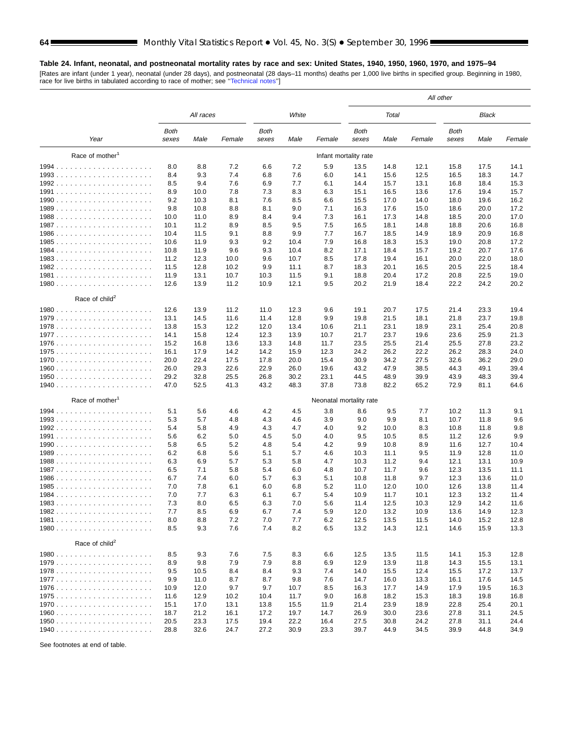#### <span id="page-63-0"></span>**Table 24. Infant, neonatal, and postneonatal mortality rates by race and sex: United States, 1940, 1950, 1960, 1970, and 1975–94**

[Rates are infant (under 1 year), neonatal (under 28 days), and postneonatal (28 days–11 months) deaths per 1,000 live births in specified group. Beginning in 1980, race for live births in tabulated according to race of mother; see [''Technical notes'](#page-71-0)']

| White<br>Total<br><b>Black</b><br>All races<br><b>Both</b><br><b>Both</b><br>Both<br>Both<br>Year<br>Male<br>Female<br>sexes<br>Male<br>Female<br>sexes<br>Male<br>Female<br>sexes<br>Male<br>Female<br>sexes<br>Race of mother <sup>1</sup><br>Infant mortality rate<br>8.8<br>7.2<br>7.2<br>5.9<br>8.0<br>6.6<br>13.5<br>14.8<br>12.1<br>15.8<br>17.5<br>14.1<br>9.3<br>7.4<br>7.6<br>8.4<br>6.8<br>6.0<br>14.1<br>15.6<br>12.5<br>16.5<br>18.3<br>14.7<br>9.4<br>7.6<br>7.7<br>15.7<br>8.5<br>6.9<br>6.1<br>14.4<br>13.1<br>16.8<br>18.4<br>15.3<br>8.9<br>10.0<br>7.8<br>7.3<br>8.3<br>6.3<br>15.1<br>16.5<br>13.6<br>17.6<br>19.4<br>15.7<br>9.2<br>10.3<br>8.1<br>7.6<br>8.5<br>6.6<br>15.5<br>17.0<br>14.0<br>18.0<br>19.6<br>16.2<br>9.8<br>9.0<br>7.1<br>10.8<br>8.8<br>8.1<br>16.3<br>17.6<br>15.0<br>18.6<br>20.0<br>17.2<br>7.3<br>10.0<br>11.0<br>8.9<br>8.4<br>9.4<br>16.1<br>17.3<br>14.8<br>18.5<br>20.0<br>17.0<br>7.5<br>18.1<br>10.1<br>11.2<br>8.9<br>8.5<br>9.5<br>16.5<br>14.8<br>18.8<br>20.6<br>16.8<br>9.9<br>7.7<br>10.4<br>11.5<br>9.1<br>8.8<br>16.7<br>18.5<br>14.9<br>18.9<br>20.9<br>16.8<br>7.9<br>10.6<br>11.9<br>9.3<br>9.2<br>10.4<br>16.8<br>18.3<br>15.3<br>19.0<br>20.8<br>17.2<br>9.3<br>8.2<br>18.4<br>19.2<br>10.8<br>11.9<br>9.6<br>10.4<br>17.1<br>15.7<br>20.7<br>17.6<br>8.5<br>19.4<br>20.0<br>11.2<br>12.3<br>10.0<br>9.6<br>10.7<br>17.8<br>16.1<br>22.0<br>18.0<br>11.5<br>12.8<br>10.2<br>9.9<br>8.7<br>18.3<br>20.1<br>20.5<br>22.5<br>18.4<br>11.1<br>16.5<br>11.9<br>10.7<br>9.1<br>18.8<br>20.4<br>20.8<br>19.0<br>13.1<br>10.3<br>11.5<br>17.2<br>22.5<br>13.9<br>11.2<br>12.1<br>20.2<br>21.9<br>22.2<br>20.2<br>12.6<br>10.9<br>9.5<br>18.4<br>24.2<br>Race of child <sup>2</sup><br>12.6<br>13.9<br>12.3<br>20.7<br>21.4<br>23.3<br>19.4<br>11.2<br>11.0<br>9.6<br>19.1<br>17.5<br>9.9<br>21.8<br>23.7<br>19.8<br>13.1<br>14.5<br>11.6<br>11.4<br>12.8<br>19.8<br>21.5<br>18.1<br>12.2<br>12.0<br>23.1<br>23.1<br>25.4<br>20.8<br>13.8<br>15.3<br>13.4<br>10.6<br>21.1<br>18.9<br>12.4<br>23.7<br>23.6<br>25.9<br>21.3<br>14.1<br>15.8<br>12.3<br>13.9<br>10.7<br>21.7<br>19.6<br>15.2<br>13.6<br>23.5<br>25.5<br>25.5<br>27.8<br>23.2<br>16.8<br>13.3<br>14.8<br>11.7<br>21.4<br>16.1<br>17.9<br>14.2<br>14.2<br>15.9<br>12.3<br>24.2<br>26.2<br>22.2<br>26.2<br>28.3<br>24.0<br>30.9<br>32.6<br>29.0<br>20.0<br>22.4<br>17.5<br>17.8<br>20.0<br>15.4<br>34.2<br>27.5<br>36.2<br>29.3<br>22.9<br>43.2<br>47.9<br>39.4<br>26.0<br>22.6<br>26.0<br>19.6<br>38.5<br>44.3<br>49.1<br>30.2<br>44.5<br>48.9<br>43.9<br>39.4<br>29.2<br>32.8<br>25.5<br>26.8<br>23.1<br>39.9<br>48.3<br>47.0<br>52.5<br>41.3<br>43.2<br>48.3<br>37.8<br>73.8<br>82.2<br>72.9<br>65.2<br>81.1<br>64.6<br>Race of mother <sup>1</sup><br>Neonatal mortality rate<br>5.1<br>5.6<br>4.6<br>4.2<br>4.5<br>3.8<br>8.6<br>9.5<br>7.7<br>10.2<br>11.3<br>9.1<br>5.3<br>5.7<br>3.9<br>9.0<br>9.9<br>8.1<br>10.7<br>9.6<br>4.8<br>4.3<br>4.6<br>11.8<br>5.8<br>9.2<br>10.8<br>9.8<br>5.4<br>4.9<br>4.3<br>4.7<br>4.0<br>10.0<br>8.3<br>11.8<br>6.2<br>4.5<br>5.0<br>4.0<br>9.5<br>10.5<br>11.2<br>9.9<br>5.6<br>5.0<br>8.5<br>12.6<br>6.5<br>5.2<br>4.2<br>9.9<br>10.8<br>11.6<br>5.8<br>4.8<br>5.4<br>8.9<br>12.7<br>10.4<br>6.8<br>5.6<br>5.7<br>10.3<br>11.1<br>11.9<br>6.2<br>5.1<br>4.6<br>9.5<br>12.8<br>11.0<br>6.3<br>6.9<br>5.7<br>5.3<br>5.8<br>4.7<br>10.3<br>11.2<br>9.4<br>12.1<br>10.9<br>13.1<br>6.5<br>5.8<br>6.0<br>4.8<br>10.7<br>11.7<br>12.3<br>7.1<br>5.4<br>9.6<br>13.5<br>11.1<br>6.7<br>7.4<br>5.7<br>6.3<br>5.1<br>10.8<br>9.7<br>12.3<br>6.0<br>11.8<br>13.6<br>11.0<br>7.0<br>7.8<br>6.0<br>6.8<br>5.2<br>12.0<br>12.6<br>13.8<br>11.4<br>6.1<br>11.0<br>10.0<br>7.0<br>7.7<br>6.3<br>6.1<br>6.7<br>5.4<br>10.9<br>11.7<br>12.3<br>13.2<br>11.4<br>10.1<br>8.0<br>6.3<br>7.0<br>12.5<br>12.9<br>1983<br>7.3<br>6.5<br>5.6<br>11.4<br>10.3<br>14.2<br>11.6<br>7.7<br>8.5<br>6.9<br>6.7<br>7.4<br>5.9<br>12.0<br>13.2<br>10.9<br>14.9<br>12.3<br>13.6<br>8.0<br>8.8<br>7.2<br>7.0<br>7.7<br>6.2<br>12.5<br>13.5<br>11.5<br>14.0<br>15.2<br>12.8<br>8.5<br>8.2<br>9.3<br>7.6<br>7.4<br>6.5<br>13.2<br>14.3<br>12.1<br>14.6<br>15.9<br>13.3<br>Race of child <sup>2</sup><br>8.5<br>9.3<br>7.6<br>7.5<br>8.3<br>6.6<br>12.5<br>13.5<br>14.1<br>12.8<br>11.5<br>15.3<br>8.9<br>9.8<br>7.9<br>7.9<br>8.8<br>6.9<br>13.9<br>14.3<br>12.9<br>11.8<br>15.5<br>13.1<br>9.5<br>10.5<br>8.4<br>8.4<br>9.3<br>7.4<br>14.0<br>15.5<br>12.4<br>15.5<br>17.2<br>13.7<br>9.9<br>9.8<br>11.0<br>8.7<br>8.7<br>7.6<br>14.7<br>16.0<br>13.3<br>16.1<br>17.6<br>14.5<br>17.9<br>10.9<br>12.0<br>9.7<br>9.7<br>10.7<br>8.5<br>16.3<br>17.7<br>14.9<br>19.5<br>16.3<br>18.2<br>18.3<br>11.6<br>12.9<br>10.2<br>10.4<br>11.7<br>9.0<br>16.8<br>15.3<br>19.8<br>16.8<br>23.9<br>22.8<br>15.1<br>17.0<br>13.1<br>13.8<br>15.5<br>11.9<br>21.4<br>18.9<br>25.4<br>20.1<br>27.8<br>18.7<br>21.2<br>16.1<br>17.2<br>19.7<br>14.7<br>26.9<br>30.0<br>23.6<br>31.1<br>24.5<br>20.5<br>23.3<br>17.5<br>19.4<br>30.8<br>27.8<br>22.2<br>16.4<br>27.5<br>24.2<br>31.1<br>24.4<br>28.8<br>32.6<br>24.7<br>27.2<br>30.9<br>23.3<br>39.7<br>44.9<br>34.5<br>39.9<br>44.8<br>34.9 |  |  |  |  |  | All other |  |
|--------------------------------------------------------------------------------------------------------------------------------------------------------------------------------------------------------------------------------------------------------------------------------------------------------------------------------------------------------------------------------------------------------------------------------------------------------------------------------------------------------------------------------------------------------------------------------------------------------------------------------------------------------------------------------------------------------------------------------------------------------------------------------------------------------------------------------------------------------------------------------------------------------------------------------------------------------------------------------------------------------------------------------------------------------------------------------------------------------------------------------------------------------------------------------------------------------------------------------------------------------------------------------------------------------------------------------------------------------------------------------------------------------------------------------------------------------------------------------------------------------------------------------------------------------------------------------------------------------------------------------------------------------------------------------------------------------------------------------------------------------------------------------------------------------------------------------------------------------------------------------------------------------------------------------------------------------------------------------------------------------------------------------------------------------------------------------------------------------------------------------------------------------------------------------------------------------------------------------------------------------------------------------------------------------------------------------------------------------------------------------------------------------------------------------------------------------------------------------------------------------------------------------------------------------------------------------------------------------------------------------------------------------------------------------------------------------------------------------------------------------------------------------------------------------------------------------------------------------------------------------------------------------------------------------------------------------------------------------------------------------------------------------------------------------------------------------------------------------------------------------------------------------------------------------------------------------------------------------------------------------------------------------------------------------------------------------------------------------------------------------------------------------------------------------------------------------------------------------------------------------------------------------------------------------------------------------------------------------------------------------------------------------------------------------------------------------------------------------------------------------------------------------------------------------------------------------------------------------------------------------------------------------------------------------------------------------------------------------------------------------------------------------------------------------------------------------------------------------------------------------------------------------------------------------------------------------------------------------------------------------------------------------------------------------------------------------------------------------------------------------------------------------------------------------------------------------------------------------------------------------------------------------------------------------------------------------------------------------------------------------------------------------------------------------------------------------------------------------------------------------------------------------------------------------------------------------------------------------------------------------------------------------------------------------------------------------------------------------------------------------------------------------------------------------------------------------------------------------------------------------------------------------------------------------------------------|--|--|--|--|--|-----------|--|
|                                                                                                                                                                                                                                                                                                                                                                                                                                                                                                                                                                                                                                                                                                                                                                                                                                                                                                                                                                                                                                                                                                                                                                                                                                                                                                                                                                                                                                                                                                                                                                                                                                                                                                                                                                                                                                                                                                                                                                                                                                                                                                                                                                                                                                                                                                                                                                                                                                                                                                                                                                                                                                                                                                                                                                                                                                                                                                                                                                                                                                                                                                                                                                                                                                                                                                                                                                                                                                                                                                                                                                                                                                                                                                                                                                                                                                                                                                                                                                                                                                                                                                                                                                                                                                                                                                                                                                                                                                                                                                                                                                                                                                                                                                                                                                                                                                                                                                                                                                                                                                                                                                                                                                                                  |  |  |  |  |  |           |  |
|                                                                                                                                                                                                                                                                                                                                                                                                                                                                                                                                                                                                                                                                                                                                                                                                                                                                                                                                                                                                                                                                                                                                                                                                                                                                                                                                                                                                                                                                                                                                                                                                                                                                                                                                                                                                                                                                                                                                                                                                                                                                                                                                                                                                                                                                                                                                                                                                                                                                                                                                                                                                                                                                                                                                                                                                                                                                                                                                                                                                                                                                                                                                                                                                                                                                                                                                                                                                                                                                                                                                                                                                                                                                                                                                                                                                                                                                                                                                                                                                                                                                                                                                                                                                                                                                                                                                                                                                                                                                                                                                                                                                                                                                                                                                                                                                                                                                                                                                                                                                                                                                                                                                                                                                  |  |  |  |  |  |           |  |
|                                                                                                                                                                                                                                                                                                                                                                                                                                                                                                                                                                                                                                                                                                                                                                                                                                                                                                                                                                                                                                                                                                                                                                                                                                                                                                                                                                                                                                                                                                                                                                                                                                                                                                                                                                                                                                                                                                                                                                                                                                                                                                                                                                                                                                                                                                                                                                                                                                                                                                                                                                                                                                                                                                                                                                                                                                                                                                                                                                                                                                                                                                                                                                                                                                                                                                                                                                                                                                                                                                                                                                                                                                                                                                                                                                                                                                                                                                                                                                                                                                                                                                                                                                                                                                                                                                                                                                                                                                                                                                                                                                                                                                                                                                                                                                                                                                                                                                                                                                                                                                                                                                                                                                                                  |  |  |  |  |  |           |  |
|                                                                                                                                                                                                                                                                                                                                                                                                                                                                                                                                                                                                                                                                                                                                                                                                                                                                                                                                                                                                                                                                                                                                                                                                                                                                                                                                                                                                                                                                                                                                                                                                                                                                                                                                                                                                                                                                                                                                                                                                                                                                                                                                                                                                                                                                                                                                                                                                                                                                                                                                                                                                                                                                                                                                                                                                                                                                                                                                                                                                                                                                                                                                                                                                                                                                                                                                                                                                                                                                                                                                                                                                                                                                                                                                                                                                                                                                                                                                                                                                                                                                                                                                                                                                                                                                                                                                                                                                                                                                                                                                                                                                                                                                                                                                                                                                                                                                                                                                                                                                                                                                                                                                                                                                  |  |  |  |  |  |           |  |
|                                                                                                                                                                                                                                                                                                                                                                                                                                                                                                                                                                                                                                                                                                                                                                                                                                                                                                                                                                                                                                                                                                                                                                                                                                                                                                                                                                                                                                                                                                                                                                                                                                                                                                                                                                                                                                                                                                                                                                                                                                                                                                                                                                                                                                                                                                                                                                                                                                                                                                                                                                                                                                                                                                                                                                                                                                                                                                                                                                                                                                                                                                                                                                                                                                                                                                                                                                                                                                                                                                                                                                                                                                                                                                                                                                                                                                                                                                                                                                                                                                                                                                                                                                                                                                                                                                                                                                                                                                                                                                                                                                                                                                                                                                                                                                                                                                                                                                                                                                                                                                                                                                                                                                                                  |  |  |  |  |  |           |  |
|                                                                                                                                                                                                                                                                                                                                                                                                                                                                                                                                                                                                                                                                                                                                                                                                                                                                                                                                                                                                                                                                                                                                                                                                                                                                                                                                                                                                                                                                                                                                                                                                                                                                                                                                                                                                                                                                                                                                                                                                                                                                                                                                                                                                                                                                                                                                                                                                                                                                                                                                                                                                                                                                                                                                                                                                                                                                                                                                                                                                                                                                                                                                                                                                                                                                                                                                                                                                                                                                                                                                                                                                                                                                                                                                                                                                                                                                                                                                                                                                                                                                                                                                                                                                                                                                                                                                                                                                                                                                                                                                                                                                                                                                                                                                                                                                                                                                                                                                                                                                                                                                                                                                                                                                  |  |  |  |  |  |           |  |
|                                                                                                                                                                                                                                                                                                                                                                                                                                                                                                                                                                                                                                                                                                                                                                                                                                                                                                                                                                                                                                                                                                                                                                                                                                                                                                                                                                                                                                                                                                                                                                                                                                                                                                                                                                                                                                                                                                                                                                                                                                                                                                                                                                                                                                                                                                                                                                                                                                                                                                                                                                                                                                                                                                                                                                                                                                                                                                                                                                                                                                                                                                                                                                                                                                                                                                                                                                                                                                                                                                                                                                                                                                                                                                                                                                                                                                                                                                                                                                                                                                                                                                                                                                                                                                                                                                                                                                                                                                                                                                                                                                                                                                                                                                                                                                                                                                                                                                                                                                                                                                                                                                                                                                                                  |  |  |  |  |  |           |  |
|                                                                                                                                                                                                                                                                                                                                                                                                                                                                                                                                                                                                                                                                                                                                                                                                                                                                                                                                                                                                                                                                                                                                                                                                                                                                                                                                                                                                                                                                                                                                                                                                                                                                                                                                                                                                                                                                                                                                                                                                                                                                                                                                                                                                                                                                                                                                                                                                                                                                                                                                                                                                                                                                                                                                                                                                                                                                                                                                                                                                                                                                                                                                                                                                                                                                                                                                                                                                                                                                                                                                                                                                                                                                                                                                                                                                                                                                                                                                                                                                                                                                                                                                                                                                                                                                                                                                                                                                                                                                                                                                                                                                                                                                                                                                                                                                                                                                                                                                                                                                                                                                                                                                                                                                  |  |  |  |  |  |           |  |
|                                                                                                                                                                                                                                                                                                                                                                                                                                                                                                                                                                                                                                                                                                                                                                                                                                                                                                                                                                                                                                                                                                                                                                                                                                                                                                                                                                                                                                                                                                                                                                                                                                                                                                                                                                                                                                                                                                                                                                                                                                                                                                                                                                                                                                                                                                                                                                                                                                                                                                                                                                                                                                                                                                                                                                                                                                                                                                                                                                                                                                                                                                                                                                                                                                                                                                                                                                                                                                                                                                                                                                                                                                                                                                                                                                                                                                                                                                                                                                                                                                                                                                                                                                                                                                                                                                                                                                                                                                                                                                                                                                                                                                                                                                                                                                                                                                                                                                                                                                                                                                                                                                                                                                                                  |  |  |  |  |  |           |  |
|                                                                                                                                                                                                                                                                                                                                                                                                                                                                                                                                                                                                                                                                                                                                                                                                                                                                                                                                                                                                                                                                                                                                                                                                                                                                                                                                                                                                                                                                                                                                                                                                                                                                                                                                                                                                                                                                                                                                                                                                                                                                                                                                                                                                                                                                                                                                                                                                                                                                                                                                                                                                                                                                                                                                                                                                                                                                                                                                                                                                                                                                                                                                                                                                                                                                                                                                                                                                                                                                                                                                                                                                                                                                                                                                                                                                                                                                                                                                                                                                                                                                                                                                                                                                                                                                                                                                                                                                                                                                                                                                                                                                                                                                                                                                                                                                                                                                                                                                                                                                                                                                                                                                                                                                  |  |  |  |  |  |           |  |
|                                                                                                                                                                                                                                                                                                                                                                                                                                                                                                                                                                                                                                                                                                                                                                                                                                                                                                                                                                                                                                                                                                                                                                                                                                                                                                                                                                                                                                                                                                                                                                                                                                                                                                                                                                                                                                                                                                                                                                                                                                                                                                                                                                                                                                                                                                                                                                                                                                                                                                                                                                                                                                                                                                                                                                                                                                                                                                                                                                                                                                                                                                                                                                                                                                                                                                                                                                                                                                                                                                                                                                                                                                                                                                                                                                                                                                                                                                                                                                                                                                                                                                                                                                                                                                                                                                                                                                                                                                                                                                                                                                                                                                                                                                                                                                                                                                                                                                                                                                                                                                                                                                                                                                                                  |  |  |  |  |  |           |  |
|                                                                                                                                                                                                                                                                                                                                                                                                                                                                                                                                                                                                                                                                                                                                                                                                                                                                                                                                                                                                                                                                                                                                                                                                                                                                                                                                                                                                                                                                                                                                                                                                                                                                                                                                                                                                                                                                                                                                                                                                                                                                                                                                                                                                                                                                                                                                                                                                                                                                                                                                                                                                                                                                                                                                                                                                                                                                                                                                                                                                                                                                                                                                                                                                                                                                                                                                                                                                                                                                                                                                                                                                                                                                                                                                                                                                                                                                                                                                                                                                                                                                                                                                                                                                                                                                                                                                                                                                                                                                                                                                                                                                                                                                                                                                                                                                                                                                                                                                                                                                                                                                                                                                                                                                  |  |  |  |  |  |           |  |
|                                                                                                                                                                                                                                                                                                                                                                                                                                                                                                                                                                                                                                                                                                                                                                                                                                                                                                                                                                                                                                                                                                                                                                                                                                                                                                                                                                                                                                                                                                                                                                                                                                                                                                                                                                                                                                                                                                                                                                                                                                                                                                                                                                                                                                                                                                                                                                                                                                                                                                                                                                                                                                                                                                                                                                                                                                                                                                                                                                                                                                                                                                                                                                                                                                                                                                                                                                                                                                                                                                                                                                                                                                                                                                                                                                                                                                                                                                                                                                                                                                                                                                                                                                                                                                                                                                                                                                                                                                                                                                                                                                                                                                                                                                                                                                                                                                                                                                                                                                                                                                                                                                                                                                                                  |  |  |  |  |  |           |  |
|                                                                                                                                                                                                                                                                                                                                                                                                                                                                                                                                                                                                                                                                                                                                                                                                                                                                                                                                                                                                                                                                                                                                                                                                                                                                                                                                                                                                                                                                                                                                                                                                                                                                                                                                                                                                                                                                                                                                                                                                                                                                                                                                                                                                                                                                                                                                                                                                                                                                                                                                                                                                                                                                                                                                                                                                                                                                                                                                                                                                                                                                                                                                                                                                                                                                                                                                                                                                                                                                                                                                                                                                                                                                                                                                                                                                                                                                                                                                                                                                                                                                                                                                                                                                                                                                                                                                                                                                                                                                                                                                                                                                                                                                                                                                                                                                                                                                                                                                                                                                                                                                                                                                                                                                  |  |  |  |  |  |           |  |
|                                                                                                                                                                                                                                                                                                                                                                                                                                                                                                                                                                                                                                                                                                                                                                                                                                                                                                                                                                                                                                                                                                                                                                                                                                                                                                                                                                                                                                                                                                                                                                                                                                                                                                                                                                                                                                                                                                                                                                                                                                                                                                                                                                                                                                                                                                                                                                                                                                                                                                                                                                                                                                                                                                                                                                                                                                                                                                                                                                                                                                                                                                                                                                                                                                                                                                                                                                                                                                                                                                                                                                                                                                                                                                                                                                                                                                                                                                                                                                                                                                                                                                                                                                                                                                                                                                                                                                                                                                                                                                                                                                                                                                                                                                                                                                                                                                                                                                                                                                                                                                                                                                                                                                                                  |  |  |  |  |  |           |  |
|                                                                                                                                                                                                                                                                                                                                                                                                                                                                                                                                                                                                                                                                                                                                                                                                                                                                                                                                                                                                                                                                                                                                                                                                                                                                                                                                                                                                                                                                                                                                                                                                                                                                                                                                                                                                                                                                                                                                                                                                                                                                                                                                                                                                                                                                                                                                                                                                                                                                                                                                                                                                                                                                                                                                                                                                                                                                                                                                                                                                                                                                                                                                                                                                                                                                                                                                                                                                                                                                                                                                                                                                                                                                                                                                                                                                                                                                                                                                                                                                                                                                                                                                                                                                                                                                                                                                                                                                                                                                                                                                                                                                                                                                                                                                                                                                                                                                                                                                                                                                                                                                                                                                                                                                  |  |  |  |  |  |           |  |
|                                                                                                                                                                                                                                                                                                                                                                                                                                                                                                                                                                                                                                                                                                                                                                                                                                                                                                                                                                                                                                                                                                                                                                                                                                                                                                                                                                                                                                                                                                                                                                                                                                                                                                                                                                                                                                                                                                                                                                                                                                                                                                                                                                                                                                                                                                                                                                                                                                                                                                                                                                                                                                                                                                                                                                                                                                                                                                                                                                                                                                                                                                                                                                                                                                                                                                                                                                                                                                                                                                                                                                                                                                                                                                                                                                                                                                                                                                                                                                                                                                                                                                                                                                                                                                                                                                                                                                                                                                                                                                                                                                                                                                                                                                                                                                                                                                                                                                                                                                                                                                                                                                                                                                                                  |  |  |  |  |  |           |  |
|                                                                                                                                                                                                                                                                                                                                                                                                                                                                                                                                                                                                                                                                                                                                                                                                                                                                                                                                                                                                                                                                                                                                                                                                                                                                                                                                                                                                                                                                                                                                                                                                                                                                                                                                                                                                                                                                                                                                                                                                                                                                                                                                                                                                                                                                                                                                                                                                                                                                                                                                                                                                                                                                                                                                                                                                                                                                                                                                                                                                                                                                                                                                                                                                                                                                                                                                                                                                                                                                                                                                                                                                                                                                                                                                                                                                                                                                                                                                                                                                                                                                                                                                                                                                                                                                                                                                                                                                                                                                                                                                                                                                                                                                                                                                                                                                                                                                                                                                                                                                                                                                                                                                                                                                  |  |  |  |  |  |           |  |
|                                                                                                                                                                                                                                                                                                                                                                                                                                                                                                                                                                                                                                                                                                                                                                                                                                                                                                                                                                                                                                                                                                                                                                                                                                                                                                                                                                                                                                                                                                                                                                                                                                                                                                                                                                                                                                                                                                                                                                                                                                                                                                                                                                                                                                                                                                                                                                                                                                                                                                                                                                                                                                                                                                                                                                                                                                                                                                                                                                                                                                                                                                                                                                                                                                                                                                                                                                                                                                                                                                                                                                                                                                                                                                                                                                                                                                                                                                                                                                                                                                                                                                                                                                                                                                                                                                                                                                                                                                                                                                                                                                                                                                                                                                                                                                                                                                                                                                                                                                                                                                                                                                                                                                                                  |  |  |  |  |  |           |  |
|                                                                                                                                                                                                                                                                                                                                                                                                                                                                                                                                                                                                                                                                                                                                                                                                                                                                                                                                                                                                                                                                                                                                                                                                                                                                                                                                                                                                                                                                                                                                                                                                                                                                                                                                                                                                                                                                                                                                                                                                                                                                                                                                                                                                                                                                                                                                                                                                                                                                                                                                                                                                                                                                                                                                                                                                                                                                                                                                                                                                                                                                                                                                                                                                                                                                                                                                                                                                                                                                                                                                                                                                                                                                                                                                                                                                                                                                                                                                                                                                                                                                                                                                                                                                                                                                                                                                                                                                                                                                                                                                                                                                                                                                                                                                                                                                                                                                                                                                                                                                                                                                                                                                                                                                  |  |  |  |  |  |           |  |
|                                                                                                                                                                                                                                                                                                                                                                                                                                                                                                                                                                                                                                                                                                                                                                                                                                                                                                                                                                                                                                                                                                                                                                                                                                                                                                                                                                                                                                                                                                                                                                                                                                                                                                                                                                                                                                                                                                                                                                                                                                                                                                                                                                                                                                                                                                                                                                                                                                                                                                                                                                                                                                                                                                                                                                                                                                                                                                                                                                                                                                                                                                                                                                                                                                                                                                                                                                                                                                                                                                                                                                                                                                                                                                                                                                                                                                                                                                                                                                                                                                                                                                                                                                                                                                                                                                                                                                                                                                                                                                                                                                                                                                                                                                                                                                                                                                                                                                                                                                                                                                                                                                                                                                                                  |  |  |  |  |  |           |  |
|                                                                                                                                                                                                                                                                                                                                                                                                                                                                                                                                                                                                                                                                                                                                                                                                                                                                                                                                                                                                                                                                                                                                                                                                                                                                                                                                                                                                                                                                                                                                                                                                                                                                                                                                                                                                                                                                                                                                                                                                                                                                                                                                                                                                                                                                                                                                                                                                                                                                                                                                                                                                                                                                                                                                                                                                                                                                                                                                                                                                                                                                                                                                                                                                                                                                                                                                                                                                                                                                                                                                                                                                                                                                                                                                                                                                                                                                                                                                                                                                                                                                                                                                                                                                                                                                                                                                                                                                                                                                                                                                                                                                                                                                                                                                                                                                                                                                                                                                                                                                                                                                                                                                                                                                  |  |  |  |  |  |           |  |
|                                                                                                                                                                                                                                                                                                                                                                                                                                                                                                                                                                                                                                                                                                                                                                                                                                                                                                                                                                                                                                                                                                                                                                                                                                                                                                                                                                                                                                                                                                                                                                                                                                                                                                                                                                                                                                                                                                                                                                                                                                                                                                                                                                                                                                                                                                                                                                                                                                                                                                                                                                                                                                                                                                                                                                                                                                                                                                                                                                                                                                                                                                                                                                                                                                                                                                                                                                                                                                                                                                                                                                                                                                                                                                                                                                                                                                                                                                                                                                                                                                                                                                                                                                                                                                                                                                                                                                                                                                                                                                                                                                                                                                                                                                                                                                                                                                                                                                                                                                                                                                                                                                                                                                                                  |  |  |  |  |  |           |  |
|                                                                                                                                                                                                                                                                                                                                                                                                                                                                                                                                                                                                                                                                                                                                                                                                                                                                                                                                                                                                                                                                                                                                                                                                                                                                                                                                                                                                                                                                                                                                                                                                                                                                                                                                                                                                                                                                                                                                                                                                                                                                                                                                                                                                                                                                                                                                                                                                                                                                                                                                                                                                                                                                                                                                                                                                                                                                                                                                                                                                                                                                                                                                                                                                                                                                                                                                                                                                                                                                                                                                                                                                                                                                                                                                                                                                                                                                                                                                                                                                                                                                                                                                                                                                                                                                                                                                                                                                                                                                                                                                                                                                                                                                                                                                                                                                                                                                                                                                                                                                                                                                                                                                                                                                  |  |  |  |  |  |           |  |
|                                                                                                                                                                                                                                                                                                                                                                                                                                                                                                                                                                                                                                                                                                                                                                                                                                                                                                                                                                                                                                                                                                                                                                                                                                                                                                                                                                                                                                                                                                                                                                                                                                                                                                                                                                                                                                                                                                                                                                                                                                                                                                                                                                                                                                                                                                                                                                                                                                                                                                                                                                                                                                                                                                                                                                                                                                                                                                                                                                                                                                                                                                                                                                                                                                                                                                                                                                                                                                                                                                                                                                                                                                                                                                                                                                                                                                                                                                                                                                                                                                                                                                                                                                                                                                                                                                                                                                                                                                                                                                                                                                                                                                                                                                                                                                                                                                                                                                                                                                                                                                                                                                                                                                                                  |  |  |  |  |  |           |  |
|                                                                                                                                                                                                                                                                                                                                                                                                                                                                                                                                                                                                                                                                                                                                                                                                                                                                                                                                                                                                                                                                                                                                                                                                                                                                                                                                                                                                                                                                                                                                                                                                                                                                                                                                                                                                                                                                                                                                                                                                                                                                                                                                                                                                                                                                                                                                                                                                                                                                                                                                                                                                                                                                                                                                                                                                                                                                                                                                                                                                                                                                                                                                                                                                                                                                                                                                                                                                                                                                                                                                                                                                                                                                                                                                                                                                                                                                                                                                                                                                                                                                                                                                                                                                                                                                                                                                                                                                                                                                                                                                                                                                                                                                                                                                                                                                                                                                                                                                                                                                                                                                                                                                                                                                  |  |  |  |  |  |           |  |
|                                                                                                                                                                                                                                                                                                                                                                                                                                                                                                                                                                                                                                                                                                                                                                                                                                                                                                                                                                                                                                                                                                                                                                                                                                                                                                                                                                                                                                                                                                                                                                                                                                                                                                                                                                                                                                                                                                                                                                                                                                                                                                                                                                                                                                                                                                                                                                                                                                                                                                                                                                                                                                                                                                                                                                                                                                                                                                                                                                                                                                                                                                                                                                                                                                                                                                                                                                                                                                                                                                                                                                                                                                                                                                                                                                                                                                                                                                                                                                                                                                                                                                                                                                                                                                                                                                                                                                                                                                                                                                                                                                                                                                                                                                                                                                                                                                                                                                                                                                                                                                                                                                                                                                                                  |  |  |  |  |  |           |  |
|                                                                                                                                                                                                                                                                                                                                                                                                                                                                                                                                                                                                                                                                                                                                                                                                                                                                                                                                                                                                                                                                                                                                                                                                                                                                                                                                                                                                                                                                                                                                                                                                                                                                                                                                                                                                                                                                                                                                                                                                                                                                                                                                                                                                                                                                                                                                                                                                                                                                                                                                                                                                                                                                                                                                                                                                                                                                                                                                                                                                                                                                                                                                                                                                                                                                                                                                                                                                                                                                                                                                                                                                                                                                                                                                                                                                                                                                                                                                                                                                                                                                                                                                                                                                                                                                                                                                                                                                                                                                                                                                                                                                                                                                                                                                                                                                                                                                                                                                                                                                                                                                                                                                                                                                  |  |  |  |  |  |           |  |
|                                                                                                                                                                                                                                                                                                                                                                                                                                                                                                                                                                                                                                                                                                                                                                                                                                                                                                                                                                                                                                                                                                                                                                                                                                                                                                                                                                                                                                                                                                                                                                                                                                                                                                                                                                                                                                                                                                                                                                                                                                                                                                                                                                                                                                                                                                                                                                                                                                                                                                                                                                                                                                                                                                                                                                                                                                                                                                                                                                                                                                                                                                                                                                                                                                                                                                                                                                                                                                                                                                                                                                                                                                                                                                                                                                                                                                                                                                                                                                                                                                                                                                                                                                                                                                                                                                                                                                                                                                                                                                                                                                                                                                                                                                                                                                                                                                                                                                                                                                                                                                                                                                                                                                                                  |  |  |  |  |  |           |  |
|                                                                                                                                                                                                                                                                                                                                                                                                                                                                                                                                                                                                                                                                                                                                                                                                                                                                                                                                                                                                                                                                                                                                                                                                                                                                                                                                                                                                                                                                                                                                                                                                                                                                                                                                                                                                                                                                                                                                                                                                                                                                                                                                                                                                                                                                                                                                                                                                                                                                                                                                                                                                                                                                                                                                                                                                                                                                                                                                                                                                                                                                                                                                                                                                                                                                                                                                                                                                                                                                                                                                                                                                                                                                                                                                                                                                                                                                                                                                                                                                                                                                                                                                                                                                                                                                                                                                                                                                                                                                                                                                                                                                                                                                                                                                                                                                                                                                                                                                                                                                                                                                                                                                                                                                  |  |  |  |  |  |           |  |
|                                                                                                                                                                                                                                                                                                                                                                                                                                                                                                                                                                                                                                                                                                                                                                                                                                                                                                                                                                                                                                                                                                                                                                                                                                                                                                                                                                                                                                                                                                                                                                                                                                                                                                                                                                                                                                                                                                                                                                                                                                                                                                                                                                                                                                                                                                                                                                                                                                                                                                                                                                                                                                                                                                                                                                                                                                                                                                                                                                                                                                                                                                                                                                                                                                                                                                                                                                                                                                                                                                                                                                                                                                                                                                                                                                                                                                                                                                                                                                                                                                                                                                                                                                                                                                                                                                                                                                                                                                                                                                                                                                                                                                                                                                                                                                                                                                                                                                                                                                                                                                                                                                                                                                                                  |  |  |  |  |  |           |  |
|                                                                                                                                                                                                                                                                                                                                                                                                                                                                                                                                                                                                                                                                                                                                                                                                                                                                                                                                                                                                                                                                                                                                                                                                                                                                                                                                                                                                                                                                                                                                                                                                                                                                                                                                                                                                                                                                                                                                                                                                                                                                                                                                                                                                                                                                                                                                                                                                                                                                                                                                                                                                                                                                                                                                                                                                                                                                                                                                                                                                                                                                                                                                                                                                                                                                                                                                                                                                                                                                                                                                                                                                                                                                                                                                                                                                                                                                                                                                                                                                                                                                                                                                                                                                                                                                                                                                                                                                                                                                                                                                                                                                                                                                                                                                                                                                                                                                                                                                                                                                                                                                                                                                                                                                  |  |  |  |  |  |           |  |
|                                                                                                                                                                                                                                                                                                                                                                                                                                                                                                                                                                                                                                                                                                                                                                                                                                                                                                                                                                                                                                                                                                                                                                                                                                                                                                                                                                                                                                                                                                                                                                                                                                                                                                                                                                                                                                                                                                                                                                                                                                                                                                                                                                                                                                                                                                                                                                                                                                                                                                                                                                                                                                                                                                                                                                                                                                                                                                                                                                                                                                                                                                                                                                                                                                                                                                                                                                                                                                                                                                                                                                                                                                                                                                                                                                                                                                                                                                                                                                                                                                                                                                                                                                                                                                                                                                                                                                                                                                                                                                                                                                                                                                                                                                                                                                                                                                                                                                                                                                                                                                                                                                                                                                                                  |  |  |  |  |  |           |  |
|                                                                                                                                                                                                                                                                                                                                                                                                                                                                                                                                                                                                                                                                                                                                                                                                                                                                                                                                                                                                                                                                                                                                                                                                                                                                                                                                                                                                                                                                                                                                                                                                                                                                                                                                                                                                                                                                                                                                                                                                                                                                                                                                                                                                                                                                                                                                                                                                                                                                                                                                                                                                                                                                                                                                                                                                                                                                                                                                                                                                                                                                                                                                                                                                                                                                                                                                                                                                                                                                                                                                                                                                                                                                                                                                                                                                                                                                                                                                                                                                                                                                                                                                                                                                                                                                                                                                                                                                                                                                                                                                                                                                                                                                                                                                                                                                                                                                                                                                                                                                                                                                                                                                                                                                  |  |  |  |  |  |           |  |
|                                                                                                                                                                                                                                                                                                                                                                                                                                                                                                                                                                                                                                                                                                                                                                                                                                                                                                                                                                                                                                                                                                                                                                                                                                                                                                                                                                                                                                                                                                                                                                                                                                                                                                                                                                                                                                                                                                                                                                                                                                                                                                                                                                                                                                                                                                                                                                                                                                                                                                                                                                                                                                                                                                                                                                                                                                                                                                                                                                                                                                                                                                                                                                                                                                                                                                                                                                                                                                                                                                                                                                                                                                                                                                                                                                                                                                                                                                                                                                                                                                                                                                                                                                                                                                                                                                                                                                                                                                                                                                                                                                                                                                                                                                                                                                                                                                                                                                                                                                                                                                                                                                                                                                                                  |  |  |  |  |  |           |  |
|                                                                                                                                                                                                                                                                                                                                                                                                                                                                                                                                                                                                                                                                                                                                                                                                                                                                                                                                                                                                                                                                                                                                                                                                                                                                                                                                                                                                                                                                                                                                                                                                                                                                                                                                                                                                                                                                                                                                                                                                                                                                                                                                                                                                                                                                                                                                                                                                                                                                                                                                                                                                                                                                                                                                                                                                                                                                                                                                                                                                                                                                                                                                                                                                                                                                                                                                                                                                                                                                                                                                                                                                                                                                                                                                                                                                                                                                                                                                                                                                                                                                                                                                                                                                                                                                                                                                                                                                                                                                                                                                                                                                                                                                                                                                                                                                                                                                                                                                                                                                                                                                                                                                                                                                  |  |  |  |  |  |           |  |
|                                                                                                                                                                                                                                                                                                                                                                                                                                                                                                                                                                                                                                                                                                                                                                                                                                                                                                                                                                                                                                                                                                                                                                                                                                                                                                                                                                                                                                                                                                                                                                                                                                                                                                                                                                                                                                                                                                                                                                                                                                                                                                                                                                                                                                                                                                                                                                                                                                                                                                                                                                                                                                                                                                                                                                                                                                                                                                                                                                                                                                                                                                                                                                                                                                                                                                                                                                                                                                                                                                                                                                                                                                                                                                                                                                                                                                                                                                                                                                                                                                                                                                                                                                                                                                                                                                                                                                                                                                                                                                                                                                                                                                                                                                                                                                                                                                                                                                                                                                                                                                                                                                                                                                                                  |  |  |  |  |  |           |  |
|                                                                                                                                                                                                                                                                                                                                                                                                                                                                                                                                                                                                                                                                                                                                                                                                                                                                                                                                                                                                                                                                                                                                                                                                                                                                                                                                                                                                                                                                                                                                                                                                                                                                                                                                                                                                                                                                                                                                                                                                                                                                                                                                                                                                                                                                                                                                                                                                                                                                                                                                                                                                                                                                                                                                                                                                                                                                                                                                                                                                                                                                                                                                                                                                                                                                                                                                                                                                                                                                                                                                                                                                                                                                                                                                                                                                                                                                                                                                                                                                                                                                                                                                                                                                                                                                                                                                                                                                                                                                                                                                                                                                                                                                                                                                                                                                                                                                                                                                                                                                                                                                                                                                                                                                  |  |  |  |  |  |           |  |
|                                                                                                                                                                                                                                                                                                                                                                                                                                                                                                                                                                                                                                                                                                                                                                                                                                                                                                                                                                                                                                                                                                                                                                                                                                                                                                                                                                                                                                                                                                                                                                                                                                                                                                                                                                                                                                                                                                                                                                                                                                                                                                                                                                                                                                                                                                                                                                                                                                                                                                                                                                                                                                                                                                                                                                                                                                                                                                                                                                                                                                                                                                                                                                                                                                                                                                                                                                                                                                                                                                                                                                                                                                                                                                                                                                                                                                                                                                                                                                                                                                                                                                                                                                                                                                                                                                                                                                                                                                                                                                                                                                                                                                                                                                                                                                                                                                                                                                                                                                                                                                                                                                                                                                                                  |  |  |  |  |  |           |  |
|                                                                                                                                                                                                                                                                                                                                                                                                                                                                                                                                                                                                                                                                                                                                                                                                                                                                                                                                                                                                                                                                                                                                                                                                                                                                                                                                                                                                                                                                                                                                                                                                                                                                                                                                                                                                                                                                                                                                                                                                                                                                                                                                                                                                                                                                                                                                                                                                                                                                                                                                                                                                                                                                                                                                                                                                                                                                                                                                                                                                                                                                                                                                                                                                                                                                                                                                                                                                                                                                                                                                                                                                                                                                                                                                                                                                                                                                                                                                                                                                                                                                                                                                                                                                                                                                                                                                                                                                                                                                                                                                                                                                                                                                                                                                                                                                                                                                                                                                                                                                                                                                                                                                                                                                  |  |  |  |  |  |           |  |
|                                                                                                                                                                                                                                                                                                                                                                                                                                                                                                                                                                                                                                                                                                                                                                                                                                                                                                                                                                                                                                                                                                                                                                                                                                                                                                                                                                                                                                                                                                                                                                                                                                                                                                                                                                                                                                                                                                                                                                                                                                                                                                                                                                                                                                                                                                                                                                                                                                                                                                                                                                                                                                                                                                                                                                                                                                                                                                                                                                                                                                                                                                                                                                                                                                                                                                                                                                                                                                                                                                                                                                                                                                                                                                                                                                                                                                                                                                                                                                                                                                                                                                                                                                                                                                                                                                                                                                                                                                                                                                                                                                                                                                                                                                                                                                                                                                                                                                                                                                                                                                                                                                                                                                                                  |  |  |  |  |  |           |  |
|                                                                                                                                                                                                                                                                                                                                                                                                                                                                                                                                                                                                                                                                                                                                                                                                                                                                                                                                                                                                                                                                                                                                                                                                                                                                                                                                                                                                                                                                                                                                                                                                                                                                                                                                                                                                                                                                                                                                                                                                                                                                                                                                                                                                                                                                                                                                                                                                                                                                                                                                                                                                                                                                                                                                                                                                                                                                                                                                                                                                                                                                                                                                                                                                                                                                                                                                                                                                                                                                                                                                                                                                                                                                                                                                                                                                                                                                                                                                                                                                                                                                                                                                                                                                                                                                                                                                                                                                                                                                                                                                                                                                                                                                                                                                                                                                                                                                                                                                                                                                                                                                                                                                                                                                  |  |  |  |  |  |           |  |
|                                                                                                                                                                                                                                                                                                                                                                                                                                                                                                                                                                                                                                                                                                                                                                                                                                                                                                                                                                                                                                                                                                                                                                                                                                                                                                                                                                                                                                                                                                                                                                                                                                                                                                                                                                                                                                                                                                                                                                                                                                                                                                                                                                                                                                                                                                                                                                                                                                                                                                                                                                                                                                                                                                                                                                                                                                                                                                                                                                                                                                                                                                                                                                                                                                                                                                                                                                                                                                                                                                                                                                                                                                                                                                                                                                                                                                                                                                                                                                                                                                                                                                                                                                                                                                                                                                                                                                                                                                                                                                                                                                                                                                                                                                                                                                                                                                                                                                                                                                                                                                                                                                                                                                                                  |  |  |  |  |  |           |  |
|                                                                                                                                                                                                                                                                                                                                                                                                                                                                                                                                                                                                                                                                                                                                                                                                                                                                                                                                                                                                                                                                                                                                                                                                                                                                                                                                                                                                                                                                                                                                                                                                                                                                                                                                                                                                                                                                                                                                                                                                                                                                                                                                                                                                                                                                                                                                                                                                                                                                                                                                                                                                                                                                                                                                                                                                                                                                                                                                                                                                                                                                                                                                                                                                                                                                                                                                                                                                                                                                                                                                                                                                                                                                                                                                                                                                                                                                                                                                                                                                                                                                                                                                                                                                                                                                                                                                                                                                                                                                                                                                                                                                                                                                                                                                                                                                                                                                                                                                                                                                                                                                                                                                                                                                  |  |  |  |  |  |           |  |
|                                                                                                                                                                                                                                                                                                                                                                                                                                                                                                                                                                                                                                                                                                                                                                                                                                                                                                                                                                                                                                                                                                                                                                                                                                                                                                                                                                                                                                                                                                                                                                                                                                                                                                                                                                                                                                                                                                                                                                                                                                                                                                                                                                                                                                                                                                                                                                                                                                                                                                                                                                                                                                                                                                                                                                                                                                                                                                                                                                                                                                                                                                                                                                                                                                                                                                                                                                                                                                                                                                                                                                                                                                                                                                                                                                                                                                                                                                                                                                                                                                                                                                                                                                                                                                                                                                                                                                                                                                                                                                                                                                                                                                                                                                                                                                                                                                                                                                                                                                                                                                                                                                                                                                                                  |  |  |  |  |  |           |  |
|                                                                                                                                                                                                                                                                                                                                                                                                                                                                                                                                                                                                                                                                                                                                                                                                                                                                                                                                                                                                                                                                                                                                                                                                                                                                                                                                                                                                                                                                                                                                                                                                                                                                                                                                                                                                                                                                                                                                                                                                                                                                                                                                                                                                                                                                                                                                                                                                                                                                                                                                                                                                                                                                                                                                                                                                                                                                                                                                                                                                                                                                                                                                                                                                                                                                                                                                                                                                                                                                                                                                                                                                                                                                                                                                                                                                                                                                                                                                                                                                                                                                                                                                                                                                                                                                                                                                                                                                                                                                                                                                                                                                                                                                                                                                                                                                                                                                                                                                                                                                                                                                                                                                                                                                  |  |  |  |  |  |           |  |
|                                                                                                                                                                                                                                                                                                                                                                                                                                                                                                                                                                                                                                                                                                                                                                                                                                                                                                                                                                                                                                                                                                                                                                                                                                                                                                                                                                                                                                                                                                                                                                                                                                                                                                                                                                                                                                                                                                                                                                                                                                                                                                                                                                                                                                                                                                                                                                                                                                                                                                                                                                                                                                                                                                                                                                                                                                                                                                                                                                                                                                                                                                                                                                                                                                                                                                                                                                                                                                                                                                                                                                                                                                                                                                                                                                                                                                                                                                                                                                                                                                                                                                                                                                                                                                                                                                                                                                                                                                                                                                                                                                                                                                                                                                                                                                                                                                                                                                                                                                                                                                                                                                                                                                                                  |  |  |  |  |  |           |  |
|                                                                                                                                                                                                                                                                                                                                                                                                                                                                                                                                                                                                                                                                                                                                                                                                                                                                                                                                                                                                                                                                                                                                                                                                                                                                                                                                                                                                                                                                                                                                                                                                                                                                                                                                                                                                                                                                                                                                                                                                                                                                                                                                                                                                                                                                                                                                                                                                                                                                                                                                                                                                                                                                                                                                                                                                                                                                                                                                                                                                                                                                                                                                                                                                                                                                                                                                                                                                                                                                                                                                                                                                                                                                                                                                                                                                                                                                                                                                                                                                                                                                                                                                                                                                                                                                                                                                                                                                                                                                                                                                                                                                                                                                                                                                                                                                                                                                                                                                                                                                                                                                                                                                                                                                  |  |  |  |  |  |           |  |
|                                                                                                                                                                                                                                                                                                                                                                                                                                                                                                                                                                                                                                                                                                                                                                                                                                                                                                                                                                                                                                                                                                                                                                                                                                                                                                                                                                                                                                                                                                                                                                                                                                                                                                                                                                                                                                                                                                                                                                                                                                                                                                                                                                                                                                                                                                                                                                                                                                                                                                                                                                                                                                                                                                                                                                                                                                                                                                                                                                                                                                                                                                                                                                                                                                                                                                                                                                                                                                                                                                                                                                                                                                                                                                                                                                                                                                                                                                                                                                                                                                                                                                                                                                                                                                                                                                                                                                                                                                                                                                                                                                                                                                                                                                                                                                                                                                                                                                                                                                                                                                                                                                                                                                                                  |  |  |  |  |  |           |  |
|                                                                                                                                                                                                                                                                                                                                                                                                                                                                                                                                                                                                                                                                                                                                                                                                                                                                                                                                                                                                                                                                                                                                                                                                                                                                                                                                                                                                                                                                                                                                                                                                                                                                                                                                                                                                                                                                                                                                                                                                                                                                                                                                                                                                                                                                                                                                                                                                                                                                                                                                                                                                                                                                                                                                                                                                                                                                                                                                                                                                                                                                                                                                                                                                                                                                                                                                                                                                                                                                                                                                                                                                                                                                                                                                                                                                                                                                                                                                                                                                                                                                                                                                                                                                                                                                                                                                                                                                                                                                                                                                                                                                                                                                                                                                                                                                                                                                                                                                                                                                                                                                                                                                                                                                  |  |  |  |  |  |           |  |
|                                                                                                                                                                                                                                                                                                                                                                                                                                                                                                                                                                                                                                                                                                                                                                                                                                                                                                                                                                                                                                                                                                                                                                                                                                                                                                                                                                                                                                                                                                                                                                                                                                                                                                                                                                                                                                                                                                                                                                                                                                                                                                                                                                                                                                                                                                                                                                                                                                                                                                                                                                                                                                                                                                                                                                                                                                                                                                                                                                                                                                                                                                                                                                                                                                                                                                                                                                                                                                                                                                                                                                                                                                                                                                                                                                                                                                                                                                                                                                                                                                                                                                                                                                                                                                                                                                                                                                                                                                                                                                                                                                                                                                                                                                                                                                                                                                                                                                                                                                                                                                                                                                                                                                                                  |  |  |  |  |  |           |  |
|                                                                                                                                                                                                                                                                                                                                                                                                                                                                                                                                                                                                                                                                                                                                                                                                                                                                                                                                                                                                                                                                                                                                                                                                                                                                                                                                                                                                                                                                                                                                                                                                                                                                                                                                                                                                                                                                                                                                                                                                                                                                                                                                                                                                                                                                                                                                                                                                                                                                                                                                                                                                                                                                                                                                                                                                                                                                                                                                                                                                                                                                                                                                                                                                                                                                                                                                                                                                                                                                                                                                                                                                                                                                                                                                                                                                                                                                                                                                                                                                                                                                                                                                                                                                                                                                                                                                                                                                                                                                                                                                                                                                                                                                                                                                                                                                                                                                                                                                                                                                                                                                                                                                                                                                  |  |  |  |  |  |           |  |
|                                                                                                                                                                                                                                                                                                                                                                                                                                                                                                                                                                                                                                                                                                                                                                                                                                                                                                                                                                                                                                                                                                                                                                                                                                                                                                                                                                                                                                                                                                                                                                                                                                                                                                                                                                                                                                                                                                                                                                                                                                                                                                                                                                                                                                                                                                                                                                                                                                                                                                                                                                                                                                                                                                                                                                                                                                                                                                                                                                                                                                                                                                                                                                                                                                                                                                                                                                                                                                                                                                                                                                                                                                                                                                                                                                                                                                                                                                                                                                                                                                                                                                                                                                                                                                                                                                                                                                                                                                                                                                                                                                                                                                                                                                                                                                                                                                                                                                                                                                                                                                                                                                                                                                                                  |  |  |  |  |  |           |  |
|                                                                                                                                                                                                                                                                                                                                                                                                                                                                                                                                                                                                                                                                                                                                                                                                                                                                                                                                                                                                                                                                                                                                                                                                                                                                                                                                                                                                                                                                                                                                                                                                                                                                                                                                                                                                                                                                                                                                                                                                                                                                                                                                                                                                                                                                                                                                                                                                                                                                                                                                                                                                                                                                                                                                                                                                                                                                                                                                                                                                                                                                                                                                                                                                                                                                                                                                                                                                                                                                                                                                                                                                                                                                                                                                                                                                                                                                                                                                                                                                                                                                                                                                                                                                                                                                                                                                                                                                                                                                                                                                                                                                                                                                                                                                                                                                                                                                                                                                                                                                                                                                                                                                                                                                  |  |  |  |  |  |           |  |
|                                                                                                                                                                                                                                                                                                                                                                                                                                                                                                                                                                                                                                                                                                                                                                                                                                                                                                                                                                                                                                                                                                                                                                                                                                                                                                                                                                                                                                                                                                                                                                                                                                                                                                                                                                                                                                                                                                                                                                                                                                                                                                                                                                                                                                                                                                                                                                                                                                                                                                                                                                                                                                                                                                                                                                                                                                                                                                                                                                                                                                                                                                                                                                                                                                                                                                                                                                                                                                                                                                                                                                                                                                                                                                                                                                                                                                                                                                                                                                                                                                                                                                                                                                                                                                                                                                                                                                                                                                                                                                                                                                                                                                                                                                                                                                                                                                                                                                                                                                                                                                                                                                                                                                                                  |  |  |  |  |  |           |  |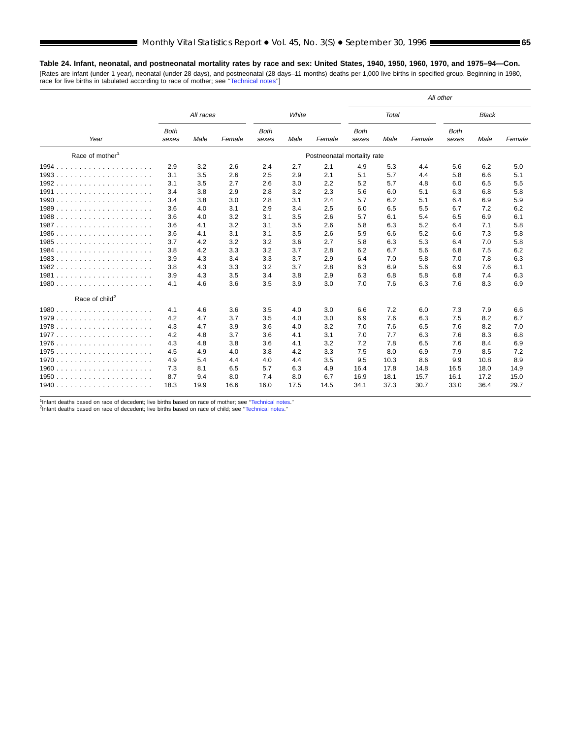## **Table 24. Infant, neonatal, and postneonatal mortality rates by race and sex: United States, 1940, 1950, 1960, 1970, and 1975–94—Con.**

[Rates are infant (under 1 year), neonatal (under 28 days), and postneonatal (28 days–11 months) deaths per 1,000 live births in specified group. Beginning in 1980, race for live births in tabulated according to race of mother; see [''Technical notes''](#page-71-0)]

|                             |                      |           |        |                      |       |                             | All other            |       |        |                      |              |        |  |
|-----------------------------|----------------------|-----------|--------|----------------------|-------|-----------------------------|----------------------|-------|--------|----------------------|--------------|--------|--|
|                             |                      | All races |        |                      | White |                             |                      | Total |        |                      | <b>Black</b> |        |  |
| Year                        | <b>Both</b><br>sexes | Male      | Female | <b>Both</b><br>sexes | Male  | Female                      | <b>Both</b><br>sexes | Male  | Female | <b>Both</b><br>sexes | Male         | Female |  |
| Race of mother <sup>1</sup> |                      |           |        |                      |       | Postneonatal mortality rate |                      |       |        |                      |              |        |  |
| 1994.                       | 2.9                  | 3.2       | 2.6    | 2.4                  | 2.7   | 2.1                         | 4.9                  | 5.3   | 4.4    | 5.6                  | 6.2          | 5.0    |  |
| 1993.<br>.                  | 3.1                  | 3.5       | 2.6    | 2.5                  | 2.9   | 2.1                         | 5.1                  | 5.7   | 4.4    | 5.8                  | 6.6          | 5.1    |  |
| 1992<br>.                   | 3.1                  | 3.5       | 2.7    | 2.6                  | 3.0   | 2.2                         | 5.2                  | 5.7   | 4.8    | 6.0                  | 6.5          | 5.5    |  |
| 1991<br>.                   | 3.4                  | 3.8       | 2.9    | 2.8                  | 3.2   | 2.3                         | 5.6                  | 6.0   | 5.1    | 6.3                  | 6.8          | 5.8    |  |
|                             | 3.4                  | 3.8       | 3.0    | 2.8                  | 3.1   | 2.4                         | 5.7                  | 6.2   | 5.1    | 6.4                  | 6.9          | 5.9    |  |
|                             | 3.6                  | 4.0       | 3.1    | 2.9                  | 3.4   | 2.5                         | 6.0                  | 6.5   | 5.5    | 6.7                  | 7.2          | 6.2    |  |
|                             | 3.6                  | 4.0       | 3.2    | 3.1                  | 3.5   | 2.6                         | 5.7                  | 6.1   | 5.4    | 6.5                  | 6.9          | 6.1    |  |
|                             | 3.6                  | 4.1       | 3.2    | 3.1                  | 3.5   | 2.6                         | 5.8                  | 6.3   | 5.2    | 6.4                  | 7.1          | 5.8    |  |
|                             | 3.6                  | 4.1       | 3.1    | 3.1                  | 3.5   | 2.6                         | 5.9                  | 6.6   | 5.2    | 6.6                  | 7.3          | 5.8    |  |
| 1985                        | 3.7                  | 4.2       | 3.2    | 3.2                  | 3.6   | 2.7                         | 5.8                  | 6.3   | 5.3    | 6.4                  | 7.0          | 5.8    |  |
| 1984<br>.                   | 3.8                  | 4.2       | 3.3    | 3.2                  | 3.7   | 2.8                         | 6.2                  | 6.7   | 5.6    | 6.8                  | 7.5          | 6.2    |  |
|                             | 3.9                  | 4.3       | 3.4    | 3.3                  | 3.7   | 2.9                         | 6.4                  | 7.0   | 5.8    | 7.0                  | 7.8          | 6.3    |  |
|                             | 3.8                  | 4.3       | 3.3    | 3.2                  | 3.7   | 2.8                         | 6.3                  | 6.9   | 5.6    | 6.9                  | 7.6          | 6.1    |  |
|                             | 3.9                  | 4.3       | 3.5    | 3.4                  | 3.8   | 2.9                         | 6.3                  | 6.8   | 5.8    | 6.8                  | 7.4          | 6.3    |  |
| 1980.<br>.                  | 4.1                  | 4.6       | 3.6    | 3.5                  | 3.9   | 3.0                         | 7.0                  | 7.6   | 6.3    | 7.6                  | 8.3          | 6.9    |  |
| Race of child <sup>2</sup>  |                      |           |        |                      |       |                             |                      |       |        |                      |              |        |  |
| $1980$ .<br>.               | 4.1                  | 4.6       | 3.6    | 3.5                  | 4.0   | 3.0                         | 6.6                  | 7.2   | 6.0    | 7.3                  | 7.9          | 6.6    |  |
| 1979                        | 4.2                  | 4.7       | 3.7    | 3.5                  | 4.0   | 3.0                         | 6.9                  | 7.6   | 6.3    | 7.5                  | 8.2          | 6.7    |  |
|                             | 4.3                  | 4.7       | 3.9    | 3.6                  | 4.0   | 3.2                         | 7.0                  | 7.6   | 6.5    | 7.6                  | 8.2          | 7.0    |  |
| 1977.                       | 4.2                  | 4.8       | 3.7    | 3.6                  | 4.1   | 3.1                         | 7.0                  | 7.7   | 6.3    | 7.6                  | 8.3          | 6.8    |  |
| 1976                        | 4.3                  | 4.8       | 3.8    | 3.6                  | 4.1   | 3.2                         | 7.2                  | 7.8   | 6.5    | 7.6                  | 8.4          | 6.9    |  |
| 1975<br>.                   | 4.5                  | 4.9       | 4.0    | 3.8                  | 4.2   | 3.3                         | 7.5                  | 8.0   | 6.9    | 7.9                  | 8.5          | 7.2    |  |
| 1970.<br>.                  | 4.9                  | 5.4       | 4.4    | 4.0                  | 4.4   | 3.5                         | 9.5                  | 10.3  | 8.6    | 9.9                  | 10.8         | 8.9    |  |
|                             | 7.3                  | 8.1       | 6.5    | 5.7                  | 6.3   | 4.9                         | 16.4                 | 17.8  | 14.8   | 16.5                 | 18.0         | 14.9   |  |
| 1950<br>.                   | 8.7                  | 9.4       | 8.0    | 7.4                  | 8.0   | 6.7                         | 16.9                 | 18.1  | 15.7   | 16.1                 | 17.2         | 15.0   |  |
|                             | 18.3                 | 19.9      | 16.6   | 16.0                 | 17.5  | 14.5                        | 34.1                 | 37.3  | 30.7   | 33.0                 | 36.4         | 29.7   |  |

<sup>1</sup>Infant deaths based on race of decedent; live births based on race of mother; see "Technical notes."<br><sup>2</sup>Infant deaths based on race of decedent; live births based on race of child; see "Technical notes."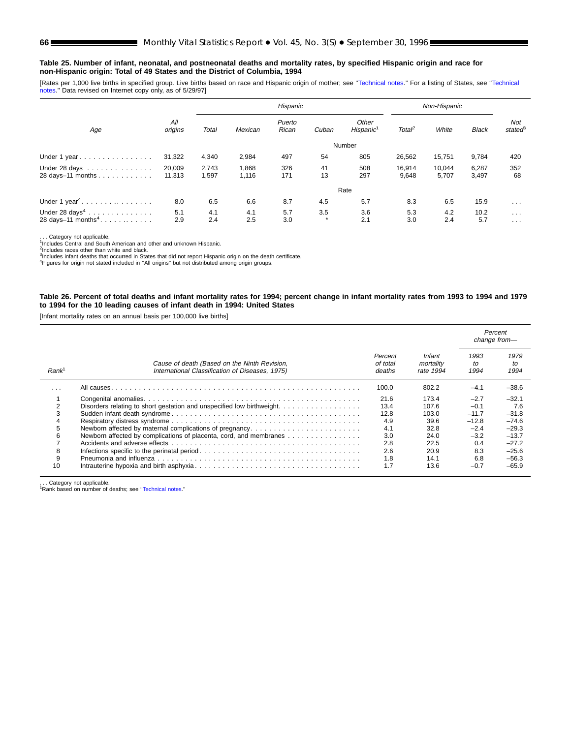#### **Table 25. Number of infant, neonatal, and postneonatal deaths and mortality rates, by specified Hispanic origin and race for non-Hispanic origin: Total of 49 States and the District of Columbia, 1994**

[Rates per 1,000 live births in specified group. Live births based on race and Hispanic origin of mother; see "Technical notes." For a listing of States, see "Technical [notes.''](#page-71-0) Data revised on Internet copy only, as of 5/29/97]

|                                                               |                  |                |                | Hispanic        |                |                                |                    | Non-Hispanic    |                |                                  |
|---------------------------------------------------------------|------------------|----------------|----------------|-----------------|----------------|--------------------------------|--------------------|-----------------|----------------|----------------------------------|
| Age                                                           | All<br>origins   | Total          | Mexican        | Puerto<br>Rican | Cuban          | Other<br>Hispanic <sup>1</sup> | Total <sup>2</sup> | White           | <b>Black</b>   | Not<br>stated <sup>8</sup>       |
|                                                               |                  |                |                |                 |                | Number                         |                    |                 |                |                                  |
| Under 1 year                                                  | 31,322           | 4,340          | 2,984          | 497             | 54             | 805                            | 26,562             | 15,751          | 9,784          | 420                              |
| Under 28 days<br>28 days-11 months                            | 20,009<br>11,313 | 2,743<br>1,597 | 1,868<br>1,116 | 326<br>171      | 41<br>13       | 508<br>297                     | 16.914<br>9,648    | 10.044<br>5,707 | 6,287<br>3,497 | 352<br>68                        |
|                                                               |                  |                |                |                 |                | Rate                           |                    |                 |                |                                  |
| Under $1$ year <sup>4</sup> .                                 | 8.0              | 6.5            | 6.6            | 8.7             | 4.5            | 5.7                            | 8.3                | 6.5             | 15.9           | $\cdot$ $\cdot$ $\cdot$          |
| Under $28 \text{ days}^4$<br>28 days-11 months <sup>4</sup> . | 5.1<br>2.9       | 4.1<br>2.4     | 4.1<br>2.5     | 5.7<br>3.0      | 3.5<br>$\star$ | 3.6<br>2.1                     | 5.3<br>3.0         | 4.2<br>2.4      | 10.2<br>5.7    | $\sim$ $\sim$ $\sim$<br>$\cdots$ |

. . . Category not applicable. 1Includes Central and South American and other and unknown Hispanic.

<sup>2</sup>Includes races other than white and black.<br><sup>3</sup>Includes infant deaths that occurred in States that did not report Hispanic origin on the death certificate.<br><sup>4</sup>Figures for origin not stated included in "All origins" but n

#### **Table 26. Percent of total deaths and infant mortality rates for 1994; percent change in infant mortality rates from 1993 to 1994 and 1979 to 1994 for the 10 leading causes of infant death in 1994: United States**

[Infant mortality rates on an annual basis per 100,000 live births]

|                   |                                                                                                 |                               |                                  |                    | Percent<br>change from- |
|-------------------|-------------------------------------------------------------------------------------------------|-------------------------------|----------------------------------|--------------------|-------------------------|
| Rank <sup>1</sup> | Cause of death (Based on the Ninth Revision,<br>International Classification of Diseases, 1975) | Percent<br>of total<br>deaths | Infant<br>mortality<br>rate 1994 | 1993<br>to<br>1994 | 1979<br>to<br>1994      |
| $\cdots$          |                                                                                                 | 100.0                         | 802.2                            | $-4.1$             | $-38.6$                 |
|                   |                                                                                                 | 21.6                          | 173.4                            | $-2.7$             | $-32.1$                 |
|                   | Disorders relating to short gestation and unspecified low birthweight.                          | 13.4                          | 107.6                            | $-0.1$             | 7.6                     |
|                   |                                                                                                 | 12.8                          | 103.0                            | $-11.7$            | $-31.8$                 |
|                   |                                                                                                 | 4.9                           | 39.6                             | $-12.8$            | $-74.6$                 |
|                   | Newborn affected by maternal complications of pregnancy                                         | 4.1                           | 32.8                             | $-2.4$             | $-29.3$                 |
|                   | Newborn affected by complications of placenta, cord, and membranes                              | 3.0                           | 24.0                             | $-3.2$             | $-13.7$                 |
|                   |                                                                                                 | 2.8                           | 22.5                             | 0.4                | $-27.2$                 |
| 8                 |                                                                                                 | 2.6                           | 20.9                             | 8.3                | $-25.6$                 |
| 9                 |                                                                                                 | 1.8                           | 14.1                             | 6.8                | $-56.3$                 |
| 10                |                                                                                                 | 1.7                           | 13.6                             | $-0.7$             | $-65.9$                 |

. . . Category not applicable. 1Rank based on number of deaths; see [''Technical notes](#page-71-0).''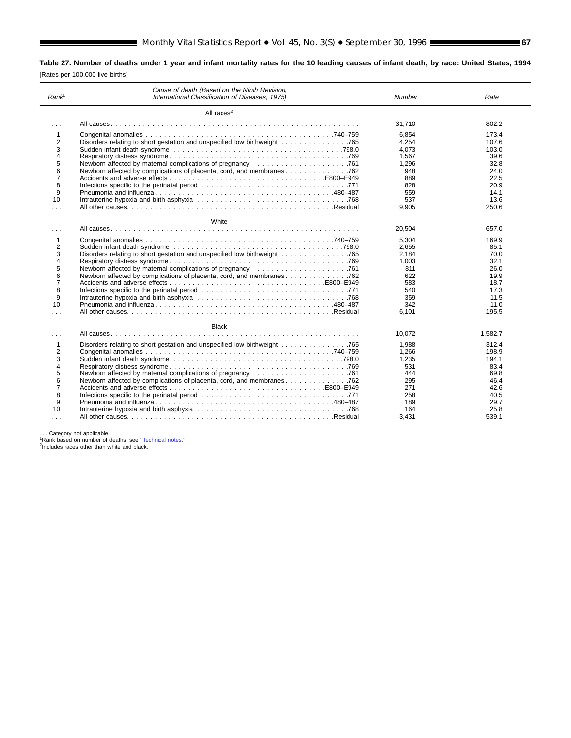**Table 27. Number of deaths under 1 year and infant mortality rates for the 10 leading causes of infant death, by race: United States, 1994** [Rates per 100,000 live births]

| Rank <sup>1</sup> | Cause of death (Based on the Ninth Revision,<br>International Classification of Diseases, 1975) | Number | Rate    |
|-------------------|-------------------------------------------------------------------------------------------------|--------|---------|
|                   | All races $2$                                                                                   |        |         |
| $\cdots$          |                                                                                                 | 31,710 | 802.2   |
| 1                 |                                                                                                 | 6.854  | 173.4   |
| 2                 |                                                                                                 | 4.254  | 107.6   |
| 3                 |                                                                                                 | 4.073  | 103.0   |
| 4                 |                                                                                                 | 1.567  | 39.6    |
| 5                 |                                                                                                 | 1.296  | 32.8    |
| 6                 |                                                                                                 | 948    | 24.0    |
| $\overline{7}$    |                                                                                                 | 889    | 22.5    |
| 8                 |                                                                                                 | 828    | 20.9    |
| 9                 |                                                                                                 | 559    | 14.1    |
| 10                |                                                                                                 | 537    | 13.6    |
| $\cdots$          |                                                                                                 | 9.905  | 250.6   |
|                   | White                                                                                           |        |         |
| .                 |                                                                                                 | 20,504 | 657.0   |
| 1                 |                                                                                                 | 5.304  | 169.9   |
| 2                 |                                                                                                 | 2.655  | 85.1    |
| 3                 |                                                                                                 | 2.184  | 70.0    |
| 4                 |                                                                                                 | 1.003  | 32.1    |
| 5                 |                                                                                                 | 811    | 26.0    |
| 6                 | Newborn affected by complications of placenta, cord, and membranes 762                          | 622    | 19.9    |
| $\overline{7}$    |                                                                                                 | 583    | 18.7    |
| 8                 |                                                                                                 | 540    | 17.3    |
| 9                 |                                                                                                 | 359    | 11.5    |
| 10                |                                                                                                 | 342    | 11.0    |
|                   |                                                                                                 |        |         |
|                   |                                                                                                 | 6.101  | 195.5   |
|                   | <b>Black</b>                                                                                    |        |         |
| $\cdots$          |                                                                                                 | 10,072 | 1,582.7 |
| 1                 | Disorders relating to short gestation and unspecified low birthweight 765                       | 1.988  | 312.4   |
| 2                 |                                                                                                 | 1,266  | 198.9   |
| 3                 |                                                                                                 | 1.235  | 194.1   |
| 4                 |                                                                                                 | 531    | 83.4    |
| 5                 |                                                                                                 | 444    | 69.8    |
| 6                 | Newborn affected by complications of placenta, cord, and membranes 762                          | 295    | 46.4    |
| 7                 |                                                                                                 | 271    | 42.6    |
| 8                 |                                                                                                 | 258    | 40.5    |
| 9                 |                                                                                                 |        |         |
|                   |                                                                                                 | 189    | 29.7    |
| 10                |                                                                                                 | 164    | 25.8    |
|                   |                                                                                                 | 3,431  | 539.1   |

. . . Category not applicable.<br><sup>1</sup>Rank based on number of deaths; see '['Technical notes.](#page-71-0)''<br><sup>2</sup>Includes races other than white and black.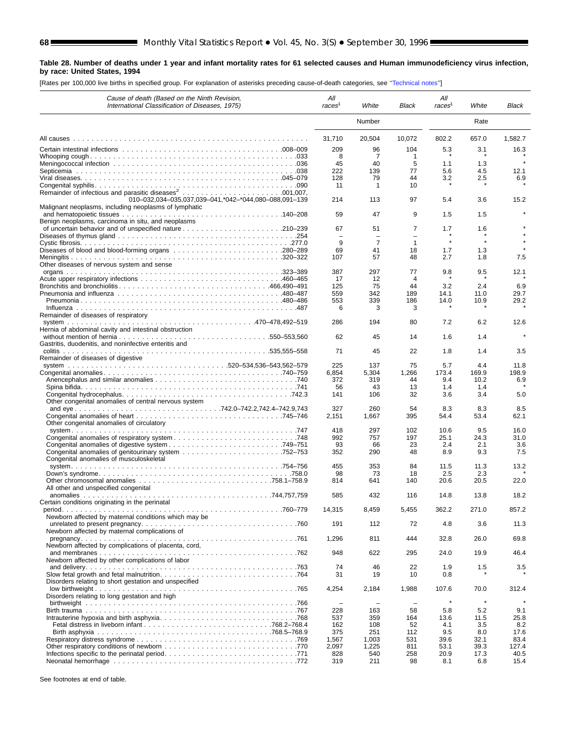2

#### **Table 28. Number of deaths under 1 year and infant mortality rates for 61 selected causes and Human immunodeficiency virus infection, by race: United States, 1994**

[Rates per 100,000 live births in specified group. For explanation of asterisks preceding cause-of-death categories, see [''Technical notes''](#page-71-0)]

| Cause of death (Based on the Ninth Revision,<br>International Classification of Diseases, 1975) | All<br>races <sup>1</sup>     | White                      | Black                    | All<br>races <sup>1</sup> | White        | Black       |
|-------------------------------------------------------------------------------------------------|-------------------------------|----------------------------|--------------------------|---------------------------|--------------|-------------|
|                                                                                                 |                               | Number                     |                          |                           | Rate         |             |
|                                                                                                 | 31,710                        | 20,504                     | 10,072                   | 802.2                     | 657.0        | 1,582.7     |
|                                                                                                 | 209                           | 96                         | 104                      | 5.3                       | 3.1          | 16.3        |
|                                                                                                 | 8                             | 7                          | 1                        |                           |              |             |
|                                                                                                 | 45<br>222                     | 40<br>139                  | 5<br>77                  | 1.1<br>5.6                | 1.3          |             |
|                                                                                                 | 128                           | 79                         | 44                       | 3.2                       | 4.5<br>2.5   | 12.1<br>6.9 |
|                                                                                                 | 11                            | $\mathbf{1}$               | 10                       |                           |              |             |
|                                                                                                 |                               |                            |                          |                           |              |             |
| 010-032,034-035,037,039-041,*042-*044,080-088,091-139                                           | 214                           | 113                        | 97                       | 5.4                       | 3.6          | 15.2        |
| Malignant neoplasms, including neoplasms of lymphatic                                           | 59                            | 47                         | 9                        | 1.5                       | 1.5          |             |
| Benign neoplasms, carcinoma in situ, and neoplasms                                              |                               |                            |                          |                           |              |             |
|                                                                                                 | 67                            | 51                         | 7                        | 1.7                       | 1.6          |             |
|                                                                                                 | $\overline{\phantom{0}}$<br>9 | $\equiv$<br>$\overline{7}$ | $\equiv$<br>$\mathbf{1}$ |                           |              |             |
|                                                                                                 | 69                            | 41                         | 18                       | 1.7                       | 1.3          |             |
|                                                                                                 | 107                           | 57                         | 48                       | 2.7                       | 1.8          | 7.5         |
| Other diseases of nervous system and sense                                                      |                               |                            |                          |                           |              |             |
|                                                                                                 | 387                           | 297                        | 77                       | 9.8                       | 9.5          | 12.1        |
|                                                                                                 | 17<br>125                     | 12<br>75                   | 4<br>44                  | 3.2                       | 2.4          | 6.9         |
|                                                                                                 | 559                           | 342                        | 189                      | 14.1                      | 11.0         | 29.7        |
|                                                                                                 | 553                           | 339                        | 186                      | 14.0                      | 10.9         | 29.2        |
|                                                                                                 | 6                             | 3                          | 3                        |                           |              |             |
| Remainder of diseases of respiratory                                                            | 286                           | 194                        | 80                       | 7.2                       | 6.2          | 12.6        |
| Hernia of abdominal cavity and intestinal obstruction                                           |                               |                            |                          |                           |              |             |
|                                                                                                 | 62                            | 45                         | 14                       | 1.6                       | 1.4          |             |
| Gastritis, duodenitis, and noninfective enteritis and                                           |                               |                            |                          |                           |              |             |
| Remainder of diseases of digestive                                                              | 71                            | 45                         | 22                       | 1.8                       | 1.4          | 3.5         |
|                                                                                                 | 225                           | 137                        | 75                       | 5.7                       | 4.4          | 11.8        |
|                                                                                                 | 6,854                         | 5,304                      | 1,266                    | 173.4                     | 169.9        | 198.9       |
|                                                                                                 | 372                           | 319                        | 44                       | 9.4                       | 10.2         | 6.9         |
|                                                                                                 | 56<br>141                     | 43<br>106                  | 13<br>32                 | 1.4<br>3.6                | 1.4<br>3.4   | 5.0         |
| Other congenital anomalies of central nervous system                                            |                               |                            |                          |                           |              |             |
|                                                                                                 | 327                           | 260                        | 54                       | 8.3                       | 8.3          | 8.5         |
|                                                                                                 | 2,151                         | 1,667                      | 395                      | 54.4                      | 53.4         | 62.1        |
| Other congenital anomalies of circulatory                                                       | 418                           | 297                        | 102                      | 10.6                      | 9.5          | 16.0        |
|                                                                                                 | 992                           | 757                        | 197                      | 25.1                      | 24.3         | 31.0        |
|                                                                                                 | 93                            | 66                         | 23                       | 2.4                       | 2.1          | 3.6         |
|                                                                                                 | 352                           | 290                        | 48                       | 8.9                       | 9.3          | 7.5         |
| Congenital anomalies of musculoskeletal                                                         |                               |                            | 84                       |                           |              |             |
|                                                                                                 | 455<br>98                     | 353<br>73                  | 18                       | 11.5<br>2.5               | 11.3<br>2.3  | 13.2        |
|                                                                                                 | 814                           | 641                        | 140                      | 20.6                      | 20.5         | 22.0        |
| All other and unspecified congenital                                                            |                               |                            |                          |                           |              |             |
|                                                                                                 | 585                           | 432                        | 116                      | 14.8                      | 13.8         | 18.2        |
| Certain conditions originating in the perinatal                                                 | 14,315                        | 8,459                      | 5,455                    | 362.2                     | 271.0        | 857.2       |
| Newborn affected by maternal conditions which may be                                            |                               |                            |                          |                           |              |             |
|                                                                                                 | 191                           | 112                        | 72                       | 4.8                       | 3.6          | 11.3        |
| Newborn affected by maternal complications of                                                   |                               |                            |                          |                           |              |             |
| Newborn affected by complications of placenta, cord,                                            | 1,296                         | 811                        | 444                      | 32.8                      | 26.0         | 69.8        |
|                                                                                                 | 948                           | 622                        | 295                      | 24.0                      | 19.9         | 46.4        |
| Newborn affected by other complications of labor                                                |                               |                            |                          |                           |              |             |
|                                                                                                 | 74                            | 46                         | 22                       | 1.9                       | 1.5          | 3.5         |
| Disorders relating to short gestation and unspecified                                           | 31                            | 19                         | 10                       | 0.8                       |              |             |
|                                                                                                 | 4,254                         | 2,184                      | 1,988                    | 107.6                     | 70.0         | 312.4       |
| Disorders relating to long gestation and high                                                   |                               |                            |                          |                           |              |             |
|                                                                                                 |                               | $\overline{\phantom{0}}$   | $\overline{\phantom{0}}$ | $\star$                   | $\pmb{\ast}$ |             |
|                                                                                                 | 228<br>537                    | 163<br>359                 | 58<br>164                | 5.8<br>13.6               | 5.2<br>11.5  | 9.1<br>25.8 |
|                                                                                                 | 162                           | 108                        | 52                       | 4.1                       | 3.5          | 8.2         |
|                                                                                                 | 375                           | 251                        | 112                      | 9.5                       | 8.0          | 17.6        |
|                                                                                                 | 1,567                         | 1,003                      | 531                      | 39.6                      | 32.1         | 83.4        |
|                                                                                                 | 2,097                         | 1,225                      | 811                      | 53.1                      | 39.3         | 127.4       |
|                                                                                                 | 828                           | 540                        | 258                      | 20.9                      | 17.3         | 40.5        |
|                                                                                                 | 319                           | 211                        | 98                       | 8.1                       | 6.8          | 15.4        |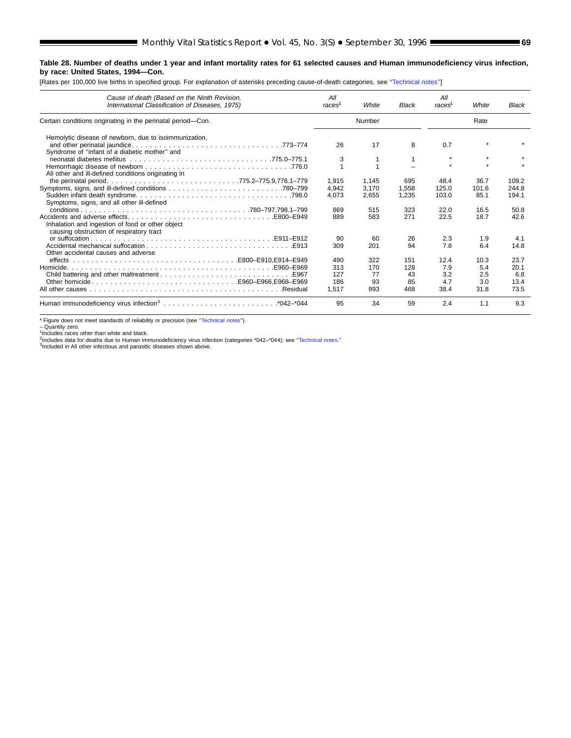# **Table 28. Number of deaths under 1 year and infant mortality rates for 61 selected causes and Human immunodeficiency virus infection, by race: United States, 1994—Con.**

[Rates per 100,000 live births in specified group. For explanation of asterisks preceding cause-of-death categories, see [''Technical notes''](#page-71-0)]

| Cause of death (Based on the Ninth Revision,<br>International Classification of Diseases, 1975) | All<br>races <sup>1</sup> | White  | <b>Black</b> | All<br>races | White | Black |
|-------------------------------------------------------------------------------------------------|---------------------------|--------|--------------|--------------|-------|-------|
| Certain conditions originating in the perinatal period-Con.                                     |                           | Number |              |              | Rate  |       |
| Hemolytic disease of newborn, due to isoimmunization,                                           |                           |        |              |              |       |       |
| Syndrome of "infant of a diabetic mother" and                                                   | 26                        | 17     | 8            | 0.7          |       |       |
|                                                                                                 | 3                         |        |              | $\star$      |       |       |
|                                                                                                 |                           |        |              |              |       |       |
| All other and ill-defined conditions originating in                                             |                           |        |              |              |       |       |
|                                                                                                 | 1.915                     | 1.145  | 695          | 48.4         | 36.7  | 109.2 |
|                                                                                                 | 4.942                     | 3.170  | 1.558        | 125.0        | 101.6 | 244.8 |
|                                                                                                 | 4.073                     | 2,655  | 1,235        | 103.0        | 85.1  | 194.1 |
| Symptoms, signs, and all other ill-defined                                                      |                           |        |              |              |       |       |
|                                                                                                 | 869                       | 515    | 323          | 22.0         | 16.5  | 50.8  |
|                                                                                                 | 889                       | 583    | 271          | 22.5         | 18.7  | 42.6  |
| Inhalation and ingestion of food or other object<br>causing obstruction of respiratory tract    |                           |        |              |              |       |       |
|                                                                                                 | 90                        | 60     | 26           | 2.3          | 1.9   | 4.1   |
|                                                                                                 | 309                       | 201    | 94           | 7.8          | 6.4   | 14.8  |
| Other accidental causes and adverse                                                             |                           |        |              |              |       |       |
|                                                                                                 | 490                       | 322    | 151          | 12.4         | 10.3  | 23.7  |
|                                                                                                 | 313                       | 170    | 128          | 7.9          | 5.4   | 20.1  |
|                                                                                                 | 127                       | 77     | 43           | 3.2          | 2.5   | 6.8   |
|                                                                                                 | 186                       | 93     | 85           | 4.7          | 3.0   | 13.4  |
|                                                                                                 | 1.517                     | 993    | 468          | 38.4         | 31.8  | 73.5  |
|                                                                                                 | 95                        | 34     | 59           | 2.4          | 1.1   | 9.3   |

\* Figure does not meet standards of reliability or precision (see '['Technical notes'](#page-71-0)').

– Quantity zero.<br><sup>1</sup>Includes races other than white and black.<br><sup>2</sup>Includes data for deaths due to Human immunodeficiency virus infection (categories \*042–\*044); see "Technical notes."<br><sup>2</sup>Included in All other infectious an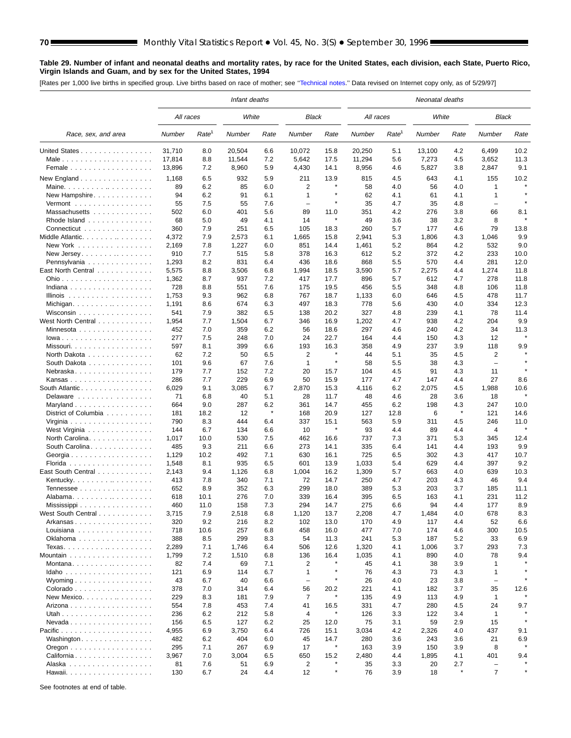#### **Table 29. Number of infant and neonatal deaths and mortality rates, by race for the United States, each division, each State, Puerto Rico, Virgin Islands and Guam, and by sex for the United States, 1994**

[Rates per 1,000 live births in specified group. Live births based on race of mother; see [''Technical notes.](#page-71-0)'' Data revised on Internet copy only, as of 5/29/97]

|                                              |           |                   | Infant deaths |         |                          |                      |           |                   | Neonatal deaths |         |                          |      |
|----------------------------------------------|-----------|-------------------|---------------|---------|--------------------------|----------------------|-----------|-------------------|-----------------|---------|--------------------------|------|
|                                              | All races |                   | White         |         | <b>Black</b>             |                      | All races |                   | White           |         | Black                    |      |
| Race, sex, and area                          | Number    | Rate <sup>1</sup> | Number        | Rate    | Number                   | Rate                 | Number    | Rate <sup>1</sup> | Number          | Rate    | Number                   | Rate |
| United States                                | 31,710    | 8.0               | 20,504        | 6.6     | 10,072                   | 15.8                 | 20,250    | 5.1               | 13,100          | 4.2     | 6,499                    | 10.2 |
| Male                                         | 17,814    | 8.8               | 11,544        | 7.2     | 5,642                    | 17.5                 | 11,294    | 5.6               | 7,273           | 4.5     | 3,652                    | 11.3 |
| Female                                       | 13,896    | 7.2               | 8,960         | 5.9     | 4,430                    | 14.1                 | 8,956     | 4.6               | 5,827           | 3.8     | 2,847                    | 9.1  |
| New England $\ldots$                         | 1,168     | 6.5               | 932           | 5.9     | 211                      | 13.9                 | 815       | 4.5               | 643             | 4.1     | 155                      | 10.2 |
|                                              | 89        | 6.2               | 85            | 6.0     | 2                        |                      | 58        | 4.0               | 56              | 4.0     | 1                        |      |
| New Hampshire                                | 94        | 6.2               | 91            | 6.1     | $\mathbf{1}$             | $\star$              | 62        | 4.1               | 61              | 4.1     | 1                        |      |
| Vermont                                      | 55        | 7.5               | 55            | 7.6     | $\overline{\phantom{0}}$ |                      | 35        | 4.7               | 35              | 4.8     | $\overline{\phantom{0}}$ |      |
| Massachusetts                                | 502       | 6.0               | 401           | 5.6     | 89                       | 11.0                 | 351       | 4.2               | 276             | 3.8     | 66                       | 8.1  |
| Rhode Island                                 | 68        | 5.0               | 49            | 4.1     | 14                       | $\pmb{\ast}$         | 49        | 3.6               | 38              | 3.2     | 8                        |      |
| Connecticut                                  | 360       | 7.9               | 251           | 6.5     | 105                      | 18.3                 | 260       | 5.7               | 177             | 4.6     | 79                       | 13.8 |
| Middle Atlantic.                             | 4,372     | 7.9               | 2,573         | 6.1     | 1,665                    | 15.8                 | 2,941     | 5.3               | 1,806           | 4.3     | 1,046                    | 9.9  |
| New York                                     | 2,169     | 7.8               | 1,227         | 6.0     | 851                      | 14.4                 | 1,461     | 5.2               | 864             | 4.2     | 532                      | 9.0  |
| New Jersey.                                  | 910       | 7.7               | 515           | 5.8     | 378                      | 16.3                 | 612       | 5.2               | 372             | 4.2     | 233                      | 10.0 |
| Pennsylvania                                 | 1,293     | 8.2               | 831           | 6.4     | 436                      | 18.6                 | 868       | 5.5               | 570             | 4.4     | 281                      | 12.0 |
| East North Central                           | 5,575     | 8.8               | 3,506         | 6.8     | 1,994                    | 18.5                 | 3,590     | 5.7               | 2,275           | 4.4     | 1,274                    | 11.8 |
|                                              | 1,362     | 8.7               | 937           | 7.2     | 417                      | 17.7                 | 896       | 5.7               | 612             | 4.7     | 278                      | 11.8 |
| Indiana                                      | 728       | 8.8               | 551           | 7.6     | 175                      | 19.5                 | 456       | 5.5               | 348             | 48      | 106                      | 11.8 |
|                                              | 1,753     | 93                | 962           | 6.8     | 767                      | 18.7                 | 1,133     | 6.0               | 646             | 45      | 478                      | 11.7 |
| Michigan. $\ldots$                           | 1,191     | 8.6               | 674           | 6.3     | 497                      | 18.3                 | 778       | 5.6               | 430             | 4.0     | 334                      | 12.3 |
| Wisconsin                                    | 541       | 7.9               | 382           | 6.5     | 138                      | 20.2                 | 327       | 4.8               | 239             | 4.1     | 78                       | 11.4 |
| West North Central                           | 1,954     | 7.7               | 1,504         | 6.7     | 346                      | 16.9                 | 1,202     | 4.7               | 938             | 4.2     | 204                      | 9.9  |
| Minnesota                                    | 452       | 7.0               | 359           | 6.2     | 56                       | 18.6                 | 297       | 4.6               | 240             | 4.2     | 34                       | 11.3 |
| $Iowa$                                       | 277       | 7.5               | 248           | 7.0     | 24                       | 22.7                 | 164       | 4.4               | 150             | 4.3     | 12                       |      |
| Missouri                                     | 597       | 8.1               | 399           | 6.6     | 193                      | 16.3                 | 358       | 4.9               | 237             | 3.9     | 118                      | 9.9  |
| North Dakota                                 | 62        | 7.2               | 50            | 6.5     | 2                        |                      | 44        | 5.1               | 35              | 4.5     | 2                        |      |
| South Dakota                                 | 101       | 9.6               | 67            | 7.6     | $\mathbf{1}$             | $\star$              | 58        | 5.5               | 38              | 4.3     | $\overline{\phantom{a}}$ |      |
| Nebraska                                     | 179       | 7.7               | 152           | 7.2     | 20                       | 15.7                 | 104       | 4.5               | 91              | 4.3     | 11                       |      |
| Kansas                                       | 286       | 7.7               | 229           | 6.9     | 50                       | 15.9                 | 177       | 4.7               | 147             | 4.4     | 27                       | 8.6  |
| South Atlantic.                              | 6,029     | 9.1               | 3,085         | 6.7     | 2,870                    | 15.3                 | 4,116     | 6.2               | 2,075           | 4.5     | 1,988                    | 10.6 |
| Delaware                                     | 71        | 6.8               | 40            | 5.1     | 28                       | 11.7                 | 48        | 4.6               | 28              | 3.6     | 18                       |      |
| Maryland                                     | 664       | 9.0               | 287           | 6.2     | 361                      | 14.7                 | 455       | 6.2               | 198             | 43      | 247                      | 10.0 |
| District of Columbia                         | 181       | 18.2              | 12            | $\star$ | 168                      | 20.9                 | 127       | 12.8              | 6               | $\star$ | 121                      | 14.6 |
|                                              | 790       | 8.3               | 444           | 6.4     | 337                      | 15.1                 | 563       | 5.9               | 311             | 4.5     | 246                      | 11.0 |
| West Virginia                                | 144       | 6.7               | 134           | 6.6     | 10                       | $\pmb{\ast}$         | 93        | 4.4               | 89              | 4.4     | $\overline{4}$           |      |
| North Carolina.                              | 1,017     | 10.0              | 530           | 7.5     | 462                      | 16.6                 | 737       | 7.3               | 371             | 5.3     | 345                      | 12.4 |
| South Carolina                               | 485       | 9.3               | 211           | 6.6     | 273                      | 14.1                 | 335       | 6.4               | 141             | 4.4     | 193                      | 9.9  |
| Georgia                                      | 1,129     | 10.2              | 492           | 7.1     | 630                      | 16.1                 | 725       | 6.5               | 302             | 4.3     | 417                      | 10.7 |
| Florida                                      | 1,548     | 8.1               | 935           | 6.5     | 601                      | 13.9                 | 1,033     | 5.4               | 629             | 4.4     | 397                      | 9.2  |
| East South Central                           | 2,143     | 9.4               | 1,126         | 6.8     | 1,004                    | 16.2                 | 1,309     | 5.7               | 663             | 4.0     | 639                      | 10.3 |
| Kentucky.                                    | 413       | 7.8               | 340           | 7.1     | 72                       | 14.7                 | 250       | 4.7               | 203             | 4.3     | 46                       | 9.4  |
| Tennessee                                    | 652       | 8.9               | 352           | 6.3     | 299                      | 18.0                 | 389       | 5.3               | 203             | 3.7     | 185                      | 11.1 |
| Alabama.                                     | 618       | 10.1              | 276           | 7.0     | 339                      | 16.4                 | 395       | 6.5               | 163             | 4.1     | 231                      | 11.2 |
| Mississippi                                  | 460       | 11.0              | 158           | 7.3     | 294                      | 14.7                 | 275       | 6.6               | 94              | 4.4     | 177                      | 8.9  |
| West South Central                           | 3,715     | 7.9               | 2,518         | 6.8     | 1,120                    | 13.7                 | 2,208     | 4.7               | 1,484           | 4.0     | 678                      | 8.3  |
| Arkansas                                     | 320       | 9.2               | 216           | 8.2     | 102                      | 13.0                 | 170       | 4.9               | 117             | 4.4     | 52                       | 6.6  |
| Louisiana                                    | 718       | 10.6              | 257           | 6.8     | 458                      | 16.0                 | 477       | 7.0               | 174             | 4.6     | 300                      | 10.5 |
| Oklahoma                                     | 388       | 8.5               | 299           | 8.3     | 54                       | 11.3                 | 241       | 5.3               | 187             | 5.2     | 33                       | 6.9  |
|                                              | 2,289     | 7.1               | 1,746         | 6.4     | 506                      | 12.6                 | 1,320     | 4.1               | 1,006           | 3.7     | 293                      | 7.3  |
| Mountain                                     | 1,799     | 7.2               | 1,510         | 6.8     | 136                      | 16.4                 | 1,035     | 4.1               | 890             | 4.0     | 78                       | 9.4  |
| Montana                                      | 82        | 7.4               | 69            | 7.1     | 2                        | $\pmb{\ast}$         | 45        | 4.1               | 38              | 3.9     | $\mathbf{1}$             |      |
| Idaho                                        | 121       | 6.9               | 114           | 6.7     | $\mathbf{1}$             | $\pmb{\ast}$         | 76        | 4.3               | 73              | 4.3     | 1                        |      |
| Wyoming $\ldots \ldots \ldots \ldots \ldots$ | 43        | 6.7               | 40            | 6.6     | $\qquad \qquad -$        |                      | 26        | 4.0               | 23              | 3.8     | $\overline{\phantom{m}}$ |      |
| Colorado                                     | 378       | 7.0               | 314           | 6.4     | 56                       | 20.2                 | 221       | 4.1               | 182             | 3.7     | 35                       | 12.6 |
| New Mexico.                                  | 229       | 8.3               | 181           | 7.9     | $\overline{7}$           | $\pmb{\ast}$         | 135       | 4.9               | 113             | 4.9     | $\mathbf{1}$             |      |
| Arizona                                      | 554       | 7.8               | 453           | 7.4     | 41                       | 16.5                 | 331       | 4.7               | 280             | 4.5     | 24                       | 9.7  |
|                                              | 236       | 6.2               | 212           | 5.8     | 4                        | $\ast$               | 126       | 3.3               | 122             | 3.4     | $\mathbf{1}$             |      |
| $N$ evada                                    | 156       | 6.5               | 127           | 6.2     | 25                       | 12.0                 | 75        | 3.1               | 59              | 2.9     | 15                       |      |
|                                              | 4,955     | 6.9               | 3,750         | 6.4     | 726                      | 15.1                 | 3,034     | 4.2               | 2,326           | 4.0     | 437                      | 9.1  |
| Washington.                                  | 482       | 6.2               | 404           | 6.0     | 45                       | 14.7                 | 280       | 3.6               | 243             | 3.6     | 21                       | 6.9  |
| Oregon $\ldots \ldots \ldots \ldots \ldots$  | 295       | 7.1               | 267           | 6.9     | 17                       | $\star$              | 163       | 3.9               | 150             | 3.9     | 8                        |      |
| California                                   | 3,967     | 7.0               | 3,004         | 6.5     | 650                      | 15.2<br>$\pmb{\ast}$ | 2,480     | 4.4               | 1,895           | 4.1     | 401                      | 9.4  |
| Alaska                                       | 81        | 7.6               | 51            | 6.9     | 2                        | $\pmb{\ast}$         | 35        | 3.3               | 20              | 2.7     | -                        |      |
|                                              | 130       | 6.7               | 24            | 4.4     | 12                       |                      | 76        | 3.9               | 18              | $\ast$  | 7                        |      |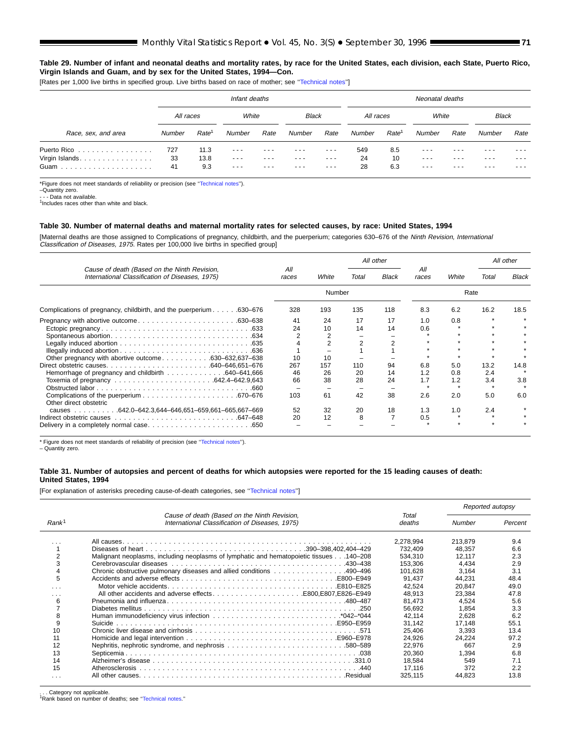#### **Table 29. Number of infant and neonatal deaths and mortality rates, by race for the United States, each division, each State, Puerto Rico, Virgin Islands and Guam, and by sex for the United States, 1994—Con.**

[Rates per 1,000 live births in specified group. Live births based on race of mother; see "Technical notes"]

|                     |           |                   | Infant deaths                                                                                  |      |              |          |           |                   | Neonatal deaths                                                                                |       |              |       |
|---------------------|-----------|-------------------|------------------------------------------------------------------------------------------------|------|--------------|----------|-----------|-------------------|------------------------------------------------------------------------------------------------|-------|--------------|-------|
|                     | All races |                   | White                                                                                          |      | <b>Black</b> |          | All races |                   | White                                                                                          |       | <b>Black</b> |       |
| Race, sex, and area | Number    | Rate <sup>1</sup> | Number                                                                                         | Rate | Number       | Rate     | Number    | Rate <sup>1</sup> | Number                                                                                         | Rate  | Number       | Rate  |
| Puerto Rico         | 727       | 11.3              | ---                                                                                            |      |              | ---      | 549       | 8.5               | - - -                                                                                          |       |              |       |
| Virgin Islands.     | 33        | 13.8              | $  -$                                                                                          |      |              | $\cdots$ | 24        | 10                | ---                                                                                            | - - - | - - -        |       |
|                     | 41        | 9.3               | $\frac{1}{2} \left( \frac{1}{2} \right) \left( \frac{1}{2} \right) \left( \frac{1}{2} \right)$ | ---  | $  -$        | $\cdots$ | 28        | 6.3               | $\frac{1}{2} \left( \frac{1}{2} \right) \left( \frac{1}{2} \right) \left( \frac{1}{2} \right)$ | $  -$ | ---          | $  -$ |

\*Figure does not meet standards of reliability or precision (see [''Technical notes'](#page-71-0)').

–Quantity zero. - Data not available.

# <sup>1</sup>Includes races other than white and black.

#### **Table 30. Number of maternal deaths and maternal mortality rates for selected causes, by race: United States, 1994**

[Maternal deaths are those assigned to Complications of pregnancy, childbirth, and the puerperium; categories 630–676 of the *Ninth Revision, International*<br>*Classification of Diseases, 1975.* Rates per 100,000 live births

|                                                                                                 |              | White  | All other |              |              |       | All other |              |
|-------------------------------------------------------------------------------------------------|--------------|--------|-----------|--------------|--------------|-------|-----------|--------------|
| Cause of death (Based on the Ninth Revision,<br>International Classification of Diseases, 1975) | All<br>races |        | Total     | <b>Black</b> | All<br>races | White | Total     | <b>Black</b> |
|                                                                                                 |              | Number |           |              |              | Rate  |           |              |
| Complications of pregnancy, childbirth, and the puerperium 630–676                              | 328          | 193    | 135       | 118          | 8.3          | 6.2   | 16.2      | 18.5         |
|                                                                                                 | 41           | 24     | 17        | 17           | 1.0          | 0.8   |           |              |
|                                                                                                 | 24           | 10     | 14        | 14           | 0.6          |       |           |              |
|                                                                                                 |              |        |           |              |              |       |           |              |
|                                                                                                 |              |        | 2         |              |              |       |           |              |
|                                                                                                 |              |        |           |              |              |       |           |              |
| Other pregnancy with abortive outcome630–632,637–638                                            | 10           | 10     |           |              |              |       |           |              |
|                                                                                                 | 267          | 157    | 110       | 94           | 6.8          | 5.0   | 13.2      | 14.8         |
|                                                                                                 | 46           | 26     | 20        | 14           | 1.2          | 0.8   | 2.4       |              |
|                                                                                                 | 66           | 38     | 28        | 24           | 1.7          | 1.2   | 3.4       | 3.8          |
|                                                                                                 |              |        |           |              |              |       |           |              |
| Other direct obstetric                                                                          | 103          | 61     | 42        | 38           | 2.6          | 2.0   | 5.0       | 6.0          |
|                                                                                                 | 52           | 32     | 20        | 18           | 1.3          | 1.0   | 2.4       |              |
|                                                                                                 | 20           | 12     | 8         |              | 0.5          |       |           |              |
|                                                                                                 |              |        |           |              |              |       |           |              |

\* Figure does not meet standards of reliability of precision (see [''Technical notes'](#page-71-0)').

– Quantity zero.

#### **Table 31. Number of autopsies and percent of deaths for which autopsies were reported for the 15 leading causes of death: United States, 1994**

[For explanation of asterisks preceding cause-of-death categories, see [''Technical notes'](#page-71-0)']

|                   |                                                                                                 |                 | Reported autopsy |         |
|-------------------|-------------------------------------------------------------------------------------------------|-----------------|------------------|---------|
| Rank <sup>1</sup> | Cause of death (Based on the Ninth Revision,<br>International Classification of Diseases, 1975) | Total<br>deaths | Number           | Percent |
|                   |                                                                                                 | 2,278,994       | 213.879          | 9.4     |
|                   |                                                                                                 | 732.409         | 48.357           | 6.6     |
| 2                 | Malignant neoplasms, including neoplasms of lymphatic and hematopoietic tissues 140-208         | 534.310         | 12.117           | 2.3     |
| 3                 |                                                                                                 | 153.306         | 4.434            | 2.9     |
| 4                 | Chronic obstructive pulmonary diseases and allied conditions 490–496                            | 101.628         | 3,164            | 3.1     |
| 5                 |                                                                                                 | 91.437          | 44.231           | 48.4    |
| .                 |                                                                                                 | 42.524          | 20.847           | 49.0    |
| .                 |                                                                                                 | 48.913          | 23,384           | 47.8    |
| 6                 |                                                                                                 | 81.473          | 4,524            | 5.6     |
|                   |                                                                                                 | 56.692          | 1.854            | 3.3     |
| 8                 |                                                                                                 | 42.114          | 2.628            | 6.2     |
| 9                 |                                                                                                 | 31.142          | 17.148           | 55.1    |
| 10                |                                                                                                 | 25.406          | 3.393            | 13.4    |
| 11                |                                                                                                 | 24.926          | 24,224           | 97.2    |
| 12                |                                                                                                 | 22.976          | 667              | 2.9     |
| 13                |                                                                                                 | 20,360          | 1,394            | 6.8     |
| 14                |                                                                                                 | 18,584          | 549              | 7.1     |
| 15                |                                                                                                 | 17,116          | 372              | 2.2     |
| .                 |                                                                                                 | 325,115         | 44.823           | 13.8    |

. . . Category not applicable. 1Rank based on number of deaths; see [''Technical notes.](#page-71-0)''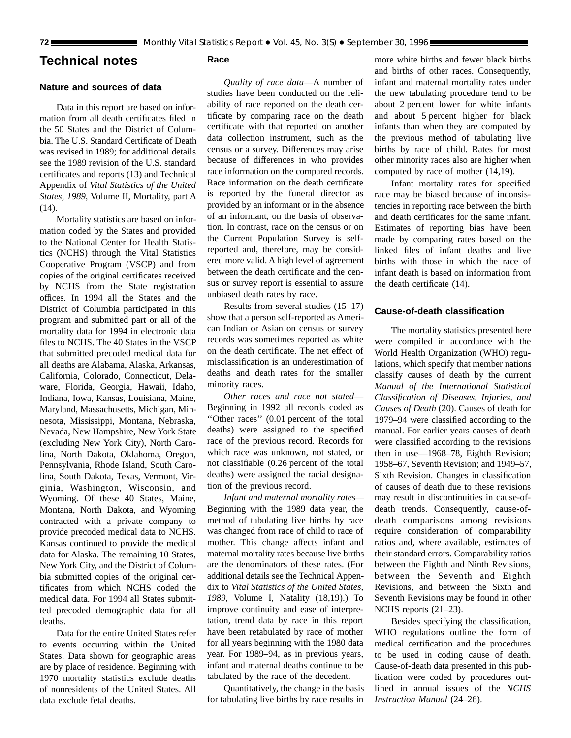# <span id="page-71-0"></span>**Technical notes**

# **Nature and sources of data**

Data in this report are based on information from all death certificates filed in the 50 States and the District of Columbia. The U.S. Standard Certificate of Death was revised in 1989; for additional details see the 1989 revision of the U.S. standard certificates and reports (13) and Technical Appendix of *Vital Statistics of the United States, 1989,* Volume II, Mortality, part A (14).

Mortality statistics are based on information coded by the States and provided to the National Center for Health Statistics (NCHS) through the Vital Statistics Cooperative Program (VSCP) and from copies of the original certificates received by NCHS from the State registration offices. In 1994 all the States and the District of Columbia participated in this program and submitted part or all of the mortality data for 1994 in electronic data files to NCHS. The 40 States in the VSCP that submitted precoded medical data for all deaths are Alabama, Alaska, Arkansas, California, Colorado, Connecticut, Delaware, Florida, Georgia, Hawaii, Idaho, Indiana, Iowa, Kansas, Louisiana, Maine, Maryland, Massachusetts, Michigan, Minnesota, Mississippi, Montana, Nebraska, Nevada, New Hampshire, New York State (excluding New York City), North Carolina, North Dakota, Oklahoma, Oregon, Pennsylvania, Rhode Island, South Carolina, South Dakota, Texas, Vermont, Virginia, Washington, Wisconsin, and Wyoming. Of these 40 States, Maine, Montana, North Dakota, and Wyoming contracted with a private company to provide precoded medical data to NCHS. Kansas continued to provide the medical data for Alaska. The remaining 10 States, New York City, and the District of Columbia submitted copies of the original certificates from which NCHS coded the medical data. For 1994 all States submitted precoded demographic data for all deaths.

Data for the entire United States refer to events occurring within the United States. Data shown for geographic areas are by place of residence. Beginning with 1970 mortality statistics exclude deaths of nonresidents of the United States. All data exclude fetal deaths.

# **Race**

*Quality of race data*—A number of studies have been conducted on the reliability of race reported on the death certificate by comparing race on the death certificate with that reported on another data collection instrument, such as the census or a survey. Differences may arise because of differences in who provides race information on the compared records. Race information on the death certificate is reported by the funeral director as provided by an informant or in the absence of an informant, on the basis of observation. In contrast, race on the census or on the Current Population Survey is selfreported and, therefore, may be considered more valid. A high level of agreement between the death certificate and the census or survey report is essential to assure unbiased death rates by race.

Results from several studies (15–17) show that a person self-reported as American Indian or Asian on census or survey records was sometimes reported as white on the death certificate. The net effect of misclassification is an underestimation of deaths and death rates for the smaller minority races.

*Other races and race not stated*— Beginning in 1992 all records coded as ''Other races'' (0.01 percent of the total deaths) were assigned to the specified race of the previous record. Records for which race was unknown, not stated, or not classifiable (0.26 percent of the total deaths) were assigned the racial designation of the previous record.

*Infant and maternal mortality rates—* Beginning with the 1989 data year, the method of tabulating live births by race was changed from race of child to race of mother. This change affects infant and maternal mortality rates because live births are the denominators of these rates. (For additional details see the Technical Appendix to *Vital Statistics of the United States, 1989,* Volume I, Natality (18,19).) To improve continuity and ease of interpretation, trend data by race in this report have been retabulated by race of mother for all years beginning with the 1980 data year. For 1989–94, as in previous years, infant and maternal deaths continue to be tabulated by the race of the decedent.

Quantitatively, the change in the basis for tabulating live births by race results in

more white births and fewer black births and births of other races. Consequently, infant and maternal mortality rates under the new tabulating procedure tend to be about 2 percent lower for white infants and about 5 percent higher for black infants than when they are computed by the previous method of tabulating live births by race of child. Rates for most other minority races also are higher when computed by race of mother (14,19).

Infant mortality rates for specified race may be biased because of inconsistencies in reporting race between the birth and death certificates for the same infant. Estimates of reporting bias have been made by comparing rates based on the linked files of infant deaths and live births with those in which the race of infant death is based on information from the death certificate (14).

# **Cause-of-death classification**

The mortality statistics presented here were compiled in accordance with the World Health Organization (WHO) regulations, which specify that member nations classify causes of death by the current *Manual of the International Statistical Classification of Diseases, Injuries, and Causes of Death* (20). Causes of death for 1979–94 were classified according to the manual. For earlier years causes of death were classified according to the revisions then in use—1968–78, Eighth Revision; 1958–67, Seventh Revision; and 1949–57, Sixth Revision. Changes in classification of causes of death due to these revisions may result in discontinuities in cause-ofdeath trends. Consequently, cause-ofdeath comparisons among revisions require consideration of comparability ratios and, where available, estimates of their standard errors. Comparability ratios between the Eighth and Ninth Revisions, between the Seventh and Eighth Revisions, and between the Sixth and Seventh Revisions may be found in other NCHS reports (21–23).

Besides specifying the classification, WHO regulations outline the form of medical certification and the procedures to be used in coding cause of death. Cause-of-death data presented in this publication were coded by procedures outlined in annual issues of the *NCHS Instruction Manual* (24–26).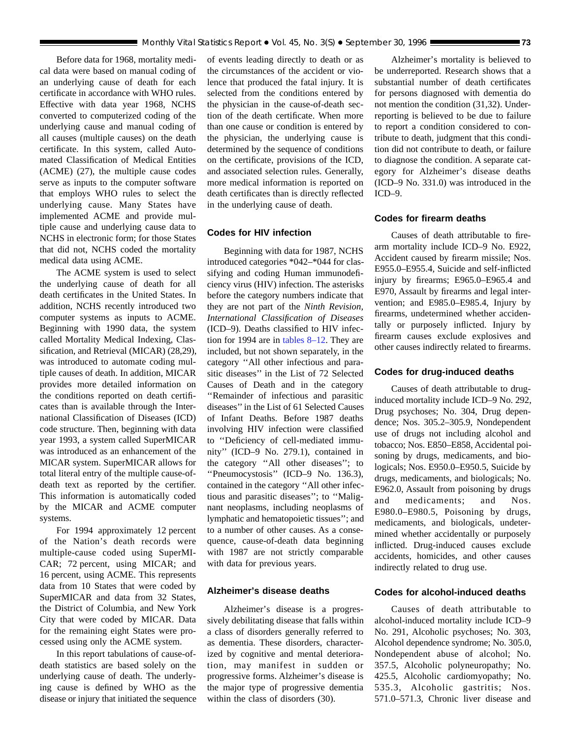Before data for 1968, mortality medical data were based on manual coding of an underlying cause of death for each certificate in accordance with WHO rules. Effective with data year 1968, NCHS converted to computerized coding of the underlying cause and manual coding of all causes (multiple causes) on the death certificate. In this system, called Automated Classification of Medical Entities (ACME) (27), the multiple cause codes serve as inputs to the computer software that employs WHO rules to select the underlying cause. Many States have implemented ACME and provide multiple cause and underlying cause data to NCHS in electronic form; for those States that did not, NCHS coded the mortality medical data using ACME.

The ACME system is used to select the underlying cause of death for all death certificates in the United States. In addition, NCHS recently introduced two computer systems as inputs to ACME. Beginning with 1990 data, the system called Mortality Medical Indexing, Classification, and Retrieval (MICAR) (28,29), was introduced to automate coding multiple causes of death. In addition, MICAR provides more detailed information on the conditions reported on death certificates than is available through the International Classification of Diseases (ICD) code structure. Then, beginning with data year 1993, a system called SuperMICAR was introduced as an enhancement of the MICAR system. SuperMICAR allows for total literal entry of the multiple cause-ofdeath text as reported by the certifier. This information is automatically coded by the MICAR and ACME computer systems.

For 1994 approximately 12 percent of the Nation's death records were multiple-cause coded using SuperMI-CAR; 72 percent, using MICAR; and 16 percent, using ACME. This represents data from 10 States that were coded by SuperMICAR and data from 32 States, the District of Columbia, and New York City that were coded by MICAR. Data for the remaining eight States were processed using only the ACME system.

In this report tabulations of cause-ofdeath statistics are based solely on the underlying cause of death. The underlying cause is defined by WHO as the disease or injury that initiated the sequence of events leading directly to death or as the circumstances of the accident or violence that produced the fatal injury. It is selected from the conditions entered by the physician in the cause-of-death section of the death certificate. When more than one cause or condition is entered by the physician, the underlying cause is determined by the sequence of conditions on the certificate, provisions of the ICD, and associated selection rules. Generally, more medical information is reported on death certificates than is directly reflected in the underlying cause of death.

# **Codes for HIV infection**

Beginning with data for 1987, NCHS introduced categories \*042–\*044 for classifying and coding Human immunodeficiency virus (HIV) infection. The asterisks before the category numbers indicate that they are not part of the *Ninth Revision, International Classification of Diseases* (ICD–9). Deaths classified to HIV infection for 1994 are in [tables 8–12.](#page-33-0) They are included, but not shown separately, in the category ''All other infectious and parasitic diseases'' in the List of 72 Selected Causes of Death and in the category ''Remainder of infectious and parasitic diseases'' in the List of 61 Selected Causes of Infant Deaths. Before 1987 deaths involving HIV infection were classified to ''Deficiency of cell-mediated immunity'' (ICD–9 No. 279.1), contained in the category ''All other diseases''; to ''Pneumocystosis'' (ICD–9 No. 136.3), contained in the category ''All other infectious and parasitic diseases''; to ''Malignant neoplasms, including neoplasms of lymphatic and hematopoietic tissues''; and to a number of other causes. As a consequence, cause-of-death data beginning with 1987 are not strictly comparable with data for previous years.

## **Alzheimer's disease deaths**

Alzheimer's disease is a progressively debilitating disease that falls within a class of disorders generally referred to as dementia. These disorders, characterized by cognitive and mental deterioration, may manifest in sudden or progressive forms. Alzheimer's disease is the major type of progressive dementia within the class of disorders (30).

Alzheimer's mortality is believed to be underreported. Research shows that a substantial number of death certificates for persons diagnosed with dementia do not mention the condition (31,32). Underreporting is believed to be due to failure to report a condition considered to contribute to death, judgment that this condition did not contribute to death, or failure to diagnose the condition. A separate category for Alzheimer's disease deaths (ICD–9 No. 331.0) was introduced in the ICD–9.

### **Codes for firearm deaths**

Causes of death attributable to firearm mortality include ICD–9 No. E922, Accident caused by firearm missile; Nos. E955.0–E955.4, Suicide and self-inflicted injury by firearms; E965.0–E965.4 and E970, Assault by firearms and legal intervention; and E985.0–E985.4, Injury by firearms, undetermined whether accidentally or purposely inflicted. Injury by firearm causes exclude explosives and other causes indirectly related to firearms.

### **Codes for drug-induced deaths**

Causes of death attributable to druginduced mortality include ICD–9 No. 292, Drug psychoses; No. 304, Drug dependence; Nos. 305.2–305.9, Nondependent use of drugs not including alcohol and tobacco; Nos. E850–E858, Accidental poisoning by drugs, medicaments, and biologicals; Nos. E950.0–E950.5, Suicide by drugs, medicaments, and biologicals; No. E962.0, Assault from poisoning by drugs and medicaments; and Nos. E980.0–E980.5, Poisoning by drugs, medicaments, and biologicals, undetermined whether accidentally or purposely inflicted. Drug-induced causes exclude accidents, homicides, and other causes indirectly related to drug use.

## **Codes for alcohol-induced deaths**

Causes of death attributable to alcohol-induced mortality include ICD–9 No. 291, Alcoholic psychoses; No. 303, Alcohol dependence syndrome; No. 305.0, Nondependent abuse of alcohol; No. 357.5, Alcoholic polyneuropathy; No. 425.5, Alcoholic cardiomyopathy; No. 535.3, Alcoholic gastritis; Nos. 571.0–571.3, Chronic liver disease and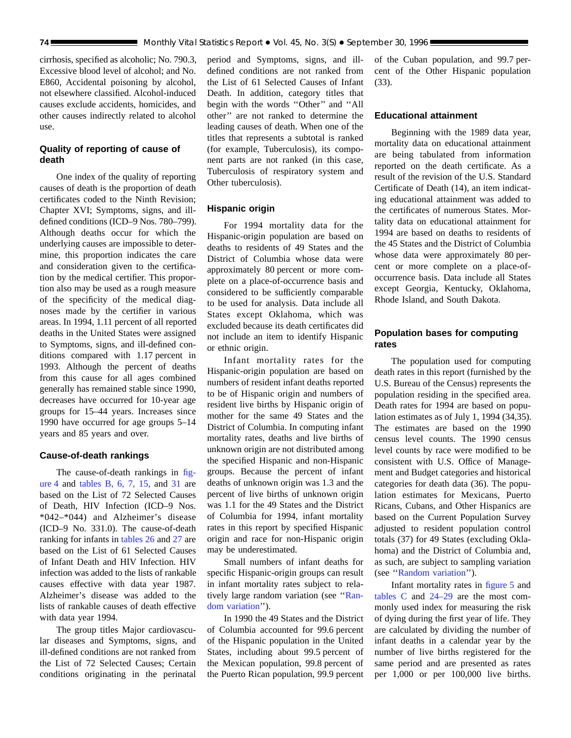cirrhosis, specified as alcoholic; No. 790.3, Excessive blood level of alcohol; and No. E860, Accidental poisoning by alcohol, not elsewhere classified. Alcohol-induced causes exclude accidents, homicides, and other causes indirectly related to alcohol use.

# **Quality of reporting of cause of death**

One index of the quality of reporting causes of death is the proportion of death certificates coded to the Ninth Revision; Chapter XVI; Symptoms, signs, and illdefined conditions (ICD–9 Nos. 780–799). Although deaths occur for which the underlying causes are impossible to determine, this proportion indicates the care and consideration given to the certification by the medical certifier. This proportion also may be used as a rough measure of the specificity of the medical diagnoses made by the certifier in various areas. In 1994, 1.11 percent of all reported deaths in the United States were assigned to Symptoms, signs, and ill-defined conditions compared with 1.17 percent in 1993. Although the percent of deaths from this cause for all ages combined generally has remained stable since 1990, decreases have occurred for 10-year age groups for 15–44 years. Increases since 1990 have occurred for age groups 5–14 years and 85 years and over.

# **Cause-of-death rankings**

The cause-of-death rankings in [fig](#page-7-0)[ure 4](#page-7-0) and [tables B](#page-6-0), [6,](#page-19-0) [7,](#page-22-0) [15,](#page-51-0) and [31](#page-70-0) are based on the List of 72 Selected Causes of Death, HIV Infection (ICD–9 Nos. \*042–\*044) and Alzheimer's disease (ICD–9 No. 331.0). The cause-of-death ranking for infants in [tables 26](#page-65-0) and [27](#page-66-0) are based on the List of 61 Selected Causes of Infant Death and HIV Infection. HIV infection was added to the lists of rankable causes effective with data year 1987. Alzheimer's disease was added to the lists of rankable causes of death effective with data year 1994.

The group titles Major cardiovascular diseases and Symptoms, signs, and ill-defined conditions are not ranked from the List of 72 Selected Causes; Certain conditions originating in the perinatal period and Symptoms, signs, and illdefined conditions are not ranked from the List of 61 Selected Causes of Infant Death. In addition, category titles that begin with the words ''Other'' and ''All other'' are not ranked to determine the leading causes of death. When one of the titles that represents a subtotal is ranked (for example, Tuberculosis), its component parts are not ranked (in this case, Tuberculosis of respiratory system and Other tuberculosis).

## **Hispanic origin**

For 1994 mortality data for the Hispanic-origin population are based on deaths to residents of 49 States and the District of Columbia whose data were approximately 80 percent or more complete on a place-of-occurrence basis and considered to be sufficiently comparable to be used for analysis. Data include all States except Oklahoma, which was excluded because its death certificates did not include an item to identify Hispanic or ethnic origin.

Infant mortality rates for the Hispanic-origin population are based on numbers of resident infant deaths reported to be of Hispanic origin and numbers of resident live births by Hispanic origin of mother for the same 49 States and the District of Columbia. In computing infant mortality rates, deaths and live births of unknown origin are not distributed among the specified Hispanic and non-Hispanic groups. Because the percent of infant deaths of unknown origin was 1.3 and the percent of live births of unknown origin was 1.1 for the 49 States and the District of Columbia for 1994, infant mortality rates in this report by specified Hispanic origin and race for non-Hispanic origin may be underestimated.

Small numbers of infant deaths for specific Hispanic-origin groups can result in infant mortality rates subject to relatively large random variation (see "Ran[dom variation'](#page-74-0)').

In 1990 the 49 States and the District of Columbia accounted for 99.6 percent of the Hispanic population in the United States, including about 99.5 percent of the Mexican population, 99.8 percent of the Puerto Rican population, 99.9 percent of the Cuban population, and 99.7 percent of the Other Hispanic population (33).

## **Educational attainment**

Beginning with the 1989 data year, mortality data on educational attainment are being tabulated from information reported on the death certificate. As a result of the revision of the U.S. Standard Certificate of Death (14), an item indicating educational attainment was added to the certificates of numerous States. Mortality data on educational attainment for 1994 are based on deaths to residents of the 45 States and the District of Columbia whose data were approximately 80 percent or more complete on a place-ofoccurrence basis. Data include all States except Georgia, Kentucky, Oklahoma, Rhode Island, and South Dakota.

# **Population bases for computing rates**

The population used for computing death rates in this report (furnished by the U.S. Bureau of the Census) represents the population residing in the specified area. Death rates for 1994 are based on population estimates as of July 1, 1994 (34,35). The estimates are based on the 1990 census level counts. The 1990 census level counts by race were modified to be consistent with U.S. Office of Management and Budget categories and historical categories for death data (36). The population estimates for Mexicans, Puerto Ricans, Cubans, and Other Hispanics are based on the Current Population Survey adjusted to resident population control totals (37) for 49 States (excluding Oklahoma) and the District of Columbia and, as such, are subject to sampling variation (see [''Random variation'](#page-74-0)').

Infant mortality rates in [figure 5](#page-10-0) and [tables C](#page-10-0) and [24–29](#page-63-0) are the most commonly used index for measuring the risk of dying during the first year of life. They are calculated by dividing the number of infant deaths in a calendar year by the number of live births registered for the same period and are presented as rates per 1,000 or per 100,000 live births.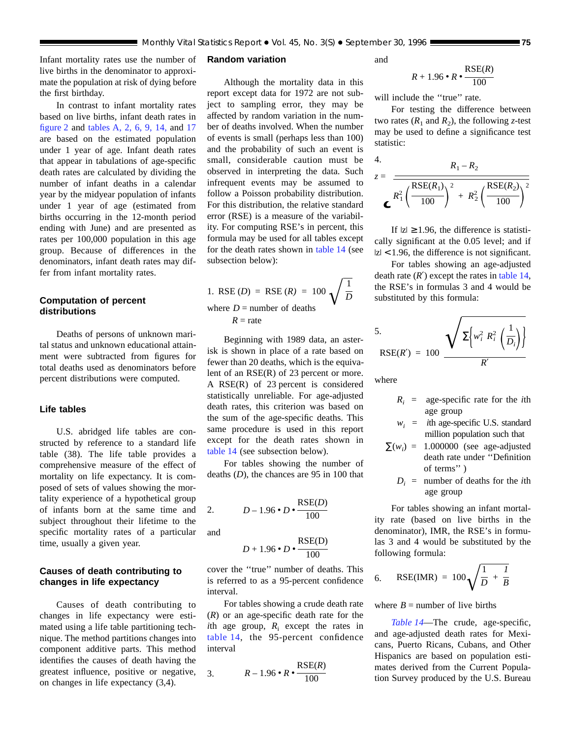<span id="page-74-0"></span>Infant mortality rates use the number of live births in the denominator to approximate the population at risk of dying before the first birthday.

In contrast to infant mortality rates based on live births, infant death rates in [figure 2](#page-4-0) and [tables A,](#page-3-0) [2,](#page-16-0) [6,](#page-19-0) [9,](#page-36-0) [14,](#page-49-0) and [17](#page-55-0) are based on the estimated population under 1 year of age. Infant death rates that appear in tabulations of age-specific death rates are calculated by dividing the number of infant deaths in a calendar year by the midyear population of infants under 1 year of age (estimated from births occurring in the 12-month period ending with June) and are presented as rates per 100,000 population in this age group. Because of differences in the denominators, infant death rates may differ from infant mortality rates.

# **Computation of percent distributions**

Deaths of persons of unknown marital status and unknown educational attainment were subtracted from figures for total deaths used as denominators before percent distributions were computed.

## **Life tables**

U.S. abridged life tables are constructed by reference to a standard life table (38). The life table provides a comprehensive measure of the effect of mortality on life expectancy. It is composed of sets of values showing the mortality experience of a hypothetical group of infants born at the same time and subject throughout their lifetime to the specific mortality rates of a particular time, usually a given year.

# **Causes of death contributing to changes in life expectancy**

Causes of death contributing to changes in life expectancy were estimated using a life table partitioning technique. The method partitions changes into component additive parts. This method identifies the causes of death having the greatest influence, positive or negative, on changes in life expectancy (3,4).

### **Random variation**

Although the mortality data in this report except data for 1972 are not subject to sampling error, they may be affected by random variation in the number of deaths involved. When the number of events is small (perhaps less than 100) and the probability of such an event is small, considerable caution must be observed in interpreting the data. Such infrequent events may be assumed to follow a Poisson probability distribution. For this distribution, the relative standard error (RSE) is a measure of the variability. For computing RSE's in percent, this formula may be used for all tables except for the death rates shown in [table 14](#page-49-0) (see subsection below):

1. RSE 
$$
(D)
$$
 = RSE  $(R)$  = 100  $\sqrt{\frac{1}{D}}$   
where  $D$  = number of deaths  
 $R$  = rate

Beginning with 1989 data, an asterisk is shown in place of a rate based on fewer than 20 deaths, which is the equivalent of an RSE(R) of 23 percent or more. A RSE(R) of 23 percent is considered statistically unreliable. For age-adjusted death rates, this criterion was based on the sum of the age-specific deaths. This same procedure is used in this report except for the death rates shown in [table 14](#page-49-0) (see subsection below).

For tables showing the number of deaths (*D*), the chances are 95 in 100 that

2. 
$$
D-1.96 \cdot D \cdot \frac{\text{RSE}(D)}{100}
$$

and

$$
D+1.96\bullet D\bullet\frac{\rm RSE(D)}{100}
$$

cover the ''true'' number of deaths. This is referred to as a 95-percent confidence interval.

For tables showing a crude death rate (*R*) or an age-specific death rate for the *i*th age group,  $R_i$  except the rates in [table 14,](#page-49-0) the 95-percent confidence interval

$$
3. \qquad R-1.96 \cdot R \cdot \frac{\text{RSE}(R)}{100}
$$

and

$$
R+1.96\cdot R\cdot \frac{\text{RSE}(R)}{100}
$$

will include the "true" rate.

For testing the difference between two rates  $(R_1 \text{ and } R_2)$ , the following *z*-test may be used to define a significance test statistic:

4.  
\n
$$
z = \frac{R_1 - R_2}{R_1^2 \left(\frac{\text{RSE}(R_1)}{100}\right)^2 + R_2^2 \left(\frac{\text{RSE}(R_2)}{100}\right)^2}
$$

If  $|z| \ge 1.96$ , the difference is statistically significant at the 0.05 level; and if  $|z|$  < 1.96, the difference is not significant.

For tables showing an age-adjusted death rate  $(R')$  except the rates in [table 14,](#page-49-0) the RSE's in formulas 3 and 4 would be substituted by this formula:

$$
5. \qquad \qquad \mathbf{RSE}(R') = 100 \frac{\sqrt{\sum \left\{w_i^2 R_i^2 \left(\frac{1}{D_i}\right)\right\}}}{R'}
$$

where

- $R_i$  = age-specific rate for the *i*th age group
- $w_i$  = *i*th age-specific U.S. standard million population such that
- $\Sigma(w_i) = 1.000000$  (see age-adjusted death rate under ''Definition of terms'' )
	- $D_i$  = number of deaths for the *i*th age group

For tables showing an infant mortality rate (based on live births in the denominator), IMR, the RSE's in formulas 3 and 4 would be substituted by the following formula:

6. RSE(IMR) = 
$$
100\sqrt{\frac{1}{D} + \frac{1}{B}}
$$

where  $B =$  number of live births

*[Table 14](#page-49-0)*—The crude, age-specific, and age-adjusted death rates for Mexicans, Puerto Ricans, Cubans, and Other Hispanics are based on population estimates derived from the Current Population Survey produced by the U.S. Bureau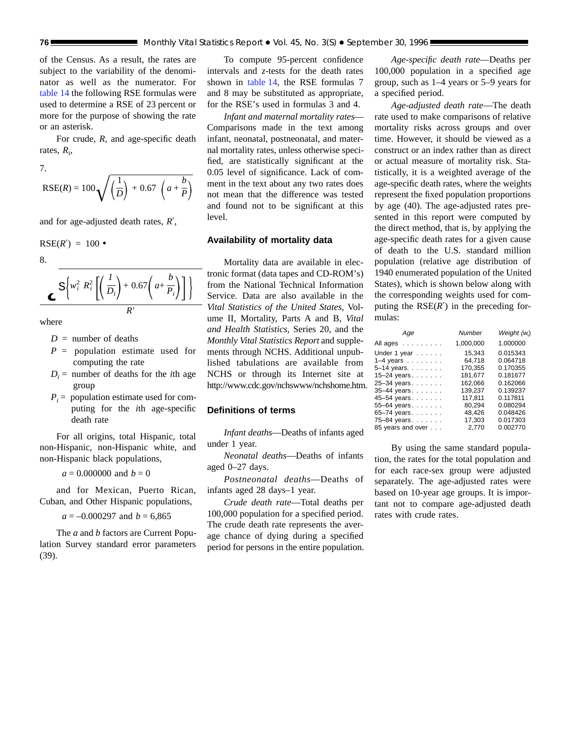of the Census. As a result, the rates are subject to the variability of the denominator as well as the numerator. For [table 14](#page-49-0) the following RSE formulas were used to determine a RSE of 23 percent or more for the purpose of showing the rate or an asterisk.

For crude, *R*, and age-specific death rates,  $R_i$ ,

7.

$$
RSE(R) = 100 \sqrt{\left(\frac{1}{D}\right) + 0.67 \left(a + \frac{b}{P}\right)}
$$

and for age-adjusted death rates, *R*′,

$$
RSE(R') = 100 \bullet
$$

8.

$$
\mathcal{L}\left\{\n\frac{\sum_{i=1}^{n} R_i^2 \left[\left(\frac{I}{D_i}\right) + 0.67 \left(a + \frac{b}{P_i}\right)\right]}{R'}\right\}
$$

where

- $D =$  number of deaths
- *P* = population estimate used for computing the rate
- $D_i$  = number of deaths for the *i*th age group
- $P_i$  = population estimate used for computing for the *i*th age-specific death rate

For all origins, total Hispanic, total non-Hispanic, non-Hispanic white, and non-Hispanic black populations,

$$
a = 0.000000
$$
 and  $b = 0$ 

and for Mexican, Puerto Rican, Cuban, and Other Hispanic populations,

 $a = -0.000297$  and  $b = 6,865$ 

The *a* and *b* factors are Current Population Survey standard error parameters (39).

To compute 95-percent confidence intervals and *z*-tests for the death rates shown in [table 14,](#page-49-0) the RSE formulas 7 and 8 may be substituted as appropriate, for the RSE's used in formulas 3 and 4.

*Infant and maternal mortality rates*— Comparisons made in the text among infant, neonatal, postneonatal, and maternal mortality rates, unless otherwise specified, are statistically significant at the 0.05 level of significance. Lack of comment in the text about any two rates does not mean that the difference was tested and found not to be significant at this level.

# **Availability of mortality data**

Mortality data are available in electronic format (data tapes and CD-ROM's) from the National Technical Information Service. Data are also available in the *Vital Statistics of the United States*, Volume II, Mortality, Parts A and B, *Vital and Health Statistics*, Series 20, and the *Monthly Vital Statistics Report* and supplements through NCHS. Additional unpublished tabulations are available from NCHS or through its Internet site at http://www.cdc.gov/nchswww/nchshome.htm.

## **Definitions of terms**

*Infant deaths*—Deaths of infants aged under 1 year.

*Neonatal deaths*—Deaths of infants aged 0–27 days.

*Postneonatal deaths*—Deaths of infants aged 28 days–1 year.

*Crude death rate*—Total deaths per 100,000 population for a specified period. The crude death rate represents the average chance of dying during a specified period for persons in the entire population.

*Age-specific death rate*—Deaths per 100,000 population in a specified age group, such as 1–4 years or 5–9 years for a specified period.

*Age-adjusted death rate*—The death rate used to make comparisons of relative mortality risks across groups and over time. However, it should be viewed as a construct or an index rather than as direct or actual measure of mortality risk. Statistically, it is a weighted average of the age-specific death rates, where the weights represent the fixed population proportions by age (40). The age-adjusted rates presented in this report were computed by the direct method, that is, by applying the age-specific death rates for a given cause of death to the U.S. standard million population (relative age distribution of 1940 enumerated population of the United States), which is shown below along with the corresponding weights used for computing the RSE(*R*′) in the preceding formulas:

| Age               | Number    | Weight (w <sub>i</sub> ) |
|-------------------|-----------|--------------------------|
| All ages          | 1,000,000 | 1.000000                 |
| Under 1 year      | 15,343    | 0.015343                 |
| $1-4$ years       | 64,718    | 0.064718                 |
| $5 - 14$ years.   | 170,355   | 0.170355                 |
| $15 - 24$ years.  | 181,677   | 0.181677                 |
| 25-34 years       | 162,066   | 0.162066                 |
| 35-44 years       | 139,237   | 0.139237                 |
| 45-54 years       | 117,811   | 0.117811                 |
| 55-64 years       | 80,294    | 0.080294                 |
| 65-74 years       | 48.426    | 0.048426                 |
| 75-84 years       | 17,303    | 0.017303                 |
| 85 years and over | 2.770     | 0.002770                 |

By using the same standard population, the rates for the total population and for each race-sex group were adjusted separately. The age-adjusted rates were based on 10-year age groups. It is important not to compare age-adjusted death rates with crude rates.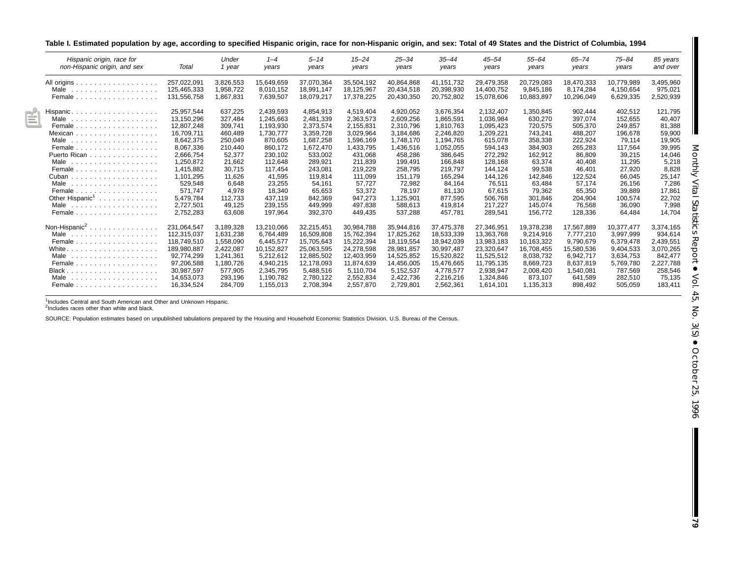| Table I. Estimated population by age, according to specified Hispanic origin, race for non-Hispanic origin, and sex: Total of 49 States and the District of Columbia, 1994 |  |  |  |
|----------------------------------------------------------------------------------------------------------------------------------------------------------------------------|--|--|--|
|                                                                                                                                                                            |  |  |  |

| Hispanic origin, race for<br>non-Hispanic origin, and sex | Total                      | Under<br>1 year        | $1 - 4$<br>years       | $5 - 14$<br>years        | $15 - 24$<br>years       | $25 - 34$<br>years       | 35–44<br>years           | $45 - 54$<br>years       | $55 - 64$<br>vears      | $65 - 74$<br>years      | $75 - 84$<br>years     | 85 years<br>and over |
|-----------------------------------------------------------|----------------------------|------------------------|------------------------|--------------------------|--------------------------|--------------------------|--------------------------|--------------------------|-------------------------|-------------------------|------------------------|----------------------|
| All origins                                               | 257.022.091                | 3,826,553              | 15,649,659             | 37.070.364               | 35,504,192               | 40,864,868               | 41,151,732               | 29,479,358               | 20,729,083              | 18,470,333              | 10,779,989             | 3,495,960            |
| Male<br>.                                                 | 125.465.333<br>131,556,758 | 1.958.722<br>1.867.831 | 8,010,152<br>7,639,507 | 18.991.147<br>18,079,217 | 18,125,967<br>17,378,225 | 20,434,518<br>20,430,350 | 20,398,930<br>20,752,802 | 14,400,752<br>15,078,606 | 9.845.186<br>10,883,897 | 8.174.284<br>10,296,049 | 4.150.654<br>6,629,335 | 975,021<br>2,520,939 |
| Female                                                    |                            |                        |                        |                          |                          |                          |                          |                          |                         |                         |                        |                      |
| Hispanic                                                  | 25.957.544                 | 637.225                | 2,439,593              | 4,854,913                | 4.519.404                | 4.920.052                | 3,676,354                | 2.132.407                | 1.350.845               | 902.444                 | 402.512                | 121,795              |
| Male<br>.                                                 | 13,150,296                 | 327.484                | 1,245,663              | 2,481,339                | 2,363,573                | 2,609,256                | 1,865,591                | 1,036,984                | 630,270                 | 397,074                 | 152.655                | 40.407               |
| Female                                                    | 12,807,248                 | 309.741                | 1,193,930              | 2,373,574                | 2,155,831                | 2,310,796                | 1,810,763                | 1,095,423                | 720,575                 | 505,370                 | 249.857                | 81,388               |
| Mexican                                                   | 16.709.711                 | 460.489                | 1.730.777              | 3.359.728                | 3,029,964                | 3.184.686                | 2.246.820                | 1,209,221                | 743.241                 | 488.207                 | 196.678                | 59,900               |
| Male<br>.                                                 | 8,642,375                  | 250,049                | 870,605                | 1,687,258                | 1,596,169                | 1,748,170                | 1,194,765                | 615,078                  | 358,338                 | 222,924                 | 79,114                 | 19,905               |
| Female                                                    | 8,067,336                  | 210,440                | 860,172                | 1,672,470                | 1,433,795                | 1,436,516                | 1,052,055                | 594,143                  | 384,903                 | 265,283                 | 117.564                | 39,995               |
| Puerto Rican                                              | 2,666,754                  | 52,377                 | 230,102                | 533,002                  | 431,068                  | 458,286                  | 386,645                  | 272,292                  | 162,912                 | 86,809                  | 39,215                 | 14,046               |
| Male<br>.                                                 | 1,250,872                  | 21,662                 | 112,648                | 289,921                  | 211,839                  | 199,491                  | 166,848                  | 128,168                  | 63,374                  | 40.408                  | 11,295                 | 5,218                |
| Female                                                    | 1,415,882                  | 30.715                 | 117.454                | 243.081                  | 219,229                  | 258,795                  | 219,797                  | 144,124                  | 99,538                  | 46.401                  | 27,920                 | 8,828                |
| Cuban<br>.                                                | 1.101.295                  | 11.626                 | 41.595                 | 119.814                  | 111.099                  | 151.179                  | 165.294                  | 144,126                  | 142.846                 | 122.524                 | 66.045                 | 25,147               |
| Male<br>.                                                 | 529,548                    | 6.648                  | 23,255                 | 54,161                   | 57.727                   | 72,982                   | 84.164                   | 76.511                   | 63.484                  | 57.174                  | 26.156                 | 7.286                |
| Female                                                    | 571.747                    | 4.978                  | 18.340                 | 65,653                   | 53,372                   | 78.197                   | 81.130                   | 67.615                   | 79.362                  | 65.350                  | 39.889                 | 17.861               |
| Other Hispanic <sup>1</sup>                               | 5,479,784                  | 112,733                | 437,119                | 842,369                  | 947,273                  | 1,125,901                | 877,595                  | 506,768                  | 301,846                 | 204,904                 | 100,574                | 22,702               |
| Male<br>.                                                 | 2,727,501                  | 49.125                 | 239.155                | 449,999                  | 497.838                  | 588.613                  | 419,814                  | 217.227                  | 145.074                 | 76.568                  | 36.090                 | 7,998                |
| Female                                                    | 2,752,283                  | 63,608                 | 197,964                | 392,370                  | 449,435                  | 537,288                  | 457.781                  | 289,541                  | 156,772                 | 128,336                 | 64,484                 | 14,704               |
| Non-Hispanic <sup>2</sup>                                 | 231,064,547                | 3,189,328              | 13,210,066             | 32,215,451               | 30,984,788               | 35,944,816               | 37,475,378               | 27,346,951               | 19,378,238              | 17,567,889              | 10,377,477             | 3,374,165            |
| Male<br>.                                                 | 112.315.037                | 1,631,238              | 6,764,489              | 16,509,808               | 15,762,394               | 17,825,262               | 18,533,339               | 13,363,768               | 9,214,916               | 7,777,210               | 3,997,999              | 934,614              |
| Female<br>.                                               | 118.749.510                | 1.558.090              | 6,445,577              | 15.705.643               | 15,222,394               | 18.119.554               | 18,942,039               | 13,983,183               | 10,163,322              | 9.790.679               | 6,379,478              | 2,439,551            |
| White .<br>.                                              | 189.980.887                | 2,422,087              | 10,152,827             | 25,063,595               | 24,278,598               | 28,981,857               | 30,997,487               | 23,320,647               | 16,708,455              | 15.580.536              | 9,404,533              | 3.070.265            |
| Male<br>.                                                 | 92.774.299                 | 1.241.361              | 5,212,612              | 12.885.502               | 12,403,959               | 14.525.852               | 15,520,822               | 11.525.512               | 8.038.732               | 6.942.717               | 3.634.753              | 842.477              |
| Female                                                    | 97,206,588                 | 1,180,726              | 4,940,215              | 12,178,093               | 11,874,639               | 14,456,005               | 15,476,665               | 11,795,135               | 8,669,723               | 8,637,819               | 5,769,780              | 2,227,788            |
| Black                                                     | 30.987.597                 | 577,905                | 2,345,795              | 5,488,516                | 5,110,704                | 5,152,537                | 4,778,577                | 2,938,947                | 2,008,420               | 1,540,081               | 787,569                | 258,546              |
| Male<br>.                                                 | 14.653.073                 | 293.196                | 1.190.782              | 2.780.122                | 2.552.834                | 2,422,736                | 2,216,216                | 1,324,846                | 873.107                 | 641.589                 | 282.510                | 75,135               |
| Female                                                    | 16,334,524                 | 284,709                | 1,155,013              | 2,708,394                | 2,557,870                | 2,729,801                | 2,562,361                | 1,614,101                | 1,135,313               | 898,492                 | 505,059                | 183,411              |

<sup>1</sup>Includes Central and South American and Other and Unknown Hispanic.<br><sup>2</sup>Includes races other than white and black.

SOURCE: Population estimates based on unpublished tabulations prepared by the Housing and Household Economic Statistics Division, U.S. Bureau of the Census.

H